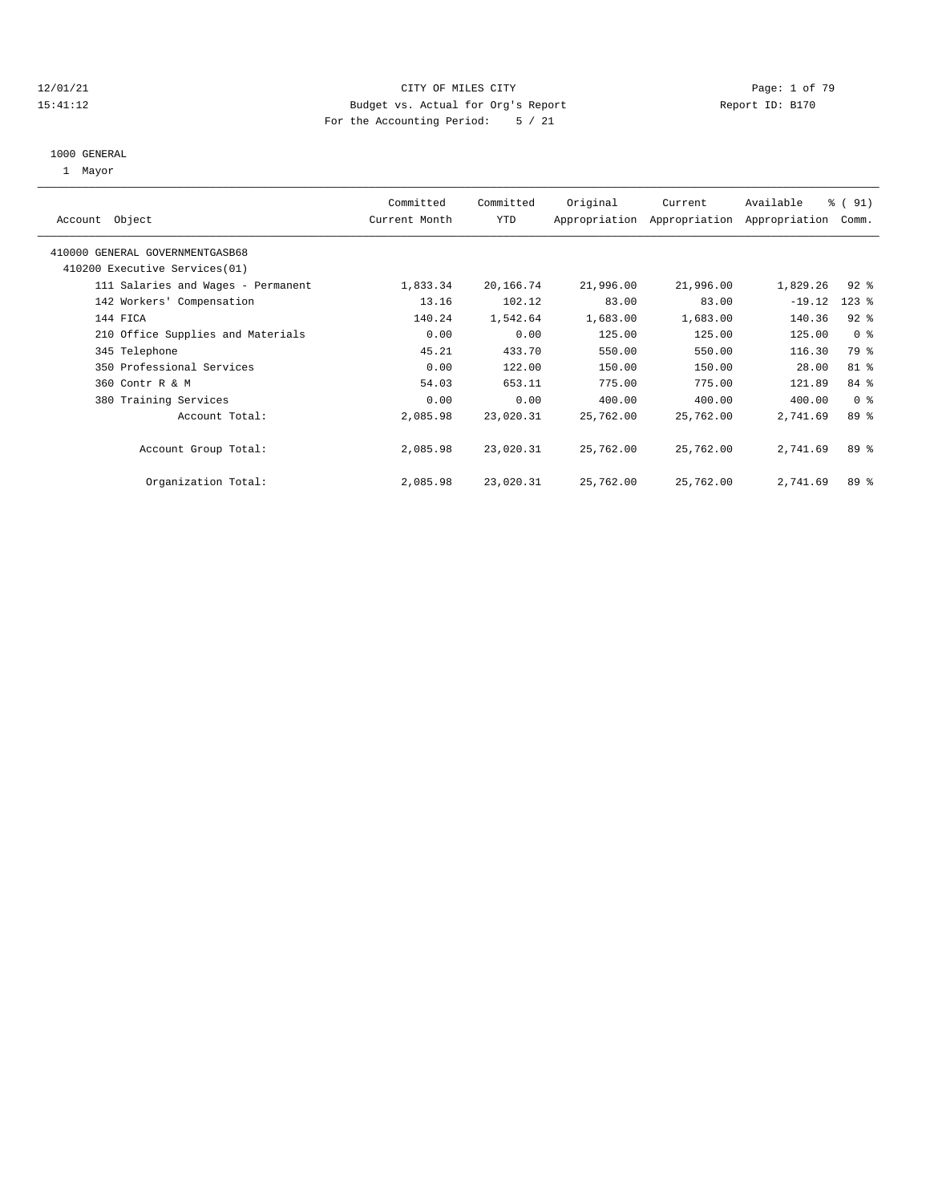#### 12/01/21 CITY OF MILES CITY Page: 1 of 79 15:41:12 Budget vs. Actual for Org's Report Report ID: B170 For the Accounting Period: 5 / 21

# 1000 GENERAL

| 1 Mayor                            |                            |                  |           |           |                                                        |                 |  |
|------------------------------------|----------------------------|------------------|-----------|-----------|--------------------------------------------------------|-----------------|--|
| Account Object                     | Committed<br>Current Month | Committed<br>YTD | Original  | Current   | Available<br>Appropriation Appropriation Appropriation | % (91)<br>Comm. |  |
| 410000 GENERAL GOVERNMENTGASB68    |                            |                  |           |           |                                                        |                 |  |
| 410200 Executive Services (01)     |                            |                  |           |           |                                                        |                 |  |
| 111 Salaries and Wages - Permanent | 1,833.34                   | 20,166.74        | 21,996.00 | 21,996.00 | 1,829.26                                               | $92$ %          |  |
| 142 Workers' Compensation          | 13.16                      | 102.12           | 83.00     | 83.00     | $-19.12$                                               | $123$ %         |  |
| 144 FICA                           | 140.24                     | 1,542.64         | 1,683.00  | 1,683.00  | 140.36                                                 | $92$ $%$        |  |
| 210 Office Supplies and Materials  | 0.00                       | 0.00             | 125.00    | 125.00    | 125.00                                                 | 0 <sup>8</sup>  |  |
| 345 Telephone                      | 45.21                      | 433.70           | 550.00    | 550.00    | 116.30                                                 | 79 %            |  |
| 350 Professional Services          | 0.00                       | 122.00           | 150.00    | 150.00    | 28.00                                                  | 81 %            |  |
| 360 Contr R & M                    | 54.03                      | 653.11           | 775.00    | 775.00    | 121.89                                                 | 84 %            |  |
| 380 Training Services              | 0.00                       | 0.00             | 400.00    | 400.00    | 400.00                                                 | 0 <sup>8</sup>  |  |
| Account Total:                     | 2,085.98                   | 23,020.31        | 25,762.00 | 25,762.00 | 2,741.69                                               | 89 %            |  |
| Account Group Total:               | 2,085.98                   | 23,020.31        | 25,762.00 | 25,762.00 | 2,741.69                                               | 89 %            |  |
| Organization Total:                | 2,085.98                   | 23,020.31        | 25,762.00 | 25,762.00 | 2,741.69                                               | 89 %            |  |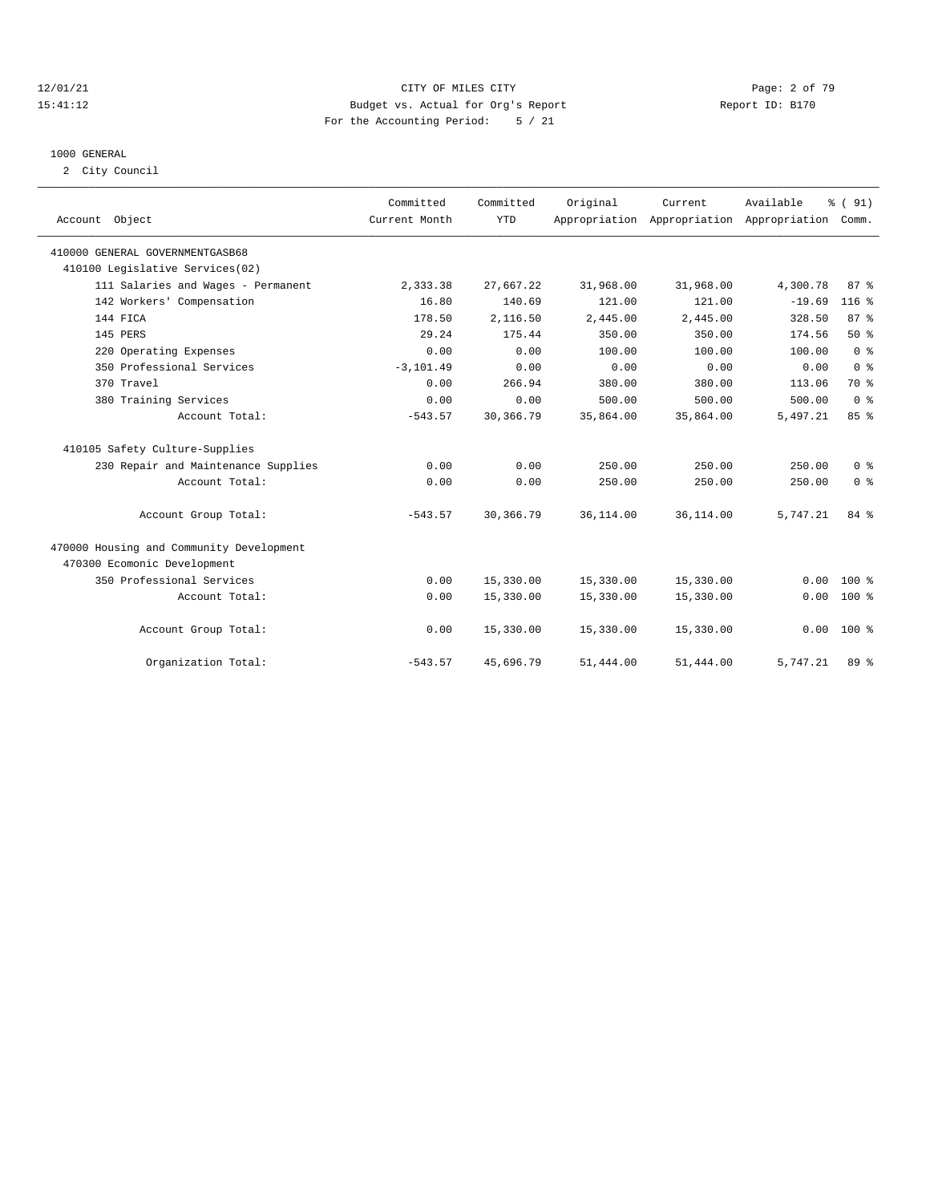#### 12/01/21 CITY OF MILES CITY Page: 2 of 79 15:41:12 Budget vs. Actual for Org's Report Report ID: B170 For the Accounting Period: 5 / 21

# 1000 GENERAL

2 City Council

| Account Object                           | Committed<br>Current Month | Committed<br><b>YTD</b> | Original  | Current<br>Appropriation Appropriation Appropriation | Available | % (91)<br>Comm. |  |
|------------------------------------------|----------------------------|-------------------------|-----------|------------------------------------------------------|-----------|-----------------|--|
| 410000 GENERAL GOVERNMENTGASB68          |                            |                         |           |                                                      |           |                 |  |
| 410100 Legislative Services(02)          |                            |                         |           |                                                      |           |                 |  |
| 111 Salaries and Wages - Permanent       | 2,333.38                   | 27,667.22               | 31,968.00 | 31,968.00                                            | 4,300.78  | 87%             |  |
| 142 Workers' Compensation                | 16.80                      | 140.69                  | 121.00    | 121.00                                               | $-19.69$  | $116$ %         |  |
| 144 FTCA                                 | 178.50                     | 2,116.50                | 2,445.00  | 2,445.00                                             | 328.50    | 87%             |  |
| 145 PERS                                 | 29.24                      | 175.44                  | 350.00    | 350.00                                               | 174.56    | 50%             |  |
| 220 Operating Expenses                   | 0.00                       | 0.00                    | 100.00    | 100.00                                               | 100.00    | 0 <sup>8</sup>  |  |
| 350 Professional Services                | $-3, 101.49$               | 0.00                    | 0.00      | 0.00                                                 | 0.00      | 0 <sup>8</sup>  |  |
| 370 Travel                               | 0.00                       | 266.94                  | 380.00    | 380.00                                               | 113.06    | 70 %            |  |
| 380 Training Services                    | 0.00                       | 0.00                    | 500.00    | 500.00                                               | 500.00    | 0 <sup>8</sup>  |  |
| Account Total:                           | $-543.57$                  | 30,366.79               | 35,864.00 | 35,864.00                                            | 5,497.21  | 85 %            |  |
| 410105 Safety Culture-Supplies           |                            |                         |           |                                                      |           |                 |  |
| 230 Repair and Maintenance Supplies      | 0.00                       | 0.00                    | 250.00    | 250.00                                               | 250.00    | 0 <sup>8</sup>  |  |
| Account Total:                           | 0.00                       | 0.00                    | 250.00    | 250.00                                               | 250.00    | 0 <sup>8</sup>  |  |
| Account Group Total:                     | $-543.57$                  | 30,366.79               | 36,114.00 | 36,114.00                                            | 5,747.21  | 84 %            |  |
| 470000 Housing and Community Development |                            |                         |           |                                                      |           |                 |  |
| 470300 Ecomonic Development              |                            |                         |           |                                                      |           |                 |  |
| 350 Professional Services                | 0.00                       | 15,330.00               | 15,330.00 | 15,330.00                                            | 0.00      | $100*$          |  |
| Account Total:                           | 0.00                       | 15,330.00               | 15,330.00 | 15,330.00                                            | 0.00      | $100*$          |  |
| Account Group Total:                     | 0.00                       | 15,330.00               | 15,330.00 | 15,330.00                                            | 0.00      | $100*$          |  |
| Organization Total:                      | $-543.57$                  | 45,696.79               | 51,444.00 | 51,444.00                                            | 5,747.21  | 89 %            |  |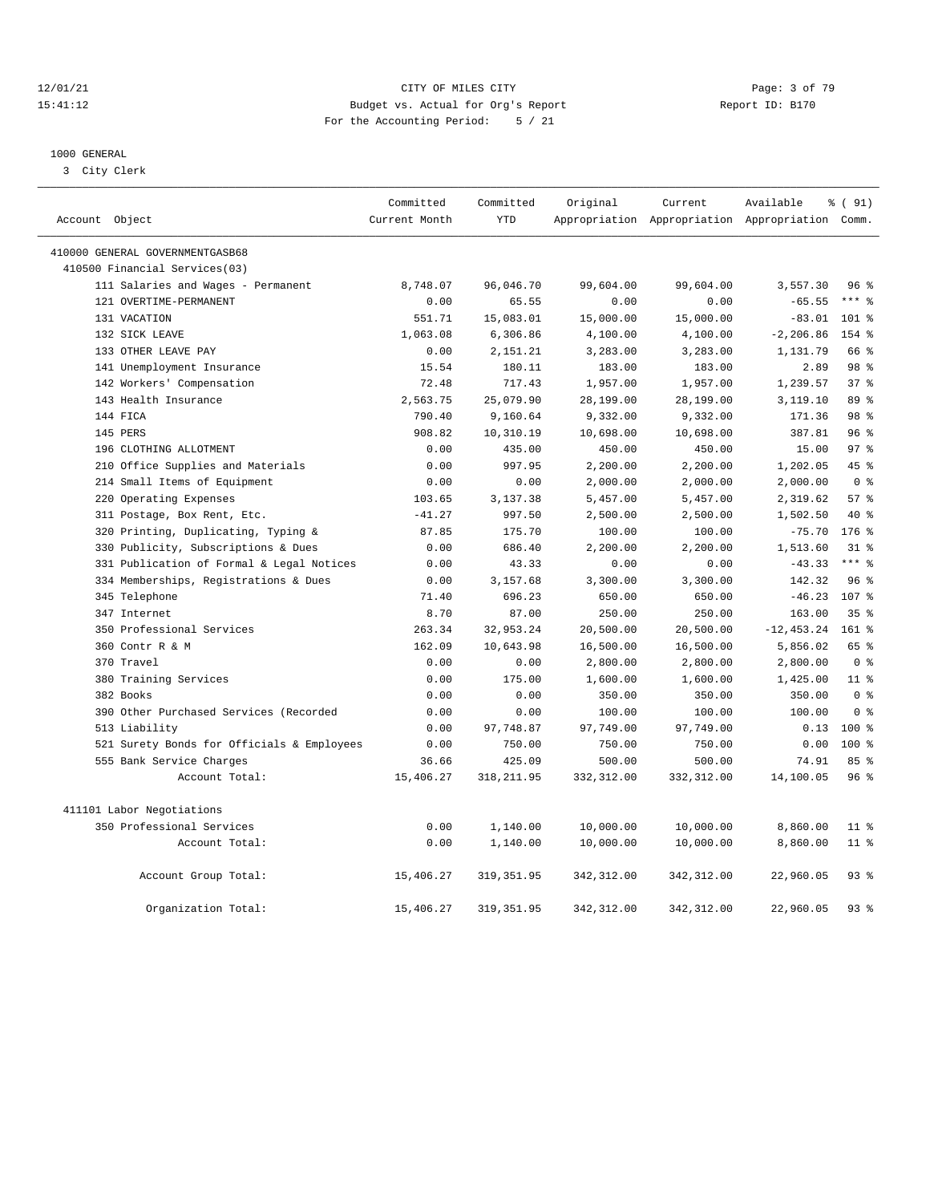#### 12/01/21 Page: 3 of 79<br>15:41:12 Budget vs. Actual for Org's Report Page: 15:41:12 15:41:12 Budget vs. Actual for Org's Report For the Accounting Period: 5 / 21

————————————————————————————————————————————————————————————————————————————————————————————————————————————————————————————————————

#### 1000 GENERAL

3 City Clerk

| Account Object                             | Committed<br>Current Month | Committed<br><b>YTD</b> | Original    | Current     | Available<br>Appropriation Appropriation Appropriation Comm. | % (91)          |
|--------------------------------------------|----------------------------|-------------------------|-------------|-------------|--------------------------------------------------------------|-----------------|
|                                            |                            |                         |             |             |                                                              |                 |
| 410000 GENERAL GOVERNMENTGASB68            |                            |                         |             |             |                                                              |                 |
| 410500 Financial Services(03)              |                            |                         |             |             |                                                              |                 |
| 111 Salaries and Wages - Permanent         | 8,748.07                   | 96,046.70               | 99,604.00   | 99,604.00   | 3,557.30                                                     | $96\degree$     |
| 121 OVERTIME-PERMANENT                     | 0.00                       | 65.55                   | 0.00        | 0.00        | $-65.55$                                                     | $***$ $_{8}$    |
| 131 VACATION                               | 551.71                     | 15,083.01               | 15,000.00   | 15,000.00   | $-83.01$                                                     | $101$ %         |
| 132 SICK LEAVE                             | 1,063.08                   | 6,306.86                | 4,100.00    | 4,100.00    | $-2, 206.86$                                                 | 154 %           |
| 133 OTHER LEAVE PAY                        | 0.00                       | 2,151.21                | 3,283.00    | 3,283.00    | 1,131.79                                                     | 66 %            |
| 141 Unemployment Insurance                 | 15.54                      | 180.11                  | 183.00      | 183.00      | 2.89                                                         | 98 %            |
| 142 Workers' Compensation                  | 72.48                      | 717.43                  | 1,957.00    | 1,957.00    | 1,239.57                                                     | 37 <sup>8</sup> |
| 143 Health Insurance                       | 2,563.75                   | 25,079.90               | 28,199.00   | 28,199.00   | 3,119.10                                                     | 89 %            |
| 144 FICA                                   | 790.40                     | 9,160.64                | 9,332.00    | 9,332.00    | 171.36                                                       | 98 %            |
| 145 PERS                                   | 908.82                     | 10,310.19               | 10,698.00   | 10,698.00   | 387.81                                                       | 96%             |
| 196 CLOTHING ALLOTMENT                     | 0.00                       | 435.00                  | 450.00      | 450.00      | 15.00                                                        | 97 <sub>8</sub> |
| 210 Office Supplies and Materials          | 0.00                       | 997.95                  | 2,200.00    | 2,200.00    | 1,202.05                                                     | 45 %            |
| 214 Small Items of Equipment               | 0.00                       | 0.00                    | 2,000.00    | 2,000.00    | 2,000.00                                                     | 0 <sup>8</sup>  |
| 220 Operating Expenses                     | 103.65                     | 3,137.38                | 5,457.00    | 5,457.00    | 2,319.62                                                     | 57%             |
| 311 Postage, Box Rent, Etc.                | $-41.27$                   | 997.50                  | 2,500.00    | 2,500.00    | 1,502.50                                                     | 40 %            |
| 320 Printing, Duplicating, Typing &        | 87.85                      | 175.70                  | 100.00      | 100.00      | $-75.70$                                                     | 176%            |
| 330 Publicity, Subscriptions & Dues        | 0.00                       | 686.40                  | 2,200.00    | 2,200.00    | 1,513.60                                                     | $31*$           |
| 331 Publication of Formal & Legal Notices  | 0.00                       | 43.33                   | 0.00        | 0.00        | $-43.33$                                                     | $***$ $8$       |
| 334 Memberships, Registrations & Dues      | 0.00                       | 3,157.68                | 3,300.00    | 3,300.00    | 142.32                                                       | 96%             |
| 345 Telephone                              | 71.40                      | 696.23                  | 650.00      | 650.00      | $-46.23$                                                     | 107 %           |
| 347 Internet                               | 8.70                       | 87.00                   | 250.00      | 250.00      | 163.00                                                       | 35 <sup>8</sup> |
| 350 Professional Services                  | 263.34                     | 32,953.24               | 20,500.00   | 20,500.00   | $-12, 453.24$                                                | $161$ %         |
| 360 Contr R & M                            | 162.09                     | 10,643.98               | 16,500.00   | 16,500.00   | 5,856.02                                                     | 65 %            |
| 370 Travel                                 | 0.00                       | 0.00                    | 2,800.00    | 2,800.00    | 2,800.00                                                     | 0 <sup>8</sup>  |
| 380 Training Services                      | 0.00                       | 175.00                  | 1,600.00    | 1,600.00    | 1,425.00                                                     | 11 <sup>8</sup> |
| 382 Books                                  | 0.00                       | 0.00                    | 350.00      | 350.00      | 350.00                                                       | 0 <sup>8</sup>  |
| 390 Other Purchased Services (Recorded     | 0.00                       | 0.00                    | 100.00      | 100.00      | 100.00                                                       | 0 <sup>8</sup>  |
| 513 Liability                              | 0.00                       | 97,748.87               | 97,749.00   | 97,749.00   | 0.13                                                         | $100$ %         |
| 521 Surety Bonds for Officials & Employees | 0.00                       | 750.00                  | 750.00      | 750.00      | 0.00                                                         | $100*$          |
| 555 Bank Service Charges                   | 36.66                      | 425.09                  | 500.00      | 500.00      | 74.91                                                        | 85%             |
| Account Total:                             | 15,406.27                  | 318, 211.95             | 332, 312.00 | 332, 312.00 | 14,100.05                                                    | 96%             |
| 411101 Labor Negotiations                  |                            |                         |             |             |                                                              |                 |
| 350 Professional Services                  | 0.00                       | 1,140.00                | 10,000.00   | 10,000.00   | 8,860.00                                                     | $11$ %          |
| Account Total:                             | 0.00                       | 1,140.00                | 10,000.00   | 10,000.00   | 8,860.00                                                     | $11$ %          |
| Account Group Total:                       | 15,406.27                  | 319, 351.95             | 342, 312.00 | 342, 312.00 | 22,960.05                                                    | 93%             |
| Organization Total:                        | 15,406.27                  | 319, 351.95             | 342, 312.00 | 342, 312.00 | 22,960.05                                                    | 93%             |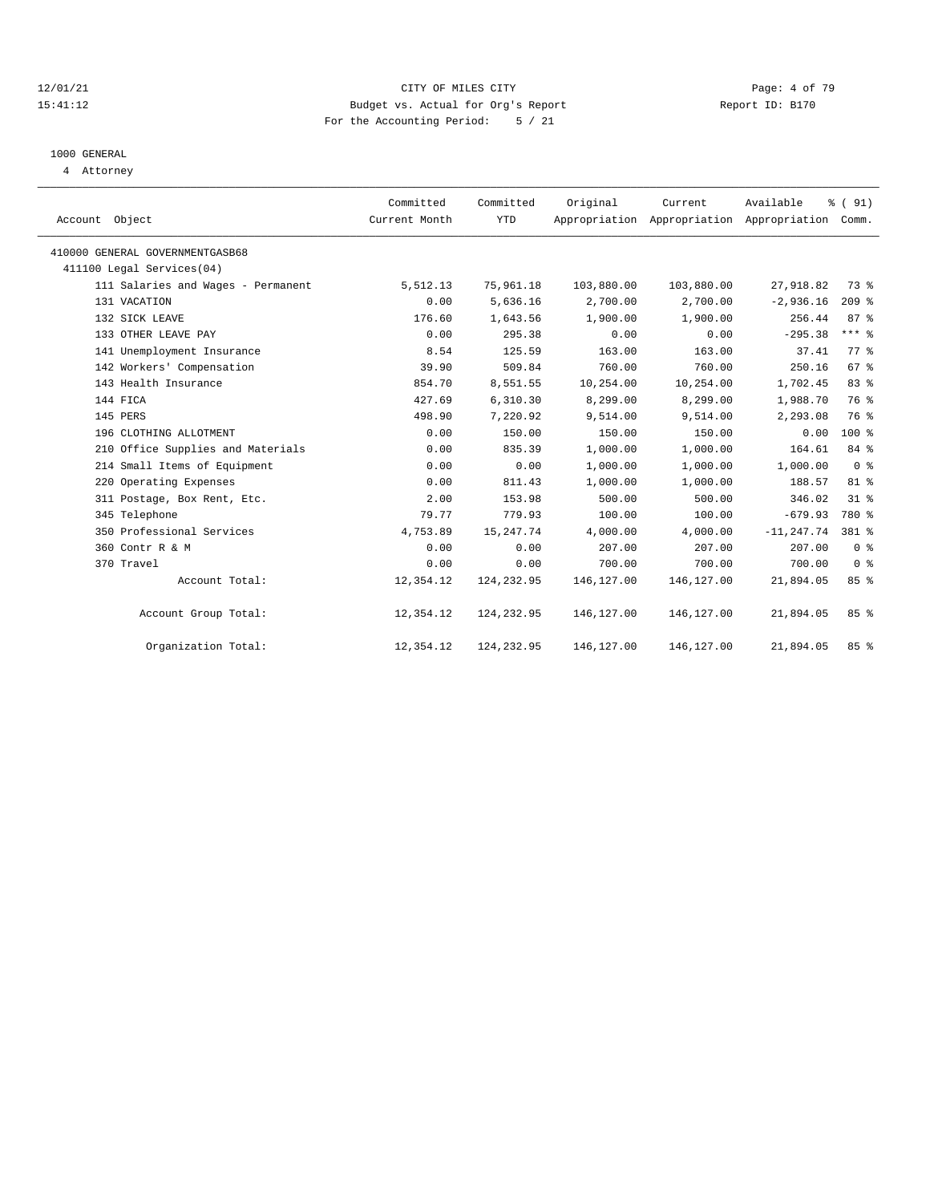#### 12/01/21 CITY OF MILES CITY Page: 4 of 79 15:41:12 Budget vs. Actual for Org's Report Report ID: B170 For the Accounting Period: 5 / 21

# 1000 GENERAL

4 Attorney

| Account Object                     | Committed<br>Current Month | Committed<br><b>YTD</b> | Original   | Current     | Available<br>Appropriation Appropriation Appropriation Comm. | % (91)         |
|------------------------------------|----------------------------|-------------------------|------------|-------------|--------------------------------------------------------------|----------------|
| 410000 GENERAL GOVERNMENTGASB68    |                            |                         |            |             |                                                              |                |
| 411100 Legal Services(04)          |                            |                         |            |             |                                                              |                |
| 111 Salaries and Wages - Permanent | 5,512.13                   | 75,961.18               | 103,880.00 | 103,880.00  | 27,918.82                                                    | 73 %           |
| 131 VACATION                       | 0.00                       | 5,636.16                | 2,700.00   | 2,700.00    | $-2,936.16$                                                  | $209$ $%$      |
| 132 SICK LEAVE                     | 176.60                     | 1,643.56                | 1,900.00   | 1,900.00    | 256.44                                                       | 87%            |
| 133 OTHER LEAVE PAY                | 0.00                       | 295.38                  | 0.00       | 0.00        | $-295.38$                                                    | $***$ 8        |
| 141 Unemployment Insurance         | 8.54                       | 125.59                  | 163.00     | 163.00      | 37.41                                                        | 77.8           |
| 142 Workers' Compensation          | 39.90                      | 509.84                  | 760.00     | 760.00      | 250.16                                                       | 67%            |
| 143 Health Insurance               | 854.70                     | 8,551.55                | 10,254.00  | 10,254.00   | 1,702.45                                                     | 83%            |
| 144 FICA                           | 427.69                     | 6,310.30                | 8,299.00   | 8,299.00    | 1,988.70                                                     | 76 %           |
| 145 PERS                           | 498.90                     | 7,220.92                | 9,514.00   | 9,514.00    | 2,293.08                                                     | 76 %           |
| 196 CLOTHING ALLOTMENT             | 0.00                       | 150.00                  | 150.00     | 150.00      | 0.00                                                         | $100*$         |
| 210 Office Supplies and Materials  | 0.00                       | 835.39                  | 1,000.00   | 1,000.00    | 164.61                                                       | 84 %           |
| 214 Small Items of Equipment       | 0.00                       | 0.00                    | 1,000.00   | 1,000.00    | 1,000.00                                                     | 0 <sup>8</sup> |
| 220 Operating Expenses             | 0.00                       | 811.43                  | 1,000.00   | 1,000.00    | 188.57                                                       | 81 %           |
| 311 Postage, Box Rent, Etc.        | 2.00                       | 153.98                  | 500.00     | 500.00      | 346.02                                                       | 31.8           |
| 345 Telephone                      | 79.77                      | 779.93                  | 100.00     | 100.00      | $-679.93$                                                    | 780 %          |
| 350 Professional Services          | 4,753.89                   | 15, 247. 74             | 4,000.00   | 4,000.00    | $-11, 247.74$                                                | 381 %          |
| 360 Contr R & M                    | 0.00                       | 0.00                    | 207.00     | 207.00      | 207.00                                                       | 0 <sup>8</sup> |
| 370 Travel                         | 0.00                       | 0.00                    | 700.00     | 700.00      | 700.00                                                       | 0 <sup>8</sup> |
| Account Total:                     | 12,354.12                  | 124,232.95              | 146,127.00 | 146, 127.00 | 21,894.05                                                    | 85%            |
| Account Group Total:               | 12,354.12                  | 124, 232.95             | 146,127.00 | 146,127.00  | 21,894.05                                                    | 85%            |
| Organization Total:                | 12,354.12                  | 124,232.95              | 146,127.00 | 146,127.00  | 21,894.05                                                    | 85%            |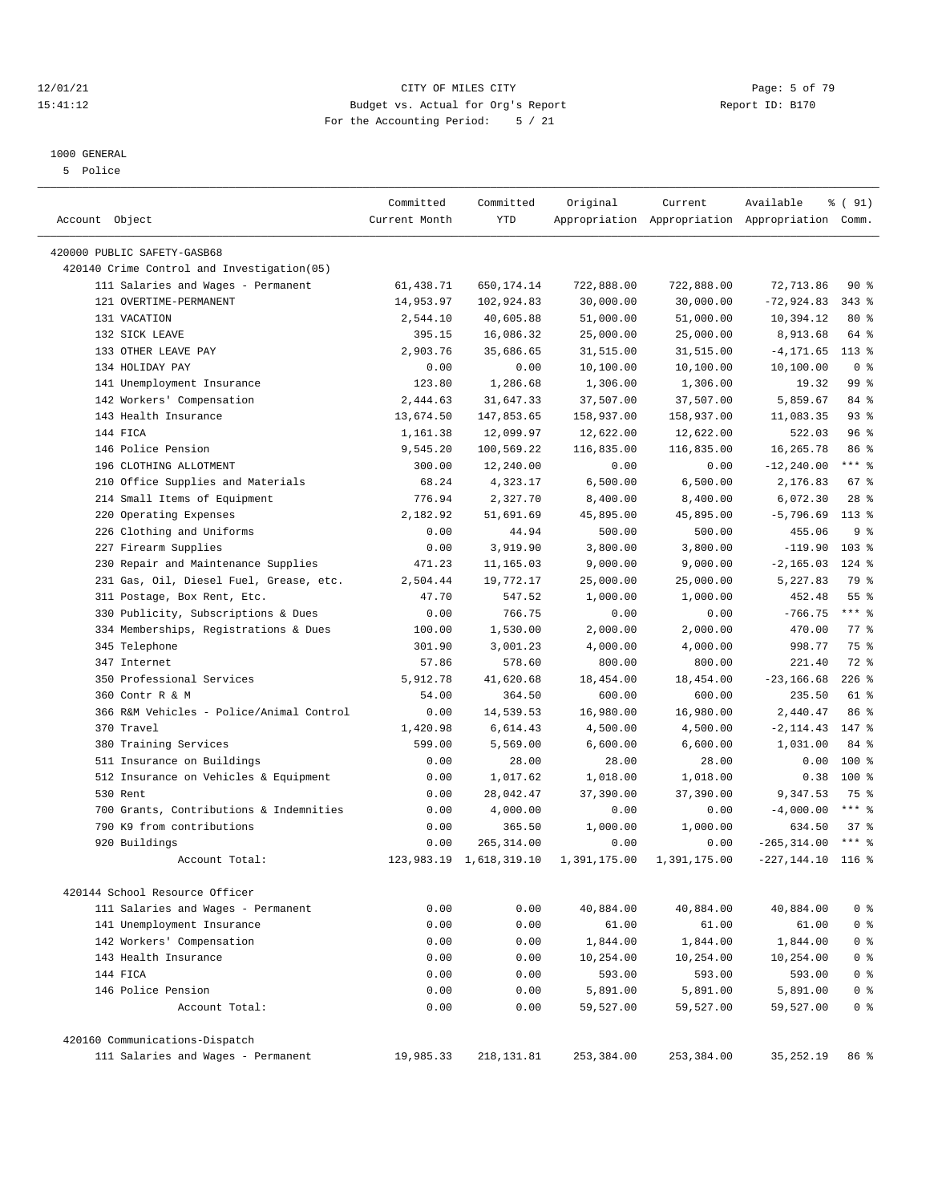#### 12/01/21 Page: 5 of 79<br>15:41:12 Budget vs. Actual for Org's Report Page: 5 of 79<br>15:41:12 Budget vs. Actual for Org's Report Physics Report ID: B170 15:41:12 Budget vs. Actual for Org's Report For the Accounting Period: 5 / 21

————————————————————————————————————————————————————————————————————————————————————————————————————————————————————————————————————

## 1000 GENERAL

5 Police

|                                            | Committed         | Committed                    | Original              | Current               | Available                                       | % ( 91)         |
|--------------------------------------------|-------------------|------------------------------|-----------------------|-----------------------|-------------------------------------------------|-----------------|
| Account Object                             | Current Month     | <b>YTD</b>                   |                       |                       | Appropriation Appropriation Appropriation Comm. |                 |
| 420000 PUBLIC SAFETY-GASB68                |                   |                              |                       |                       |                                                 |                 |
| 420140 Crime Control and Investigation(05) |                   |                              |                       |                       |                                                 |                 |
| 111 Salaries and Wages - Permanent         | 61,438.71         | 650, 174. 14                 | 722,888.00            | 722,888.00            | 72, 713.86                                      | 90%             |
| 121 OVERTIME-PERMANENT                     | 14,953.97         | 102,924.83                   | 30,000.00             | 30,000.00             | $-72,924.83$                                    | $343$ $%$       |
| 131 VACATION                               | 2,544.10          | 40,605.88                    | 51,000.00             | 51,000.00             | 10,394.12                                       | $80*$           |
| 132 SICK LEAVE                             | 395.15            | 16,086.32                    | 25,000.00             | 25,000.00             | 8,913.68                                        | 64 %            |
| 133 OTHER LEAVE PAY                        | 2,903.76          | 35,686.65                    | 31,515.00             | 31,515.00             | $-4, 171.65$                                    | $113*$          |
| 134 HOLIDAY PAY                            | 0.00              | 0.00                         | 10,100.00             | 10,100.00             | 10,100.00                                       | 0 <sup>8</sup>  |
| 141 Unemployment Insurance                 | 123.80            | 1,286.68                     | 1,306.00              | 1,306.00              | 19.32                                           | 99 %            |
| 142 Workers' Compensation                  | 2,444.63          | 31,647.33                    | 37,507.00             | 37,507.00             | 5,859.67                                        | 84 %            |
| 143 Health Insurance                       | 13,674.50         | 147,853.65                   | 158,937.00            | 158,937.00            | 11,083.35                                       | $93$ $%$        |
| 144 FICA                                   | 1,161.38          | 12,099.97                    | 12,622.00             | 12,622.00             | 522.03                                          | 96%             |
| 146 Police Pension                         | 9,545.20          | 100,569.22                   | 116,835.00            | 116,835.00            | 16,265.78                                       | 86 %            |
| 196 CLOTHING ALLOTMENT                     | 300.00            | 12,240.00                    | 0.00                  | 0.00                  | $-12, 240.00$                                   | *** 응           |
| 210 Office Supplies and Materials          | 68.24             | 4,323.17                     | 6,500.00              | 6,500.00              | 2,176.83                                        | 67%             |
| 214 Small Items of Equipment               | 776.94            | 2,327.70                     | 8,400.00              | 8,400.00              | 6,072.30                                        | $28$ %          |
| 220 Operating Expenses                     | 2,182.92          | 51,691.69                    | 45,895.00             | 45,895.00             | $-5,796.69$                                     | $113*$          |
| 226 Clothing and Uniforms                  | 0.00              | 44.94                        | 500.00                | 500.00                | 455.06                                          | 9 <sup>°</sup>  |
| 227 Firearm Supplies                       | 0.00              | 3,919.90                     | 3,800.00              | 3,800.00              | $-119.90$                                       | 103%            |
| 230 Repair and Maintenance Supplies        | 471.23            | 11,165.03                    | 9,000.00              | 9,000.00              | $-2, 165.03$                                    | 124 %           |
|                                            |                   |                              |                       |                       |                                                 | 79 %            |
| 231 Gas, Oil, Diesel Fuel, Grease, etc.    | 2,504.44<br>47.70 | 19,772.17<br>547.52          | 25,000.00<br>1,000.00 | 25,000.00<br>1,000.00 | 5,227.83<br>452.48                              | 55%             |
| 311 Postage, Box Rent, Etc.                |                   |                              |                       |                       |                                                 | $***$ $-$       |
| 330 Publicity, Subscriptions & Dues        | 0.00              | 766.75                       | 0.00                  | 0.00                  | $-766.75$                                       |                 |
| 334 Memberships, Registrations & Dues      | 100.00            | 1,530.00                     | 2,000.00              | 2,000.00              | 470.00                                          | $77$ $%$        |
| 345 Telephone                              | 301.90            | 3,001.23                     | 4,000.00              | 4,000.00              | 998.77                                          | 75 %            |
| 347 Internet                               | 57.86             | 578.60                       | 800.00                | 800.00                | 221.40                                          | 72 %<br>$226$ % |
| 350 Professional Services                  | 5,912.78          | 41,620.68                    | 18,454.00             | 18,454.00             | $-23, 166.68$                                   |                 |
| 360 Contr R & M                            | 54.00             | 364.50                       | 600.00                | 600.00                | 235.50                                          | 61 %            |
| 366 R&M Vehicles - Police/Animal Control   | 0.00              | 14,539.53                    | 16,980.00             | 16,980.00             | 2,440.47                                        | 86 %            |
| 370 Travel                                 | 1,420.98          | 6,614.43                     | 4,500.00              | 4,500.00              | $-2, 114.43$                                    | 147 %           |
| 380 Training Services                      | 599.00            | 5,569.00                     | 6,600.00              | 6,600.00              | 1,031.00                                        | 84 %            |
| 511 Insurance on Buildings                 | 0.00              | 28.00                        | 28.00                 | 28.00                 | 0.00                                            | 100 %           |
| 512 Insurance on Vehicles & Equipment      | 0.00              | 1,017.62                     | 1,018.00              | 1,018.00              | 0.38                                            | 100 %           |
| 530 Rent                                   | 0.00              | 28,042.47                    | 37,390.00             | 37,390.00             | 9,347.53                                        | 75 %            |
| 700 Grants, Contributions & Indemnities    | 0.00              | 4,000.00                     | 0.00                  | 0.00                  | $-4,000.00$                                     | $***$ $8$       |
| 790 K9 from contributions                  | 0.00              | 365.50                       | 1,000.00              | 1,000.00              | 634.50                                          | 37%             |
| 920 Buildings                              | 0.00              | 265, 314.00                  | 0.00                  | 0.00                  | $-265, 314.00$                                  | $***$ $%$       |
| Account Total:                             |                   | 123, 983. 19 1, 618, 319. 10 | 1,391,175.00          | 1,391,175.00          | $-227, 144.10$                                  | $116$ %         |
| 420144 School Resource Officer             |                   |                              |                       |                       |                                                 |                 |
| 111 Salaries and Wages - Permanent         | 0.00              | 0.00                         | 40,884.00             | 40,884.00             | 40,884.00                                       | 0 <sup>8</sup>  |
| 141 Unemployment Insurance                 | 0.00              | 0.00                         | 61.00                 | 61.00                 | 61.00                                           | 0 <sup>8</sup>  |
| 142 Workers' Compensation                  | 0.00              | 0.00                         | 1,844.00              | 1,844.00              | 1,844.00                                        | 0 <sup>8</sup>  |
| 143 Health Insurance                       | 0.00              | 0.00                         | 10,254.00             | 10,254.00             | 10,254.00                                       | 0 <sup>8</sup>  |
| 144 FICA                                   | 0.00              | 0.00                         | 593.00                | 593.00                | 593.00                                          | 0 <sup>8</sup>  |
| 146 Police Pension                         | 0.00              | 0.00                         | 5,891.00              | 5,891.00              | 5,891.00                                        | 0 <sup>8</sup>  |
| Account Total:                             | 0.00              | 0.00                         | 59,527.00             | 59,527.00             | 59,527.00                                       | 0 <sup>8</sup>  |
|                                            |                   |                              |                       |                       |                                                 |                 |
| 420160 Communications-Dispatch             |                   |                              |                       |                       |                                                 |                 |
| 111 Salaries and Wages - Permanent         | 19,985.33         | 218,131.81                   | 253,384.00            | 253,384.00            | 35, 252.19                                      | 86 %            |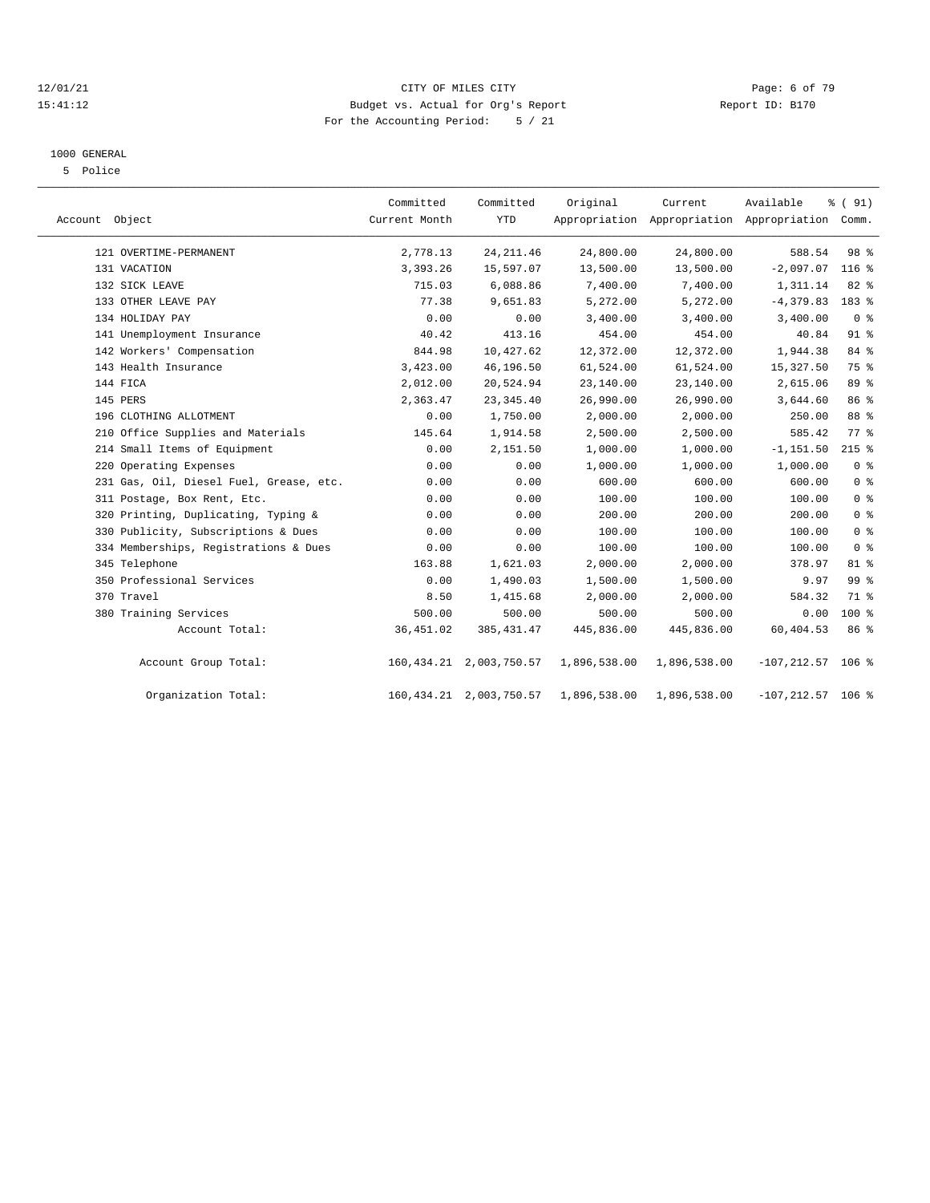#### 12/01/21 Page: 6 of 79<br>15:41:12 Budget vs. Actual for Org's Report Page: 6 Of 79<br>15:41:12 Budget vs. Actual for Org's Report Physics Report ID: B170 15:41:12 Budget vs. Actual for Org's Report For the Accounting Period: 5 / 21

#### 1000 GENERAL

5 Police

|                |                                         | Committed     | Committed                  | Original     | Current      | Available                                       | % (91)          |
|----------------|-----------------------------------------|---------------|----------------------------|--------------|--------------|-------------------------------------------------|-----------------|
| Account Object |                                         | Current Month | <b>YTD</b>                 |              |              | Appropriation Appropriation Appropriation Comm. |                 |
|                | 121 OVERTIME-PERMANENT                  | 2,778.13      | 24, 211.46                 | 24,800.00    | 24,800.00    | 588.54                                          | 98 %            |
|                | 131 VACATION                            | 3,393.26      | 15,597.07                  | 13,500.00    | 13,500.00    | $-2,097.07$                                     | $116$ %         |
|                | 132 SICK LEAVE                          | 715.03        | 6,088.86                   | 7,400.00     | 7,400.00     | 1,311.14                                        | 82 %            |
|                | 133 OTHER LEAVE PAY                     | 77.38         | 9,651.83                   | 5,272.00     | 5,272.00     | $-4, 379.83$                                    | 183 %           |
|                | 134 HOLIDAY PAY                         | 0.00          | 0.00                       | 3,400.00     | 3,400.00     | 3,400.00                                        | 0 <sup>8</sup>  |
|                | 141 Unemployment Insurance              | 40.42         | 413.16                     | 454.00       | 454.00       | 40.84                                           | $91$ $%$        |
|                | 142 Workers' Compensation               | 844.98        | 10,427.62                  | 12,372.00    | 12,372.00    | 1,944.38                                        | 84 %            |
|                | 143 Health Insurance                    | 3,423.00      | 46,196.50                  | 61,524.00    | 61,524.00    | 15, 327.50                                      | 75 %            |
| 144 FICA       |                                         | 2,012.00      | 20,524.94                  | 23,140.00    | 23,140.00    | 2,615.06                                        | 89 %            |
| 145 PERS       |                                         | 2,363.47      | 23, 345.40                 | 26,990.00    | 26,990.00    | 3,644.60                                        | 86 %            |
|                | 196 CLOTHING ALLOTMENT                  | 0.00          | 1,750.00                   | 2,000.00     | 2,000.00     | 250.00                                          | 88 %            |
|                | 210 Office Supplies and Materials       | 145.64        | 1,914.58                   | 2,500.00     | 2,500.00     | 585.42                                          | 77.8            |
|                | 214 Small Items of Equipment            | 0.00          | 2,151.50                   | 1,000.00     | 1,000.00     | $-1, 151.50$                                    | $215$ %         |
|                | 220 Operating Expenses                  | 0.00          | 0.00                       | 1,000.00     | 1,000.00     | 1,000.00                                        | 0 <sup>8</sup>  |
|                | 231 Gas, Oil, Diesel Fuel, Grease, etc. | 0.00          | 0.00                       | 600.00       | 600.00       | 600.00                                          | 0 <sup>8</sup>  |
|                | 311 Postage, Box Rent, Etc.             | 0.00          | 0.00                       | 100.00       | 100.00       | 100.00                                          | 0 <sup>8</sup>  |
|                | 320 Printing, Duplicating, Typing &     | 0.00          | 0.00                       | 200.00       | 200.00       | 200.00                                          | 0 <sup>8</sup>  |
|                | 330 Publicity, Subscriptions & Dues     | 0.00          | 0.00                       | 100.00       | 100.00       | 100.00                                          | 0 <sup>8</sup>  |
|                | 334 Memberships, Registrations & Dues   | 0.00          | 0.00                       | 100.00       | 100.00       | 100.00                                          | 0 <sup>8</sup>  |
|                | 345 Telephone                           | 163.88        | 1,621.03                   | 2,000.00     | 2,000.00     | 378.97                                          | $81$ %          |
|                | 350 Professional Services               | 0.00          | 1,490.03                   | 1,500.00     | 1,500.00     | 9.97                                            | 99 <sub>8</sub> |
| 370 Travel     |                                         | 8.50          | 1,415.68                   | 2,000.00     | 2,000.00     | 584.32                                          | 71 %            |
|                | 380 Training Services                   | 500.00        | 500.00                     | 500.00       | 500.00       | 0.00                                            | $100*$          |
|                | Account Total:                          | 36, 451.02    | 385, 431.47                | 445,836.00   | 445,836.00   | 60,404.53                                       | 86 %            |
|                | Account Group Total:                    |               | 160, 434.21 2, 003, 750.57 | 1,896,538.00 | 1,896,538.00 | $-107, 212.57$                                  | $106$ %         |
|                | Organization Total:                     |               | 160, 434.21 2, 003, 750.57 | 1,896,538.00 | 1,896,538.00 | $-107, 212.57$ 106 %                            |                 |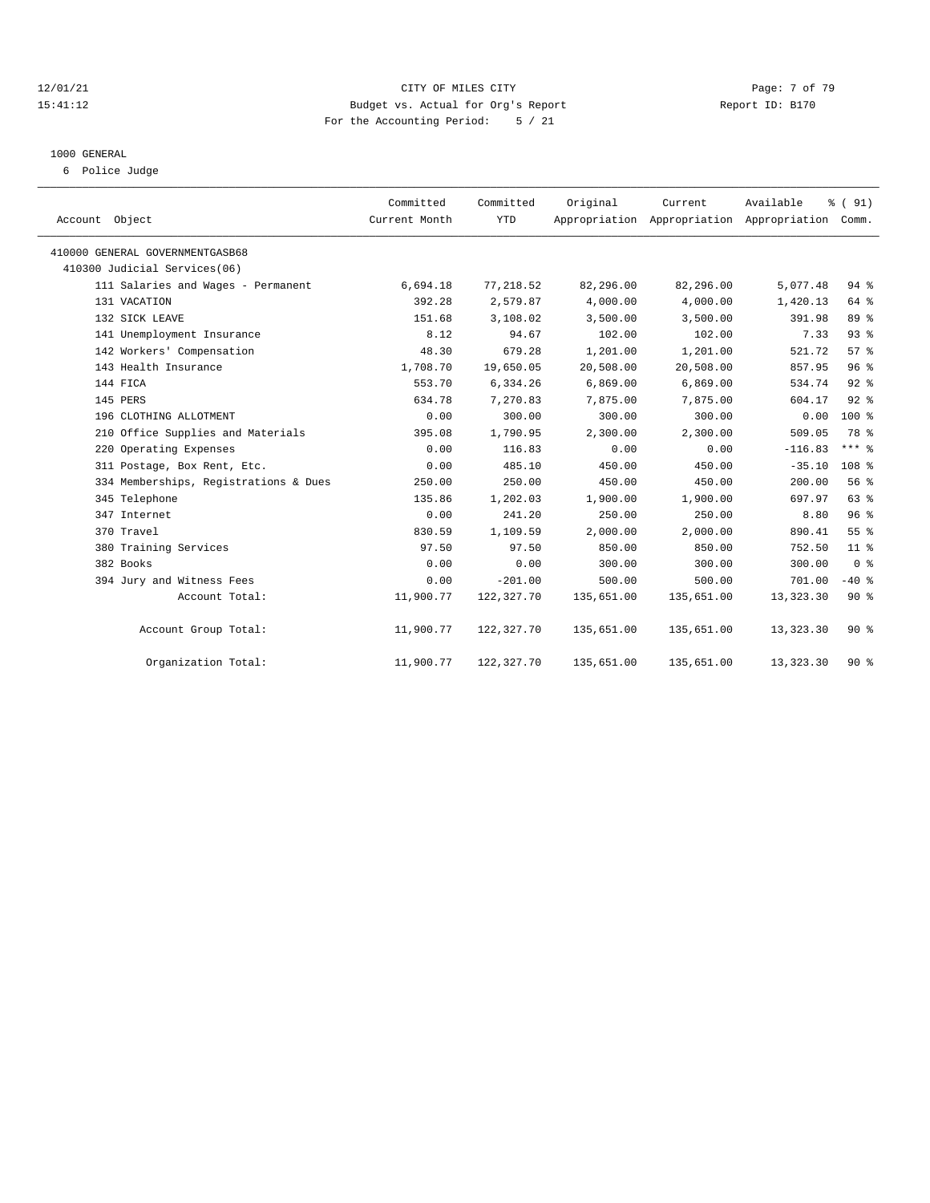#### 12/01/21 CITY OF MILES CITY Page: 7 of 79 15:41:12 Budget vs. Actual for Org's Report Report ID: B170 For the Accounting Period: 5 / 21

# 1000 GENERAL

6 Police Judge

| Account Object                        | Committed<br>Current Month | Committed<br><b>YTD</b> | Original   | Current    | Available<br>Appropriation Appropriation Appropriation Comm. | % (91)           |  |
|---------------------------------------|----------------------------|-------------------------|------------|------------|--------------------------------------------------------------|------------------|--|
| 410000 GENERAL GOVERNMENTGASB68       |                            |                         |            |            |                                                              |                  |  |
| 410300 Judicial Services(06)          |                            |                         |            |            |                                                              |                  |  |
| 111 Salaries and Wages - Permanent    | 6,694.18                   | 77,218.52               | 82,296.00  | 82,296.00  | 5,077.48                                                     | $94$ $%$         |  |
| 131 VACATION                          | 392.28                     | 2,579.87                | 4,000.00   | 4,000.00   | 1,420.13                                                     | 64 %             |  |
| 132 SICK LEAVE                        | 151.68                     | 3,108.02                | 3,500.00   | 3,500.00   | 391.98                                                       | 89 %             |  |
| 141 Unemployment Insurance            | 8.12                       | 94.67                   | 102.00     | 102.00     | 7.33                                                         | 93%              |  |
| 142 Workers' Compensation             | 48.30                      | 679.28                  | 1,201.00   | 1,201.00   | 521.72                                                       | 57%              |  |
| 143 Health Insurance                  | 1,708.70                   | 19,650.05               | 20,508.00  | 20,508.00  | 857.95                                                       | 96%              |  |
| 144 FICA                              | 553.70                     | 6,334.26                | 6,869.00   | 6,869.00   | 534.74                                                       | 92%              |  |
| 145 PERS                              | 634.78                     | 7,270.83                | 7,875.00   | 7,875.00   | 604.17                                                       | 92%              |  |
| 196 CLOTHING ALLOTMENT                | 0.00                       | 300.00                  | 300.00     | 300.00     | 0.00                                                         | 100 %            |  |
| 210 Office Supplies and Materials     | 395.08                     | 1,790.95                | 2,300.00   | 2,300.00   | 509.05                                                       | 78 %             |  |
| 220 Operating Expenses                | 0.00                       | 116.83                  | 0.00       | 0.00       | $-116.83$                                                    | $***$ $%$        |  |
| 311 Postage, Box Rent, Etc.           | 0.00                       | 485.10                  | 450.00     | 450.00     | $-35.10$                                                     | 108 <sup>8</sup> |  |
| 334 Memberships, Registrations & Dues | 250.00                     | 250.00                  | 450.00     | 450.00     | 200.00                                                       | 56%              |  |
| 345 Telephone                         | 135.86                     | 1,202.03                | 1,900.00   | 1,900.00   | 697.97                                                       | 63 %             |  |
| 347 Internet                          | 0.00                       | 241.20                  | 250.00     | 250.00     | 8.80                                                         | 96%              |  |
| 370 Travel                            | 830.59                     | 1,109.59                | 2,000.00   | 2,000.00   | 890.41                                                       | 55 %             |  |
| 380 Training Services                 | 97.50                      | 97.50                   | 850.00     | 850.00     | 752.50                                                       | $11$ %           |  |
| 382 Books                             | 0.00                       | 0.00                    | 300.00     | 300.00     | 300.00                                                       | 0 <sup>8</sup>   |  |
| 394 Jury and Witness Fees             | 0.00                       | $-201.00$               | 500.00     | 500.00     | 701.00                                                       | $-40$ %          |  |
| Account Total:                        | 11,900.77                  | 122,327.70              | 135,651.00 | 135,651.00 | 13,323.30                                                    | 90%              |  |
| Account Group Total:                  | 11,900.77                  | 122,327.70              | 135,651.00 | 135,651.00 | 13,323.30                                                    | $90*$            |  |
| Organization Total:                   | 11,900.77                  | 122,327.70              | 135,651.00 | 135,651.00 | 13, 323.30                                                   | 90%              |  |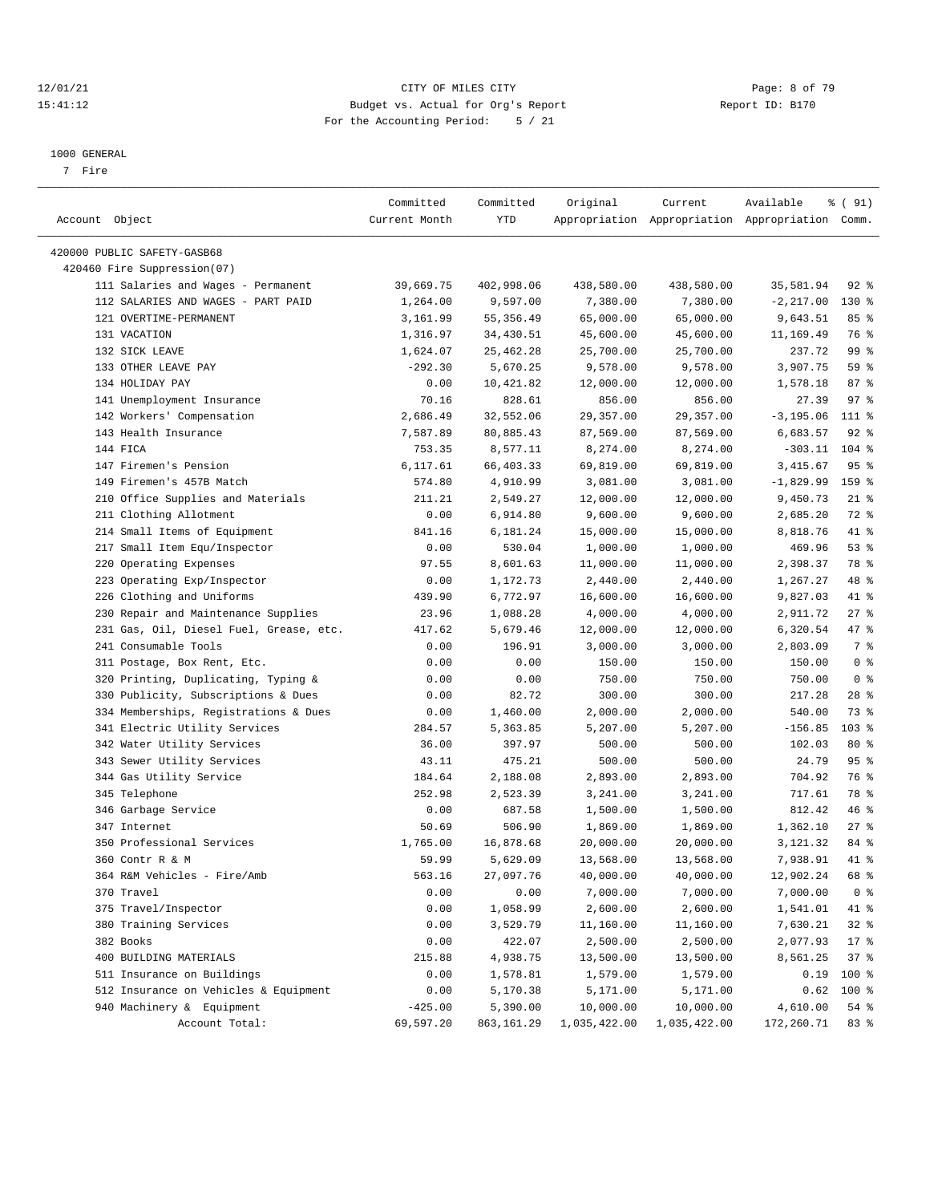#### 12/01/21 Page: 8 of 79<br>15:41:12 Budget vs. Actual for Org's Report Page: 8 Of 79<br>15:41:12 Budget vs. Actual for Org's Report Physics Report ID: B170 15:41:12 Budget vs. Actual for Org's Report For the Accounting Period: 5 / 21

————————————————————————————————————————————————————————————————————————————————————————————————————————————————————————————————————

#### 1000 GENERAL

7 Fire

|                                         | Committed     | Committed  | Original     | Current                                         | Available    | % (91)         |
|-----------------------------------------|---------------|------------|--------------|-------------------------------------------------|--------------|----------------|
| Account Object                          | Current Month | YTD        |              | Appropriation Appropriation Appropriation Comm. |              |                |
|                                         |               |            |              |                                                 |              |                |
| 420000 PUBLIC SAFETY-GASB68             |               |            |              |                                                 |              |                |
| 420460 Fire Suppression(07)             |               |            |              |                                                 |              |                |
| 111 Salaries and Wages - Permanent      | 39,669.75     | 402,998.06 | 438,580.00   | 438,580.00                                      | 35,581.94    | $92$ $%$       |
| 112 SALARIES AND WAGES - PART PAID      | 1,264.00      | 9,597.00   | 7,380.00     | 7,380.00                                        | $-2, 217.00$ | 130 %          |
| 121 OVERTIME-PERMANENT                  | 3,161.99      | 55, 356.49 | 65,000.00    | 65,000.00                                       | 9,643.51     | 85%            |
| 131 VACATION                            | 1,316.97      | 34,430.51  | 45,600.00    | 45,600.00                                       | 11,169.49    | 76 %           |
| 132 SICK LEAVE                          | 1,624.07      | 25,462.28  | 25,700.00    | 25,700.00                                       | 237.72       | 99 %           |
| 133 OTHER LEAVE PAY                     | $-292.30$     | 5,670.25   | 9,578.00     | 9,578.00                                        | 3,907.75     | 59 %           |
| 134 HOLIDAY PAY                         | 0.00          | 10,421.82  | 12,000.00    | 12,000.00                                       | 1,578.18     | 87%            |
| 141 Unemployment Insurance              | 70.16         | 828.61     | 856.00       | 856.00                                          | 27.39        | 97%            |
| 142 Workers' Compensation               | 2,686.49      | 32,552.06  | 29, 357.00   | 29,357.00                                       | $-3, 195.06$ | 111 %          |
| 143 Health Insurance                    | 7,587.89      | 80,885.43  | 87,569.00    | 87,569.00                                       | 6,683.57     | $92$ %         |
| 144 FICA                                | 753.35        | 8,577.11   | 8,274.00     | 8,274.00                                        | $-303.11$    | $104$ %        |
| 147 Firemen's Pension                   | 6,117.61      | 66,403.33  | 69,819.00    | 69,819.00                                       | 3, 415.67    | 95%            |
| 149 Firemen's 457B Match                | 574.80        | 4,910.99   | 3,081.00     | 3,081.00                                        | $-1,829.99$  | 159 %          |
| 210 Office Supplies and Materials       | 211.21        | 2,549.27   | 12,000.00    | 12,000.00                                       | 9,450.73     | $21$ %         |
| 211 Clothing Allotment                  | 0.00          | 6,914.80   | 9,600.00     | 9,600.00                                        | 2,685.20     | 72 %           |
| 214 Small Items of Equipment            | 841.16        | 6,181.24   | 15,000.00    | 15,000.00                                       | 8,818.76     | 41 %           |
| 217 Small Item Equ/Inspector            | 0.00          | 530.04     | 1,000.00     | 1,000.00                                        | 469.96       | 53%            |
| 220 Operating Expenses                  | 97.55         | 8,601.63   | 11,000.00    | 11,000.00                                       | 2,398.37     | 78 %           |
| 223 Operating Exp/Inspector             | 0.00          | 1,172.73   | 2,440.00     | 2,440.00                                        | 1,267.27     | 48 %           |
| 226 Clothing and Uniforms               | 439.90        | 6,772.97   | 16,600.00    | 16,600.00                                       | 9,827.03     | 41 %           |
| 230 Repair and Maintenance Supplies     | 23.96         | 1,088.28   | 4,000.00     | 4,000.00                                        | 2,911.72     | $27$ %         |
| 231 Gas, Oil, Diesel Fuel, Grease, etc. | 417.62        | 5,679.46   | 12,000.00    | 12,000.00                                       | 6,320.54     | 47 %           |
| 241 Consumable Tools                    | 0.00          | 196.91     | 3,000.00     | 3,000.00                                        | 2,803.09     | 7 %            |
| 311 Postage, Box Rent, Etc.             | 0.00          | 0.00       | 150.00       | 150.00                                          | 150.00       | 0 <sup>8</sup> |
| 320 Printing, Duplicating, Typing &     | 0.00          | 0.00       | 750.00       | 750.00                                          | 750.00       | 0 <sup>8</sup> |
| 330 Publicity, Subscriptions & Dues     | 0.00          | 82.72      | 300.00       | 300.00                                          | 217.28       | $28$ %         |
| 334 Memberships, Registrations & Dues   | 0.00          | 1,460.00   | 2,000.00     | 2,000.00                                        | 540.00       | 73 %           |
| 341 Electric Utility Services           | 284.57        | 5,363.85   | 5,207.00     | 5,207.00                                        | $-156.85$    | $103$ %        |
| 342 Water Utility Services              | 36.00         | 397.97     | 500.00       | 500.00                                          | 102.03       | $80*$          |
| 343 Sewer Utility Services              | 43.11         | 475.21     | 500.00       | 500.00                                          | 24.79        | 95%            |
| 344 Gas Utility Service                 | 184.64        | 2,188.08   | 2,893.00     | 2,893.00                                        | 704.92       | 76 %           |
| 345 Telephone                           | 252.98        | 2,523.39   | 3,241.00     | 3,241.00                                        | 717.61       | 78 %           |
| 346 Garbage Service                     | 0.00          | 687.58     | 1,500.00     | 1,500.00                                        | 812.42       | 46%            |
| 347 Internet                            | 50.69         | 506.90     | 1,869.00     | 1,869.00                                        | 1,362.10     | $27$ %         |
| 350 Professional Services               | 1,765.00      | 16,878.68  | 20,000.00    | 20,000.00                                       | 3,121.32     | 84 %           |
| 360 Contr R & M                         | 59.99         | 5,629.09   | 13,568.00    | 13,568.00                                       | 7,938.91     | 41 %           |
| 364 R&M Vehicles - Fire/Amb             | 563.16        | 27,097.76  | 40,000.00    | 40,000.00                                       | 12,902.24    | 68 %           |
| 370 Travel                              | 0.00          | 0.00       | 7,000.00     | 7,000.00                                        | 7,000.00     | 0 <sup>8</sup> |
| 375 Travel/Inspector                    | 0.00          | 1,058.99   | 2,600.00     | 2,600.00                                        | 1,541.01     | 41 %           |
| 380 Training Services                   | 0.00          | 3,529.79   | 11,160.00    | 11,160.00                                       | 7,630.21     | 32%            |
| 382 Books                               | 0.00          | 422.07     | 2,500.00     | 2,500.00                                        | 2,077.93     | $17*$          |
| 400 BUILDING MATERIALS                  | 215.88        | 4,938.75   | 13,500.00    | 13,500.00                                       | 8,561.25     | 37%            |
| 511 Insurance on Buildings              | 0.00          | 1,578.81   | 1,579.00     | 1,579.00                                        | 0.19         | 100 %          |
| 512 Insurance on Vehicles & Equipment   | 0.00          | 5,170.38   | 5,171.00     | 5,171.00                                        | 0.62         | 100 %          |
| 940 Machinery & Equipment               | $-425.00$     | 5,390.00   | 10,000.00    | 10,000.00                                       | 4,610.00     | 54 %           |
| Account Total:                          | 69,597.20     | 863,161.29 | 1,035,422.00 | 1,035,422.00                                    | 172,260.71   | 83 %           |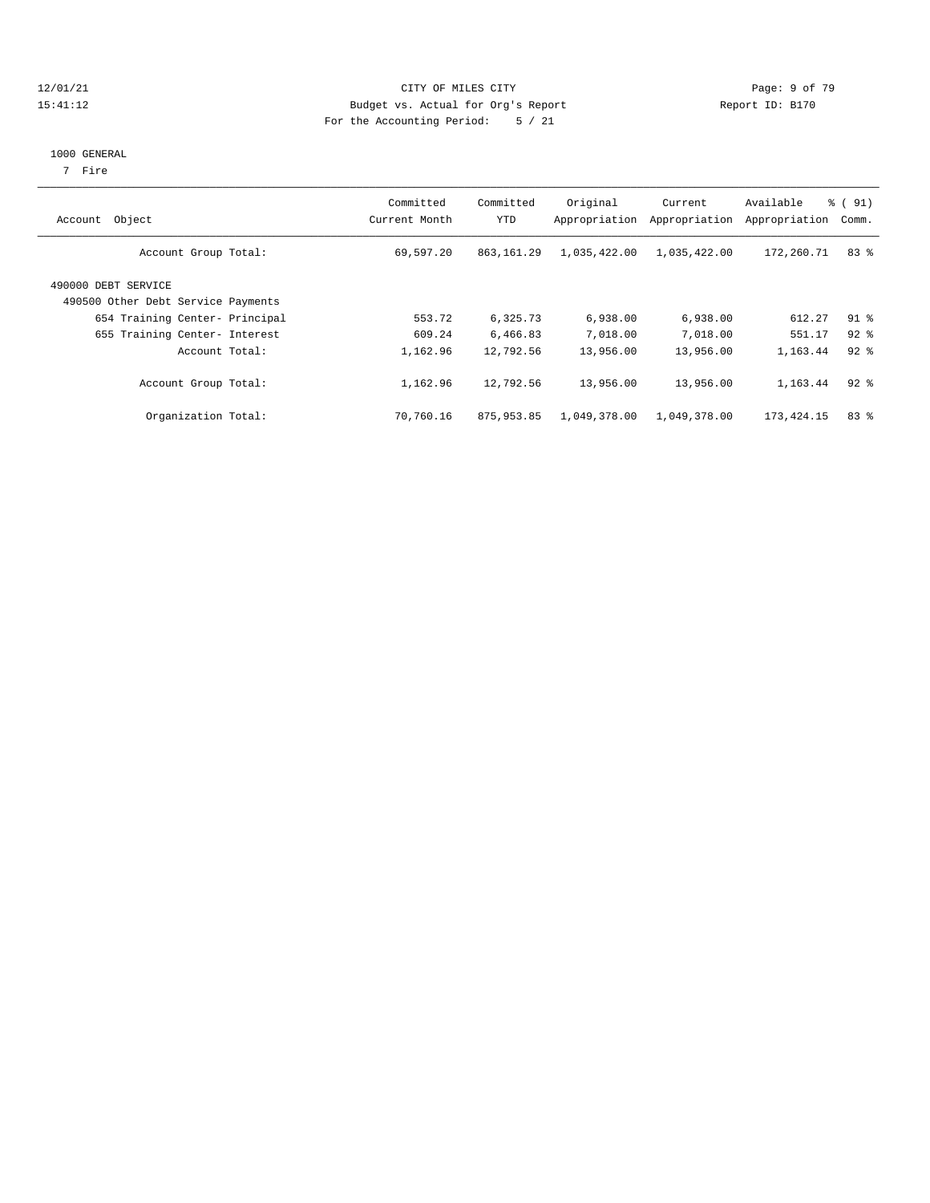#### 12/01/21 Page: 9 of 79<br>15:41:12 Budget vs. Actual for Org's Report Page: 9 Of 79<br>15:41:12 Budget vs. Actual for Org's Report Physics Report ID: B170 15:41:12 Budget vs. Actual for Org's Report For the Accounting Period: 5 / 21

### 1000 GENERAL

7 Fire

| Object<br>Account                                         | Committed<br>Current Month | Committed<br>YTD | Original<br>Appropriation | Current<br>Appropriation | Available<br>Appropriation | $\frac{1}{6}$ (91)<br>Comm. |
|-----------------------------------------------------------|----------------------------|------------------|---------------------------|--------------------------|----------------------------|-----------------------------|
| Account Group Total:                                      | 69,597.20                  | 863, 161.29      | 1,035,422.00              | 1,035,422.00             | 172,260.71                 | 83%                         |
| 490000 DEBT SERVICE<br>490500 Other Debt Service Payments |                            |                  |                           |                          |                            |                             |
| 654 Training Center- Principal                            | 553.72                     | 6,325.73         | 6,938.00                  | 6,938.00                 | 612.27                     | $91$ %                      |
| 655 Training Center- Interest                             | 609.24                     | 6,466.83         | 7,018.00                  | 7,018.00                 | 551.17                     | $92*$                       |
| Account Total:                                            | 1,162.96                   | 12,792.56        | 13,956.00                 | 13,956.00                | 1,163.44                   | $92*$                       |
| Account Group Total:                                      | 1,162.96                   | 12,792.56        | 13,956.00                 | 13,956.00                | 1,163.44                   | $92$ $%$                    |
| Organization Total:                                       | 70,760.16                  | 875,953.85       | 1,049,378.00              | 1,049,378.00             | 173,424.15                 | 83%                         |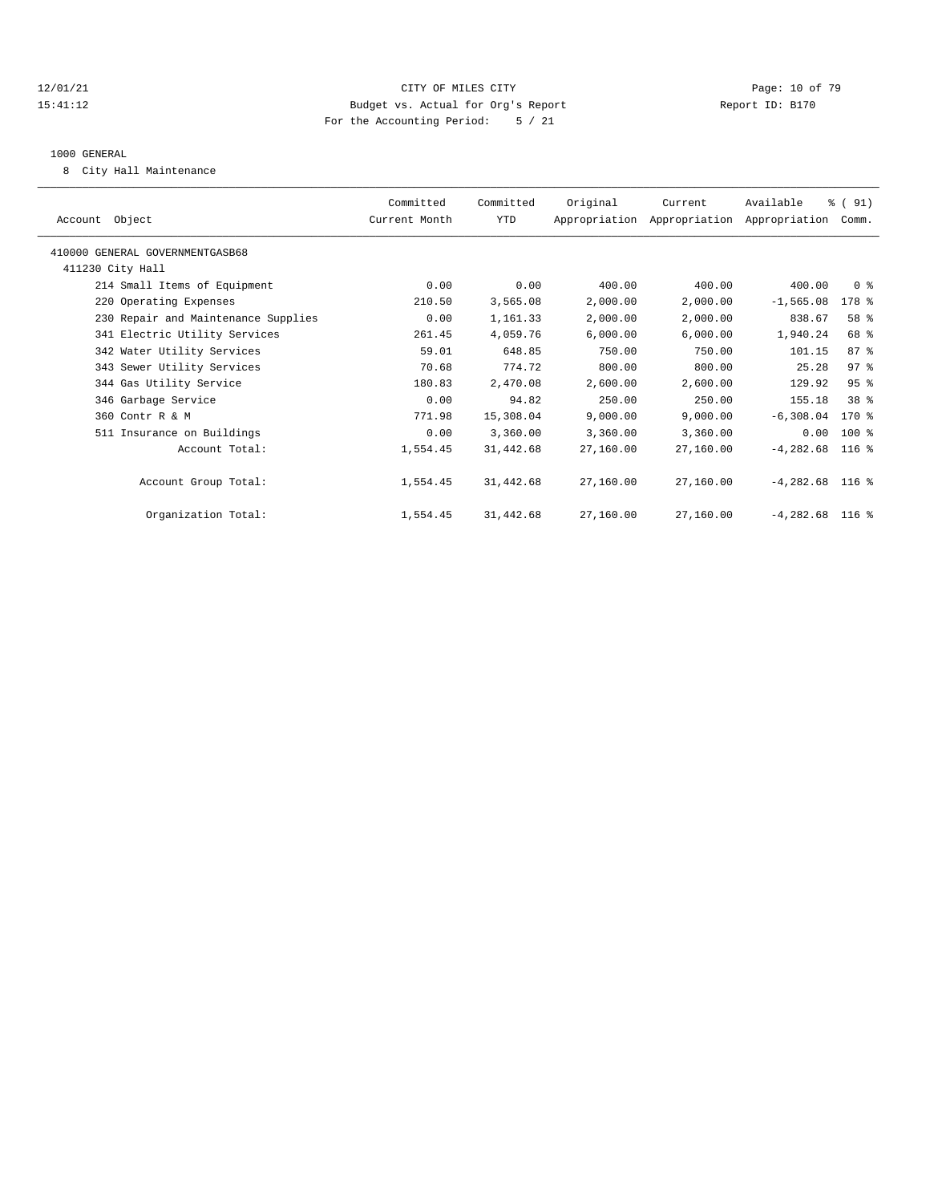#### 12/01/21 **Page: 10 of 79** CITY OF MILES CITY **CITY** Page: 10 of 79 15:41:12 Budget vs. Actual for Org's Report Report ID: B170 For the Accounting Period: 5 / 21

#### 1000 GENERAL

8 City Hall Maintenance

| Account Object                      | Committed<br>Current Month | Committed<br>YTD | Original  | Current<br>Appropriation Appropriation Appropriation | Available         | % (91)<br>Comm. |  |
|-------------------------------------|----------------------------|------------------|-----------|------------------------------------------------------|-------------------|-----------------|--|
| 410000 GENERAL GOVERNMENTGASB68     |                            |                  |           |                                                      |                   |                 |  |
| 411230 City Hall                    |                            |                  |           |                                                      |                   |                 |  |
| 214 Small Items of Equipment        | 0.00                       | 0.00             | 400.00    | 400.00                                               | 400.00            | 0 <sup>8</sup>  |  |
| 220 Operating Expenses              | 210.50                     | 3,565.08         | 2,000.00  | 2,000.00                                             | $-1, 565.08$      | 178 %           |  |
| 230 Repair and Maintenance Supplies | 0.00                       | 1,161.33         | 2,000.00  | 2,000.00                                             | 838.67            | 58 %            |  |
| 341 Electric Utility Services       | 261.45                     | 4,059.76         | 6,000.00  | 6,000.00                                             | 1,940.24          | 68 %            |  |
| 342 Water Utility Services          | 59.01                      | 648.85           | 750.00    | 750.00                                               | 101.15            | 87%             |  |
| 343 Sewer Utility Services          | 70.68                      | 774.72           | 800.00    | 800.00                                               | 25.28             | 97%             |  |
| 344 Gas Utility Service             | 180.83                     | 2,470.08         | 2,600.00  | 2,600.00                                             | 129.92            | 95%             |  |
| 346 Garbage Service                 | 0.00                       | 94.82            | 250.00    | 250.00                                               | 155.18            | 38 %            |  |
| 360 Contr R & M                     | 771.98                     | 15,308.04        | 9,000.00  | 9,000.00                                             | $-6,308.04$       | $170*$          |  |
| 511 Insurance on Buildings          | 0.00                       | 3,360.00         | 3,360.00  | 3,360.00                                             | 0.00              | 100 %           |  |
| Account Total:                      | 1,554.45                   | 31,442.68        | 27,160.00 | 27,160.00                                            | $-4.282.68$       | $116$ %         |  |
| Account Group Total:                | 1,554.45                   | 31,442.68        | 27,160.00 | 27,160.00                                            | $-4,282.68$ 116 % |                 |  |
| Organization Total:                 | 1,554.45                   | 31,442.68        | 27,160.00 | 27,160.00                                            | $-4,282.68$ 116 % |                 |  |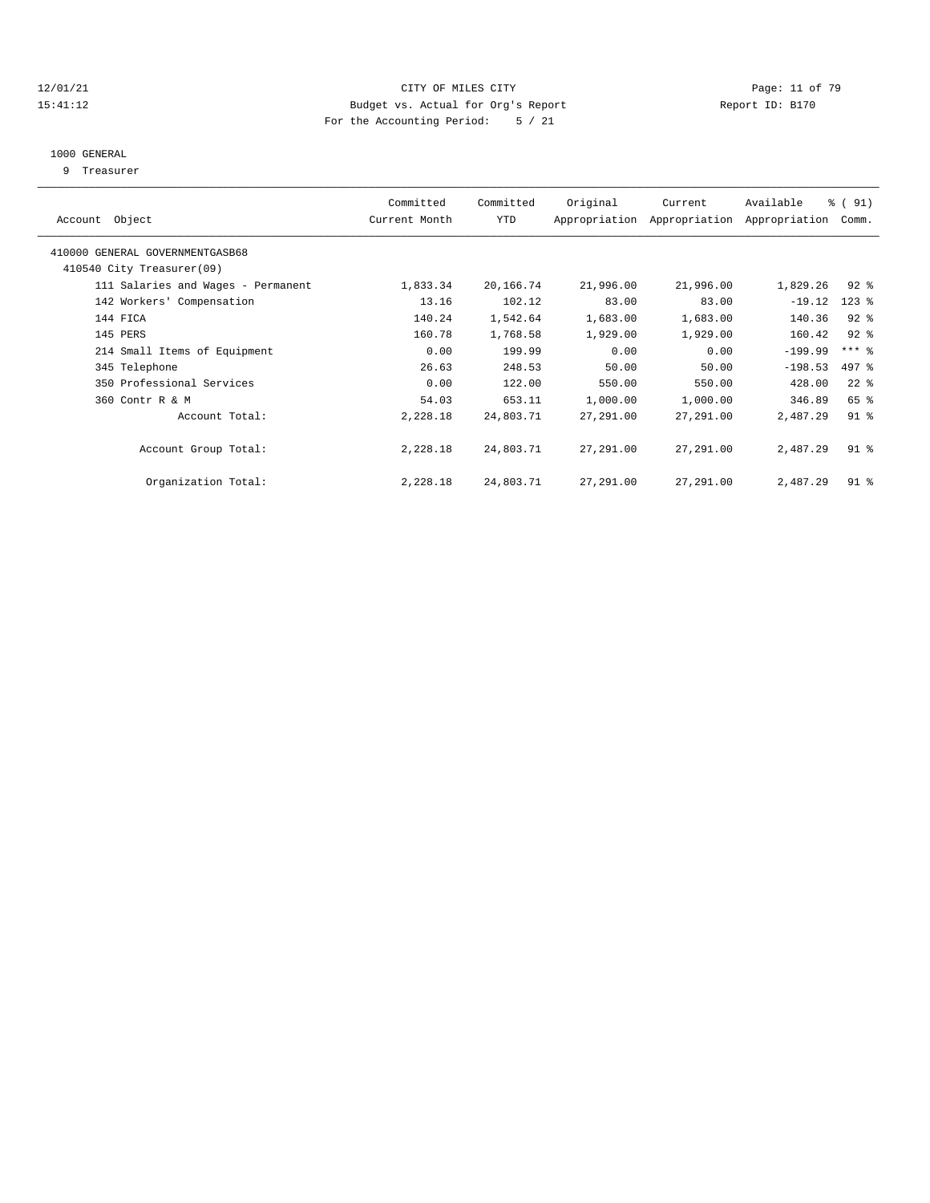#### 12/01/21 **Page: 11 of 79** CITY OF MILES CITY **CITY** Page: 11 of 79 15:41:12 Budget vs. Actual for Org's Report Report ID: B170 For the Accounting Period: 5 / 21

#### 1000 GENERAL

9 Treasurer

| Object<br>Account                  | Committed<br>Current Month | Committed<br><b>YTD</b> | Original  | Current<br>Appropriation Appropriation | Available<br>Appropriation | % (91)<br>Comm.     |  |
|------------------------------------|----------------------------|-------------------------|-----------|----------------------------------------|----------------------------|---------------------|--|
| 410000 GENERAL GOVERNMENTGASB68    |                            |                         |           |                                        |                            |                     |  |
| 410540 City Treasurer(09)          |                            |                         |           |                                        |                            |                     |  |
| 111 Salaries and Wages - Permanent | 1,833.34                   | 20,166.74               | 21,996.00 | 21,996.00                              | 1,829.26                   | $92$ $%$            |  |
| 142 Workers' Compensation          | 13.16                      | 102.12                  | 83.00     | 83.00                                  | $-19.12$                   | $123$ $%$           |  |
| 144 FICA                           | 140.24                     | 1,542.64                | 1,683.00  | 1,683.00                               | 140.36                     | $92$ $%$            |  |
| 145 PERS                           | 160.78                     | 1,768.58                | 1,929.00  | 1,929.00                               | 160.42                     | $92$ $%$            |  |
| 214 Small Items of Equipment       | 0.00                       | 199.99                  | 0.00      | 0.00                                   | $-199.99$                  | $***$ $\frac{6}{5}$ |  |
| 345 Telephone                      | 26.63                      | 248.53                  | 50.00     | 50.00                                  | $-198.53$                  | 497 %               |  |
| 350 Professional Services          | 0.00                       | 122.00                  | 550.00    | 550.00                                 | 428.00                     | $22$ $%$            |  |
| 360 Contr R & M                    | 54.03                      | 653.11                  | 1,000.00  | 1,000.00                               | 346.89                     | 65 %                |  |
| Account Total:                     | 2,228.18                   | 24,803.71               | 27,291.00 | 27,291.00                              | 2,487.29                   | $91$ $8$            |  |
| Account Group Total:               | 2,228.18                   | 24,803.71               | 27,291.00 | 27,291.00                              | 2,487.29                   | $91$ %              |  |
| Organization Total:                | 2,228.18                   | 24,803.71               | 27,291.00 | 27,291.00                              | 2,487.29                   | $91$ %              |  |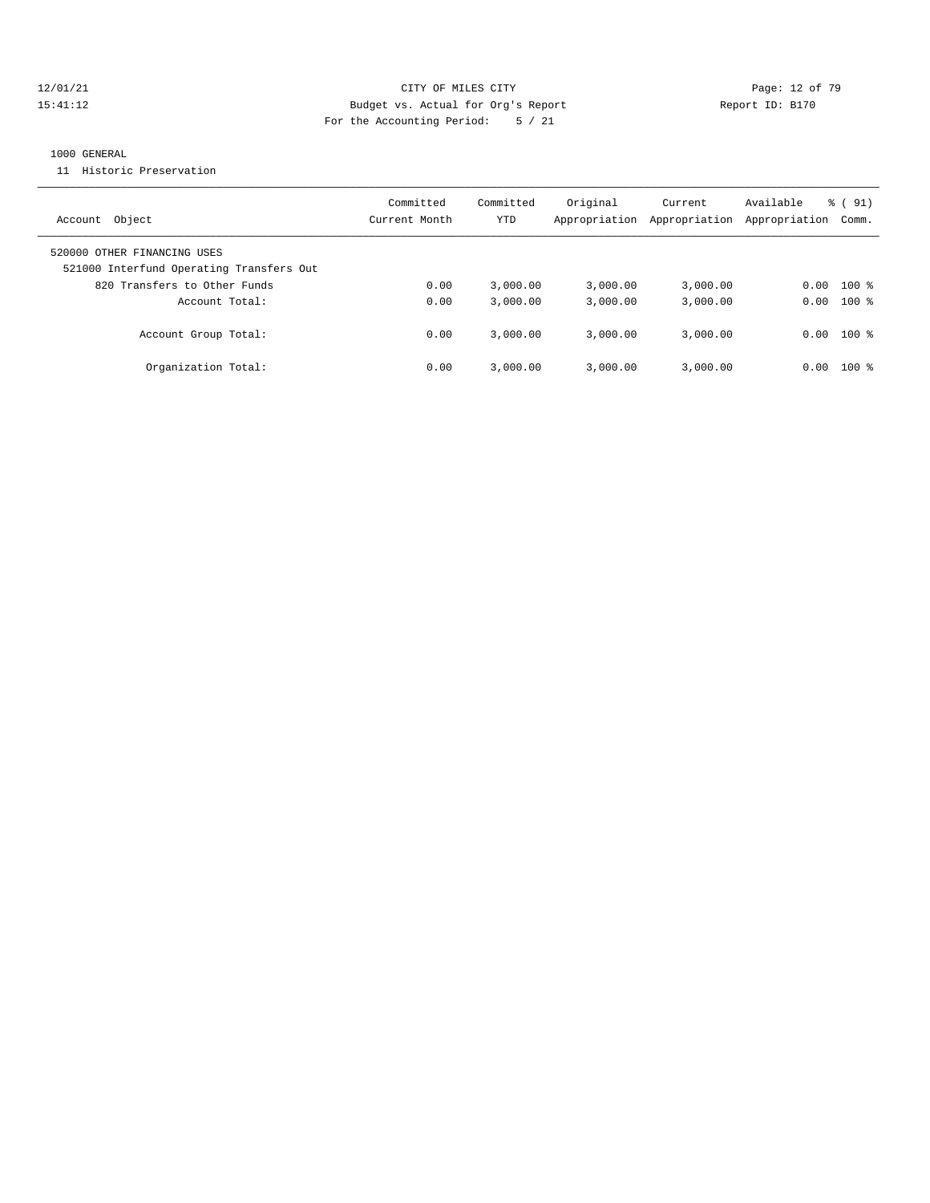#### 12/01/21 **Page: 12 of 79** CITY OF MILES CITY **CITY** CITY **Page: 12 of 79** 15:41:12 Budget vs. Actual for Org's Report Report ID: B170 For the Accounting Period: 5 / 21

#### 1000 GENERAL

11 Historic Preservation

| Account Object                                                          | Committed<br>Current Month | Committed<br>YTD | Original<br>Appropriation | Current<br>Appropriation | Available<br>Appropriation | % (91)<br>Comm. |
|-------------------------------------------------------------------------|----------------------------|------------------|---------------------------|--------------------------|----------------------------|-----------------|
| 520000 OTHER FINANCING USES<br>521000 Interfund Operating Transfers Out |                            |                  |                           |                          |                            |                 |
| 820 Transfers to Other Funds                                            | 0.00                       | 3.000.00         | 3.000.00                  | 3,000.00                 | 0.00                       | $100$ %         |
| Account Total:                                                          | 0.00                       | 3.000.00         | 3.000.00                  | 3,000.00                 |                            | $0.00$ 100 %    |
| Account Group Total:                                                    | 0.00                       | 3.000.00         | 3.000.00                  | 3,000.00                 |                            | $0.00$ 100 %    |
| Organization Total:                                                     | 0.00                       | 3.000.00         | 3.000.00                  | 3,000.00                 | 0.00                       | $100$ %         |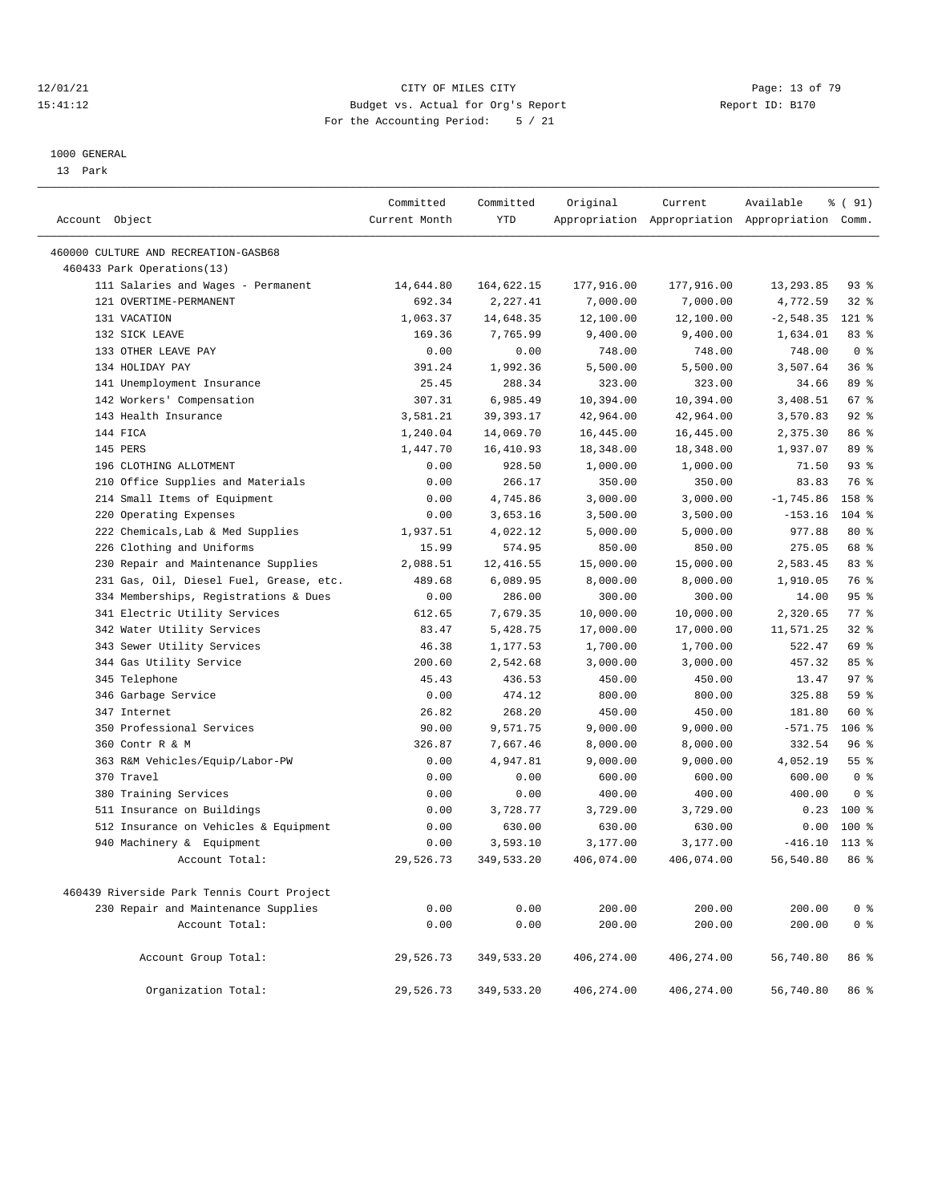#### 12/01/21 Page: 13 of 79<br>15:41:12 Pudget vs. Actual for Org's Report Page: 13 of 79<br>15:41:12 Pudget vs. Actual for Org's Report Page: 12:5170 15:41:12 Budget vs. Actual for Org's Report For the Accounting Period: 5 / 21

————————————————————————————————————————————————————————————————————————————————————————————————————————————————————————————————————

#### 1000 GENERAL

13 Park

|                                            | Committed     | Committed   | Original    | Current     | Available                                       | % (91)         |
|--------------------------------------------|---------------|-------------|-------------|-------------|-------------------------------------------------|----------------|
| Account Object                             | Current Month | <b>YTD</b>  |             |             | Appropriation Appropriation Appropriation Comm. |                |
| 460000 CULTURE AND RECREATION-GASB68       |               |             |             |             |                                                 |                |
| 460433 Park Operations(13)                 |               |             |             |             |                                                 |                |
| 111 Salaries and Wages - Permanent         | 14,644.80     | 164,622.15  | 177,916.00  | 177,916.00  | 13,293.85                                       | $93$ $%$       |
| 121 OVERTIME-PERMANENT                     | 692.34        | 2,227.41    | 7,000.00    | 7,000.00    | 4,772.59                                        | $32$ $%$       |
| 131 VACATION                               | 1,063.37      | 14,648.35   | 12,100.00   | 12,100.00   | $-2,548.35$                                     | $121$ %        |
| 132 SICK LEAVE                             | 169.36        | 7,765.99    | 9,400.00    | 9,400.00    | 1,634.01                                        | 83%            |
| 133 OTHER LEAVE PAY                        | 0.00          | 0.00        | 748.00      | 748.00      | 748.00                                          | 0 <sup>8</sup> |
| 134 HOLIDAY PAY                            | 391.24        | 1,992.36    | 5,500.00    | 5,500.00    | 3,507.64                                        | 36%            |
| 141 Unemployment Insurance                 | 25.45         | 288.34      | 323.00      | 323.00      | 34.66                                           | 89 %           |
| 142 Workers' Compensation                  | 307.31        | 6,985.49    | 10,394.00   | 10,394.00   | 3,408.51                                        | 67 %           |
| 143 Health Insurance                       | 3,581.21      | 39, 393. 17 | 42,964.00   | 42,964.00   | 3,570.83                                        | 92%            |
| 144 FICA                                   | 1,240.04      | 14,069.70   | 16,445.00   | 16,445.00   | 2,375.30                                        | 86 %           |
| 145 PERS                                   | 1,447.70      | 16,410.93   | 18,348.00   | 18,348.00   | 1,937.07                                        | 89 %           |
| 196 CLOTHING ALLOTMENT                     | 0.00          | 928.50      | 1,000.00    | 1,000.00    | 71.50                                           | 93%            |
| 210 Office Supplies and Materials          | 0.00          | 266.17      | 350.00      | 350.00      | 83.83                                           | 76 %           |
| 214 Small Items of Equipment               | 0.00          | 4,745.86    | 3,000.00    | 3,000.00    | $-1,745.86$                                     | 158 %          |
| 220 Operating Expenses                     | 0.00          | 3,653.16    | 3,500.00    | 3,500.00    | $-153.16$                                       | $104$ %        |
| 222 Chemicals, Lab & Med Supplies          | 1,937.51      | 4,022.12    | 5,000.00    | 5,000.00    | 977.88                                          | $80*$          |
| 226 Clothing and Uniforms                  | 15.99         | 574.95      | 850.00      | 850.00      | 275.05                                          | 68 %           |
| 230 Repair and Maintenance Supplies        | 2,088.51      | 12,416.55   | 15,000.00   | 15,000.00   | 2,583.45                                        | 83 %           |
| 231 Gas, Oil, Diesel Fuel, Grease, etc.    | 489.68        | 6,089.95    | 8,000.00    | 8,000.00    | 1,910.05                                        | 76 %           |
| 334 Memberships, Registrations & Dues      | 0.00          | 286.00      | 300.00      | 300.00      | 14.00                                           | 95%            |
| 341 Electric Utility Services              | 612.65        | 7,679.35    | 10,000.00   | 10,000.00   | 2,320.65                                        | 77 %           |
| 342 Water Utility Services                 | 83.47         | 5,428.75    | 17,000.00   | 17,000.00   | 11,571.25                                       | $32$ $%$       |
| 343 Sewer Utility Services                 | 46.38         | 1,177.53    | 1,700.00    | 1,700.00    | 522.47                                          | 69 %           |
| 344 Gas Utility Service                    | 200.60        | 2,542.68    | 3,000.00    | 3,000.00    | 457.32                                          | 85%            |
| 345 Telephone                              | 45.43         | 436.53      | 450.00      | 450.00      | 13.47                                           | 97%            |
| 346 Garbage Service                        | 0.00          | 474.12      | 800.00      | 800.00      | 325.88                                          | 59 %           |
| 347 Internet                               | 26.82         | 268.20      | 450.00      | 450.00      | 181.80                                          | 60 %           |
| 350 Professional Services                  | 90.00         | 9,571.75    | 9,000.00    | 9,000.00    | $-571.75$                                       | 106 %          |
| 360 Contr R & M                            | 326.87        | 7,667.46    | 8,000.00    | 8,000.00    | 332.54                                          | 96%            |
| 363 R&M Vehicles/Equip/Labor-PW            | 0.00          | 4,947.81    | 9,000.00    | 9,000.00    | 4,052.19                                        | 55 %           |
| 370 Travel                                 | 0.00          | 0.00        | 600.00      | 600.00      | 600.00                                          | 0 <sup>8</sup> |
| 380 Training Services                      | 0.00          | 0.00        | 400.00      | 400.00      | 400.00                                          | 0 <sup>8</sup> |
| 511 Insurance on Buildings                 | 0.00          | 3,728.77    | 3,729.00    | 3,729.00    | 0.23                                            | 100 %          |
| 512 Insurance on Vehicles & Equipment      | 0.00          | 630.00      | 630.00      | 630.00      | 0.00                                            | $100*$         |
| 940 Machinery & Equipment                  | 0.00          | 3,593.10    | 3,177.00    | 3,177.00    | $-416.10$                                       | $113*$         |
| Account Total:                             | 29,526.73     | 349,533.20  | 406,074.00  | 406,074.00  | 56,540.80                                       | 86 %           |
| 460439 Riverside Park Tennis Court Project |               |             |             |             |                                                 |                |
| 230 Repair and Maintenance Supplies        | 0.00          | 0.00        | 200.00      | 200.00      | 200.00                                          | 0 <sup>8</sup> |
| Account Total:                             | 0.00          | 0.00        | 200.00      | 200.00      | 200.00                                          | 0 <sup>8</sup> |
| Account Group Total:                       | 29,526.73     | 349,533.20  | 406,274.00  | 406,274.00  | 56,740.80                                       | 86 %           |
| Organization Total:                        | 29,526.73     | 349,533.20  | 406, 274.00 | 406, 274.00 | 56,740.80                                       | 86 %           |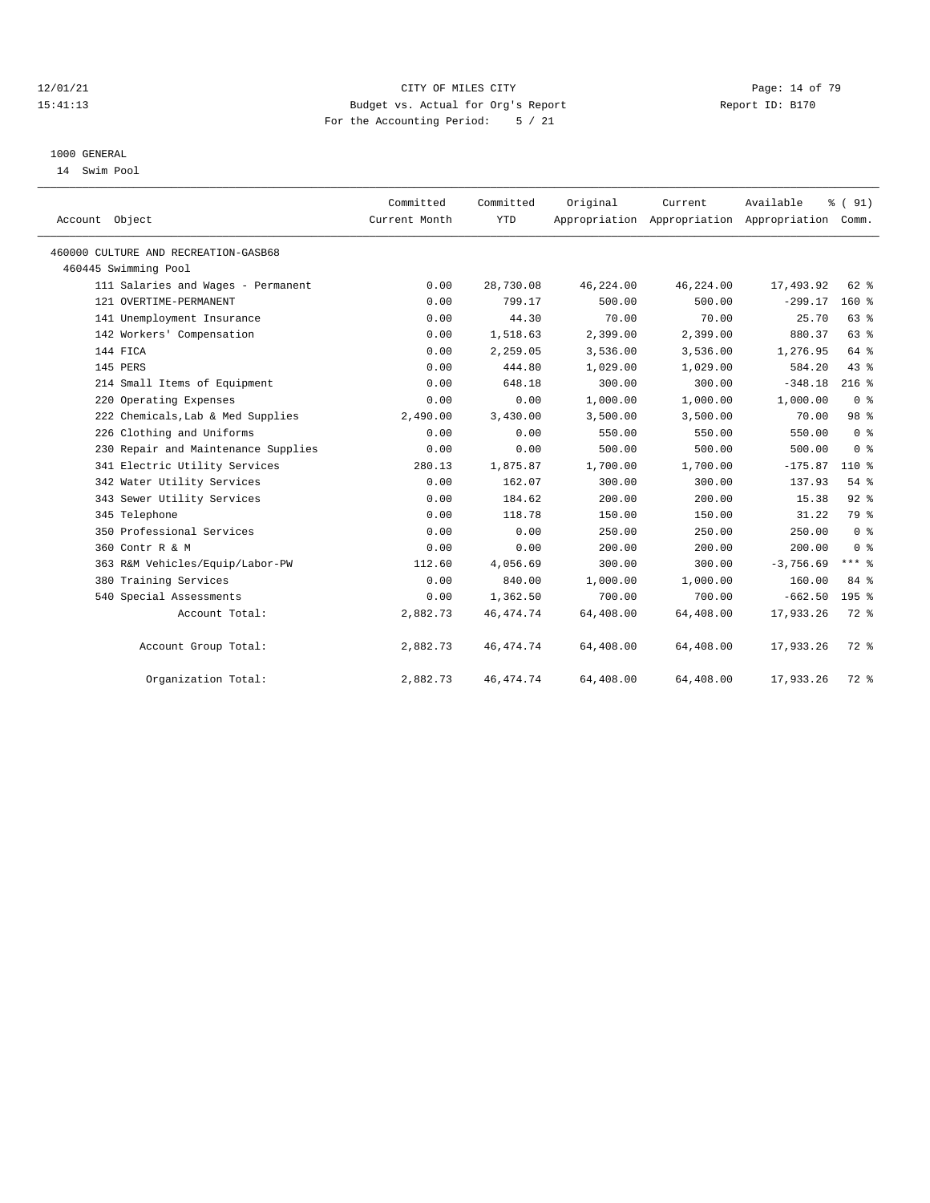#### 12/01/21 **CITY OF MILES CITY CITY CITY Page: 14 of 79** 15:41:13 Budget vs. Actual for Org's Report Report ID: B170 For the Accounting Period: 5 / 21

#### 1000 GENERAL

14 Swim Pool

| Account Object                       | Committed<br>Current Month | Committed<br><b>YTD</b> | Original  | Current   | Available<br>Appropriation Appropriation Appropriation Comm. | % (91)         |
|--------------------------------------|----------------------------|-------------------------|-----------|-----------|--------------------------------------------------------------|----------------|
| 460000 CULTURE AND RECREATION-GASB68 |                            |                         |           |           |                                                              |                |
| 460445 Swimming Pool                 |                            |                         |           |           |                                                              |                |
| 111 Salaries and Wages - Permanent   | 0.00                       | 28,730.08               | 46,224.00 | 46,224.00 | 17,493.92                                                    | 62 %           |
| 121 OVERTIME-PERMANENT               | 0.00                       | 799.17                  | 500.00    | 500.00    | $-299.17$                                                    | $160*$         |
| 141 Unemployment Insurance           | 0.00                       | 44.30                   | 70.00     | 70.00     | 25.70                                                        | 63 %           |
| 142 Workers' Compensation            | 0.00                       | 1,518.63                | 2,399.00  | 2,399.00  | 880.37                                                       | 63%            |
| 144 FICA                             | 0.00                       | 2,259.05                | 3,536.00  | 3,536.00  | 1,276.95                                                     | 64 %           |
| 145 PERS                             | 0.00                       | 444.80                  | 1,029.00  | 1,029.00  | 584.20                                                       | 43%            |
| 214 Small Items of Equipment         | 0.00                       | 648.18                  | 300.00    | 300.00    | $-348.18$                                                    | $216$ %        |
| 220 Operating Expenses               | 0.00                       | 0.00                    | 1,000.00  | 1,000.00  | 1,000.00                                                     | 0 <sup>8</sup> |
| 222 Chemicals, Lab & Med Supplies    | 2,490.00                   | 3,430.00                | 3,500.00  | 3,500.00  | 70.00                                                        | 98 %           |
| 226 Clothing and Uniforms            | 0.00                       | 0.00                    | 550.00    | 550.00    | 550.00                                                       | 0 <sup>8</sup> |
| 230 Repair and Maintenance Supplies  | 0.00                       | 0.00                    | 500.00    | 500.00    | 500.00                                                       | 0 <sup>8</sup> |
| 341 Electric Utility Services        | 280.13                     | 1,875.87                | 1,700.00  | 1,700.00  | $-175.87$                                                    | 110 %          |
| 342 Water Utility Services           | 0.00                       | 162.07                  | 300.00    | 300.00    | 137.93                                                       | 54%            |
| 343 Sewer Utility Services           | 0.00                       | 184.62                  | 200.00    | 200.00    | 15.38                                                        | 92%            |
| 345 Telephone                        | 0.00                       | 118.78                  | 150.00    | 150.00    | 31.22                                                        | 79 %           |
| 350 Professional Services            | 0.00                       | 0.00                    | 250.00    | 250.00    | 250.00                                                       | 0 <sup>8</sup> |
| 360 Contr R & M                      | 0.00                       | 0.00                    | 200.00    | 200.00    | 200.00                                                       | 0 <sup>8</sup> |
| 363 R&M Vehicles/Equip/Labor-PW      | 112.60                     | 4,056.69                | 300.00    | 300.00    | $-3,756.69$                                                  | $***$ $%$      |
| 380 Training Services                | 0.00                       | 840.00                  | 1,000.00  | 1,000.00  | 160.00                                                       | 84 %           |
| 540 Special Assessments              | 0.00                       | 1,362.50                | 700.00    | 700.00    | $-662.50$                                                    | 195 %          |
| Account Total:                       | 2,882.73                   | 46, 474.74              | 64,408.00 | 64,408.00 | 17,933.26                                                    | 72 %           |
| Account Group Total:                 | 2,882.73                   | 46, 474.74              | 64,408.00 | 64,408.00 | 17,933.26                                                    | 72 %           |
| Organization Total:                  | 2,882.73                   | 46, 474.74              | 64,408.00 | 64,408.00 | 17,933.26                                                    | $72$ $%$       |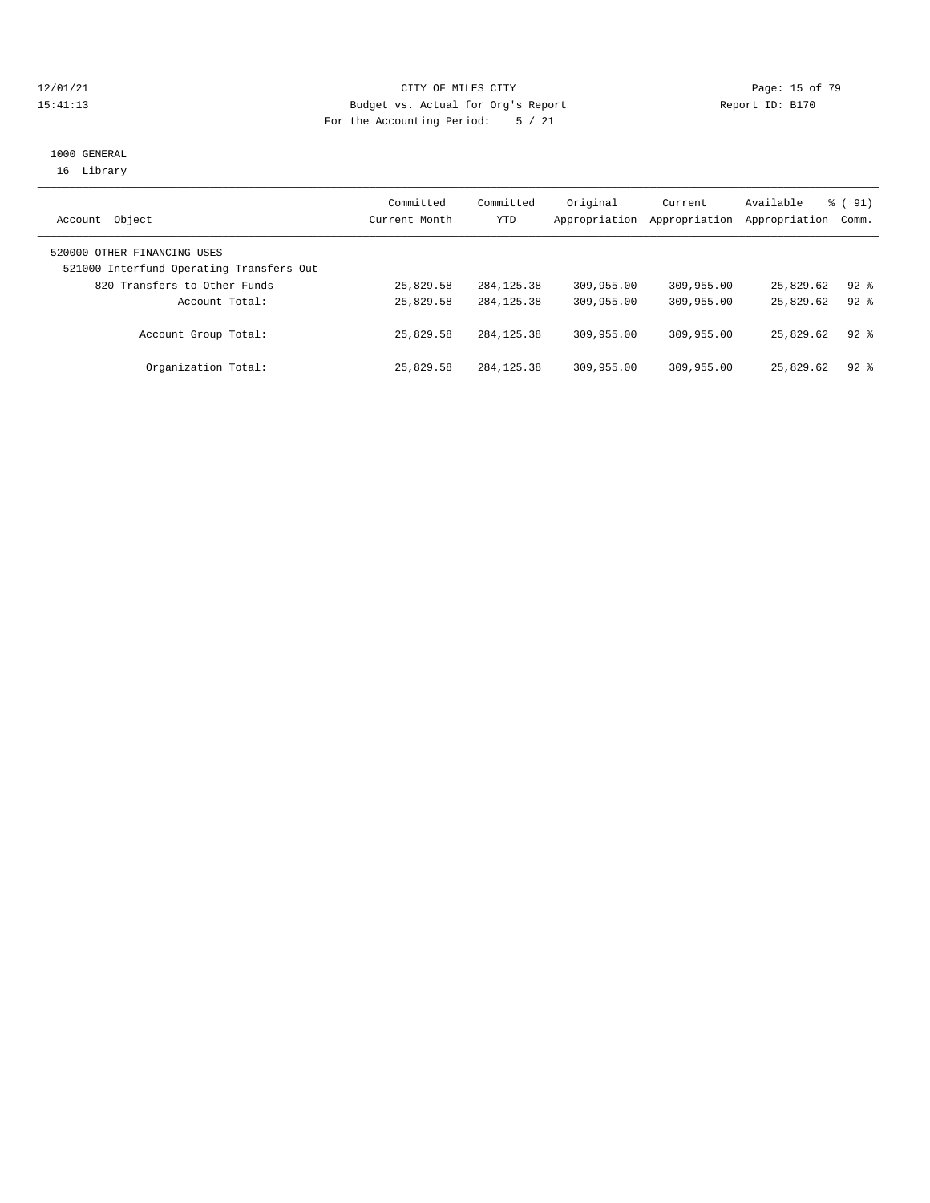#### 12/01/21 **Page: 15 of 79** CITY OF MILES CITY **CITY** CITY **Page: 15 of 79** 15:41:13 Budget vs. Actual for Org's Report Report ID: B170 For the Accounting Period: 5 / 21

## 1000 GENERAL 16 Library

| Object<br>Account                        | Committed<br>Current Month | Committed<br>YTD | Original<br>Appropriation | Current<br>Appropriation | Available<br>Appropriation Comm. | % (91)   |
|------------------------------------------|----------------------------|------------------|---------------------------|--------------------------|----------------------------------|----------|
|                                          |                            |                  |                           |                          |                                  |          |
| 520000 OTHER FINANCING USES              |                            |                  |                           |                          |                                  |          |
| 521000 Interfund Operating Transfers Out |                            |                  |                           |                          |                                  |          |
| 820 Transfers to Other Funds             | 25,829.58                  | 284, 125.38      | 309,955.00                | 309,955.00               | 25,829.62                        | $92$ %   |
| Account Total:                           | 25,829.58                  | 284, 125. 38     | 309,955.00                | 309,955.00               | 25,829.62                        | $92$ $%$ |
|                                          |                            |                  |                           |                          |                                  |          |
| Account Group Total:                     | 25,829.58                  | 284, 125. 38     | 309,955.00                | 309,955.00               | 25,829.62                        | $92$ $%$ |
|                                          |                            |                  |                           |                          |                                  |          |
| Organization Total:                      | 25,829.58                  | 284, 125. 38     | 309,955.00                | 309,955.00               | 25,829.62                        | $92*$    |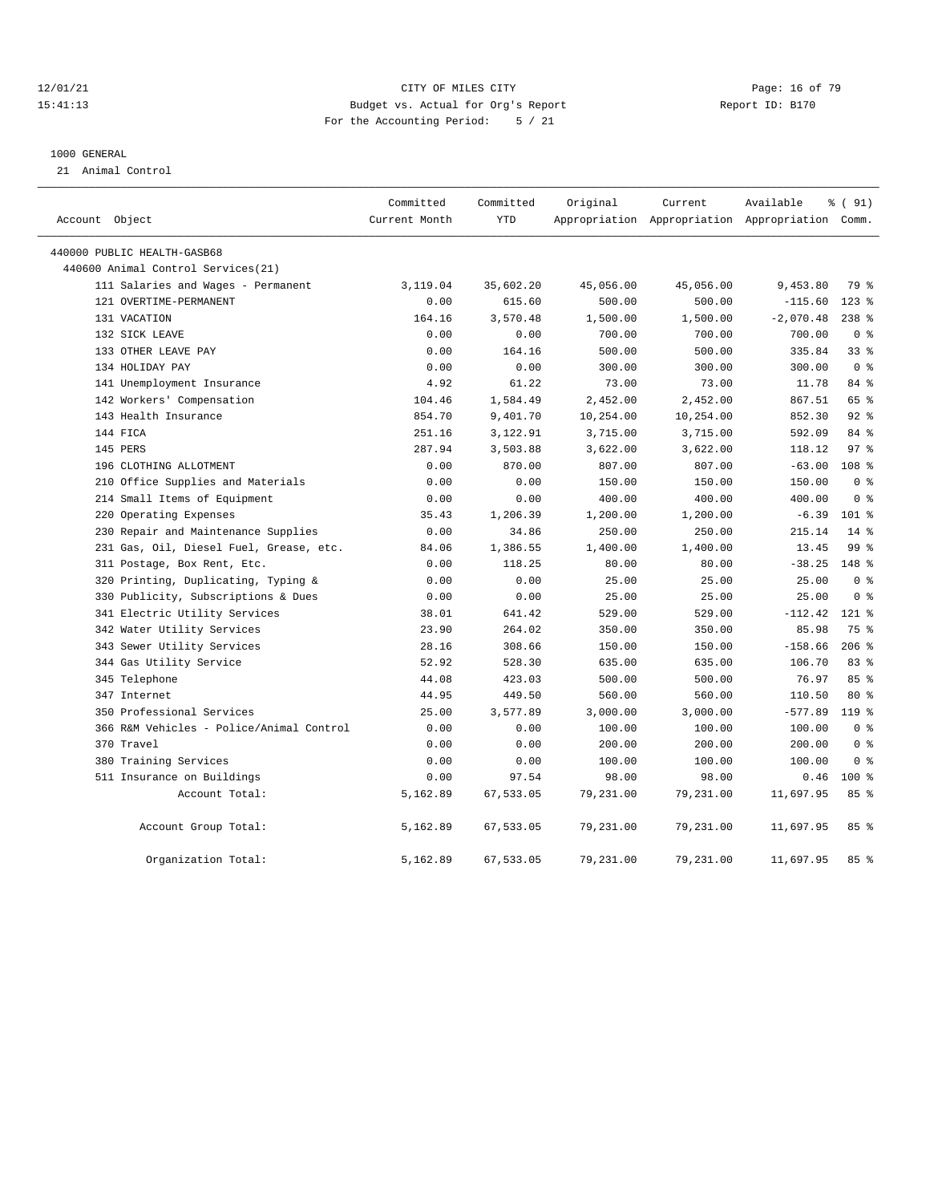#### 12/01/21 Page: 16 of 79<br>15:41:13 Pudget vs. Actual for Org's Report Report Report ID: B170 15:41:13 Budget vs. Actual for Org's Report For the Accounting Period: 5 / 21

#### 1000 GENERAL

21 Animal Control

|                |                                          | Committed     | Committed | Original  | Current   | Available                                       | % ( 91)          |
|----------------|------------------------------------------|---------------|-----------|-----------|-----------|-------------------------------------------------|------------------|
| Account Object |                                          | Current Month | YTD       |           |           | Appropriation Appropriation Appropriation Comm. |                  |
|                | 440000 PUBLIC HEALTH-GASB68              |               |           |           |           |                                                 |                  |
|                | 440600 Animal Control Services (21)      |               |           |           |           |                                                 |                  |
|                | 111 Salaries and Wages - Permanent       | 3,119.04      | 35,602.20 | 45,056.00 | 45,056.00 | 9,453.80                                        | 79 %             |
|                | 121 OVERTIME-PERMANENT                   | 0.00          | 615.60    | 500.00    | 500.00    | $-115.60$                                       | $123$ %          |
|                | 131 VACATION                             | 164.16        | 3,570.48  | 1,500.00  | 1,500.00  | $-2,070.48$                                     | $238$ %          |
|                | 132 SICK LEAVE                           | 0.00          | 0.00      | 700.00    | 700.00    | 700.00                                          | 0 <sup>8</sup>   |
|                | 133 OTHER LEAVE PAY                      | 0.00          | 164.16    | 500.00    | 500.00    | 335.84                                          | 33%              |
|                | 134 HOLIDAY PAY                          | 0.00          | 0.00      | 300.00    | 300.00    | 300.00                                          | 0 <sup>8</sup>   |
|                | 141 Unemployment Insurance               | 4.92          | 61.22     | 73.00     | 73.00     | 11.78                                           | 84%              |
|                | 142 Workers' Compensation                | 104.46        | 1,584.49  | 2,452.00  | 2,452.00  | 867.51                                          | 65 %             |
|                | 143 Health Insurance                     | 854.70        | 9,401.70  | 10,254.00 | 10,254.00 | 852.30                                          | $92$ %           |
|                | 144 FICA                                 | 251.16        | 3,122.91  | 3,715.00  | 3,715.00  | 592.09                                          | 84 %             |
|                | 145 PERS                                 | 287.94        | 3,503.88  | 3,622.00  | 3,622.00  | 118.12                                          | 97 <sub>8</sub>  |
|                | 196 CLOTHING ALLOTMENT                   | 0.00          | 870.00    | 807.00    | 807.00    | $-63.00$                                        | 108 <sub>8</sub> |
|                | 210 Office Supplies and Materials        | 0.00          | 0.00      | 150.00    | 150.00    | 150.00                                          | 0 <sup>8</sup>   |
|                | 214 Small Items of Equipment             | 0.00          | 0.00      | 400.00    | 400.00    | 400.00                                          | 0 <sup>8</sup>   |
|                | 220 Operating Expenses                   | 35.43         | 1,206.39  | 1,200.00  | 1,200.00  | $-6.39$                                         | 101 %            |
|                | 230 Repair and Maintenance Supplies      | 0.00          | 34.86     | 250.00    | 250.00    | 215.14                                          | $14*$            |
|                | 231 Gas, Oil, Diesel Fuel, Grease, etc.  | 84.06         | 1,386.55  | 1,400.00  | 1,400.00  | 13.45                                           | 99 <sub>8</sub>  |
|                | 311 Postage, Box Rent, Etc.              | 0.00          | 118.25    | 80.00     | 80.00     | $-38.25$                                        | $148$ %          |
|                | 320 Printing, Duplicating, Typing &      | 0.00          | 0.00      | 25.00     | 25.00     | 25.00                                           | 0 <sup>8</sup>   |
|                | 330 Publicity, Subscriptions & Dues      | 0.00          | 0.00      | 25.00     | 25.00     | 25.00                                           | 0 <sup>8</sup>   |
|                | 341 Electric Utility Services            | 38.01         | 641.42    | 529.00    | 529.00    | $-112.42$                                       | $121$ %          |
|                | 342 Water Utility Services               | 23.90         | 264.02    | 350.00    | 350.00    | 85.98                                           | 75 %             |
|                | 343 Sewer Utility Services               | 28.16         | 308.66    | 150.00    | 150.00    | $-158.66$                                       | $206$ %          |
|                | 344 Gas Utility Service                  | 52.92         | 528.30    | 635.00    | 635.00    | 106.70                                          | 83%              |
|                | 345 Telephone                            | 44.08         | 423.03    | 500.00    | 500.00    | 76.97                                           | 85%              |
|                | 347 Internet                             | 44.95         | 449.50    | 560.00    | 560.00    | 110.50                                          | $80*$            |
|                | 350 Professional Services                | 25.00         | 3,577.89  | 3,000.00  | 3,000.00  | $-577.89$                                       | 119.8            |
|                | 366 R&M Vehicles - Police/Animal Control | 0.00          | 0.00      | 100.00    | 100.00    | 100.00                                          | 0 <sup>8</sup>   |
|                | 370 Travel                               | 0.00          | 0.00      | 200.00    | 200.00    | 200.00                                          | 0 <sup>8</sup>   |
|                | 380 Training Services                    | 0.00          | 0.00      | 100.00    | 100.00    | 100.00                                          | 0 <sup>8</sup>   |
|                | 511 Insurance on Buildings               | 0.00          | 97.54     | 98.00     | 98.00     | 0.46                                            | $100*$           |
|                | Account Total:                           | 5,162.89      | 67,533.05 | 79,231.00 | 79,231.00 | 11,697.95                                       | 85%              |
|                | Account Group Total:                     | 5,162.89      | 67,533.05 | 79,231.00 | 79,231.00 | 11,697.95                                       | 85%              |
|                | Organization Total:                      | 5,162.89      | 67,533.05 | 79,231.00 | 79,231.00 | 11,697.95                                       | 85%              |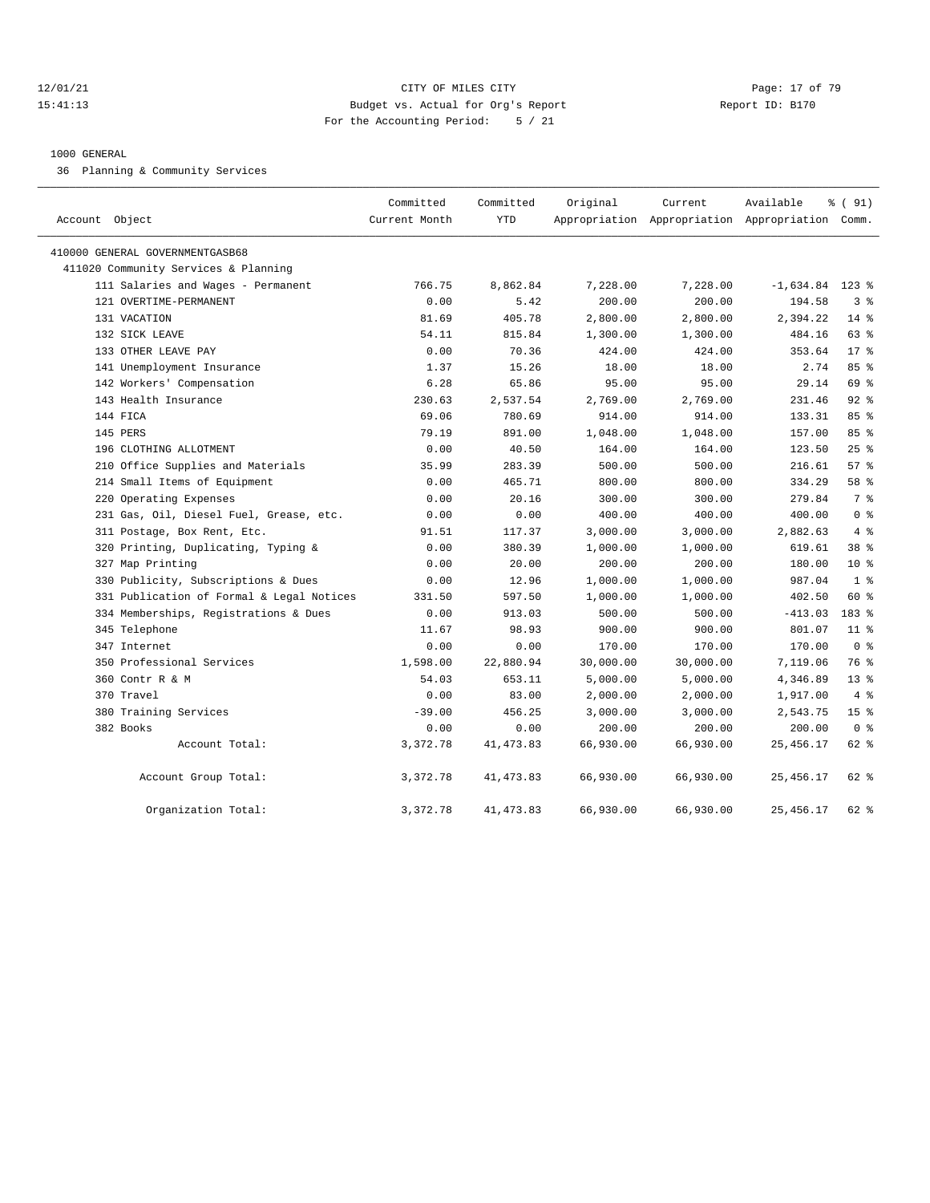#### 12/01/21 **Page: 17 of 79** CITY OF MILES CITY **Page: 17 of 79** 15:41:13 Budget vs. Actual for Org's Report Report ID: B170 For the Accounting Period: 5 / 21

#### 1000 GENERAL

36 Planning & Community Services

| Account Object                            | Committed<br>Current Month | Committed<br><b>YTD</b> | Original  | Current<br>Appropriation Appropriation Appropriation Comm. | Available         | % (91)          |
|-------------------------------------------|----------------------------|-------------------------|-----------|------------------------------------------------------------|-------------------|-----------------|
| 410000 GENERAL GOVERNMENTGASB68           |                            |                         |           |                                                            |                   |                 |
| 411020 Community Services & Planning      |                            |                         |           |                                                            |                   |                 |
| 111 Salaries and Wages - Permanent        | 766.75                     | 8,862.84                | 7,228.00  | 7,228.00                                                   | $-1,634.84$ 123 % |                 |
| 121 OVERTIME-PERMANENT                    | 0.00                       | 5.42                    | 200.00    | 200.00                                                     | 194.58            | 3 <sup>8</sup>  |
| 131 VACATION                              | 81.69                      | 405.78                  | 2,800.00  | 2,800.00                                                   | 2,394.22          | $14*$           |
| 132 SICK LEAVE                            | 54.11                      | 815.84                  | 1,300.00  | 1,300.00                                                   | 484.16            | 63 %            |
| 133 OTHER LEAVE PAY                       | 0.00                       | 70.36                   | 424.00    | 424.00                                                     | 353.64            | $17*$           |
| 141 Unemployment Insurance                | 1.37                       | 15.26                   | 18.00     | 18.00                                                      | 2.74              | 85%             |
| 142 Workers' Compensation                 | 6.28                       | 65.86                   | 95.00     | 95.00                                                      | 29.14             | 69 %            |
| 143 Health Insurance                      | 230.63                     | 2,537.54                | 2,769.00  | 2,769.00                                                   | 231.46            | $92$ $%$        |
| 144 FICA                                  | 69.06                      | 780.69                  | 914.00    | 914.00                                                     | 133.31            | 85%             |
| 145 PERS                                  | 79.19                      | 891.00                  | 1,048.00  | 1,048.00                                                   | 157.00            | 85%             |
| 196 CLOTHING ALLOTMENT                    | 0.00                       | 40.50                   | 164.00    | 164.00                                                     | 123.50            | 25%             |
| 210 Office Supplies and Materials         | 35.99                      | 283.39                  | 500.00    | 500.00                                                     | 216.61            | 57%             |
| 214 Small Items of Equipment              | 0.00                       | 465.71                  | 800.00    | 800.00                                                     | 334.29            | 58 %            |
| 220 Operating Expenses                    | 0.00                       | 20.16                   | 300.00    | 300.00                                                     | 279.84            | 7 %             |
| 231 Gas, Oil, Diesel Fuel, Grease, etc.   | 0.00                       | 0.00                    | 400.00    | 400.00                                                     | 400.00            | 0 <sup>8</sup>  |
| 311 Postage, Box Rent, Etc.               | 91.51                      | 117.37                  | 3,000.00  | 3,000.00                                                   | 2,882.63          | 4%              |
| 320 Printing, Duplicating, Typing &       | 0.00                       | 380.39                  | 1,000.00  | 1,000.00                                                   | 619.61            | 38 %            |
| 327 Map Printing                          | 0.00                       | 20.00                   | 200.00    | 200.00                                                     | 180.00            | $10*$           |
| 330 Publicity, Subscriptions & Dues       | 0.00                       | 12.96                   | 1,000.00  | 1,000.00                                                   | 987.04            | 1 <sup>8</sup>  |
| 331 Publication of Formal & Legal Notices | 331.50                     | 597.50                  | 1,000.00  | 1,000.00                                                   | 402.50            | $60*$           |
| 334 Memberships, Registrations & Dues     | 0.00                       | 913.03                  | 500.00    | 500.00                                                     | $-413.03$         | 183 %           |
| 345 Telephone                             | 11.67                      | 98.93                   | 900.00    | 900.00                                                     | 801.07            | $11$ %          |
| 347 Internet                              | 0.00                       | 0.00                    | 170.00    | 170.00                                                     | 170.00            | 0 <sup>8</sup>  |
| 350 Professional Services                 | 1,598.00                   | 22,880.94               | 30,000.00 | 30,000.00                                                  | 7,119.06          | 76 %            |
| 360 Contr R & M                           | 54.03                      | 653.11                  | 5,000.00  | 5,000.00                                                   | 4,346.89          | 13 <sup>8</sup> |
| 370 Travel                                | 0.00                       | 83.00                   | 2,000.00  | 2,000.00                                                   | 1,917.00          | 4%              |
| 380 Training Services                     | $-39.00$                   | 456.25                  | 3,000.00  | 3,000.00                                                   | 2,543.75          | 15 <sup>°</sup> |
| 382 Books                                 | 0.00                       | 0.00                    | 200.00    | 200.00                                                     | 200.00            | 0 <sup>8</sup>  |
| Account Total:                            | 3,372.78                   | 41, 473.83              | 66,930.00 | 66,930.00                                                  | 25,456.17         | 62 %            |
| Account Group Total:                      | 3,372.78                   | 41, 473.83              | 66,930.00 | 66,930.00                                                  | 25, 456.17        | 62 %            |
| Organization Total:                       | 3,372.78                   | 41, 473.83              | 66,930.00 | 66,930.00                                                  | 25, 456.17        | 62 %            |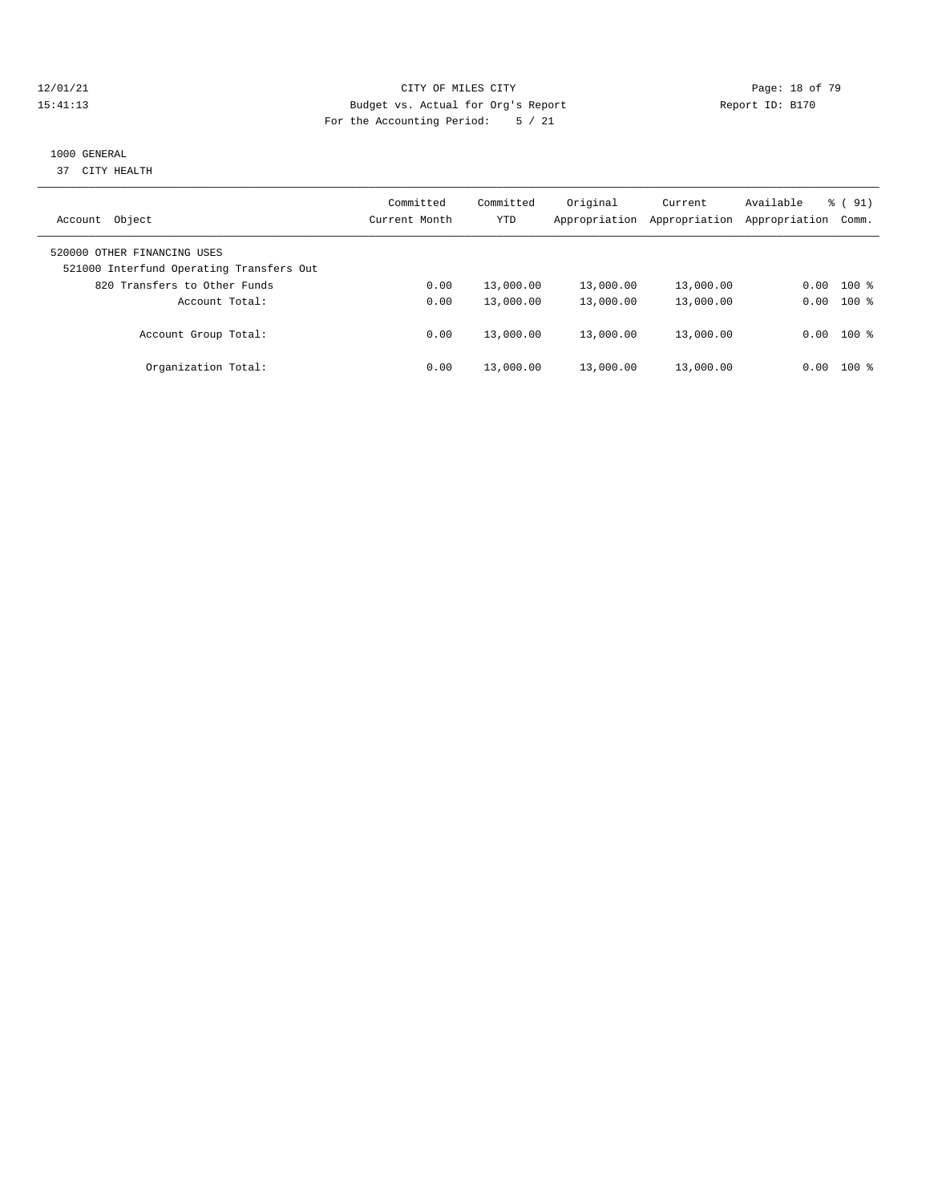#### 12/01/21 **Page: 18 of 79** CITY OF MILES CITY **CITY** CITY **Page: 18 of 79** 15:41:13 Budget vs. Actual for Org's Report Report ID: B170 For the Accounting Period: 5 / 21

# 1000 GENERAL

37 CITY HEALTH

| Object<br>Account                                                       | Committed<br>Current Month | Committed<br>YTD | Original<br>Appropriation | Current<br>Appropriation | Available<br>Appropriation | $\frac{1}{6}$ (91)<br>Comm. |
|-------------------------------------------------------------------------|----------------------------|------------------|---------------------------|--------------------------|----------------------------|-----------------------------|
| 520000 OTHER FINANCING USES<br>521000 Interfund Operating Transfers Out |                            |                  |                           |                          |                            |                             |
| 820 Transfers to Other Funds                                            | 0.00                       | 13,000.00        | 13,000.00                 | 13,000.00                | 0.00                       | $100$ %                     |
| Account Total:                                                          | 0.00                       | 13,000.00        | 13,000.00                 | 13,000.00                | 0.00                       | $100$ %                     |
| Account Group Total:                                                    | 0.00                       | 13,000.00        | 13,000.00                 | 13,000.00                |                            | $0.00$ 100 %                |
| Organization Total:                                                     | 0.00                       | 13,000.00        | 13,000.00                 | 13,000.00                | 0.00                       | $100$ %                     |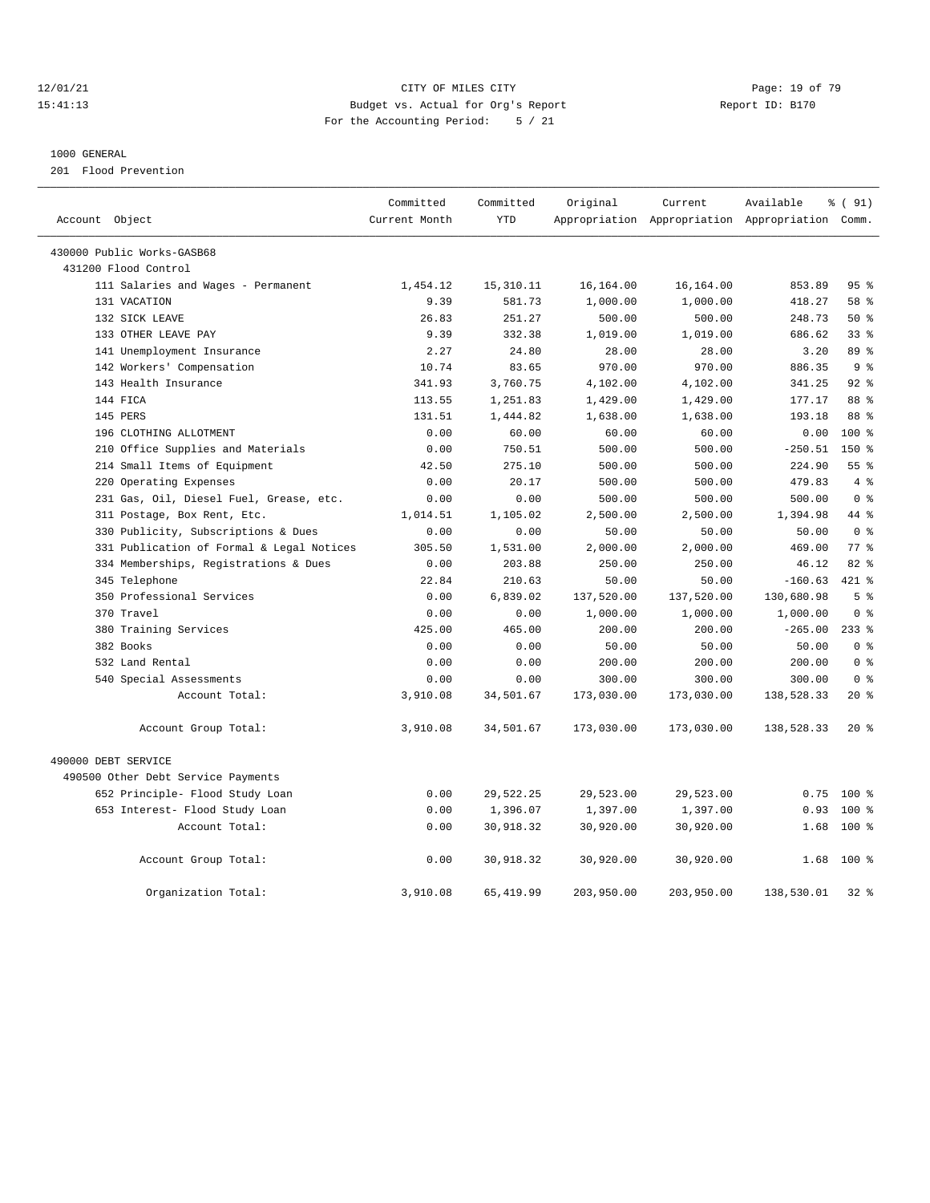#### 12/01/21 **Page: 19 of 79** CITY OF MILES CITY **CITY** Page: 19 of 79 15:41:13 Budget vs. Actual for Org's Report Report ID: B170 For the Accounting Period: 5 / 21

————————————————————————————————————————————————————————————————————————————————————————————————————————————————————————————————————

#### 1000 GENERAL

201 Flood Prevention

|                                           | Committed     | Committed  | Original   | Current    | Available                                       | % (91)          |
|-------------------------------------------|---------------|------------|------------|------------|-------------------------------------------------|-----------------|
| Account Object                            | Current Month | <b>YTD</b> |            |            | Appropriation Appropriation Appropriation Comm. |                 |
| 430000 Public Works-GASB68                |               |            |            |            |                                                 |                 |
| 431200 Flood Control                      |               |            |            |            |                                                 |                 |
| 111 Salaries and Wages - Permanent        | 1,454.12      | 15, 310.11 | 16,164.00  | 16,164.00  | 853.89                                          | 95%             |
| 131 VACATION                              | 9.39          | 581.73     | 1,000.00   | 1,000.00   | 418.27                                          | 58 %            |
| 132 SICK LEAVE                            | 26.83         | 251.27     | 500.00     | 500.00     | 248.73                                          | $50*$           |
| 133 OTHER LEAVE PAY                       | 9.39          | 332.38     | 1,019.00   | 1,019.00   | 686.62                                          | 33 <sup>8</sup> |
| 141 Unemployment Insurance                | 2.27          | 24.80      | 28.00      | 28.00      | 3.20                                            | 89 %            |
| 142 Workers' Compensation                 | 10.74         | 83.65      | 970.00     | 970.00     | 886.35                                          | 9 <sup>8</sup>  |
| 143 Health Insurance                      | 341.93        | 3,760.75   | 4,102.00   | 4,102.00   | 341.25                                          | $92$ $%$        |
| 144 FICA                                  | 113.55        | 1,251.83   | 1,429.00   | 1,429.00   | 177.17                                          | 88 %            |
| 145 PERS                                  | 131.51        | 1,444.82   | 1,638.00   | 1,638.00   | 193.18                                          | 88 %            |
| 196 CLOTHING ALLOTMENT                    | 0.00          | 60.00      | 60.00      | 60.00      | 0.00                                            | $100$ %         |
| 210 Office Supplies and Materials         | 0.00          | 750.51     | 500.00     | 500.00     | $-250.51$                                       | $150*$          |
| 214 Small Items of Equipment              | 42.50         | 275.10     | 500.00     | 500.00     | 224.90                                          | 55 <sup>8</sup> |
| 220 Operating Expenses                    | 0.00          | 20.17      | 500.00     | 500.00     | 479.83                                          | 4%              |
| 231 Gas, Oil, Diesel Fuel, Grease, etc.   | 0.00          | 0.00       | 500.00     | 500.00     | 500.00                                          | 0 <sup>8</sup>  |
| 311 Postage, Box Rent, Etc.               | 1,014.51      | 1,105.02   | 2,500.00   | 2,500.00   | 1,394.98                                        | 44 %            |
| 330 Publicity, Subscriptions & Dues       | 0.00          | 0.00       | 50.00      | 50.00      | 50.00                                           | 0 <sup>8</sup>  |
| 331 Publication of Formal & Legal Notices | 305.50        | 1,531.00   | 2,000.00   | 2,000.00   | 469.00                                          | 77 %            |
| 334 Memberships, Registrations & Dues     | 0.00          | 203.88     | 250.00     | 250.00     | 46.12                                           | 82 %            |
| 345 Telephone                             | 22.84         | 210.63     | 50.00      | 50.00      | $-160.63$                                       | 421 %           |
| 350 Professional Services                 | 0.00          | 6,839.02   | 137,520.00 | 137,520.00 | 130,680.98                                      | 5 <sup>8</sup>  |
| 370 Travel                                | 0.00          | 0.00       | 1,000.00   | 1,000.00   | 1,000.00                                        | 0 <sup>8</sup>  |
| 380 Training Services                     | 425.00        | 465.00     | 200.00     | 200.00     | $-265.00$                                       | $233$ $%$       |
| 382 Books                                 | 0.00          | 0.00       | 50.00      | 50.00      | 50.00                                           | 0 <sup>8</sup>  |
| 532 Land Rental                           | 0.00          | 0.00       | 200.00     | 200.00     | 200.00                                          | 0 <sup>8</sup>  |
| 540 Special Assessments                   | 0.00          | 0.00       | 300.00     | 300.00     | 300.00                                          | 0 <sup>8</sup>  |
| Account Total:                            | 3,910.08      | 34,501.67  | 173,030.00 | 173,030.00 | 138,528.33                                      | 20%             |
| Account Group Total:                      | 3,910.08      | 34,501.67  | 173,030.00 | 173,030.00 | 138,528.33                                      | $20*$           |
| 490000 DEBT SERVICE                       |               |            |            |            |                                                 |                 |
| 490500 Other Debt Service Payments        |               |            |            |            |                                                 |                 |
| 652 Principle- Flood Study Loan           | 0.00          | 29,522.25  | 29,523.00  | 29,523.00  | 0.75                                            | 100 %           |
| 653 Interest- Flood Study Loan            | 0.00          | 1,396.07   | 1,397.00   | 1,397.00   | 0.93                                            | 100%            |
| Account Total:                            | 0.00          | 30,918.32  | 30,920.00  | 30,920.00  | 1.68                                            | $100*$          |
|                                           |               |            |            |            |                                                 |                 |
| Account Group Total:                      | 0.00          | 30,918.32  | 30,920.00  | 30,920.00  | 1.68                                            | $100*$          |
| Organization Total:                       | 3,910.08      | 65, 419.99 | 203,950.00 | 203,950.00 | 138,530.01                                      | $32$ $%$        |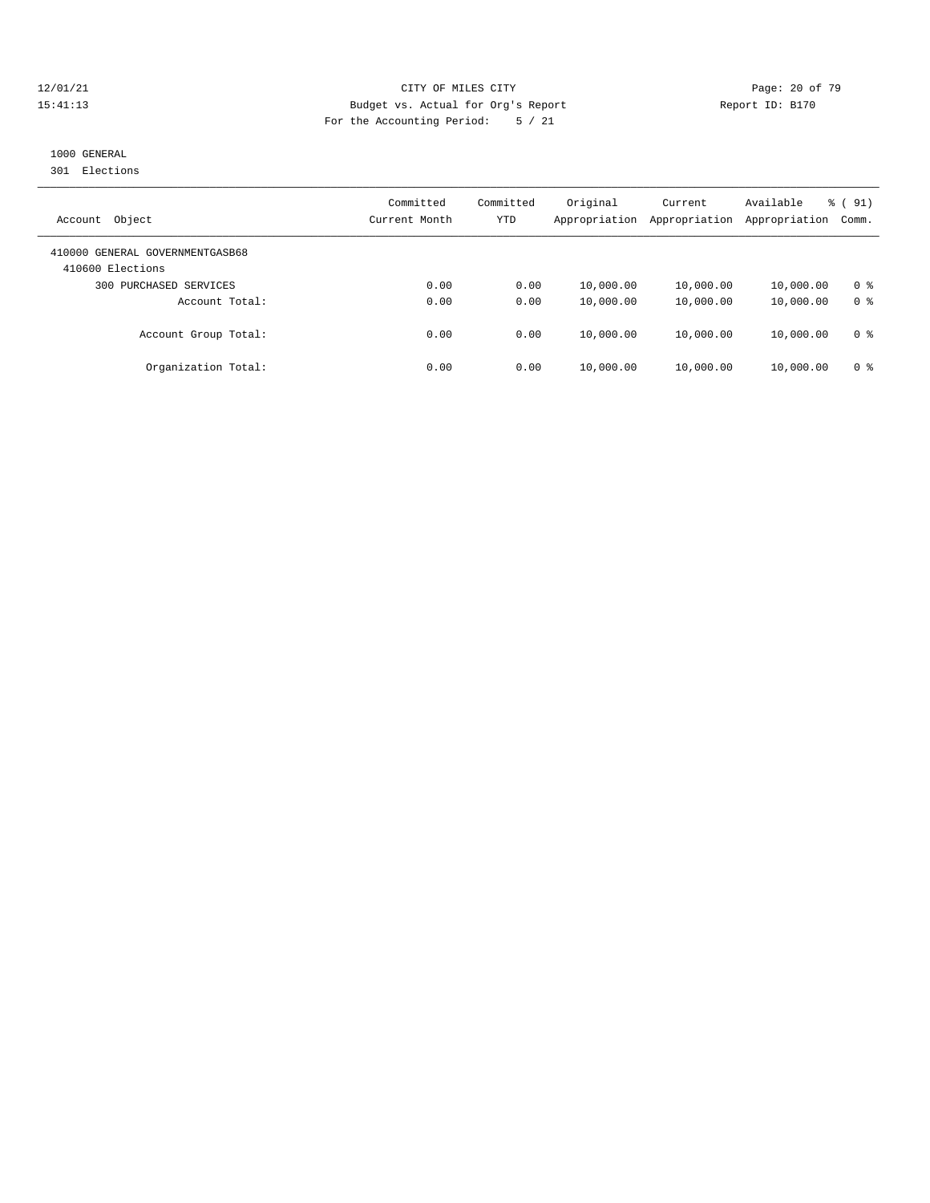#### 12/01/21 **Page: 20 of 79** CITY OF MILES CITY **CITY** CITY **Page: 20 of 79** 15:41:13 Budget vs. Actual for Org's Report Report ID: B170 For the Accounting Period: 5 / 21

# 1000 GENERAL

301 Elections

| Object<br>Account                                   | Committed<br>Current Month | Committed<br>YTD | Original<br>Appropriation | Current<br>Appropriation | Available<br>Appropriation | % (91)<br>Comm. |
|-----------------------------------------------------|----------------------------|------------------|---------------------------|--------------------------|----------------------------|-----------------|
| 410000 GENERAL GOVERNMENTGASB68<br>410600 Elections |                            |                  |                           |                          |                            |                 |
| PURCHASED SERVICES<br>300                           | 0.00                       | 0.00             | 10,000.00                 | 10,000.00                | 10,000.00                  | 0 %             |
| Account Total:                                      | 0.00                       | 0.00             | 10,000.00                 | 10,000.00                | 10,000.00                  | 0 <sup>8</sup>  |
| Account Group Total:                                | 0.00                       | 0.00             | 10,000.00                 | 10,000.00                | 10,000.00                  | 0 <sup>8</sup>  |
| Organization Total:                                 | 0.00                       | 0.00             | 10,000.00                 | 10,000.00                | 10,000.00                  | 0 %             |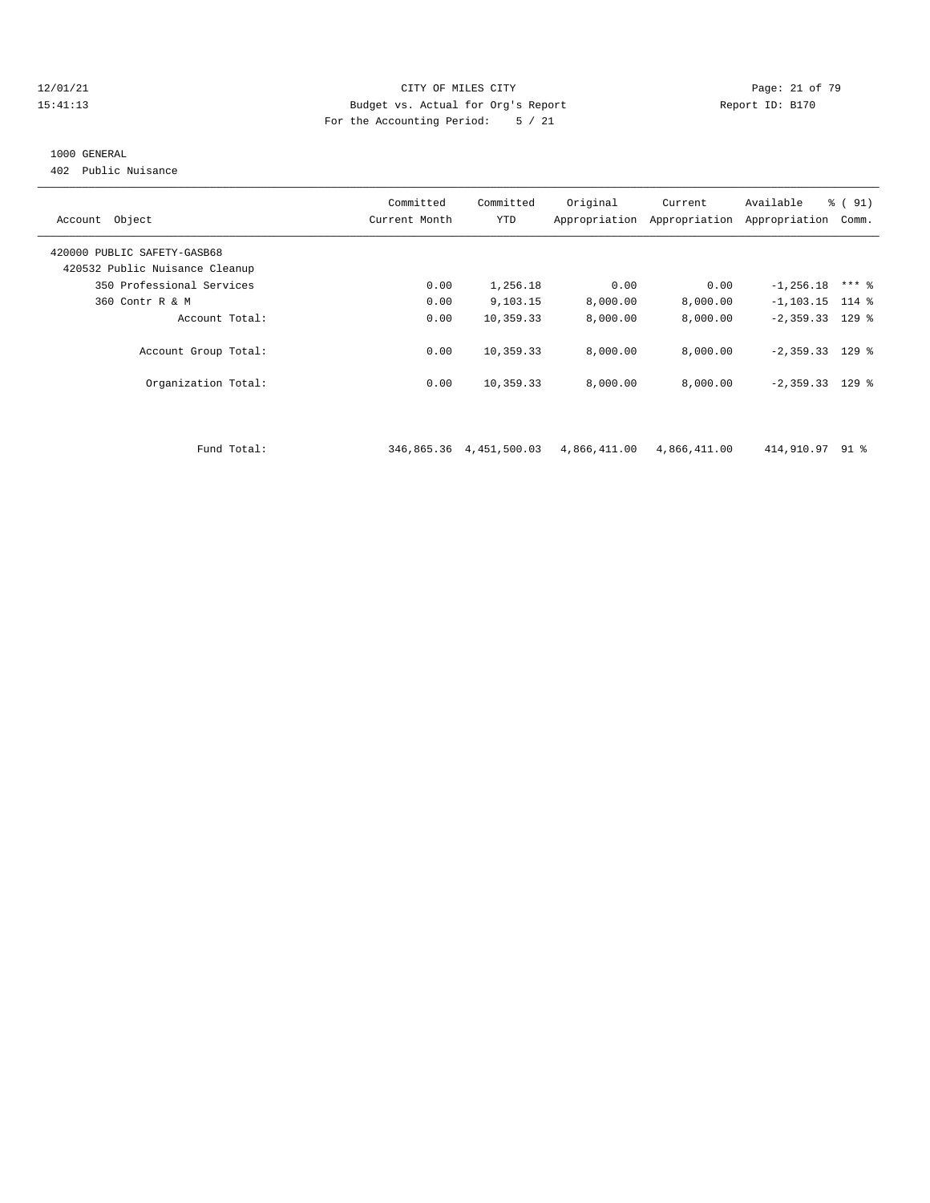#### 12/01/21 Page: 21 of 79 15:41:13 Budget vs. Actual for Org's Report Report ID: B170 For the Accounting Period: 5 / 21

#### 1000 GENERAL

402 Public Nuisance

| Account Object                 | Committed<br>Current Month | Committed<br>YTD | Original     | Current<br>Appropriation Appropriation | Available<br>Appropriation | % (91)<br>Comm. |
|--------------------------------|----------------------------|------------------|--------------|----------------------------------------|----------------------------|-----------------|
| 420000 PUBLIC SAFETY-GASB68    |                            |                  |              |                                        |                            |                 |
| 420532 Public Nuisance Cleanup |                            |                  |              |                                        |                            |                 |
| 350 Professional Services      | 0.00                       | 1,256.18         | 0.00         | 0.00                                   | $-1, 256.18$               | $***$ 8         |
| 360 Contr R & M                | 0.00                       | 9,103.15         | 8,000.00     | 8,000.00                               | $-1, 103.15$ 114 %         |                 |
| Account Total:                 | 0.00                       | 10,359.33        | 8,000.00     | 8,000.00                               | $-2,359.33$ 129 %          |                 |
| Account Group Total:           | 0.00                       | 10,359.33        | 8,000.00     | 8,000.00                               | $-2,359.33$ 129 %          |                 |
| Organization Total:            | 0.00                       | 10,359.33        | 8,000.00     | 8,000.00                               | $-2,359.33$ 129 %          |                 |
|                                |                            |                  |              |                                        |                            |                 |
| Fund Total:                    | 346,865.36                 | 4,451,500.03     | 4,866,411.00 | 4,866,411.00                           | 414,910.97                 | 91 %            |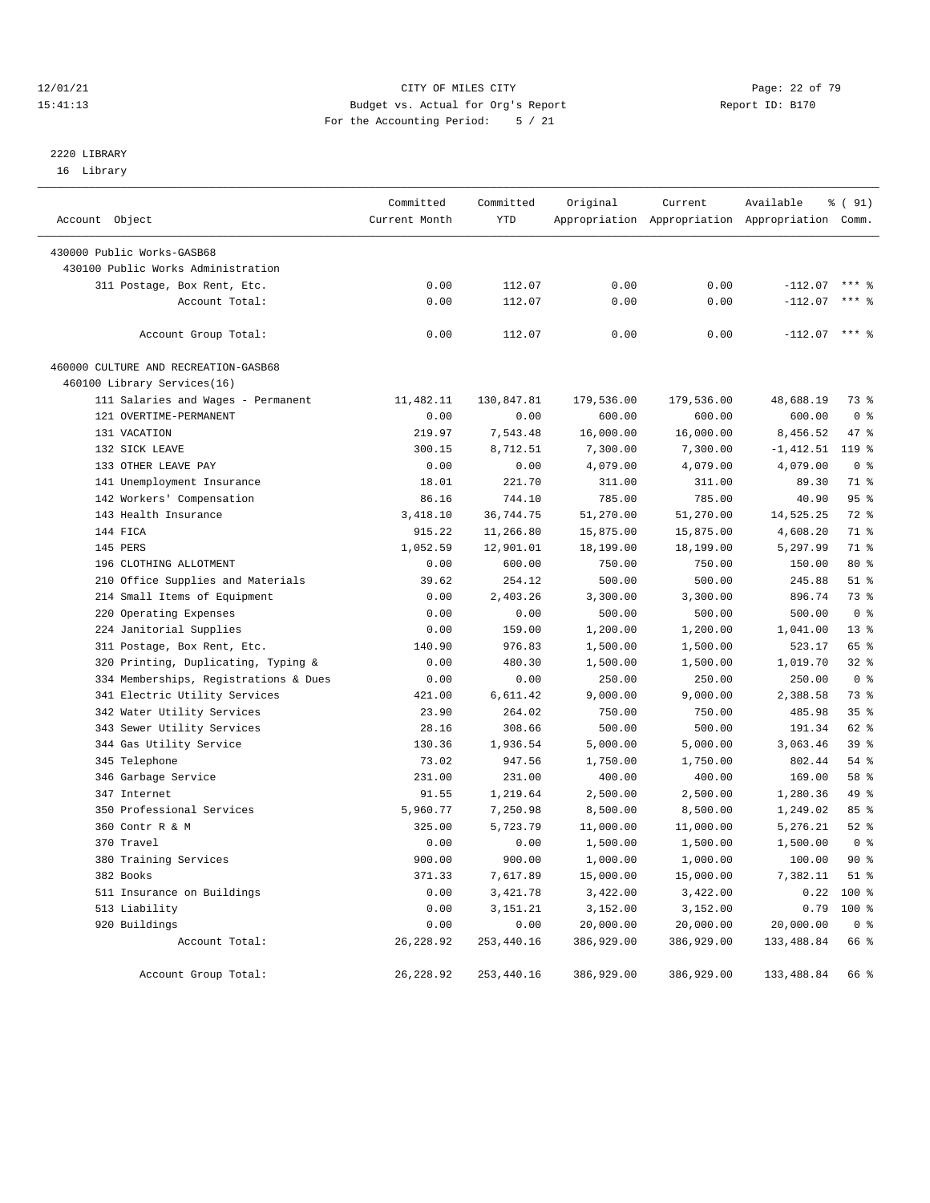#### 12/01/21 Page: 22 of 79<br>
12/01/21 Page: 22 of 79<br>
Budget vs. Actual for Org's Report Physics (Paport ID: B170 15:41:13 Budget vs. Actual for Org's Report For the Accounting Period: 5 / 21

# 2220 LIBRARY

16 Library

| Account Object                        | Committed<br>Current Month | Committed<br>YTD | Original   | Current    | Available<br>Appropriation Appropriation Appropriation Comm. | % ( 91)         |
|---------------------------------------|----------------------------|------------------|------------|------------|--------------------------------------------------------------|-----------------|
|                                       |                            |                  |            |            |                                                              |                 |
| 430000 Public Works-GASB68            |                            |                  |            |            |                                                              |                 |
| 430100 Public Works Administration    |                            |                  |            |            |                                                              |                 |
| 311 Postage, Box Rent, Etc.           | 0.00                       | 112.07           | 0.00       | 0.00       | $-112.07$                                                    | $***$ 2         |
| Account Total:                        | 0.00                       | 112.07           | 0.00       | 0.00       | $-112.07$                                                    | $***$ 2         |
|                                       |                            |                  |            |            |                                                              |                 |
| Account Group Total:                  | 0.00                       | 112.07           | 0.00       | 0.00       | $-112.07$ *** %                                              |                 |
| 460000 CULTURE AND RECREATION-GASB68  |                            |                  |            |            |                                                              |                 |
| 460100 Library Services(16)           |                            |                  |            |            |                                                              |                 |
| 111 Salaries and Wages - Permanent    | 11,482.11                  | 130,847.81       | 179,536.00 | 179,536.00 | 48,688.19                                                    | 73 %            |
| 121 OVERTIME-PERMANENT                | 0.00                       | 0.00             | 600.00     | 600.00     | 600.00                                                       | 0 <sup>8</sup>  |
| 131 VACATION                          | 219.97                     | 7,543.48         | 16,000.00  | 16,000.00  | 8,456.52                                                     | 47 %            |
| 132 SICK LEAVE                        | 300.15                     | 8,712.51         | 7,300.00   | 7,300.00   | -1,412.51                                                    | 119 %           |
| 133 OTHER LEAVE PAY                   | 0.00                       | 0.00             | 4,079.00   | 4,079.00   | 4,079.00                                                     | 0 <sup>8</sup>  |
| 141 Unemployment Insurance            | 18.01                      | 221.70           | 311.00     | 311.00     | 89.30                                                        | 71 %            |
| 142 Workers' Compensation             | 86.16                      | 744.10           | 785.00     | 785.00     | 40.90                                                        | 95%             |
| 143 Health Insurance                  | 3,418.10                   | 36,744.75        | 51,270.00  | 51,270.00  | 14,525.25                                                    | 72 %            |
| 144 FICA                              | 915.22                     | 11,266.80        | 15,875.00  | 15,875.00  | 4,608.20                                                     | 71 %            |
| 145 PERS                              | 1,052.59                   | 12,901.01        | 18,199.00  | 18,199.00  | 5,297.99                                                     | 71 %            |
| 196 CLOTHING ALLOTMENT                | 0.00                       | 600.00           | 750.00     | 750.00     | 150.00                                                       | $80*$           |
| 210 Office Supplies and Materials     | 39.62                      | 254.12           | 500.00     | 500.00     | 245.88                                                       | $51$ %          |
| 214 Small Items of Equipment          | 0.00                       | 2,403.26         | 3,300.00   | 3,300.00   | 896.74                                                       | 73 %            |
| 220 Operating Expenses                | 0.00                       | 0.00             | 500.00     | 500.00     | 500.00                                                       | 0 <sup>8</sup>  |
| 224 Janitorial Supplies               | 0.00                       | 159.00           | 1,200.00   | 1,200.00   | 1,041.00                                                     | $13*$           |
| 311 Postage, Box Rent, Etc.           | 140.90                     | 976.83           | 1,500.00   | 1,500.00   | 523.17                                                       | 65 %            |
| 320 Printing, Duplicating, Typing &   | 0.00                       | 480.30           |            | 1,500.00   | 1,019.70                                                     | $32$ $%$        |
|                                       |                            |                  | 1,500.00   |            | 250.00                                                       | 0 <sup>8</sup>  |
| 334 Memberships, Registrations & Dues | 0.00                       | 0.00             | 250.00     | 250.00     |                                                              | 73 %            |
| 341 Electric Utility Services         | 421.00                     | 6,611.42         | 9,000.00   | 9,000.00   | 2,388.58                                                     |                 |
| 342 Water Utility Services            | 23.90                      | 264.02           | 750.00     | 750.00     | 485.98                                                       | 35 <sup>8</sup> |
| 343 Sewer Utility Services            | 28.16                      | 308.66           | 500.00     | 500.00     | 191.34                                                       | 62 %            |
| 344 Gas Utility Service               | 130.36                     | 1,936.54         | 5,000.00   | 5,000.00   | 3,063.46                                                     | 39 %            |
| 345 Telephone                         | 73.02                      | 947.56           | 1,750.00   | 1,750.00   | 802.44                                                       | 54 %            |
| 346 Garbage Service                   | 231.00                     | 231.00           | 400.00     | 400.00     | 169.00                                                       | 58 %            |
| 347 Internet                          | 91.55                      | 1,219.64         | 2,500.00   | 2,500.00   | 1,280.36                                                     | 49 %            |
| 350 Professional Services             | 5,960.77                   | 7,250.98         | 8,500.00   | 8,500.00   | 1,249.02                                                     | 85%             |
| 360 Contr R & M                       | 325.00                     | 5,723.79         | 11,000.00  | 11,000.00  | 5,276.21                                                     | $52$ $%$        |
| 370 Travel                            | 0.00                       | 0.00             | 1,500.00   | 1,500.00   | 1,500.00                                                     | 0 <sup>8</sup>  |
| 380 Training Services                 | 900.00                     | 900.00           | 1,000.00   | 1,000.00   | 100.00                                                       | 90%             |
| 382 Books                             | 371.33                     | 7,617.89         | 15,000.00  | 15,000.00  | 7,382.11                                                     | $51$ %          |
| 511 Insurance on Buildings            | 0.00                       | 3,421.78         | 3,422.00   | 3,422.00   | 0.22                                                         | 100 %           |
| 513 Liability                         | 0.00                       | 3, 151. 21       | 3,152.00   | 3,152.00   | 0.79                                                         | $100$ %         |
| 920 Buildings                         | 0.00                       | 0.00             | 20,000.00  | 20,000.00  | 20,000.00                                                    | 0 <sup>8</sup>  |
| Account Total:                        | 26, 228.92                 | 253,440.16       | 386,929.00 | 386,929.00 | 133,488.84                                                   | 66 %            |
| Account Group Total:                  | 26, 228.92                 | 253,440.16       | 386,929.00 | 386,929.00 | 133,488.84                                                   | 66 %            |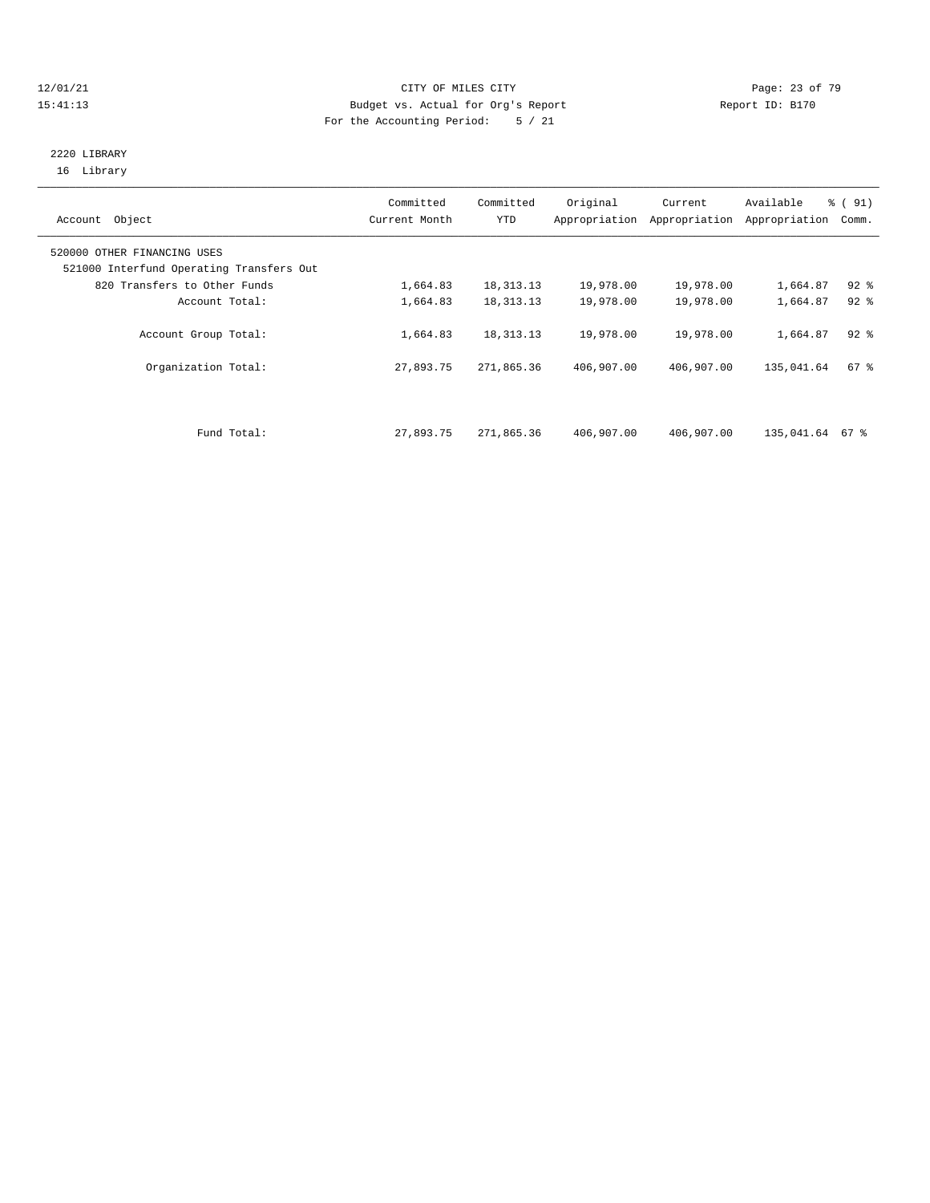#### 12/01/21 Page: 23 of 79<br>
12/01/21 Page: 23 of 79<br>
Budget vs. Actual for Org's Report Physics (Papert ID: B170 15:41:13 Budget vs. Actual for Org's Report For the Accounting Period: 5 / 21

#### 2220 LIBRARY 16 Library

| Account Object                                                          | Committed<br>Current Month | Committed<br><b>YTD</b> | Original<br>Appropriation | Current<br>Appropriation | Available<br>Appropriation | % (91)<br>Comm. |  |
|-------------------------------------------------------------------------|----------------------------|-------------------------|---------------------------|--------------------------|----------------------------|-----------------|--|
| 520000 OTHER FINANCING USES<br>521000 Interfund Operating Transfers Out |                            |                         |                           |                          |                            |                 |  |
| 820 Transfers to Other Funds                                            | 1,664.83                   | 18, 313. 13             | 19,978.00                 | 19,978.00                | 1,664.87                   | $92$ $%$        |  |
| Account Total:                                                          | 1,664.83                   | 18, 313. 13             | 19,978.00                 | 19,978.00                | 1,664.87                   | $92*$           |  |
| Account Group Total:                                                    | 1,664.83                   | 18, 313. 13             | 19,978.00                 | 19,978.00                | 1,664.87                   | $92$ $%$        |  |
| Organization Total:                                                     | 27,893.75                  | 271,865.36              | 406,907.00                | 406,907.00               | 135,041.64                 | 67%             |  |
|                                                                         |                            |                         |                           |                          |                            |                 |  |
| Fund Total:                                                             | 27,893.75                  | 271,865.36              | 406,907.00                | 406,907.00               | 135,041.64                 | 67 %            |  |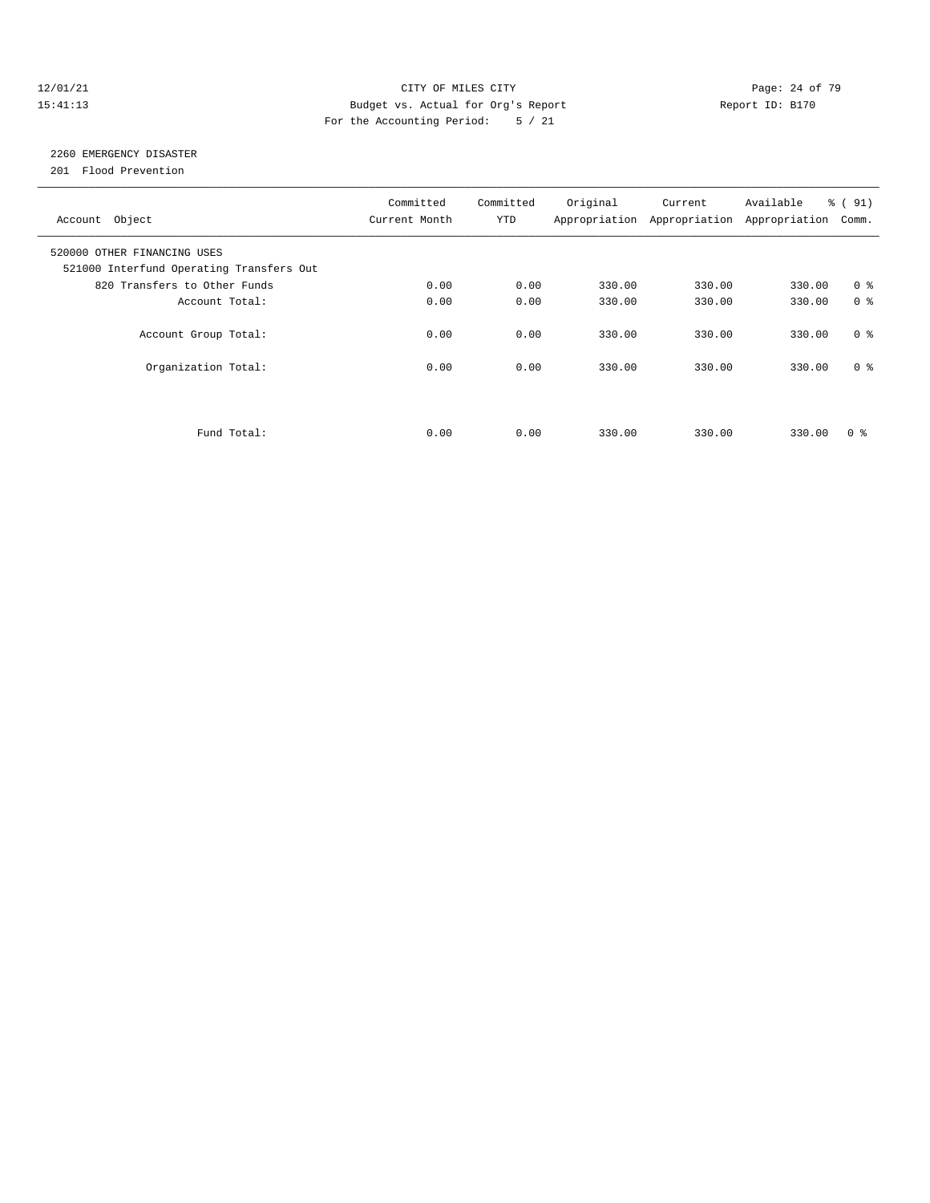#### 12/01/21 Page: 24 of 79 15:41:13 Budget vs. Actual for Org's Report Report ID: B170 For the Accounting Period: 5 / 21

# 2260 EMERGENCY DISASTER

201 Flood Prevention

| Account Object                                                          | Committed<br>Current Month | Committed<br><b>YTD</b> | Original | Current<br>Appropriation Appropriation Appropriation | Available | % (91)<br>Comm. |
|-------------------------------------------------------------------------|----------------------------|-------------------------|----------|------------------------------------------------------|-----------|-----------------|
| 520000 OTHER FINANCING USES<br>521000 Interfund Operating Transfers Out |                            |                         |          |                                                      |           |                 |
| 820 Transfers to Other Funds                                            | 0.00                       | 0.00                    | 330.00   | 330.00                                               | 330.00    | 0 <sup>8</sup>  |
| Account Total:                                                          | 0.00                       | 0.00                    | 330.00   | 330.00                                               | 330.00    | 0 <sup>8</sup>  |
| Account Group Total:                                                    | 0.00                       | 0.00                    | 330.00   | 330.00                                               | 330.00    | 0 <sup>8</sup>  |
| Organization Total:                                                     | 0.00                       | 0.00                    | 330.00   | 330.00                                               | 330.00    | 0 <sup>8</sup>  |
|                                                                         |                            |                         |          |                                                      |           |                 |
| Fund Total:                                                             | 0.00                       | 0.00                    | 330.00   | 330.00                                               | 330.00    | 0 ៖             |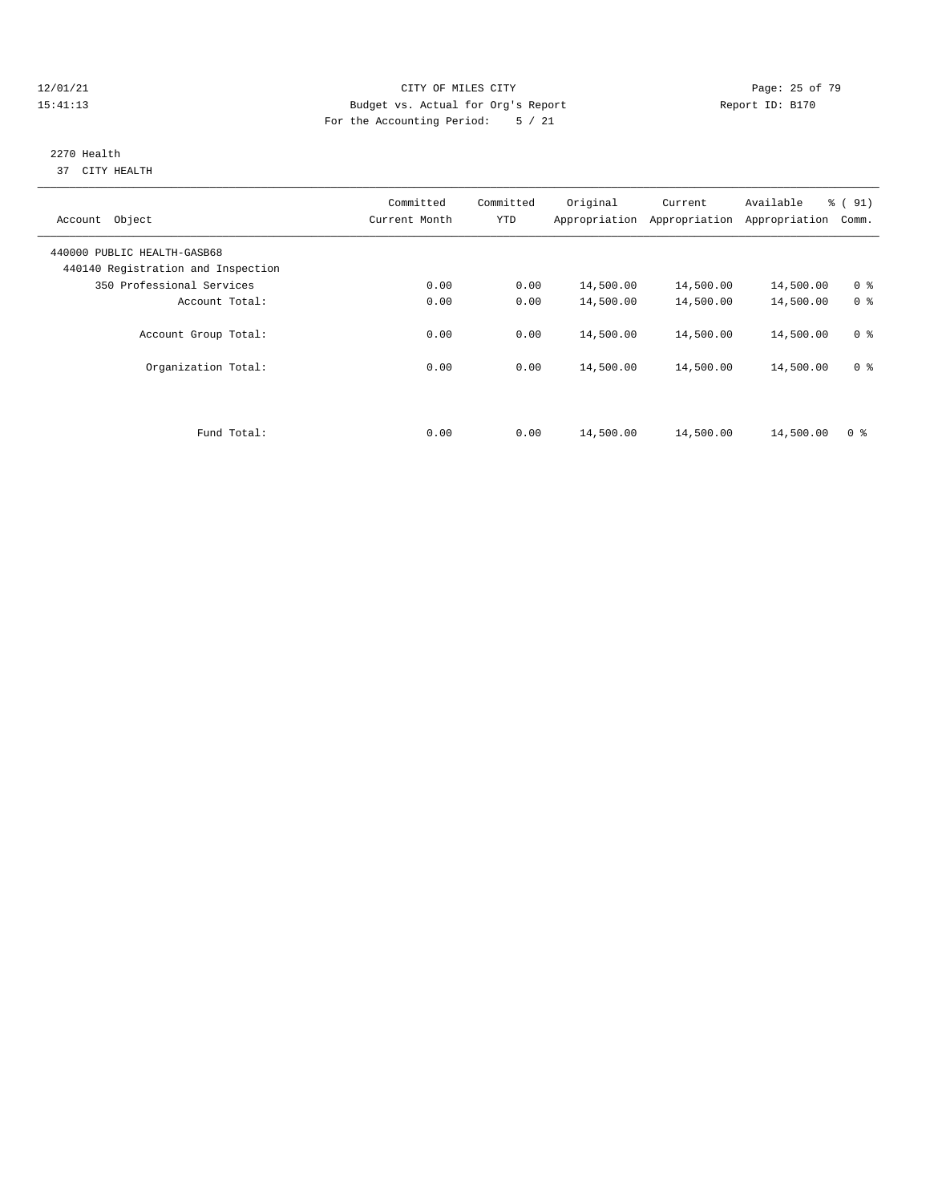#### 12/01/21 Page: 25 of 79 15:41:13 Budget vs. Actual for Org's Report Report ID: B170 For the Accounting Period: 5 / 21

#### 2270 Health 37 CITY HEALTH

| Account Object                                                    | Committed<br>Current Month | Committed<br><b>YTD</b> | Original  | Current<br>Appropriation Appropriation | Available<br>Appropriation | % (91)<br>Comm. |
|-------------------------------------------------------------------|----------------------------|-------------------------|-----------|----------------------------------------|----------------------------|-----------------|
| 440000 PUBLIC HEALTH-GASB68<br>440140 Registration and Inspection |                            |                         |           |                                        |                            |                 |
| 350 Professional Services                                         | 0.00                       | 0.00                    | 14,500.00 | 14,500.00                              | 14,500.00                  | 0 <sup>8</sup>  |
| Account Total:                                                    | 0.00                       | 0.00                    | 14,500.00 | 14,500.00                              | 14,500.00                  | 0 <sup>8</sup>  |
| Account Group Total:                                              | 0.00                       | 0.00                    | 14,500.00 | 14,500.00                              | 14,500.00                  | 0 <sup>8</sup>  |
| Organization Total:                                               | 0.00                       | 0.00                    | 14,500.00 | 14,500.00                              | 14,500.00                  | 0 <sup>8</sup>  |
| Fund Total:                                                       | 0.00                       | 0.00                    | 14,500.00 | 14,500.00                              | 14,500.00                  | 0 <sup>8</sup>  |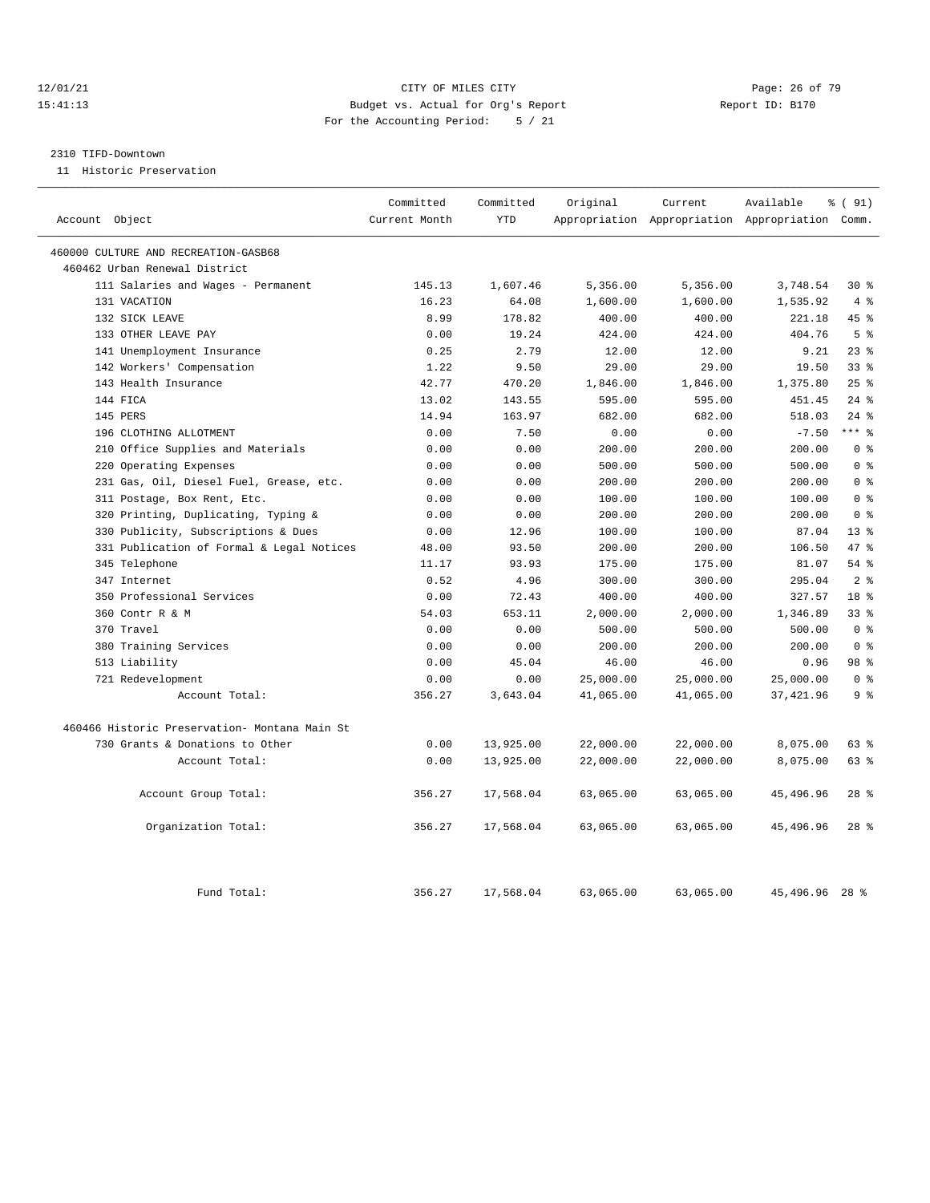#### 12/01/21 **Page: 26 of 79** CITY OF MILES CITY **CITY** CITY **Page: 26 of 79** 15:41:13 Budget vs. Actual for Org's Report Report ID: B170 For the Accounting Period: 5 / 21

# 2310 TIFD-Downtown

11 Historic Preservation

| Account Object                                | Committed<br>Current Month | Committed<br><b>YTD</b> | Original  | Current   | Available<br>Appropriation Appropriation Appropriation Comm. | % (91)          |
|-----------------------------------------------|----------------------------|-------------------------|-----------|-----------|--------------------------------------------------------------|-----------------|
|                                               |                            |                         |           |           |                                                              |                 |
| 460000 CULTURE AND RECREATION-GASB68          |                            |                         |           |           |                                                              |                 |
| 460462 Urban Renewal District                 |                            |                         |           |           |                                                              |                 |
| 111 Salaries and Wages - Permanent            | 145.13                     | 1,607.46                | 5,356.00  | 5,356.00  | 3,748.54                                                     | $30*$           |
| 131 VACATION                                  | 16.23                      | 64.08                   | 1,600.00  | 1,600.00  | 1,535.92                                                     | 4%              |
| 132 SICK LEAVE                                | 8.99                       | 178.82                  | 400.00    | 400.00    | 221.18                                                       | 45 %            |
| 133 OTHER LEAVE PAY                           | 0.00                       | 19.24                   | 424.00    | 424.00    | 404.76                                                       | 5 <sup>8</sup>  |
| 141 Unemployment Insurance                    | 0.25                       | 2.79                    | 12.00     | 12.00     | 9.21                                                         | 23%             |
| 142 Workers' Compensation                     | 1.22                       | 9.50                    | 29.00     | 29.00     | 19.50                                                        | 33 <sup>8</sup> |
| 143 Health Insurance                          | 42.77                      | 470.20                  | 1,846.00  | 1,846.00  | 1,375.80                                                     | 25%             |
| 144 FICA                                      | 13.02                      | 143.55                  | 595.00    | 595.00    | 451.45                                                       | $24$ %          |
| 145 PERS                                      | 14.94                      | 163.97                  | 682.00    | 682.00    | 518.03                                                       | $24$ %          |
| 196 CLOTHING ALLOTMENT                        | 0.00                       | 7.50                    | 0.00      | 0.00      | $-7.50$                                                      | $***$ 8         |
| 210 Office Supplies and Materials             | 0.00                       | 0.00                    | 200.00    | 200.00    | 200.00                                                       | 0 <sup>8</sup>  |
| 220 Operating Expenses                        | 0.00                       | 0.00                    | 500.00    | 500.00    | 500.00                                                       | 0 <sup>8</sup>  |
| 231 Gas, Oil, Diesel Fuel, Grease, etc.       | 0.00                       | 0.00                    | 200.00    | 200.00    | 200.00                                                       | 0 <sup>8</sup>  |
| 311 Postage, Box Rent, Etc.                   | 0.00                       | 0.00                    | 100.00    | 100.00    | 100.00                                                       | 0 <sup>8</sup>  |
| 320 Printing, Duplicating, Typing &           | 0.00                       | 0.00                    | 200.00    | 200.00    | 200.00                                                       | 0 <sup>8</sup>  |
| 330 Publicity, Subscriptions & Dues           | 0.00                       | 12.96                   | 100.00    | 100.00    | 87.04                                                        | $13*$           |
| 331 Publication of Formal & Legal Notices     | 48.00                      | 93.50                   | 200.00    | 200.00    | 106.50                                                       | 47 %            |
| 345 Telephone                                 | 11.17                      | 93.93                   | 175.00    | 175.00    | 81.07                                                        | $54$ $%$        |
| 347 Internet                                  | 0.52                       | 4.96                    | 300.00    | 300.00    | 295.04                                                       | 2 <sup>8</sup>  |
| 350 Professional Services                     | 0.00                       | 72.43                   | 400.00    | 400.00    | 327.57                                                       | 18 <sup>8</sup> |
| 360 Contr R & M                               | 54.03                      | 653.11                  | 2,000.00  | 2,000.00  | 1,346.89                                                     | 338             |
| 370 Travel                                    | 0.00                       | 0.00                    | 500.00    | 500.00    | 500.00                                                       | 0 <sup>8</sup>  |
| 380 Training Services                         | 0.00                       | 0.00                    | 200.00    | 200.00    | 200.00                                                       | 0 <sup>8</sup>  |
| 513 Liability                                 | 0.00                       | 45.04                   | 46.00     | 46.00     | 0.96                                                         | 98 %            |
| 721 Redevelopment                             | 0.00                       | 0.00                    | 25,000.00 | 25,000.00 | 25,000.00                                                    | 0 <sup>8</sup>  |
| Account Total:                                | 356.27                     | 3,643.04                | 41,065.00 | 41,065.00 | 37, 421.96                                                   | 9 %             |
| 460466 Historic Preservation- Montana Main St |                            |                         |           |           |                                                              |                 |
| 730 Grants & Donations to Other               | 0.00                       | 13,925.00               | 22,000.00 | 22,000.00 | 8,075.00                                                     | 63 %            |
| Account Total:                                | 0.00                       | 13,925.00               | 22,000.00 | 22,000.00 | 8,075.00                                                     | $63$ $%$        |
| Account Group Total:                          | 356.27                     | 17,568.04               | 63,065.00 | 63,065.00 | 45,496.96                                                    | $28$ %          |
| Organization Total:                           | 356.27                     | 17,568.04               | 63,065.00 | 63,065.00 | 45,496.96                                                    | $28$ %          |
| Fund Total:                                   | 356.27                     | 17,568.04               | 63,065.00 | 63,065.00 | 45, 496, 96 28 %                                             |                 |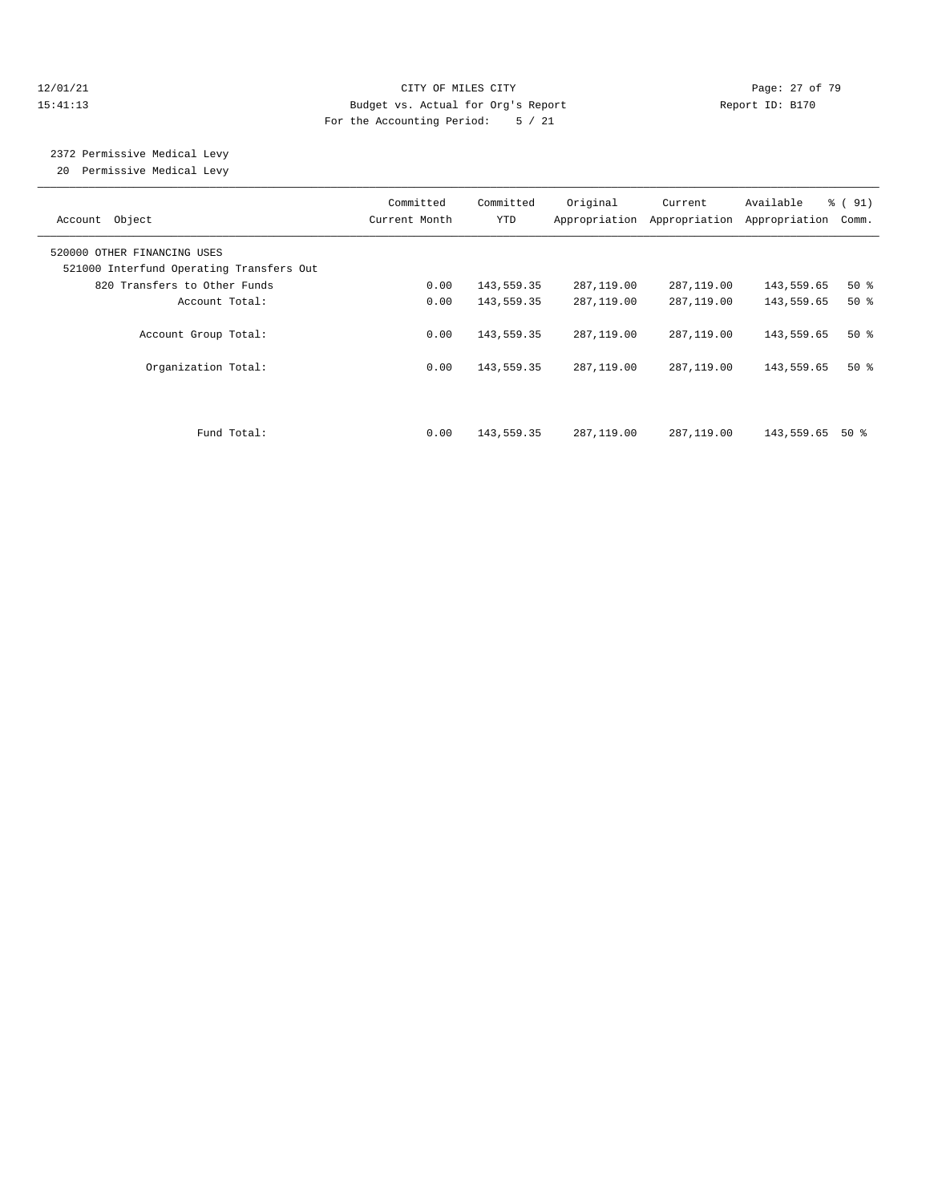#### 12/01/21 Page: 27 of 79 15:41:13 Budget vs. Actual for Org's Report Report ID: B170 For the Accounting Period: 5 / 21

2372 Permissive Medical Levy

20 Permissive Medical Levy

| Account Object                                                          | Committed<br>Current Month | Committed<br>YTD | Original   | Current<br>Appropriation Appropriation | Available<br>Appropriation | % (91)<br>Comm. |
|-------------------------------------------------------------------------|----------------------------|------------------|------------|----------------------------------------|----------------------------|-----------------|
| 520000 OTHER FINANCING USES<br>521000 Interfund Operating Transfers Out |                            |                  |            |                                        |                            |                 |
| 820 Transfers to Other Funds                                            | 0.00                       | 143,559.35       | 287,119.00 | 287,119.00                             | 143,559.65                 | $50*$           |
| Account Total:                                                          | 0.00                       | 143,559.35       | 287,119.00 | 287,119.00                             | 143,559.65                 | 50%             |
| Account Group Total:                                                    | 0.00                       | 143,559.35       | 287,119.00 | 287,119.00                             | 143,559.65                 | $50*$           |
| Organization Total:                                                     | 0.00                       | 143,559.35       | 287,119.00 | 287,119.00                             | 143,559.65                 | $50*$           |
|                                                                         |                            |                  |            |                                        |                            |                 |
| Fund Total:                                                             | 0.00                       | 143,559.35       | 287,119.00 | 287,119.00                             | 143,559.65                 | 50 %            |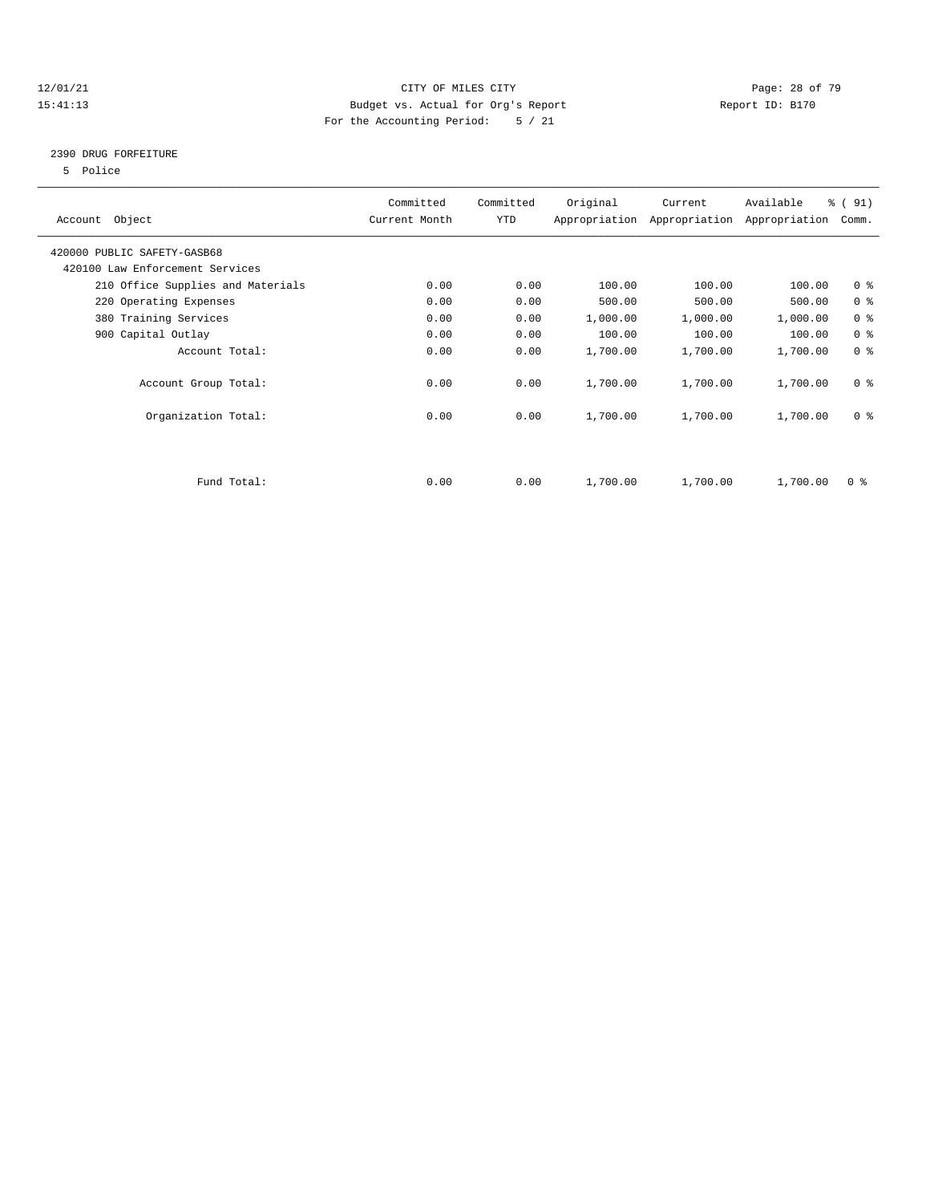#### 12/01/21 Page: 28 of 79<br>
12/01/21 Page: 28 of 79<br>
Budget vs. Actual for Org's Report Page: 28 of 79<br>
21/01/21 Page: 28 of 79 15:41:13 Budget vs. Actual for Org's Report For the Accounting Period: 5 / 21

## 2390 DRUG FORFEITURE

5 Police

| Account Object                    | Committed<br>Current Month | Committed<br>YTD | Original | Current<br>Appropriation Appropriation | Available<br>Appropriation | % (91)<br>Comm.         |
|-----------------------------------|----------------------------|------------------|----------|----------------------------------------|----------------------------|-------------------------|
| 420000 PUBLIC SAFETY-GASB68       |                            |                  |          |                                        |                            |                         |
| 420100 Law Enforcement Services   |                            |                  |          |                                        |                            |                         |
| 210 Office Supplies and Materials | 0.00                       | 0.00             | 100.00   | 100.00                                 | 100.00                     | 0 <sup>8</sup>          |
| 220 Operating Expenses            | 0.00                       | 0.00             | 500.00   | 500.00                                 | 500.00                     | 0 <sup>8</sup>          |
| 380 Training Services             | 0.00                       | 0.00             | 1,000.00 | 1,000.00                               | 1,000.00                   | 0 <sup>8</sup>          |
| 900 Capital Outlay                | 0.00                       | 0.00             | 100.00   | 100.00                                 | 100.00                     | 0 <sup>8</sup>          |
| Account Total:                    | 0.00                       | 0.00             | 1,700.00 | 1,700.00                               | 1,700.00                   | 0 <sup>8</sup>          |
| Account Group Total:              | 0.00                       | 0.00             | 1,700.00 | 1,700.00                               | 1,700.00                   | 0 <sup>8</sup>          |
| Organization Total:               | 0.00                       | 0.00             | 1,700.00 | 1,700.00                               | 1,700.00                   | 0 <sup>8</sup>          |
|                                   |                            |                  |          |                                        |                            |                         |
| Fund Total:                       | 0.00                       | 0.00             | 1,700.00 | 1,700.00                               | 1,700.00                   | $0 \text{ }$ $\text{*}$ |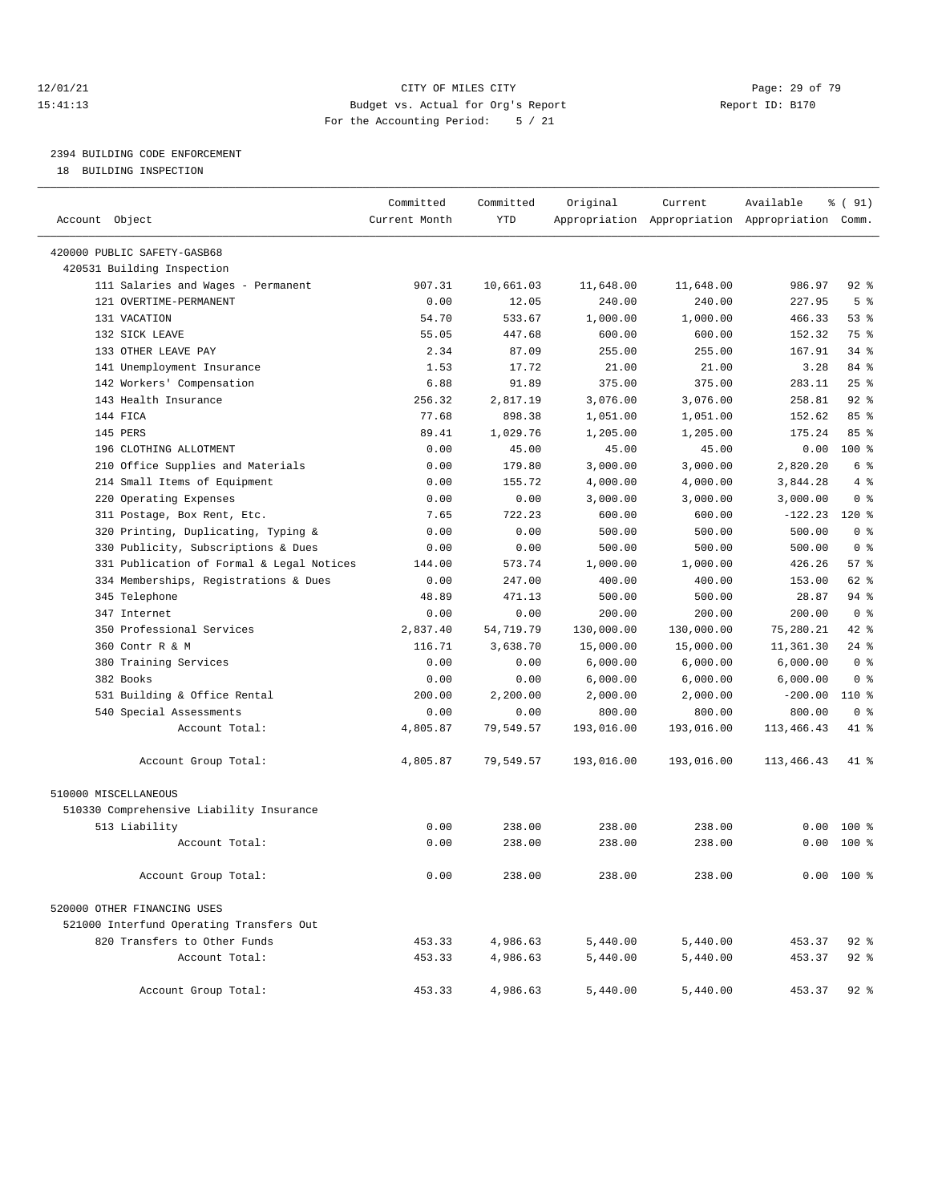#### 12/01/21 Page: 29 of 79<br>15:41:13 Budget vs. Actual for Org's Report Page: 29 of 79<br>15:41:13 Budget vs. Actual for Org's Report Page: 29 of 79 15:41:13 Budget vs. Actual for Org's Report For the Accounting Period: 5 / 21

# 2394 BUILDING CODE ENFORCEMENT

18 BUILDING INSPECTION

| Account Object                            | Committed<br>Current Month | Committed<br><b>YTD</b> | Original   | Current    | Available<br>Appropriation Appropriation Appropriation Comm. | % ( 91)        |
|-------------------------------------------|----------------------------|-------------------------|------------|------------|--------------------------------------------------------------|----------------|
|                                           |                            |                         |            |            |                                                              |                |
| 420000 PUBLIC SAFETY-GASB68               |                            |                         |            |            |                                                              |                |
| 420531 Building Inspection                |                            |                         |            |            |                                                              |                |
| 111 Salaries and Wages - Permanent        | 907.31                     | 10,661.03               | 11,648.00  | 11,648.00  | 986.97                                                       | $92$ $%$       |
| 121 OVERTIME-PERMANENT                    | 0.00                       | 12.05                   | 240.00     | 240.00     | 227.95                                                       | 5 <sup>8</sup> |
| 131 VACATION                              | 54.70                      | 533.67                  | 1,000.00   | 1,000.00   | 466.33                                                       | 53%            |
| 132 SICK LEAVE                            | 55.05                      | 447.68                  | 600.00     | 600.00     | 152.32                                                       | 75 %           |
| 133 OTHER LEAVE PAY                       | 2.34                       | 87.09                   | 255.00     | 255.00     | 167.91                                                       | $34$ $%$       |
| 141 Unemployment Insurance                | 1.53                       | 17.72                   | 21.00      | 21.00      | 3.28                                                         | 84 %           |
| 142 Workers' Compensation                 | 6.88                       | 91.89                   | 375.00     | 375.00     | 283.11                                                       | 25%            |
| 143 Health Insurance                      | 256.32                     | 2,817.19                | 3,076.00   | 3,076.00   | 258.81                                                       | 92%            |
| 144 FICA                                  | 77.68                      | 898.38                  | 1,051.00   | 1,051.00   | 152.62                                                       | 85 %           |
| 145 PERS                                  | 89.41                      | 1,029.76                | 1,205.00   | 1,205.00   | 175.24                                                       | 85%            |
| 196 CLOTHING ALLOTMENT                    | 0.00                       | 45.00                   | 45.00      | 45.00      | 0.00                                                         | $100*$         |
| 210 Office Supplies and Materials         | 0.00                       | 179.80                  | 3,000.00   | 3,000.00   | 2,820.20                                                     | 6 %            |
| 214 Small Items of Equipment              | 0.00                       | 155.72                  | 4,000.00   | 4,000.00   | 3,844.28                                                     | 4%             |
| 220 Operating Expenses                    | 0.00                       | 0.00                    | 3,000.00   | 3,000.00   | 3,000.00                                                     | 0 <sup>8</sup> |
| 311 Postage, Box Rent, Etc.               | 7.65                       | 722.23                  | 600.00     | 600.00     | $-122.23$                                                    | $120*$         |
| 320 Printing, Duplicating, Typing &       | 0.00                       | 0.00                    | 500.00     | 500.00     | 500.00                                                       | 0 <sup>8</sup> |
| 330 Publicity, Subscriptions & Dues       | 0.00                       | 0.00                    | 500.00     | 500.00     | 500.00                                                       | 0 <sup>8</sup> |
| 331 Publication of Formal & Legal Notices | 144.00                     | 573.74                  | 1,000.00   | 1,000.00   | 426.26                                                       | 57%            |
| 334 Memberships, Registrations & Dues     | 0.00                       | 247.00                  | 400.00     | 400.00     | 153.00                                                       | 62 %           |
| 345 Telephone                             | 48.89                      | 471.13                  | 500.00     | 500.00     | 28.87                                                        | $94$ $%$       |
| 347 Internet                              | 0.00                       | 0.00                    | 200.00     | 200.00     | 200.00                                                       | 0 <sup>8</sup> |
| 350 Professional Services                 | 2,837.40                   | 54,719.79               | 130,000.00 | 130,000.00 | 75,280.21                                                    | $42$ $%$       |
| 360 Contr R & M                           | 116.71                     | 3,638.70                | 15,000.00  | 15,000.00  | 11,361.30                                                    | $24$ %         |
| 380 Training Services                     | 0.00                       | 0.00                    | 6,000.00   | 6,000.00   | 6,000.00                                                     | 0 <sup>8</sup> |
| 382 Books                                 | 0.00                       | 0.00                    | 6,000.00   | 6,000.00   | 6,000.00                                                     | 0 <sup>8</sup> |
| 531 Building & Office Rental              | 200.00                     | 2,200.00                | 2,000.00   | 2,000.00   | $-200.00$                                                    | $110*$         |
| 540 Special Assessments                   | 0.00                       | 0.00                    | 800.00     | 800.00     | 800.00                                                       | 0 <sup>8</sup> |
| Account Total:                            | 4,805.87                   | 79,549.57               | 193,016.00 | 193,016.00 | 113, 466. 43                                                 | 41 %           |
| Account Group Total:                      | 4,805.87                   | 79,549.57               | 193,016.00 | 193,016.00 | 113,466.43                                                   | 41 %           |
| 510000 MISCELLANEOUS                      |                            |                         |            |            |                                                              |                |
| 510330 Comprehensive Liability Insurance  |                            |                         |            |            |                                                              |                |
| 513 Liability                             | 0.00                       | 238.00                  | 238.00     | 238.00     | 0.00                                                         | 100 %          |
| Account Total:                            | 0.00                       | 238.00                  | 238.00     | 238.00     | 0.00                                                         | $100*$         |
| Account Group Total:                      | 0.00                       | 238.00                  | 238.00     | 238.00     |                                                              | $0.00$ 100 %   |
| 520000 OTHER FINANCING USES               |                            |                         |            |            |                                                              |                |
| 521000 Interfund Operating Transfers Out  |                            |                         |            |            |                                                              |                |
| 820 Transfers to Other Funds              | 453.33                     | 4,986.63                | 5,440.00   | 5,440.00   | 453.37                                                       | $92$ %         |
| Account Total:                            | 453.33                     | 4,986.63                | 5,440.00   | 5,440.00   | 453.37                                                       | $92$ $%$       |
| Account Group Total:                      | 453.33                     | 4,986.63                | 5,440.00   | 5,440.00   | 453.37                                                       | $92$ $%$       |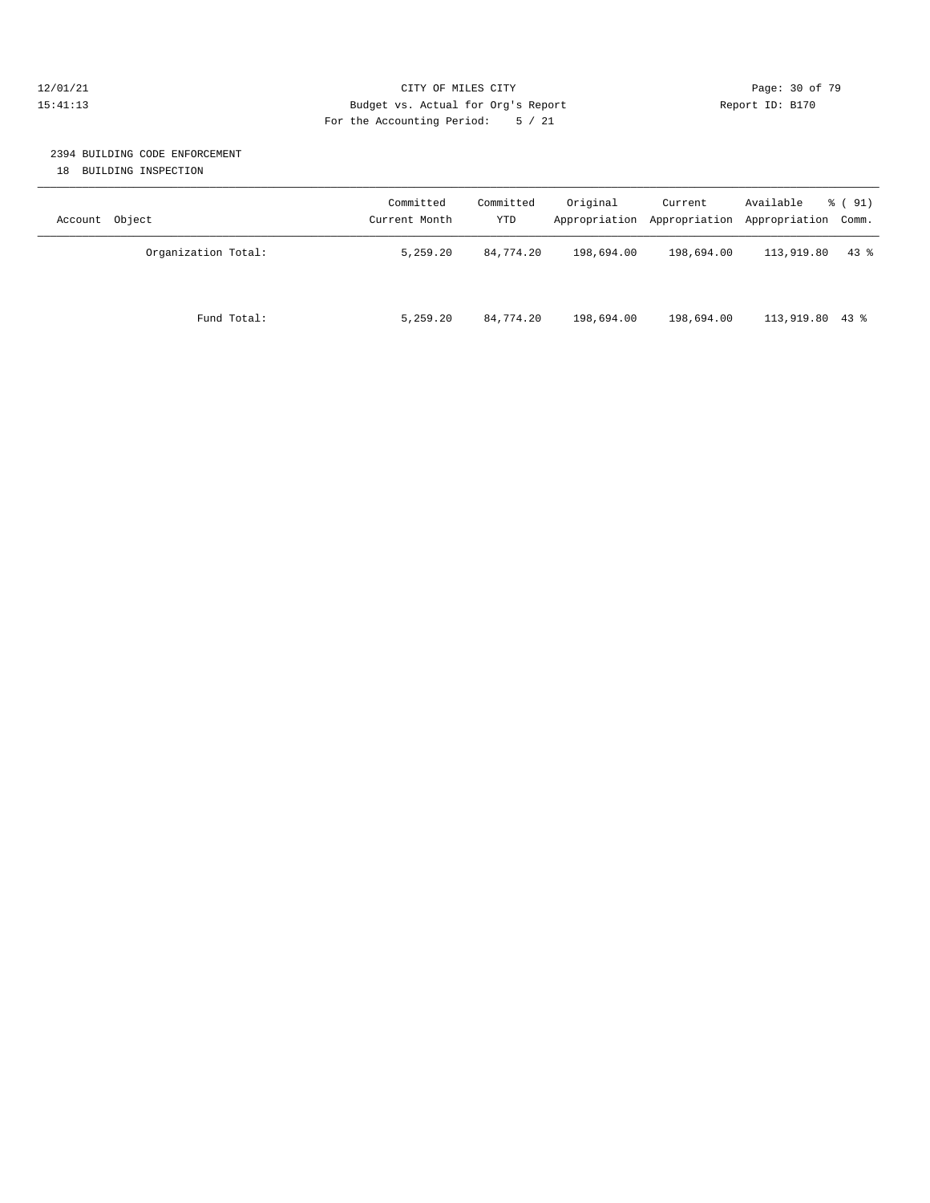#### 12/01/21 **Page: 30 of 79** CITY OF MILES CITY **CITY** Page: 30 of 79 15:41:13 Budget vs. Actual for Org's Report Report ID: B170 For the Accounting Period: 5 / 21

# 2394 BUILDING CODE ENFORCEMENT

18 BUILDING INSPECTION

| Object<br>Account   | Committed<br>Current Month | Committed<br>YTD | Original   | Current<br>Appropriation Appropriation | Available<br>Appropriation Comm. | $\frac{1}{6}$ (91) |
|---------------------|----------------------------|------------------|------------|----------------------------------------|----------------------------------|--------------------|
| Organization Total: | 5,259.20                   | 84,774.20        | 198,694.00 | 198,694.00                             | 113,919.80                       | $43$ $%$           |
| Fund Total:         | 5,259.20                   | 84,774.20        | 198,694.00 | 198,694.00                             | 113,919.80 43 %                  |                    |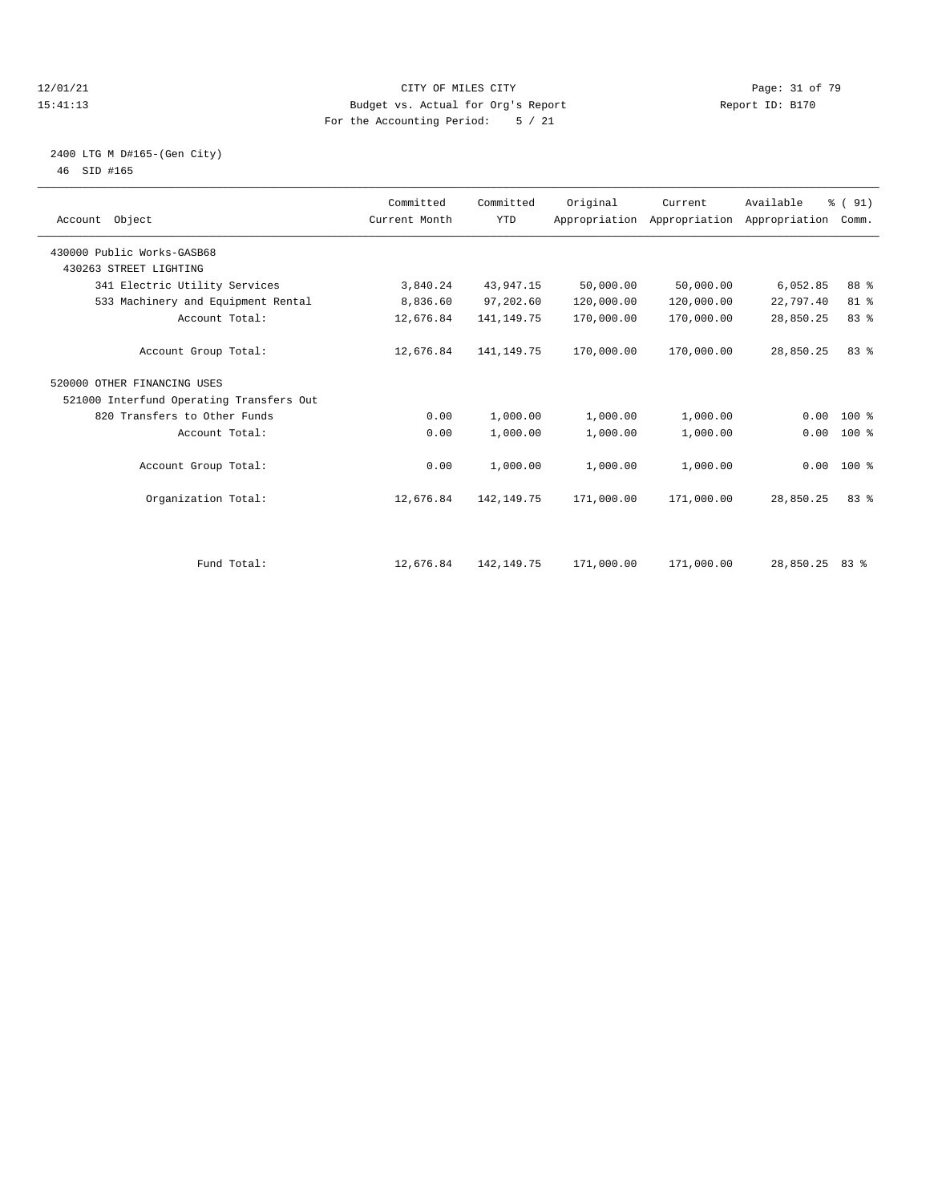#### 12/01/21 Page: 31 of 79<br>15:41:13 Budget vs. Actual for Org's Report Page: 31 of 79<br>15:41:13 Budget vs. Actual for Org's Report Page: 21 Of 79 15:41:13 Budget vs. Actual for Org's Report For the Accounting Period: 5 / 21

#### 2400 LTG M D#165-(Gen City) 46 SID #165

| Account Object                           | Committed<br>Current Month | Committed<br><b>YTD</b> | Original   | Current    | Available<br>Appropriation Appropriation Appropriation | % (91)<br>Comm. |  |
|------------------------------------------|----------------------------|-------------------------|------------|------------|--------------------------------------------------------|-----------------|--|
| 430000 Public Works-GASB68               |                            |                         |            |            |                                                        |                 |  |
| 430263 STREET LIGHTING                   |                            |                         |            |            |                                                        |                 |  |
| 341 Electric Utility Services            | 3,840.24                   | 43,947.15               | 50,000.00  | 50,000.00  | 6,052.85                                               | 88 %            |  |
| 533 Machinery and Equipment Rental       | 8,836.60                   | 97,202.60               | 120,000.00 | 120,000.00 | 22,797.40                                              | 81 %            |  |
| Account Total:                           | 12,676.84                  | 141, 149. 75            | 170,000.00 | 170,000.00 | 28,850.25                                              | 83 %            |  |
| Account Group Total:                     | 12,676.84                  | 141, 149. 75            | 170,000.00 | 170,000.00 | 28,850.25                                              | 83%             |  |
| 520000 OTHER FINANCING USES              |                            |                         |            |            |                                                        |                 |  |
| 521000 Interfund Operating Transfers Out |                            |                         |            |            |                                                        |                 |  |
| 820 Transfers to Other Funds             | 0.00                       | 1,000.00                | 1,000.00   | 1,000.00   | 0.00                                                   | $100*$          |  |
| Account Total:                           | 0.00                       | 1,000.00                | 1,000.00   | 1,000.00   | 0.00                                                   | $100$ %         |  |
| Account Group Total:                     | 0.00                       | 1,000.00                | 1,000.00   | 1,000.00   |                                                        | $0.00 100$ %    |  |
| Organization Total:                      | 12,676.84                  | 142, 149. 75            | 171,000.00 | 171,000.00 | 28,850.25                                              | 83%             |  |
| Fund Total:                              | 12,676.84                  | 142, 149. 75            | 171,000.00 | 171,000.00 | 28,850.25                                              | $83*$           |  |
|                                          |                            |                         |            |            |                                                        |                 |  |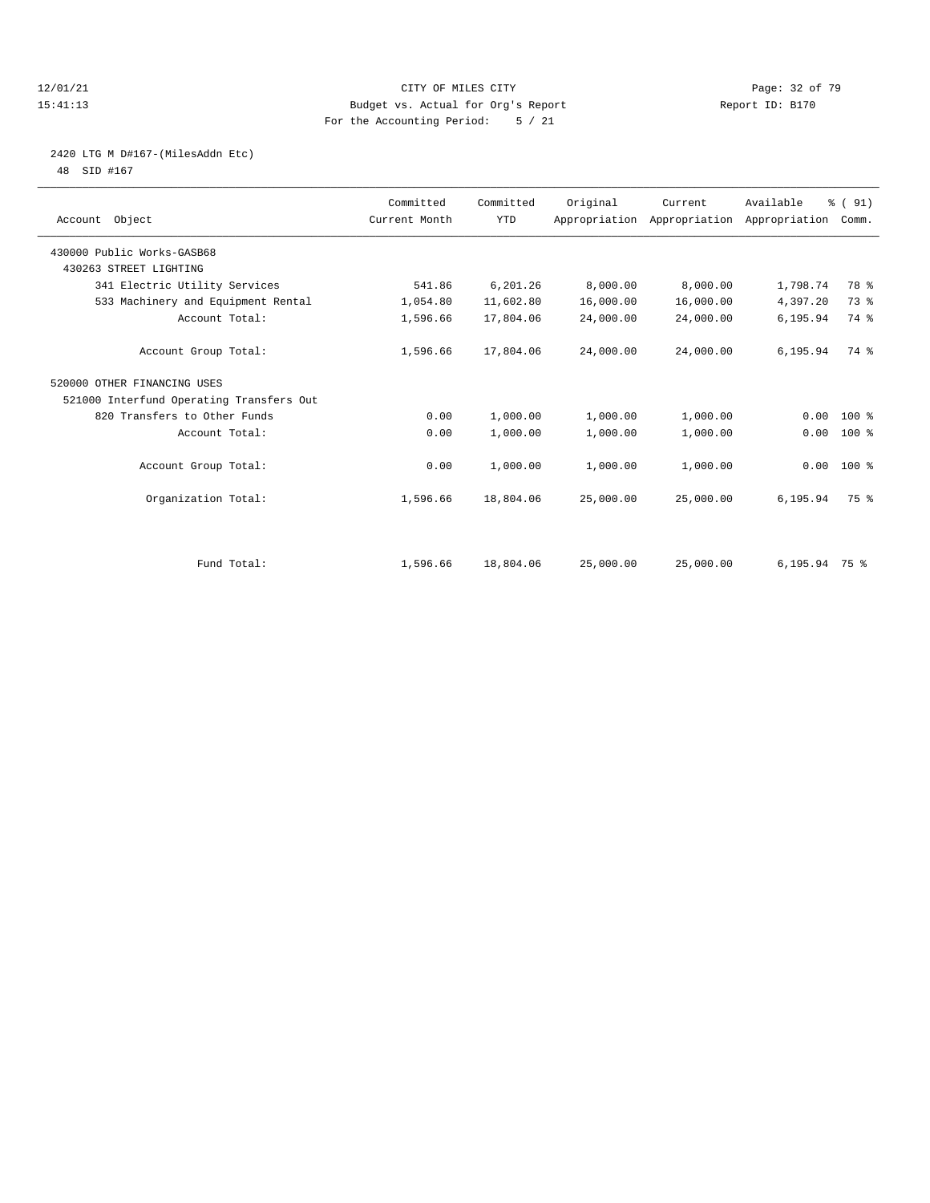#### 12/01/21 Page: 32 of 79<br>
12/01/21 Page: 32 of 79<br>
Budget vs. Actual for Org's Report Physics (Papert ID: B170 15:41:13 Budget vs. Actual for Org's Report For the Accounting Period: 5 / 21

# 2420 LTG M D#167-(MilesAddn Etc)

48 SID #167

| Account Object                           | Committed<br>Current Month | Committed<br><b>YTD</b> | Original  | Current<br>Appropriation Appropriation Appropriation | Available        | % (91)<br>Comm. |  |
|------------------------------------------|----------------------------|-------------------------|-----------|------------------------------------------------------|------------------|-----------------|--|
| 430000 Public Works-GASB68               |                            |                         |           |                                                      |                  |                 |  |
| 430263 STREET LIGHTING                   |                            |                         |           |                                                      |                  |                 |  |
| 341 Electric Utility Services            | 541.86                     | 6,201.26                | 8,000.00  | 8,000.00                                             | 1,798.74         | 78 %            |  |
| 533 Machinery and Equipment Rental       | 1,054.80                   | 11,602.80               | 16,000.00 | 16,000.00                                            | 4,397.20         | 73.8            |  |
| Account Total:                           | 1,596.66                   | 17,804.06               | 24,000.00 | 24,000.00                                            | 6,195.94         | 74 %            |  |
| Account Group Total:                     | 1,596.66                   | 17,804.06               | 24,000.00 | 24,000.00                                            | 6,195.94         | 74 %            |  |
| 520000 OTHER FINANCING USES              |                            |                         |           |                                                      |                  |                 |  |
| 521000 Interfund Operating Transfers Out |                            |                         |           |                                                      |                  |                 |  |
| 820 Transfers to Other Funds             | 0.00                       | 1,000.00                | 1,000.00  | 1,000.00                                             | 0.00             | $100*$          |  |
| Account Total:                           | 0.00                       | 1,000.00                | 1,000.00  | 1,000.00                                             | 0.00             | 100 %           |  |
| Account Group Total:                     | 0.00                       | 1,000.00                | 1,000.00  | 1,000.00                                             |                  | $0.00 100$ %    |  |
| Organization Total:                      | 1,596.66                   | 18,804.06               | 25,000.00 | 25,000.00                                            | 6, 195.94        | 75 %            |  |
|                                          |                            |                         |           |                                                      |                  |                 |  |
| Fund Total:                              | 1,596.66                   | 18,804.06               | 25,000.00 | 25,000.00                                            | $6, 195.94$ 75 % |                 |  |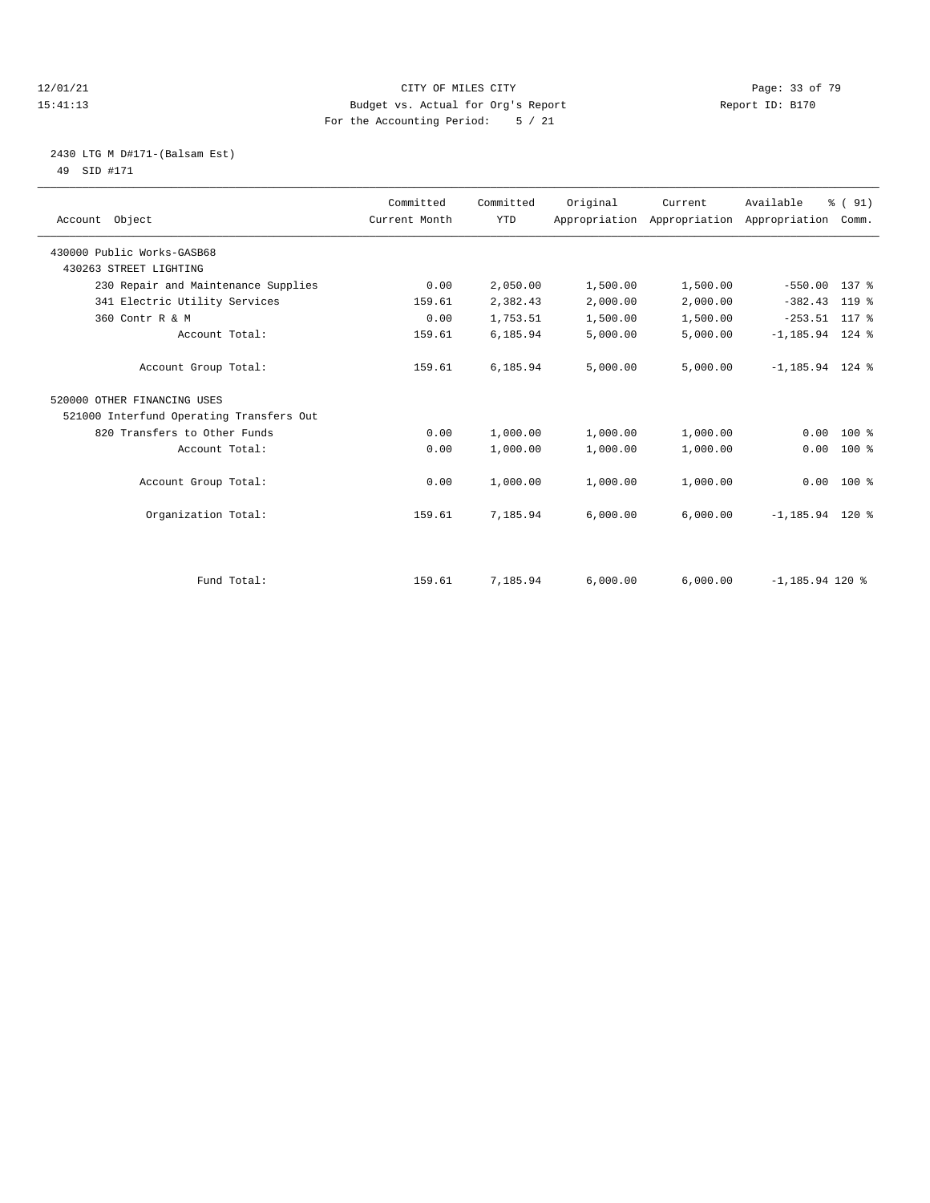#### 12/01/21 Page: 33 of 79<br>
12/01/21 Page: 33 of 79 Eudget vs. Actual for Org's Report Page: 13 Of 79 Page: 33 of 79 Eudget vs. Actual for Org's Report Page: 23 of 79 Page: 33 of 79 Eudget vs. Actual for Org's Report Page: 23 15:41:13 Budget vs. Actual for Org's Report For the Accounting Period: 5 / 21

#### 2430 LTG M D#171-(Balsam Est) 49 SID #171

| Account Object                           | Committed<br>Current Month | Committed<br><b>YTD</b> | Original | Current  | Available<br>Appropriation Appropriation Appropriation Comm. | % (91)       |
|------------------------------------------|----------------------------|-------------------------|----------|----------|--------------------------------------------------------------|--------------|
| 430000 Public Works-GASB68               |                            |                         |          |          |                                                              |              |
| 430263 STREET LIGHTING                   |                            |                         |          |          |                                                              |              |
| 230 Repair and Maintenance Supplies      | 0.00                       | 2,050.00                | 1,500.00 | 1,500.00 | $-550.00$                                                    | 137 %        |
| 341 Electric Utility Services            | 159.61                     | 2,382.43                | 2,000.00 | 2,000.00 | $-382.43$                                                    | $119*$       |
| 360 Contr R & M                          | 0.00                       | 1,753.51                | 1,500.00 | 1,500.00 | $-253.51$ 117 %                                              |              |
| Account Total:                           | 159.61                     | 6,185.94                | 5,000.00 | 5,000.00 | $-1, 185.94$ 124 %                                           |              |
| Account Group Total:                     | 159.61                     | 6,185.94                | 5,000.00 | 5,000.00 | $-1, 185.94$ 124 %                                           |              |
| 520000 OTHER FINANCING USES              |                            |                         |          |          |                                                              |              |
| 521000 Interfund Operating Transfers Out |                            |                         |          |          |                                                              |              |
| 820 Transfers to Other Funds             | 0.00                       | 1,000.00                | 1,000.00 | 1,000.00 | 0.00                                                         | $100*$       |
| Account Total:                           | 0.00                       | 1,000.00                | 1,000.00 | 1,000.00 | 0.00                                                         | $100*$       |
| Account Group Total:                     | 0.00                       | 1,000.00                | 1,000.00 | 1,000.00 |                                                              | $0.00$ 100 % |
| Organization Total:                      | 159.61                     | 7,185.94                | 6,000.00 | 6,000.00 | $-1, 185.94$ 120 %                                           |              |
|                                          |                            |                         |          |          |                                                              |              |
| Fund Total:                              | 159.61                     | 7,185.94                | 6,000.00 | 6.000.00 | $-1.185.94$ 120 %                                            |              |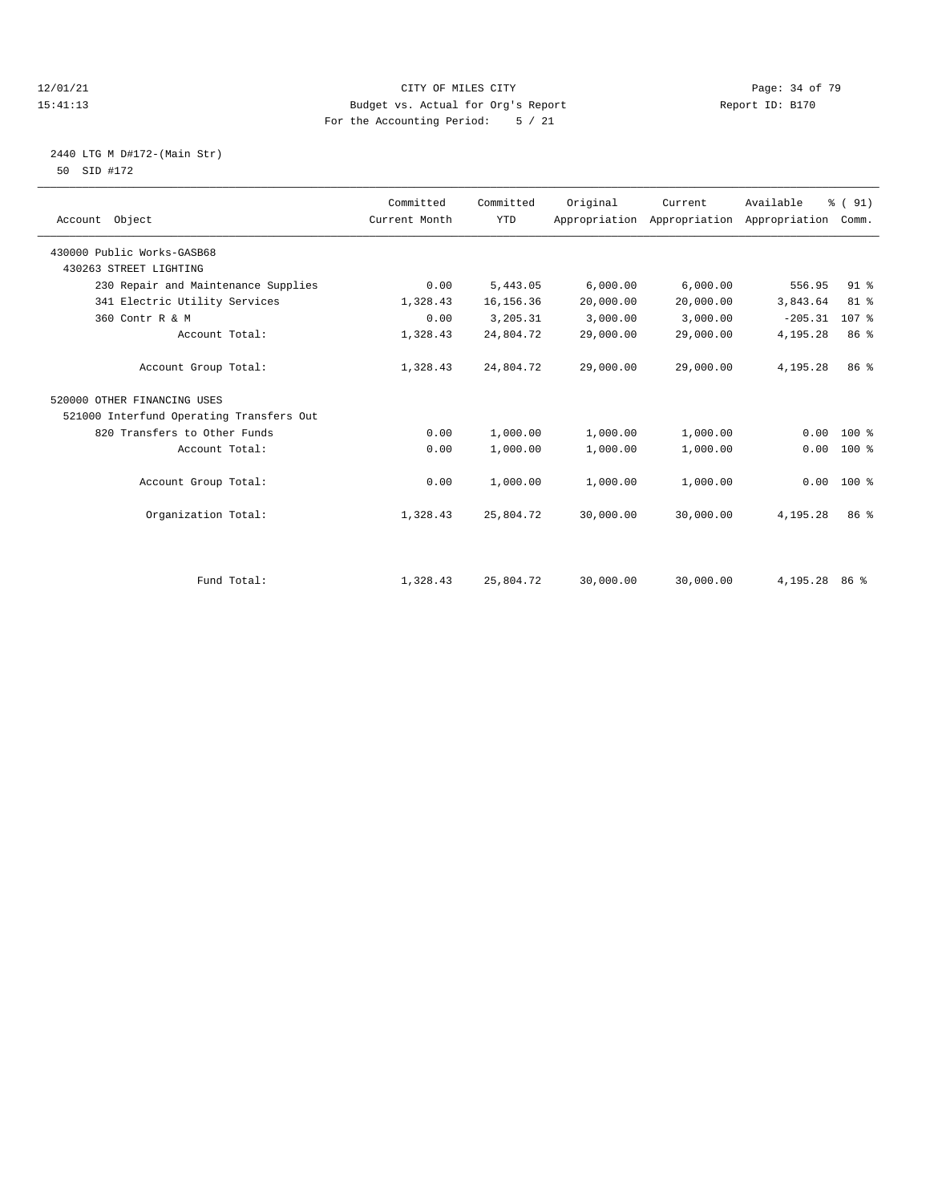#### 12/01/21 Page: 34 of 79<br>15:41:13 Budget vs. Actual for Org's Report Page: 34 of 79<br>15:41:13 Budget vs. Actual for Org's Report Page: 2170 15:41:13 Budget vs. Actual for Org's Report For the Accounting Period: 5 / 21

#### 2440 LTG M D#172-(Main Str) 50 SID #172

| Account Object                           | Committed<br>Current Month | Committed<br><b>YTD</b> | Original  | Current   | Available<br>Appropriation Appropriation Appropriation Comm. | % (91)          |  |
|------------------------------------------|----------------------------|-------------------------|-----------|-----------|--------------------------------------------------------------|-----------------|--|
| 430000 Public Works-GASB68               |                            |                         |           |           |                                                              |                 |  |
| 430263 STREET LIGHTING                   |                            |                         |           |           |                                                              |                 |  |
| 230 Repair and Maintenance Supplies      | 0.00                       | 5,443.05                | 6,000.00  | 6,000.00  | 556.95                                                       | 91 <sup>°</sup> |  |
| 341 Electric Utility Services            | 1,328.43                   | 16, 156. 36             | 20,000.00 | 20,000.00 | 3,843.64                                                     | $81$ %          |  |
| 360 Contr R & M                          | 0.00                       | 3,205.31                | 3,000.00  | 3,000.00  | $-205.31$                                                    | 107 %           |  |
| Account Total:                           | 1,328.43                   | 24,804.72               | 29,000.00 | 29,000.00 | 4,195.28                                                     | 86 %            |  |
| Account Group Total:                     | 1,328.43                   | 24,804.72               | 29,000.00 | 29,000.00 | 4,195.28                                                     | 86 %            |  |
| 520000 OTHER FINANCING USES              |                            |                         |           |           |                                                              |                 |  |
| 521000 Interfund Operating Transfers Out |                            |                         |           |           |                                                              |                 |  |
| 820 Transfers to Other Funds             | 0.00                       | 1,000.00                | 1,000.00  | 1,000.00  | 0.00                                                         | $100*$          |  |
| Account Total:                           | 0.00                       | 1,000.00                | 1,000.00  | 1,000.00  | 0.00                                                         | $100*$          |  |
| Account Group Total:                     | 0.00                       | 1,000.00                | 1,000.00  | 1,000.00  | 0.00                                                         | $100*$          |  |
| Organization Total:                      | 1,328.43                   | 25,804.72               | 30,000.00 | 30,000.00 | 4,195.28                                                     | 86 %            |  |
|                                          |                            |                         |           |           |                                                              |                 |  |
| Fund Total:                              | 1,328.43                   | 25,804.72               | 30,000.00 | 30,000.00 | 4,195.28                                                     | 86 %            |  |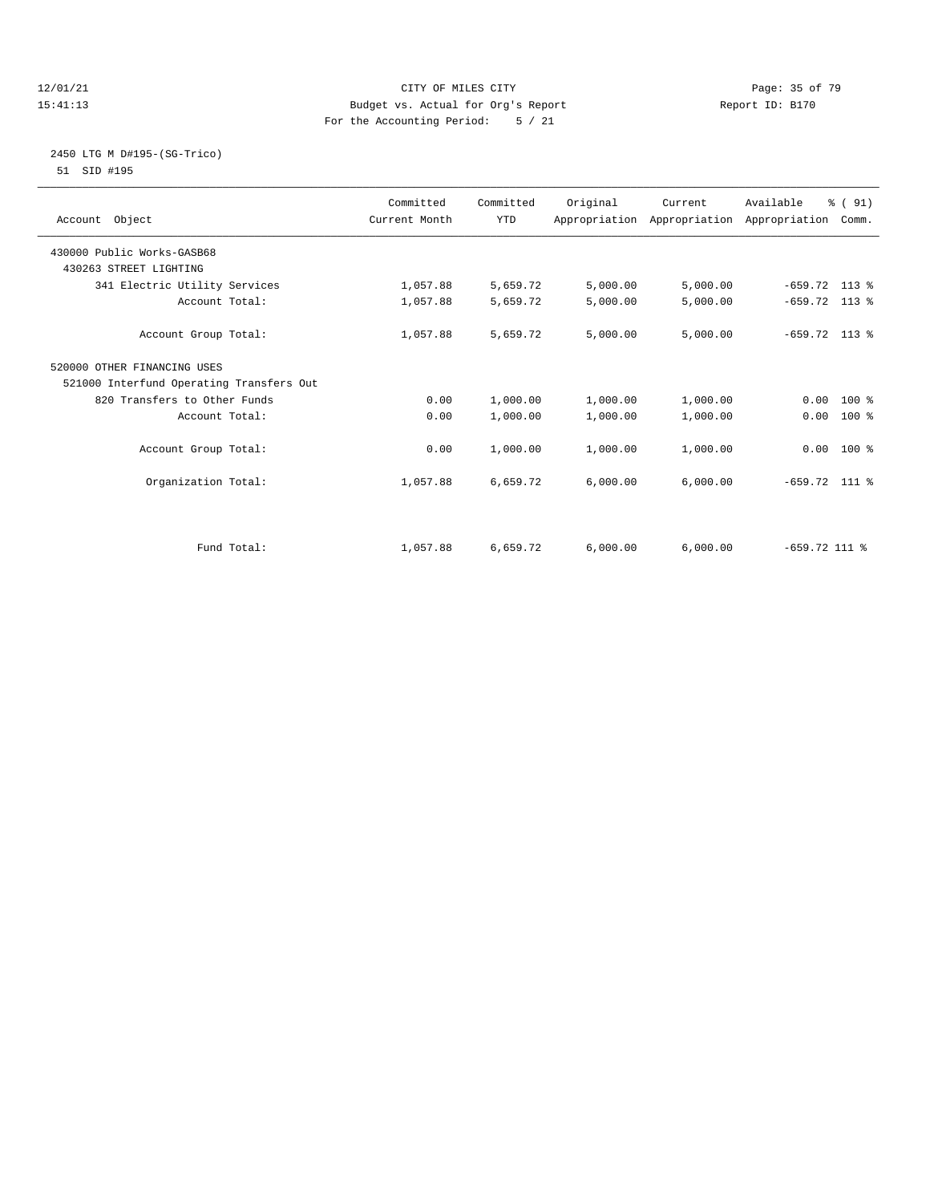#### 12/01/21 Page: 35 of 79<br>15:41:13 Budget vs. Actual for Org's Report Page: 35 of 79<br>15:41:13 Report ID: B170 15:41:13 Budget vs. Actual for Org's Report For the Accounting Period: 5 / 21

#### 2450 LTG M D#195-(SG-Trico) 51 SID #195

| Account Object                           | Committed<br>Current Month | Committed<br><b>YTD</b> | Original | Current  | Available<br>Appropriation Appropriation Appropriation Comm. | % (91) |
|------------------------------------------|----------------------------|-------------------------|----------|----------|--------------------------------------------------------------|--------|
| 430000 Public Works-GASB68               |                            |                         |          |          |                                                              |        |
| 430263 STREET LIGHTING                   |                            |                         |          |          |                                                              |        |
| 341 Electric Utility Services            | 1,057.88                   | 5,659.72                | 5,000.00 | 5,000.00 | $-659.72$ 113 %                                              |        |
| Account Total:                           | 1,057.88                   | 5,659.72                | 5,000.00 | 5,000.00 | $-659.72$ 113 %                                              |        |
| Account Group Total:                     | 1,057.88                   | 5,659.72                | 5,000.00 | 5,000.00 | $-659.72$ 113 %                                              |        |
| 520000 OTHER FINANCING USES              |                            |                         |          |          |                                                              |        |
| 521000 Interfund Operating Transfers Out |                            |                         |          |          |                                                              |        |
| 820 Transfers to Other Funds             | 0.00                       | 1,000.00                | 1,000.00 | 1,000.00 | $0.00$ 100 %                                                 |        |
| Account Total:                           | 0.00                       | 1,000.00                | 1,000.00 | 1,000.00 | 0.00                                                         | $100*$ |
|                                          |                            |                         |          |          |                                                              |        |
| Account Group Total:                     | 0.00                       | 1,000.00                | 1,000.00 | 1,000.00 | $0.00$ 100 %                                                 |        |
|                                          |                            |                         |          |          |                                                              |        |
| Organization Total:                      | 1,057.88                   | 6,659.72                | 6,000.00 | 6,000.00 | $-659.72$ 111 %                                              |        |
|                                          |                            |                         |          |          |                                                              |        |
| Fund Total:                              | 1,057.88                   | 6,659.72                | 6,000.00 | 6,000.00 | $-659.72$ 111 %                                              |        |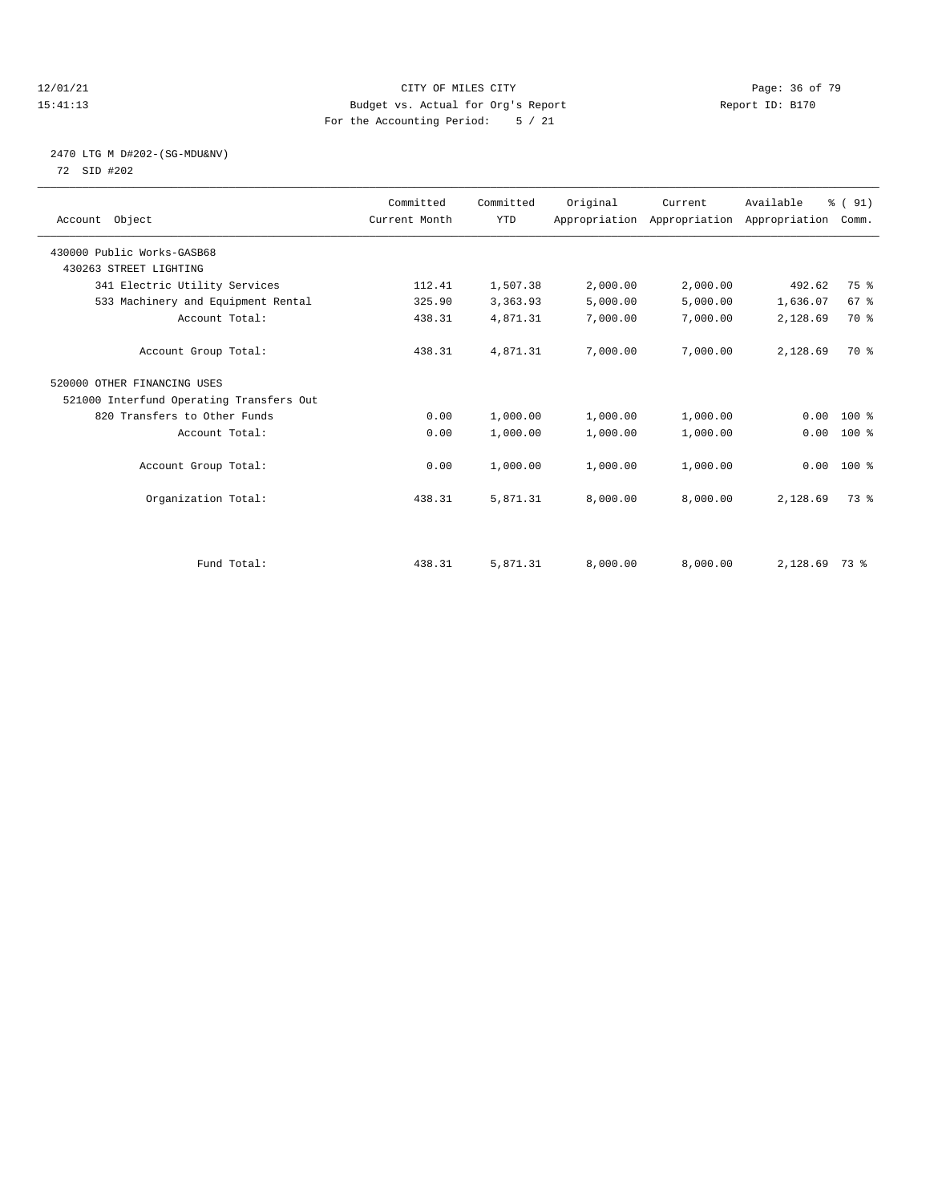#### 12/01/21 Page: 36 of 79<br>15:41:13 Budget vs. Actual for Org's Report Page: 36 of 79<br>15:41:13 Budget vs. Actual for Org's Report Page: 26 Of 79 15:41:13 Budget vs. Actual for Org's Report For the Accounting Period: 5 / 21

#### 2470 LTG M D#202-(SG-MDU&NV) 72 SID #202

| Account Object                           | Committed<br>Current Month | Committed<br><b>YTD</b> | Original | Current<br>Appropriation Appropriation Appropriation | Available | % (91)<br>Comm. |  |
|------------------------------------------|----------------------------|-------------------------|----------|------------------------------------------------------|-----------|-----------------|--|
| 430000 Public Works-GASB68               |                            |                         |          |                                                      |           |                 |  |
| 430263 STREET LIGHTING                   |                            |                         |          |                                                      |           |                 |  |
| 341 Electric Utility Services            | 112.41                     | 1,507.38                | 2,000.00 | 2,000.00                                             | 492.62    | 75 %            |  |
| 533 Machinery and Equipment Rental       | 325.90                     | 3,363.93                | 5,000.00 | 5,000.00                                             | 1,636.07  | 67 %            |  |
| Account Total:                           | 438.31                     | 4,871.31                | 7,000.00 | 7,000.00                                             | 2,128.69  | 70 %            |  |
| Account Group Total:                     | 438.31                     | 4,871.31                | 7,000.00 | 7,000.00                                             | 2,128.69  | 70 %            |  |
| 520000 OTHER FINANCING USES              |                            |                         |          |                                                      |           |                 |  |
| 521000 Interfund Operating Transfers Out |                            |                         |          |                                                      |           |                 |  |
| 820 Transfers to Other Funds             | 0.00                       | 1,000.00                | 1,000.00 | 1,000.00                                             | 0.00      | 100 %           |  |
| Account Total:                           | 0.00                       | 1,000.00                | 1,000.00 | 1,000.00                                             | 0.00      | 100 %           |  |
| Account Group Total:                     | 0.00                       | 1,000.00                | 1,000.00 | 1,000.00                                             |           | $0.00$ 100 %    |  |
| Organization Total:                      | 438.31                     | 5,871.31                | 8,000.00 | 8,000.00                                             | 2,128.69  | 73.8            |  |
|                                          |                            |                         |          |                                                      |           |                 |  |
| Fund Total:                              | 438.31                     | 5,871.31                | 8,000.00 | 8,000.00                                             | 2,128.69  | 73 %            |  |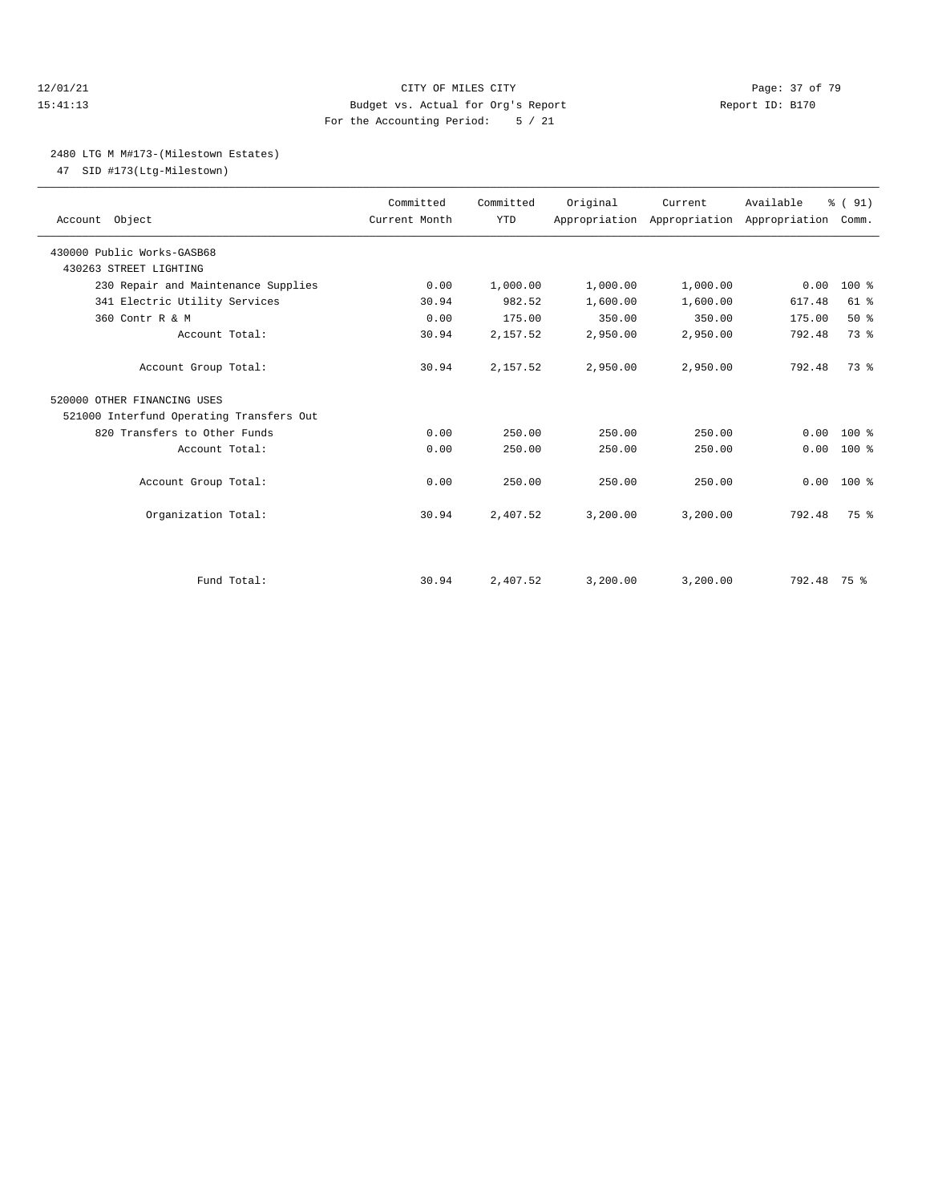#### 12/01/21 Page: 37 of 79 15:41:13 Budget vs. Actual for Org's Report Report ID: B170 For the Accounting Period: 5 / 21

#### 2480 LTG M M#173-(Milestown Estates)

47 SID #173(Ltg-Milestown)

| Account Object                           | Committed<br>Current Month | Committed<br><b>YTD</b> | Original | Current  | Available<br>Appropriation Appropriation Appropriation Comm. | % (91)       |  |
|------------------------------------------|----------------------------|-------------------------|----------|----------|--------------------------------------------------------------|--------------|--|
| 430000 Public Works-GASB68               |                            |                         |          |          |                                                              |              |  |
| 430263 STREET LIGHTING                   |                            |                         |          |          |                                                              |              |  |
| 230 Repair and Maintenance Supplies      | 0.00                       | 1,000.00                | 1,000.00 | 1,000.00 | 0.00                                                         | $100*$       |  |
| 341 Electric Utility Services            | 30.94                      | 982.52                  | 1,600.00 | 1,600.00 | 617.48                                                       | $61$ $%$     |  |
| 360 Contr R & M                          | 0.00                       | 175.00                  | 350.00   | 350.00   | 175.00                                                       | 50%          |  |
| Account Total:                           | 30.94                      | 2,157.52                | 2,950.00 | 2,950.00 | 792.48                                                       | 73.8         |  |
| Account Group Total:                     | 30.94                      | 2,157.52                | 2,950.00 | 2,950.00 | 792.48                                                       | 73.8         |  |
| 520000 OTHER FINANCING USES              |                            |                         |          |          |                                                              |              |  |
| 521000 Interfund Operating Transfers Out |                            |                         |          |          |                                                              |              |  |
| 820 Transfers to Other Funds             | 0.00                       | 250.00                  | 250.00   | 250.00   | 0.00                                                         | $100*$       |  |
| Account Total:                           | 0.00                       | 250.00                  | 250.00   | 250.00   | 0.00                                                         | $100*$       |  |
| Account Group Total:                     | 0.00                       | 250.00                  | 250.00   | 250.00   |                                                              | $0.00 100$ % |  |
| Organization Total:                      | 30.94                      | 2,407.52                | 3,200.00 | 3,200.00 | 792.48                                                       | 75 %         |  |
|                                          |                            |                         |          |          |                                                              |              |  |
| Fund Total:                              | 30.94                      | 2,407.52                | 3,200.00 | 3,200.00 | 792.48 75 %                                                  |              |  |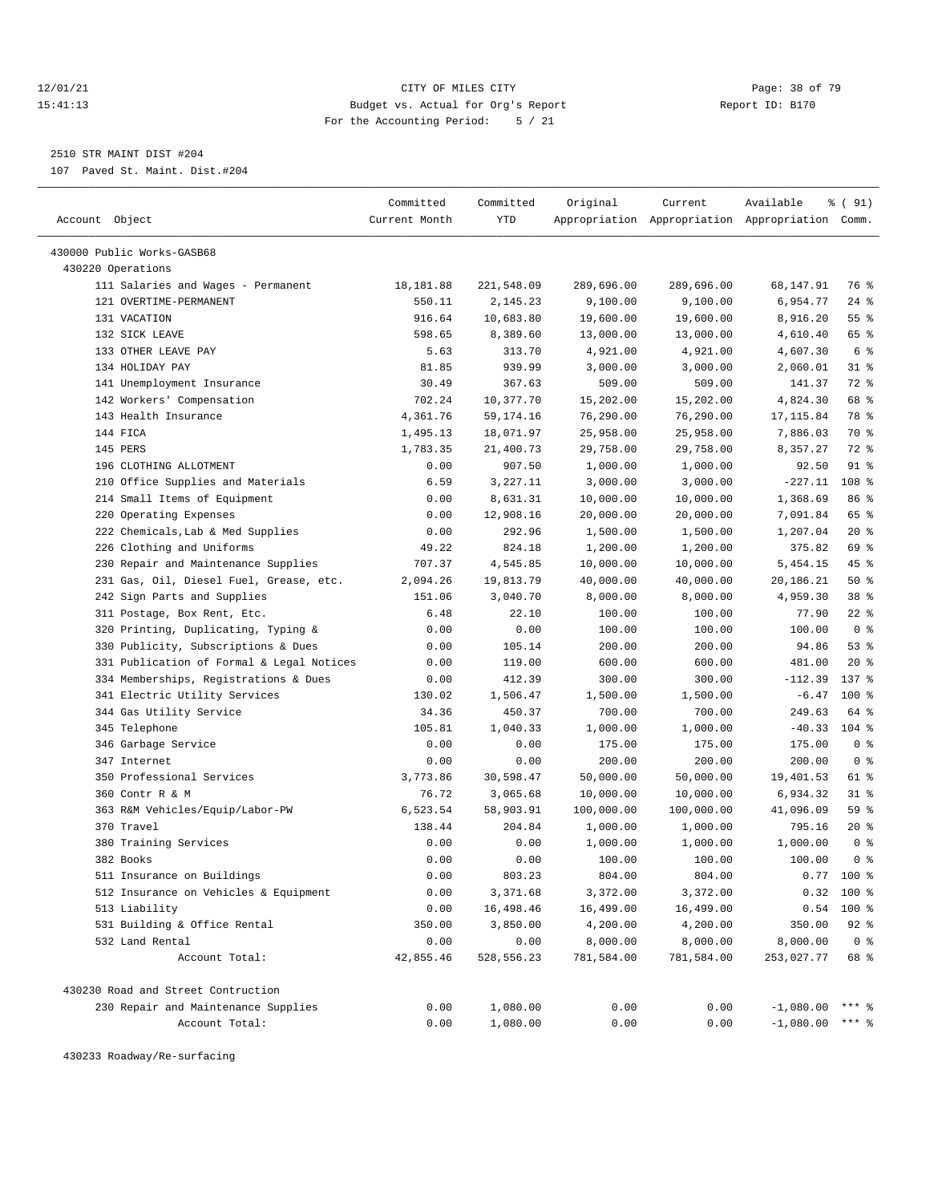#### 12/01/21 **CITY OF MILES CITY CITY CITY Page: 38 of 79** 15:41:13 Budget vs. Actual for Org's Report Report ID: B170 For the Accounting Period: 5 / 21

————————————————————————————————————————————————————————————————————————————————————————————————————————————————————————————————————

2510 STR MAINT DIST #204

107 Paved St. Maint. Dist.#204

|                                           | Committed     | Committed  | Original   | Current    | Available                                       | % ( 91)        |
|-------------------------------------------|---------------|------------|------------|------------|-------------------------------------------------|----------------|
| Account Object                            | Current Month | YTD        |            |            | Appropriation Appropriation Appropriation Comm. |                |
|                                           |               |            |            |            |                                                 |                |
| 430000 Public Works-GASB68                |               |            |            |            |                                                 |                |
| 430220 Operations                         |               |            |            |            |                                                 |                |
| 111 Salaries and Wages - Permanent        | 18,181.88     | 221,548.09 | 289,696.00 | 289,696.00 | 68,147.91                                       | 76 %           |
| 121 OVERTIME-PERMANENT                    | 550.11        | 2,145.23   | 9,100.00   | 9,100.00   | 6,954.77                                        | $24$ %         |
| 131 VACATION                              | 916.64        | 10,683.80  | 19,600.00  | 19,600.00  | 8,916.20                                        | 55%            |
| 132 SICK LEAVE                            | 598.65        | 8,389.60   | 13,000.00  | 13,000.00  | 4,610.40                                        | 65 %           |
| 133 OTHER LEAVE PAY                       | 5.63          | 313.70     | 4,921.00   | 4,921.00   | 4,607.30                                        | 6 %            |
| 134 HOLIDAY PAY                           | 81.85         | 939.99     | 3,000.00   | 3,000.00   | 2,060.01                                        | $31$ %         |
| 141 Unemployment Insurance                | 30.49         | 367.63     | 509.00     | 509.00     | 141.37                                          | 72 %           |
| 142 Workers' Compensation                 | 702.24        | 10,377.70  | 15,202.00  | 15,202.00  | 4,824.30                                        | 68 %           |
| 143 Health Insurance                      | 4,361.76      | 59,174.16  | 76,290.00  | 76,290.00  | 17, 115.84                                      | 78 %           |
| 144 FICA                                  | 1,495.13      | 18,071.97  | 25,958.00  | 25,958.00  | 7,886.03                                        | 70 %           |
| 145 PERS                                  | 1,783.35      | 21,400.73  | 29,758.00  | 29,758.00  | 8,357.27                                        | 72 %           |
| 196 CLOTHING ALLOTMENT                    | 0.00          | 907.50     | 1,000.00   | 1,000.00   | 92.50                                           | $91$ %         |
| 210 Office Supplies and Materials         | 6.59          | 3,227.11   | 3,000.00   | 3,000.00   | $-227.11$                                       | 108 %          |
| 214 Small Items of Equipment              | 0.00          | 8,631.31   | 10,000.00  | 10,000.00  | 1,368.69                                        | 86 %           |
| 220 Operating Expenses                    | 0.00          | 12,908.16  | 20,000.00  | 20,000.00  | 7,091.84                                        | 65 %           |
| 222 Chemicals, Lab & Med Supplies         | 0.00          | 292.96     | 1,500.00   | 1,500.00   | 1,207.04                                        | $20*$          |
| 226 Clothing and Uniforms                 | 49.22         | 824.18     | 1,200.00   | 1,200.00   | 375.82                                          | 69 %           |
| 230 Repair and Maintenance Supplies       | 707.37        | 4,545.85   | 10,000.00  | 10,000.00  | 5,454.15                                        | 45 %           |
| 231 Gas, Oil, Diesel Fuel, Grease, etc.   | 2,094.26      | 19,813.79  | 40,000.00  | 40,000.00  | 20,186.21                                       | 50%            |
| 242 Sign Parts and Supplies               | 151.06        | 3,040.70   | 8,000.00   | 8,000.00   | 4,959.30                                        | 38 %           |
| 311 Postage, Box Rent, Etc.               | 6.48          | 22.10      | 100.00     | 100.00     | 77.90                                           | $22$ %         |
| 320 Printing, Duplicating, Typing &       | 0.00          | 0.00       | 100.00     | 100.00     | 100.00                                          | 0 <sup>8</sup> |
| 330 Publicity, Subscriptions & Dues       | 0.00          | 105.14     | 200.00     | 200.00     | 94.86                                           | 53%            |
| 331 Publication of Formal & Legal Notices | 0.00          | 119.00     | 600.00     | 600.00     | 481.00                                          | 20%            |
| 334 Memberships, Registrations & Dues     | 0.00          | 412.39     | 300.00     | 300.00     | $-112.39$                                       | 137 %          |
| 341 Electric Utility Services             | 130.02        | 1,506.47   | 1,500.00   | 1,500.00   | $-6.47$                                         | 100 %          |
| 344 Gas Utility Service                   | 34.36         | 450.37     | 700.00     | 700.00     | 249.63                                          | 64 %           |
| 345 Telephone                             | 105.81        | 1,040.33   | 1,000.00   | 1,000.00   | $-40.33$                                        | $104$ %        |
| 346 Garbage Service                       | 0.00          | 0.00       | 175.00     | 175.00     | 175.00                                          | 0 <sup>8</sup> |
| 347 Internet                              | 0.00          | 0.00       | 200.00     | 200.00     | 200.00                                          | 0 <sup>8</sup> |
| 350 Professional Services                 | 3,773.86      | 30,598.47  | 50,000.00  | 50,000.00  | 19,401.53                                       | 61 %           |
| 360 Contr R & M                           | 76.72         | 3,065.68   | 10,000.00  | 10,000.00  | 6,934.32                                        | $31$ %         |
| 363 R&M Vehicles/Equip/Labor-PW           | 6,523.54      | 58,903.91  | 100,000.00 | 100,000.00 | 41,096.09                                       | 59 %           |
| 370 Travel                                | 138.44        | 204.84     | 1,000.00   | 1,000.00   | 795.16                                          | $20*$          |
| 380 Training Services                     | 0.00          | 0.00       | 1,000.00   | 1,000.00   | 1,000.00                                        | 0 <sup>8</sup> |
| 382 Books                                 | 0.00          | 0.00       | 100.00     | 100.00     | 100.00                                          | 0 <sup>8</sup> |
| 511 Insurance on Buildings                | 0.00          | 803.23     | 804.00     | 804.00     | 0.77                                            | $100*$         |
| 512 Insurance on Vehicles & Equipment     | 0.00          | 3,371.68   | 3,372.00   | 3,372.00   |                                                 | $0.32$ 100 %   |
| 513 Liability                             | 0.00          | 16,498.46  | 16,499.00  | 16,499.00  | 0.54                                            | 100 %          |
| 531 Building & Office Rental              | 350.00        | 3,850.00   | 4,200.00   | 4,200.00   | 350.00                                          | $92$ $%$       |
| 532 Land Rental                           | 0.00          | 0.00       | 8,000.00   | 8,000.00   | 8,000.00                                        | 0 <sup>8</sup> |
| Account Total:                            | 42,855.46     | 528,556.23 | 781,584.00 | 781,584.00 | 253,027.77                                      | 68 %           |
| 430230 Road and Street Contruction        |               |            |            |            |                                                 |                |
| 230 Repair and Maintenance Supplies       | 0.00          | 1,080.00   | 0.00       | 0.00       | $-1,080.00$                                     | $***$ $-$      |
| Account Total:                            | 0.00          | 1,080.00   | 0.00       | 0.00       | $-1,080.00$                                     | *** 응          |

430233 Roadway/Re-surfacing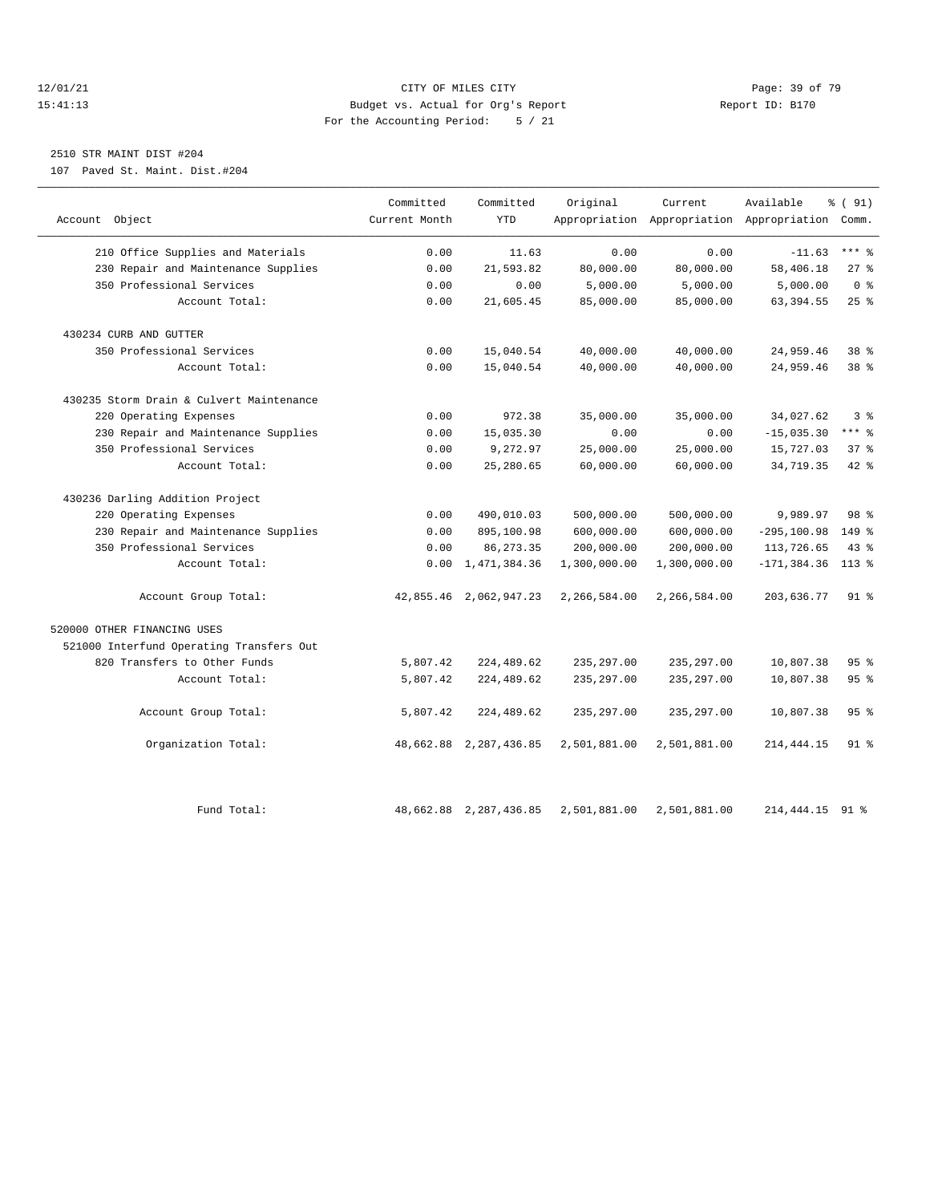#### 12/01/21 Page: 39 of 79<br>
12/01/21 Page: 39 of 79 Eudget vs. Actual for Org's Report Page: 2011<br>
211113 Pudget vs. Actual for Org's Report Page: 2012 Report ID: B170 15:41:13 Budget vs. Actual for Org's Report For the Accounting Period: 5 / 21

## 2510 STR MAINT DIST #204

107 Paved St. Maint. Dist.#204

|                                          | Committed     | Committed              | Original     | Current      | Available                                       | % (91)          |
|------------------------------------------|---------------|------------------------|--------------|--------------|-------------------------------------------------|-----------------|
| Account Object                           | Current Month | <b>YTD</b>             |              |              | Appropriation Appropriation Appropriation Comm. |                 |
| 210 Office Supplies and Materials        | 0.00          | 11.63                  | 0.00         | 0.00         | $-11.63$                                        | $***$ $%$       |
| 230 Repair and Maintenance Supplies      | 0.00          | 21,593.82              | 80,000.00    | 80,000.00    | 58,406.18                                       | $27$ %          |
| 350 Professional Services                | 0.00          | 0.00                   | 5,000.00     | 5,000.00     | 5,000.00                                        | 0 <sup>8</sup>  |
| Account Total:                           | 0.00          | 21,605.45              | 85,000.00    | 85,000.00    | 63, 394.55                                      | 25%             |
| 430234 CURB AND GUTTER                   |               |                        |              |              |                                                 |                 |
| 350 Professional Services                | 0.00          | 15,040.54              | 40,000.00    | 40,000.00    | 24,959.46                                       | $38*$           |
| Account Total:                           | 0.00          | 15,040.54              | 40,000.00    | 40,000.00    | 24,959.46                                       | 38 <sup>8</sup> |
| 430235 Storm Drain & Culvert Maintenance |               |                        |              |              |                                                 |                 |
| 220 Operating Expenses                   | 0.00          | 972.38                 | 35,000.00    | 35,000.00    | 34,027.62                                       | 3%              |
| 230 Repair and Maintenance Supplies      | 0.00          | 15,035.30              | 0.00         | 0.00         | $-15,035.30$                                    | $***$ $-$       |
| 350 Professional Services                | 0.00          | 9,272.97               | 25,000.00    | 25,000.00    | 15,727.03                                       | 37%             |
| Account Total:                           | 0.00          | 25, 280.65             | 60,000.00    | 60,000.00    | 34,719.35                                       | $42$ $%$        |
| 430236 Darling Addition Project          |               |                        |              |              |                                                 |                 |
| 220 Operating Expenses                   | 0.00          | 490,010.03             | 500,000.00   | 500,000.00   | 9,989.97                                        | 98 %            |
| 230 Repair and Maintenance Supplies      | 0.00          | 895,100.98             | 600,000.00   | 600,000.00   | $-295, 100.98$                                  | $149$ %         |
| 350 Professional Services                | 0.00          | 86, 273.35             | 200,000.00   | 200,000.00   | 113,726.65                                      | 43 %            |
| Account Total:                           | 0.00          | 1,471,384.36           | 1,300,000.00 | 1,300,000.00 | $-171, 384.36$                                  | $113*$          |
| Account Group Total:                     |               | 42,855.46 2,062,947.23 | 2,266,584.00 | 2,266,584.00 | 203,636.77                                      | $91$ %          |
| 520000 OTHER FINANCING USES              |               |                        |              |              |                                                 |                 |
| 521000 Interfund Operating Transfers Out |               |                        |              |              |                                                 |                 |
| 820 Transfers to Other Funds             | 5,807.42      | 224,489.62             | 235, 297.00  | 235, 297.00  | 10,807.38                                       | 95%             |
| Account Total:                           | 5,807.42      | 224,489.62             | 235, 297.00  | 235, 297.00  | 10,807.38                                       | 95%             |
| Account Group Total:                     | 5,807.42      | 224,489.62             | 235, 297.00  | 235, 297.00  | 10,807.38                                       | 95%             |
| Organization Total:                      |               | 48,662.88 2,287,436.85 | 2,501,881.00 | 2,501,881.00 | 214, 444. 15                                    | $91$ %          |
| Fund Total:                              |               | 48,662.88 2,287,436.85 | 2,501,881.00 | 2,501,881.00 | 214, 444. 15 91 %                               |                 |
|                                          |               |                        |              |              |                                                 |                 |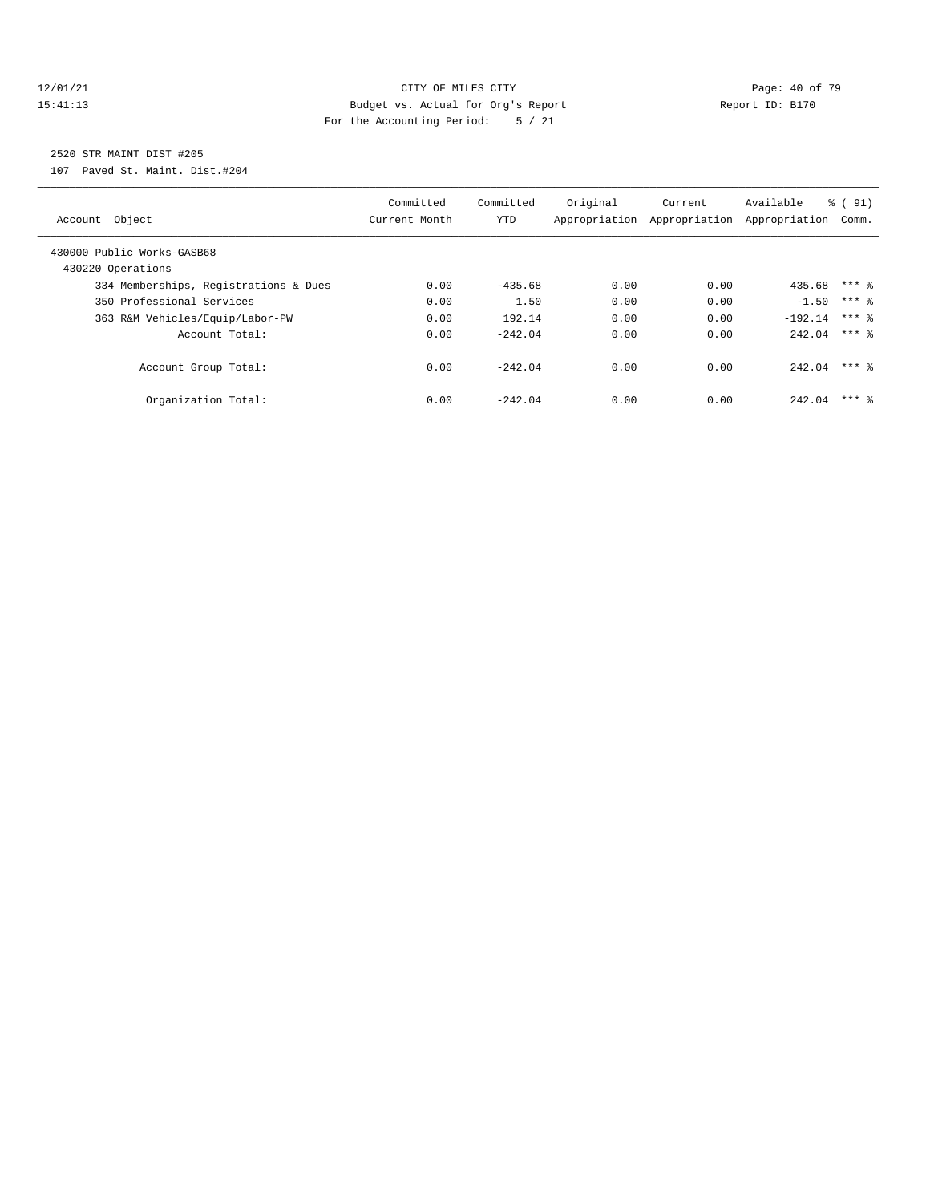#### $\begin{tabular}{c} 12/01/21 & \hspace{2.5cm} Page: 40 of 79 \\ 15:41:13 & \hspace{2.5cm} Page: 40 of 79 \\ \end{tabular}$ 15:41:13 Budget vs. Actual for Org's Report Report ID: B170 For the Accounting Period: 5 / 21

## 2520 STR MAINT DIST #205

107 Paved St. Maint. Dist.#204

| Object<br>Account                               | Committed<br>Current Month | Committed<br>YTD | Original<br>Appropriation | Current<br>Appropriation | Available<br>Appropriation | $\frac{6}{6}$ (<br>91)<br>Comm. |
|-------------------------------------------------|----------------------------|------------------|---------------------------|--------------------------|----------------------------|---------------------------------|
| 430000 Public Works-GASB68<br>430220 Operations |                            |                  |                           |                          |                            |                                 |
| 334 Memberships, Registrations & Dues           | 0.00                       | $-435.68$        | 0.00                      | 0.00                     | 435.68 *** \$              |                                 |
| 350 Professional Services                       | 0.00                       | 1.50             | 0.00                      | 0.00                     | $-1.50$                    | $***$ 2                         |
| 363 R&M Vehicles/Equip/Labor-PW                 | 0.00                       | 192.14           | 0.00                      | 0.00                     | $-192.14$                  | $***$ 2                         |
| Account Total:                                  | 0.00                       | $-242.04$        | 0.00                      | 0.00                     | $242.04$ *** \$            |                                 |
| Account Group Total:                            | 0.00                       | $-242.04$        | 0.00                      | 0.00                     | 242.04                     | $***$ 2                         |
| Organization Total:                             | 0.00                       | $-242.04$        | 0.00                      | 0.00                     | 242.04                     | $***$ 2                         |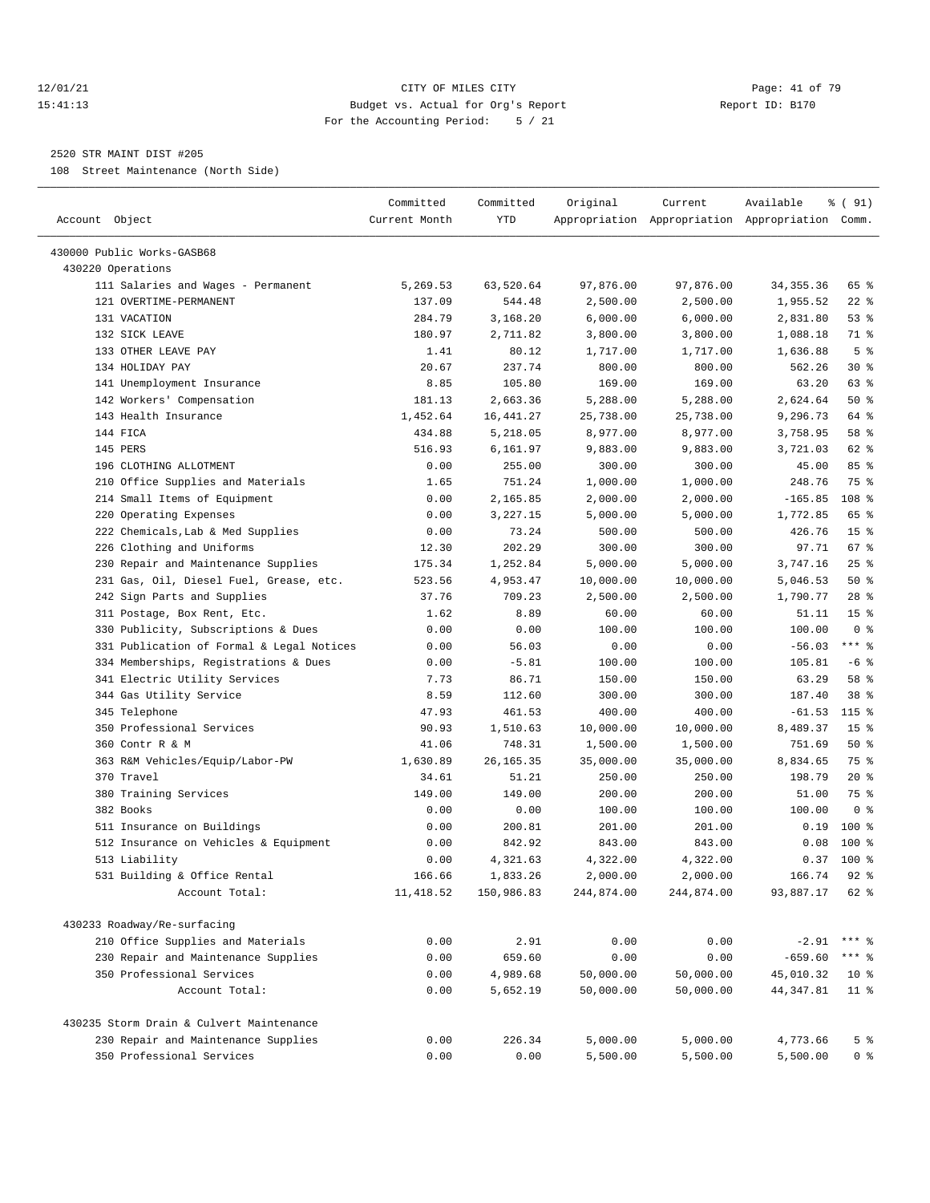#### 12/01/21 **Page: 41 of 79** CITY OF MILES CITY **CITY** Page: 41 of 79 15:41:13 Budget vs. Actual for Org's Report Report ID: B170 For the Accounting Period: 5 / 21

————————————————————————————————————————————————————————————————————————————————————————————————————————————————————————————————————

#### 2520 STR MAINT DIST #205

108 Street Maintenance (North Side)

| Account Object                            | Committed<br>Current Month | Committed<br>YTD | Original   | Current    | Available<br>Appropriation Appropriation Appropriation Comm. | % ( 91)         |
|-------------------------------------------|----------------------------|------------------|------------|------------|--------------------------------------------------------------|-----------------|
| 430000 Public Works-GASB68                |                            |                  |            |            |                                                              |                 |
| 430220 Operations                         |                            |                  |            |            |                                                              |                 |
| 111 Salaries and Wages - Permanent        | 5,269.53                   | 63,520.64        | 97,876.00  | 97,876.00  | 34, 355. 36                                                  | 65 %            |
| 121 OVERTIME-PERMANENT                    | 137.09                     | 544.48           | 2,500.00   | 2,500.00   | 1,955.52                                                     | $22$ %          |
| 131 VACATION                              | 284.79                     | 3,168.20         | 6,000.00   | 6,000.00   | 2,831.80                                                     | 53%             |
| 132 SICK LEAVE                            | 180.97                     | 2,711.82         | 3,800.00   | 3,800.00   | 1,088.18                                                     | 71 %            |
| 133 OTHER LEAVE PAY                       | 1.41                       | 80.12            | 1,717.00   | 1,717.00   | 1,636.88                                                     | 5 <sup>8</sup>  |
| 134 HOLIDAY PAY                           | 20.67                      | 237.74           | 800.00     | 800.00     | 562.26                                                       | $30*$           |
| 141 Unemployment Insurance                | 8.85                       | 105.80           | 169.00     | 169.00     | 63.20                                                        | 63 %            |
| 142 Workers' Compensation                 | 181.13                     | 2,663.36         | 5,288.00   | 5,288.00   | 2,624.64                                                     | 50%             |
| 143 Health Insurance                      | 1,452.64                   | 16, 441.27       | 25,738.00  | 25,738.00  | 9,296.73                                                     | 64 %            |
| 144 FICA                                  | 434.88                     | 5,218.05         | 8,977.00   | 8,977.00   | 3,758.95                                                     | 58 %            |
| 145 PERS                                  | 516.93                     | 6,161.97         | 9,883.00   | 9,883.00   | 3,721.03                                                     | 62 %            |
| 196 CLOTHING ALLOTMENT                    | 0.00                       | 255.00           | 300.00     | 300.00     | 45.00                                                        | 85%             |
| 210 Office Supplies and Materials         | 1.65                       | 751.24           | 1,000.00   | 1,000.00   | 248.76                                                       | 75 %            |
| 214 Small Items of Equipment              | 0.00                       | 2,165.85         | 2,000.00   | 2,000.00   | $-165.85$                                                    | 108 %           |
| 220 Operating Expenses                    | 0.00                       | 3,227.15         | 5,000.00   | 5,000.00   | 1,772.85                                                     | 65 %            |
| 222 Chemicals, Lab & Med Supplies         | 0.00                       | 73.24            | 500.00     | 500.00     | 426.76                                                       | 15 <sup>8</sup> |
| 226 Clothing and Uniforms                 | 12.30                      | 202.29           | 300.00     | 300.00     | 97.71                                                        | 67 %            |
| 230 Repair and Maintenance Supplies       | 175.34                     | 1,252.84         | 5,000.00   | 5,000.00   | 3,747.16                                                     | 25%             |
| 231 Gas, Oil, Diesel Fuel, Grease, etc.   | 523.56                     | 4,953.47         | 10,000.00  | 10,000.00  | 5,046.53                                                     | 50%             |
| 242 Sign Parts and Supplies               | 37.76                      | 709.23           | 2,500.00   | 2,500.00   | 1,790.77                                                     | $28$ %          |
| 311 Postage, Box Rent, Etc.               | 1.62                       | 8.89             | 60.00      | 60.00      | 51.11                                                        | 15 <sup>8</sup> |
| 330 Publicity, Subscriptions & Dues       | 0.00                       | 0.00             | 100.00     | 100.00     | 100.00                                                       | 0 <sup>8</sup>  |
| 331 Publication of Formal & Legal Notices | 0.00                       | 56.03            | 0.00       | 0.00       | $-56.03$                                                     | $***$ $%$       |
| 334 Memberships, Registrations & Dues     | 0.00                       | $-5.81$          | 100.00     | 100.00     | 105.81                                                       | $-6$ %          |
| 341 Electric Utility Services             | 7.73                       | 86.71            | 150.00     | 150.00     | 63.29                                                        | 58 %            |
| 344 Gas Utility Service                   | 8.59                       | 112.60           | 300.00     | 300.00     | 187.40                                                       | 38 <sup>8</sup> |
| 345 Telephone                             | 47.93                      | 461.53           | 400.00     | 400.00     | $-61.53$                                                     | 115 %           |
| 350 Professional Services                 | 90.93                      | 1,510.63         | 10,000.00  | 10,000.00  | 8,489.37                                                     | 15 <sup>8</sup> |
| 360 Contr R & M                           | 41.06                      | 748.31           | 1,500.00   | 1,500.00   | 751.69                                                       | 50%             |
| 363 R&M Vehicles/Equip/Labor-PW           | 1,630.89                   | 26, 165. 35      | 35,000.00  | 35,000.00  | 8,834.65                                                     | 75 %            |
| 370 Travel                                | 34.61                      | 51.21            | 250.00     | 250.00     | 198.79                                                       | $20*$           |
| 380 Training Services                     | 149.00                     | 149.00           | 200.00     | 200.00     | 51.00                                                        | 75 %            |
| 382 Books                                 | 0.00                       | 0.00             | 100.00     | 100.00     | 100.00                                                       | 0 <sup>8</sup>  |
| 511 Insurance on Buildings                | 0.00                       | 200.81           | 201.00     | 201.00     | 0.19                                                         | 100 %           |
| 512 Insurance on Vehicles & Equipment     | 0.00                       | 842.92           | 843.00     | 843.00     | 0.08                                                         | 100 %           |
| 513 Liability                             | 0.00                       | 4,321.63         | 4,322.00   | 4,322.00   | 0.37                                                         | $100*$          |
| 531 Building & Office Rental              | 166.66                     | 1,833.26         | 2,000.00   | 2,000.00   | 166.74                                                       | $92$ $%$        |
| Account Total:                            | 11, 418.52                 | 150,986.83       | 244,874.00 | 244,874.00 | 93,887.17                                                    | 62 %            |
| 430233 Roadway/Re-surfacing               |                            |                  |            |            |                                                              |                 |
| 210 Office Supplies and Materials         | 0.00                       | 2.91             | 0.00       | 0.00       | $-2.91$                                                      | $***$ $%$       |
| 230 Repair and Maintenance Supplies       | 0.00                       | 659.60           | 0.00       | 0.00       | $-659.60$                                                    | $***$ $-$       |
| 350 Professional Services                 | 0.00                       | 4,989.68         | 50,000.00  | 50,000.00  | 45,010.32                                                    | $10*$           |
| Account Total:                            | 0.00                       | 5,652.19         | 50,000.00  | 50,000.00  | 44, 347.81                                                   | $11$ %          |
| 430235 Storm Drain & Culvert Maintenance  |                            |                  |            |            |                                                              |                 |
| 230 Repair and Maintenance Supplies       | 0.00                       | 226.34           | 5,000.00   | 5,000.00   | 4,773.66                                                     | 5 <sup>8</sup>  |
| 350 Professional Services                 | 0.00                       | 0.00             | 5,500.00   | 5,500.00   | 5,500.00                                                     | 0 <sup>8</sup>  |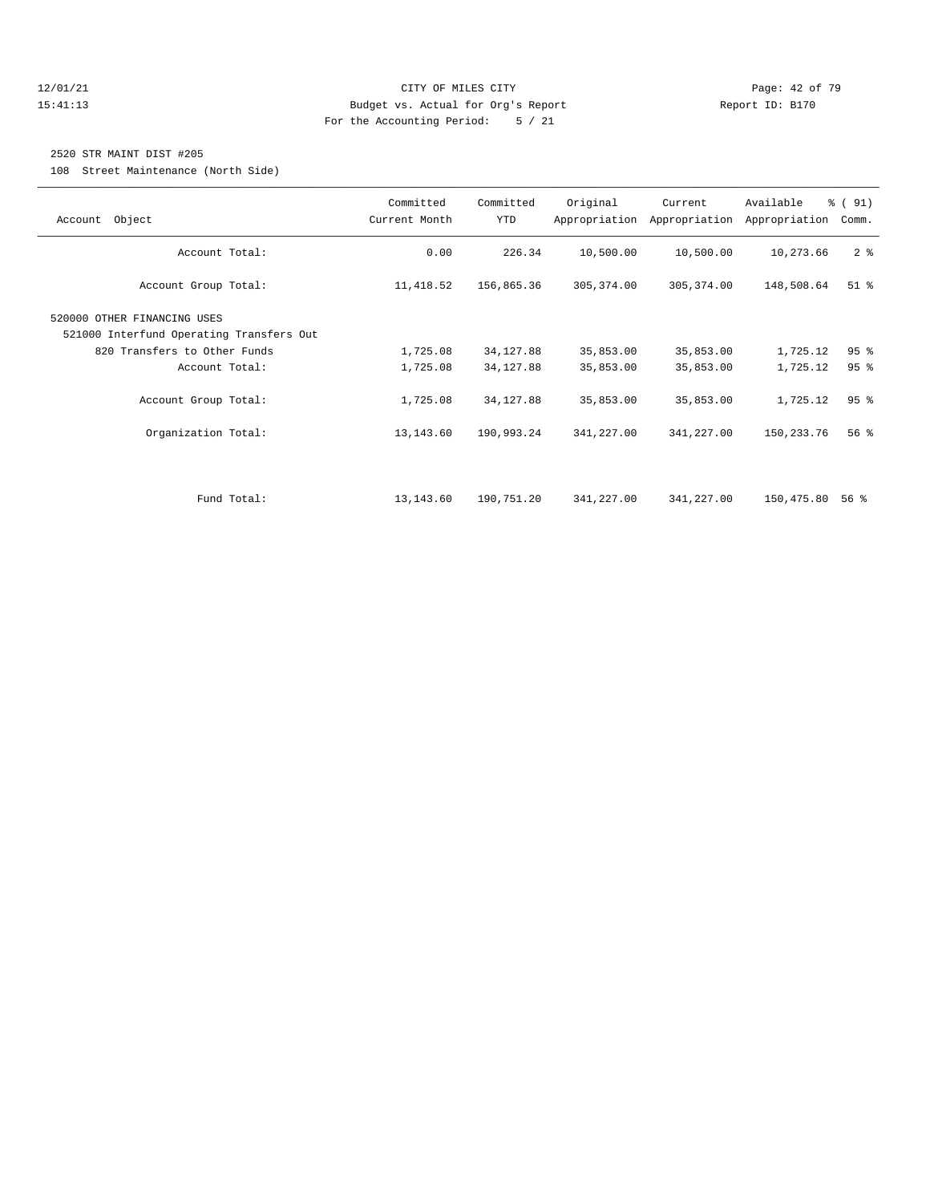#### 12/01/21 **Page: 42 of 79 CITY OF MILES CITY CITY Page: 42 of 79** 15:41:13 Budget vs. Actual for Org's Report Report ID: B170 For the Accounting Period: 5 / 21

#### 2520 STR MAINT DIST #205

108 Street Maintenance (North Side)

| Account Object                                                                                                            | Committed<br>Current Month | Committed<br><b>YTD</b>  | Original               | Current<br>Appropriation Appropriation | Available<br>Appropriation | % (91)<br>Comm. |
|---------------------------------------------------------------------------------------------------------------------------|----------------------------|--------------------------|------------------------|----------------------------------------|----------------------------|-----------------|
| Account Total:                                                                                                            | 0.00                       | 226.34                   | 10,500.00              | 10,500.00                              | 10,273.66                  | 2 <sup>8</sup>  |
| Account Group Total:                                                                                                      | 11,418.52                  | 156,865.36               | 305, 374.00            | 305, 374.00                            | 148,508.64                 | $51$ %          |
| 520000 OTHER FINANCING USES<br>521000 Interfund Operating Transfers Out<br>820 Transfers to Other Funds<br>Account Total: | 1,725.08<br>1,725.08       | 34, 127.88<br>34, 127.88 | 35,853.00<br>35,853.00 | 35,853.00<br>35,853.00                 | 1,725.12<br>1,725.12       | 95%<br>95%      |
| Account Group Total:                                                                                                      | 1,725.08                   | 34, 127.88               | 35,853.00              | 35,853.00                              | 1,725.12                   | 95 <sup>8</sup> |
| Organization Total:                                                                                                       | 13,143.60                  | 190,993.24               | 341,227.00             | 341,227.00                             | 150,233.76                 | $56$ $%$        |
|                                                                                                                           |                            |                          |                        |                                        |                            |                 |
| Fund Total:                                                                                                               | 13, 143.60                 | 190,751.20               | 341,227.00             | 341,227.00                             | 150,475.80                 | 56 %            |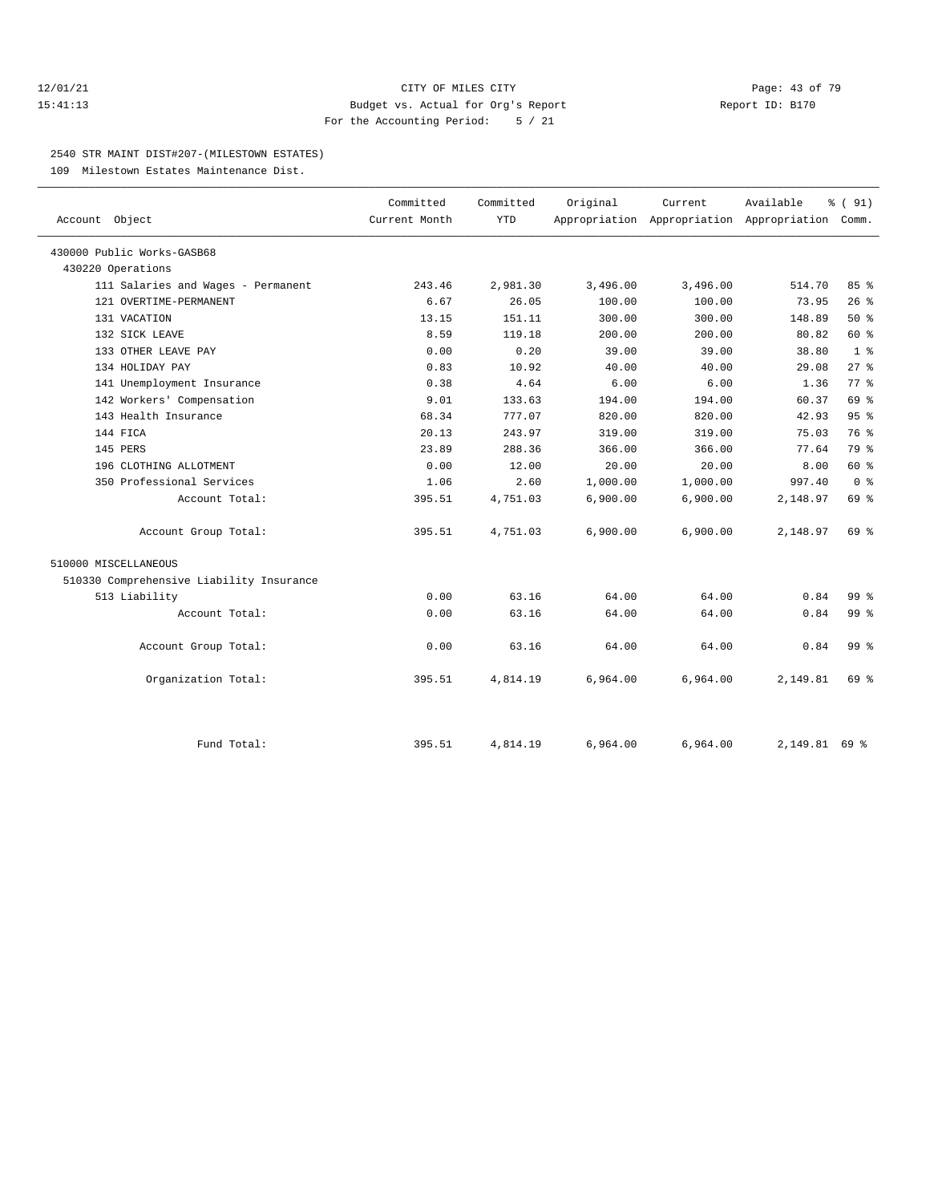#### 12/01/21 **Page: 43 of 79** CITY OF MILES CITY **CITY** CITY **Page: 43 of 79** 15:41:13 Budget vs. Actual for Org's Report Report ID: B170 For the Accounting Period: 5 / 21

#### 2540 STR MAINT DIST#207-(MILESTOWN ESTATES)

109 Milestown Estates Maintenance Dist.

| Account Object                           | Committed<br>Current Month | Committed<br><b>YTD</b> | Original | Current<br>Appropriation Appropriation Appropriation Comm. | Available     | % (91)          |
|------------------------------------------|----------------------------|-------------------------|----------|------------------------------------------------------------|---------------|-----------------|
| 430000 Public Works-GASB68               |                            |                         |          |                                                            |               |                 |
| 430220 Operations                        |                            |                         |          |                                                            |               |                 |
| 111 Salaries and Wages - Permanent       | 243.46                     | 2,981.30                | 3,496.00 | 3,496.00                                                   | 514.70        | 85%             |
| 121 OVERTIME-PERMANENT                   | 6.67                       | 26.05                   | 100.00   | 100.00                                                     | 73.95         | 26%             |
| 131 VACATION                             | 13.15                      | 151.11                  | 300.00   | 300.00                                                     | 148.89        | 50%             |
| 132 SICK LEAVE                           | 8.59                       | 119.18                  | 200.00   | 200.00                                                     | 80.82         | 60 %            |
| 133 OTHER LEAVE PAY                      | 0.00                       | 0.20                    | 39.00    | 39.00                                                      | 38.80         | 1 <sup>8</sup>  |
| 134 HOLIDAY PAY                          | 0.83                       | 10.92                   | 40.00    | 40.00                                                      | 29.08         | $27$ $%$        |
| 141 Unemployment Insurance               | 0.38                       | 4.64                    | 6.00     | 6.00                                                       | 1.36          | 77.8            |
| 142 Workers' Compensation                | 9.01                       | 133.63                  | 194.00   | 194.00                                                     | 60.37         | 69 %            |
| 143 Health Insurance                     | 68.34                      | 777.07                  | 820.00   | 820.00                                                     | 42.93         | 95%             |
| 144 FICA                                 | 20.13                      | 243.97                  | 319.00   | 319.00                                                     | 75.03         | 76 %            |
| 145 PERS                                 | 23.89                      | 288.36                  | 366.00   | 366.00                                                     | 77.64         | 79 %            |
| 196 CLOTHING ALLOTMENT                   | 0.00                       | 12.00                   | 20.00    | 20.00                                                      | 8.00          | 60%             |
| 350 Professional Services                | 1.06                       | 2.60                    | 1,000.00 | 1,000.00                                                   | 997.40        | 0 <sup>8</sup>  |
| Account Total:                           | 395.51                     | 4,751.03                | 6,900.00 | 6,900.00                                                   | 2,148.97      | 69 %            |
| Account Group Total:                     | 395.51                     | 4,751.03                | 6,900.00 | 6,900.00                                                   | 2,148.97      | 69 %            |
| 510000 MISCELLANEOUS                     |                            |                         |          |                                                            |               |                 |
| 510330 Comprehensive Liability Insurance |                            |                         |          |                                                            |               |                 |
| 513 Liability                            | 0.00                       | 63.16                   | 64.00    | 64.00                                                      | 0.84          | 99 <sub>8</sub> |
| Account Total:                           | 0.00                       | 63.16                   | 64.00    | 64.00                                                      | 0.84          | 99 %            |
| Account Group Total:                     | 0.00                       | 63.16                   | 64.00    | 64.00                                                      | 0.84          | 99 <sub>8</sub> |
| Organization Total:                      | 395.51                     | 4,814.19                | 6,964.00 | 6,964.00                                                   | 2,149.81      | 69 %            |
| Fund Total:                              | 395.51                     | 4,814.19                | 6,964.00 | 6,964.00                                                   | 2,149.81 69 % |                 |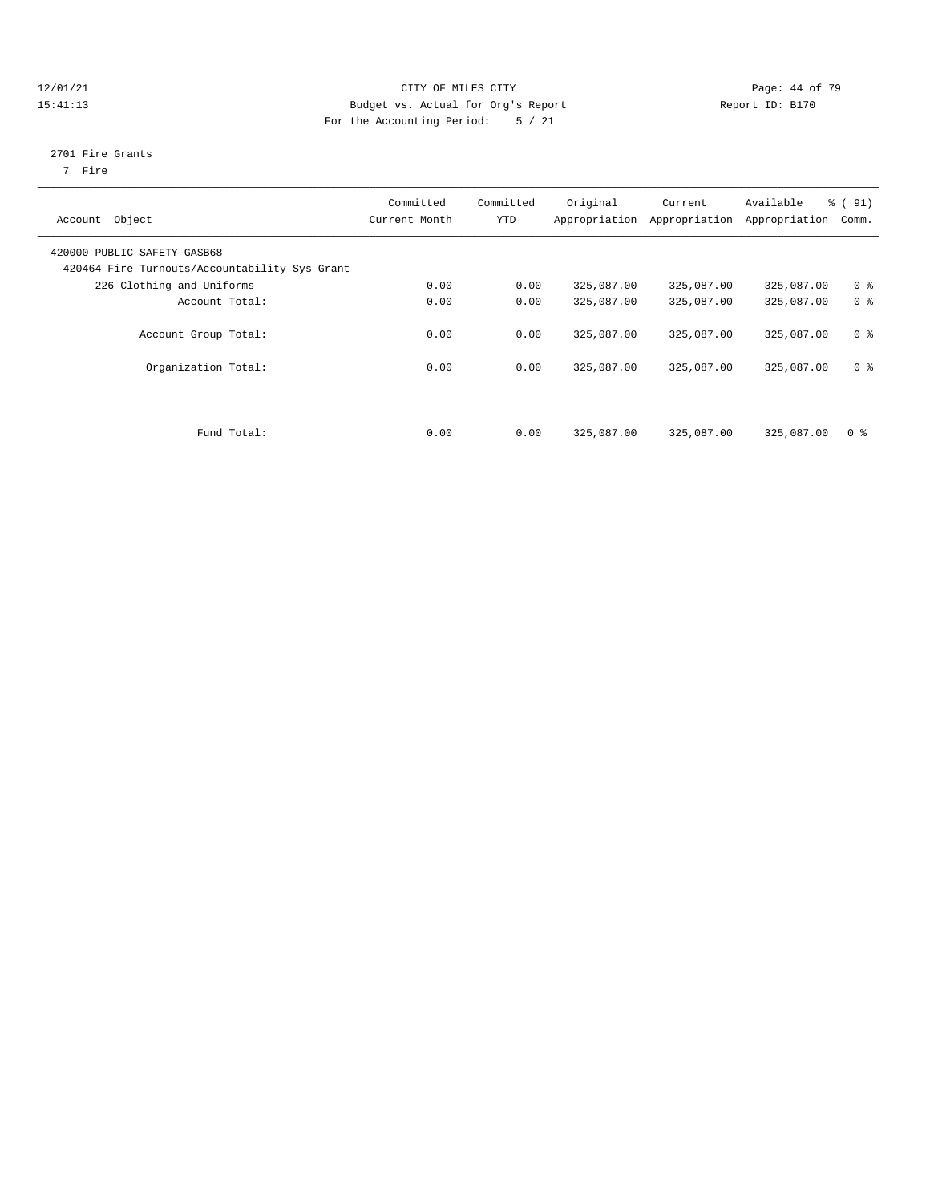#### 12/01/21 Page: 44 of 79 15:41:13 Budget vs. Actual for Org's Report Report ID: B170 For the Accounting Period: 5 / 21

#### 2701 Fire Grants

7 Fire

| Account Object                                                               | Committed<br>Current Month | Committed<br><b>YTD</b> | Original   | Current<br>Appropriation Appropriation | Available<br>Appropriation | $\frac{1}{6}$ (91)<br>Comm. |
|------------------------------------------------------------------------------|----------------------------|-------------------------|------------|----------------------------------------|----------------------------|-----------------------------|
| 420000 PUBLIC SAFETY-GASB68<br>420464 Fire-Turnouts/Accountability Sys Grant |                            |                         |            |                                        |                            |                             |
| 226 Clothing and Uniforms                                                    | 0.00                       | 0.00                    | 325,087.00 | 325,087.00                             | 325,087.00                 | 0 <sup>8</sup>              |
| Account Total:                                                               | 0.00                       | 0.00                    | 325,087.00 | 325,087.00                             | 325,087.00                 | 0 <sup>8</sup>              |
| Account Group Total:                                                         | 0.00                       | 0.00                    | 325,087.00 | 325,087.00                             | 325,087.00                 | 0 <sup>8</sup>              |
| Organization Total:                                                          | 0.00                       | 0.00                    | 325,087.00 | 325,087.00                             | 325,087.00                 | 0 <sup>8</sup>              |
| Fund Total:                                                                  | 0.00                       | 0.00                    | 325,087.00 | 325,087.00                             | 325,087.00                 | 0 <sup>8</sup>              |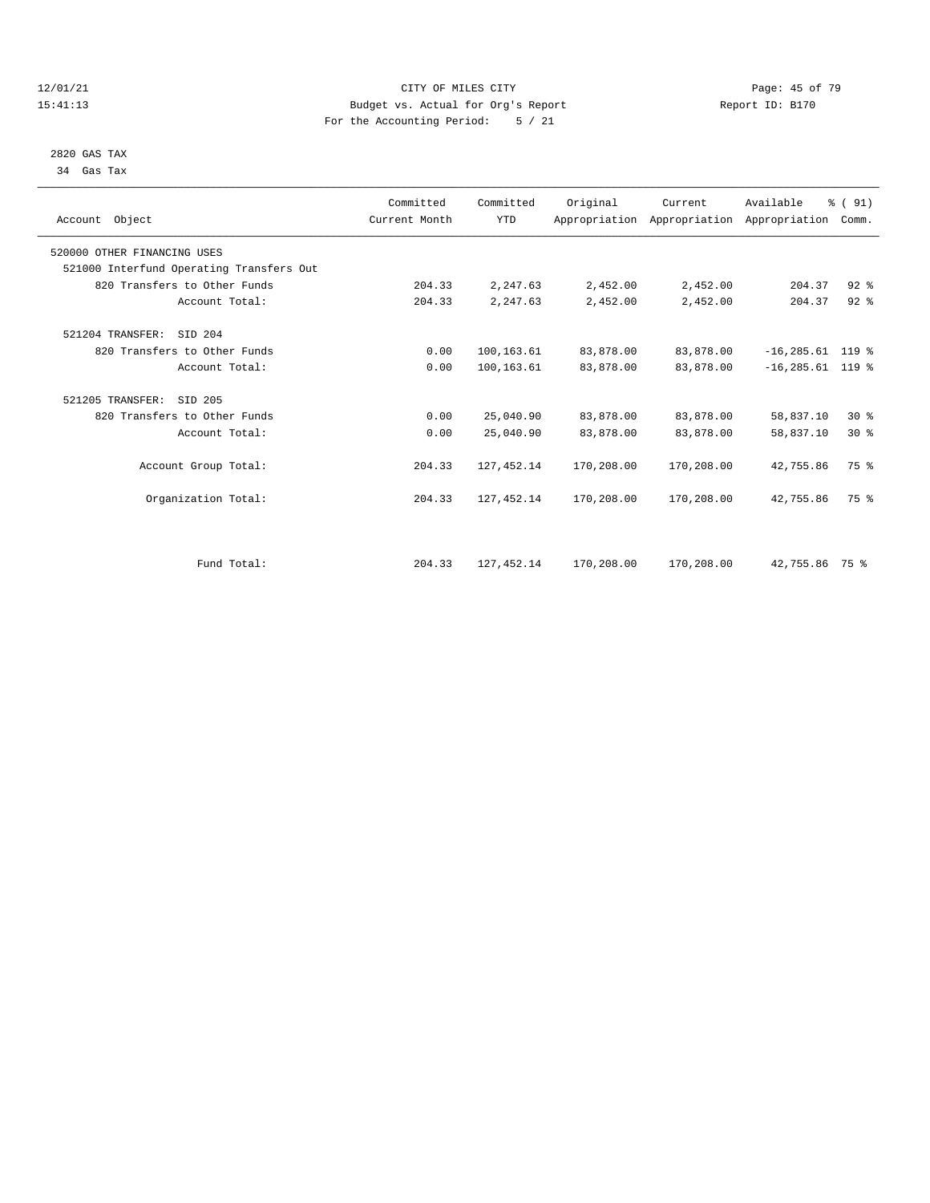#### 12/01/21 Page: 45 of 79<br>
12/01/21 Page: 45 of 79<br>
Budget vs. Actual for Org's Report Page: 45 of 79<br>
Report ID: Bl70 15:41:13 Budget vs. Actual for Org's Report For the Accounting Period: 5 / 21

 2820 GAS TAX 34 Gas Tax

| Account Object                           | Committed<br>Current Month | Committed<br><b>YTD</b> | Original   | Current    | Available<br>Appropriation Appropriation Appropriation Comm. | % (91)   |  |
|------------------------------------------|----------------------------|-------------------------|------------|------------|--------------------------------------------------------------|----------|--|
| 520000 OTHER FINANCING USES              |                            |                         |            |            |                                                              |          |  |
| 521000 Interfund Operating Transfers Out |                            |                         |            |            |                                                              |          |  |
| 820 Transfers to Other Funds             | 204.33                     | 2,247.63                | 2,452.00   | 2,452.00   | 204.37                                                       | $92$ $%$ |  |
| Account Total:                           | 204.33                     | 2,247.63                | 2,452.00   | 2,452.00   | 204.37                                                       | $92$ $%$ |  |
| 521204 TRANSFER: SID 204                 |                            |                         |            |            |                                                              |          |  |
| 820 Transfers to Other Funds             | 0.00                       | 100,163.61              | 83,878.00  | 83,878.00  | $-16, 285.61$ 119 %                                          |          |  |
| Account Total:                           | 0.00                       | 100,163.61              | 83,878.00  | 83,878.00  | $-16, 285.61$ 119 %                                          |          |  |
| 521205 TRANSFER:<br>SID 205              |                            |                         |            |            |                                                              |          |  |
| 820 Transfers to Other Funds             | 0.00                       | 25,040.90               | 83,878.00  | 83,878.00  | 58,837.10                                                    | $30*$    |  |
| Account Total:                           | 0.00                       | 25,040.90               | 83,878.00  | 83,878.00  | 58,837.10                                                    | $30*$    |  |
| Account Group Total:                     | 204.33                     | 127, 452.14             | 170,208.00 | 170,208.00 | 42,755.86                                                    | 75 %     |  |
| Organization Total:                      | 204.33                     | 127, 452.14             | 170,208.00 | 170,208.00 | 42,755.86                                                    | 75 %     |  |
|                                          |                            |                         |            |            |                                                              |          |  |
| Fund Total:                              | 204.33                     | 127, 452.14             | 170,208.00 | 170,208.00 | 42,755.86 75 %                                               |          |  |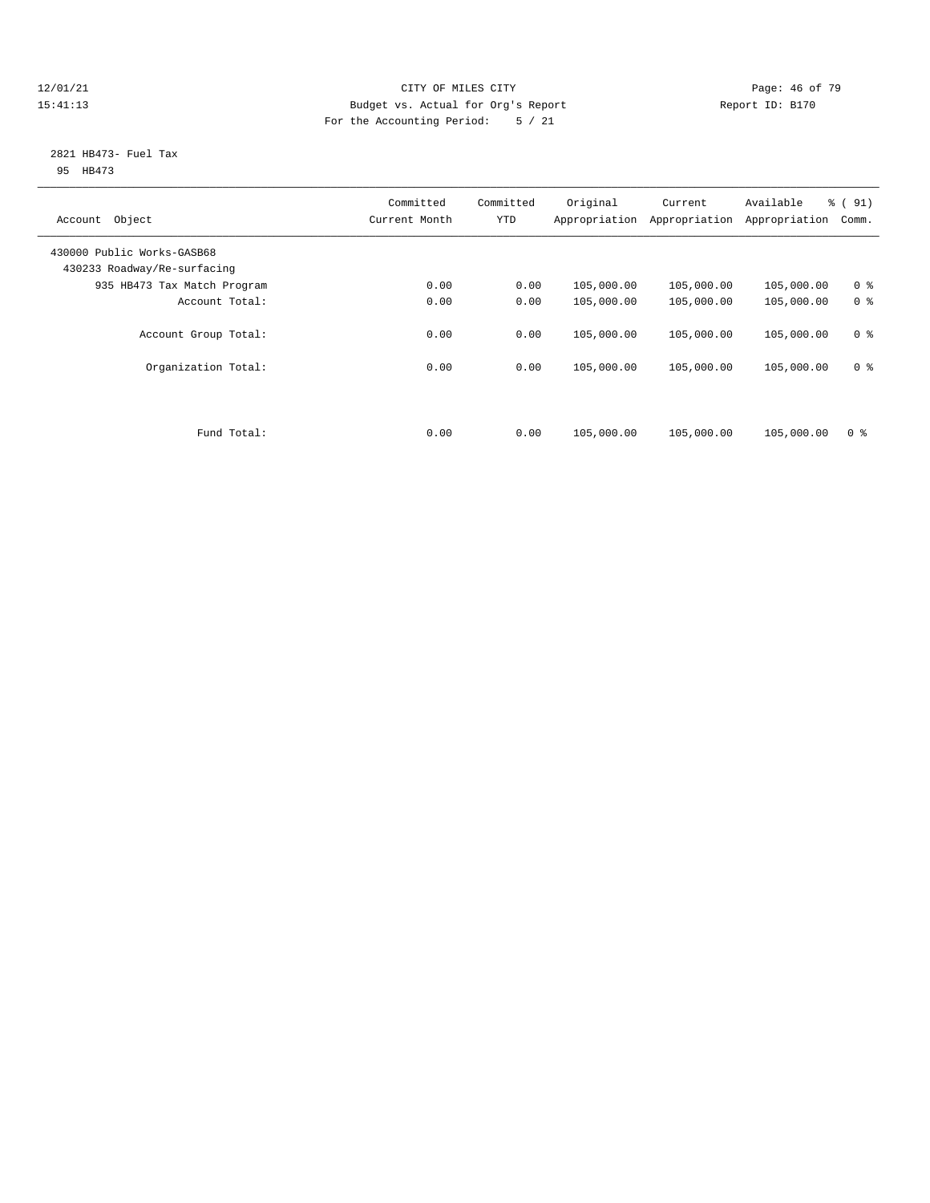#### $\begin{tabular}{c} 12/01/21 & \hspace{2.5cm} Page: 46 of 79 \\ 15:41:13 & \hspace{2.5cm} Page: 46 of 79 \\ \end{tabular}$ 15:41:13 Budget vs. Actual for Org's Report Report ID: B170 For the Accounting Period: 5 / 21

#### 2821 HB473- Fuel Tax 95 HB473

|                             | Committed     | Committed | Original      | Current       | Available     | % (91)         |
|-----------------------------|---------------|-----------|---------------|---------------|---------------|----------------|
| Object<br>Account           | Current Month | YTD       | Appropriation | Appropriation | Appropriation | Comm.          |
| 430000 Public Works-GASB68  |               |           |               |               |               |                |
| 430233 Roadway/Re-surfacing |               |           |               |               |               |                |
| 935 HB473 Tax Match Program | 0.00          | 0.00      | 105,000.00    | 105,000.00    | 105,000.00    | 0 <sup>8</sup> |
| Account Total:              | 0.00          | 0.00      | 105,000.00    | 105,000.00    | 105,000.00    | 0 <sup>8</sup> |
|                             |               |           |               |               |               |                |
| Account Group Total:        | 0.00          | 0.00      | 105,000.00    | 105,000.00    | 105,000.00    | 0 <sup>8</sup> |
|                             |               |           |               |               |               |                |
| Organization Total:         | 0.00          | 0.00      | 105,000.00    | 105,000.00    | 105,000.00    | 0 <sup>8</sup> |
|                             |               |           |               |               |               |                |
|                             |               |           |               |               |               |                |
|                             |               |           |               |               |               |                |
| Fund Total:                 | 0.00          | 0.00      | 105,000.00    | 105,000.00    | 105,000.00    | 0 <sup>8</sup> |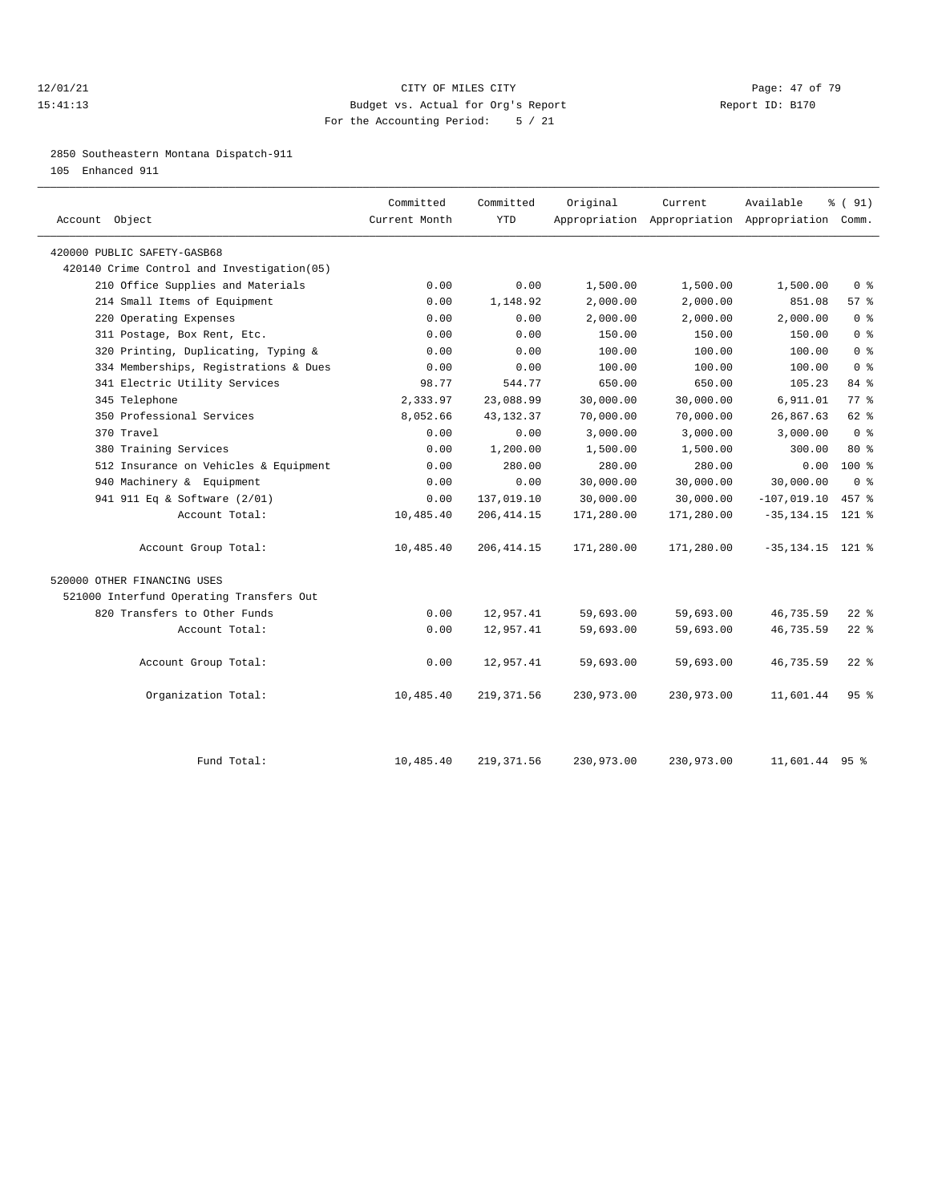#### 12/01/21 **Page: 47 of 79 CITY OF MILES CITY CITY Page: 47 of 79** 15:41:13 Budget vs. Actual for Org's Report Report ID: B170 For the Accounting Period: 5 / 21

2850 Southeastern Montana Dispatch-911

105 Enhanced 911

| Account Object                             | Committed<br>Current Month | Committed<br><b>YTD</b> | Original   | Current<br>Appropriation Appropriation Appropriation Comm. | Available           | % (91)                             |
|--------------------------------------------|----------------------------|-------------------------|------------|------------------------------------------------------------|---------------------|------------------------------------|
| 420000 PUBLIC SAFETY-GASB68                |                            |                         |            |                                                            |                     |                                    |
| 420140 Crime Control and Investigation(05) |                            |                         |            |                                                            |                     |                                    |
| 210 Office Supplies and Materials          | 0.00                       | 0.00                    | 1,500.00   | 1,500.00                                                   | 1,500.00            | $0 \text{ }$ $\text{ }$ $\text{ }$ |
| 214 Small Items of Equipment               | 0.00                       | 1,148.92                | 2,000.00   | 2,000.00                                                   | 851.08              | 57%                                |
| 220 Operating Expenses                     | 0.00                       | 0.00                    | 2,000.00   | 2,000.00                                                   | 2.000.00            | 0 <sup>8</sup>                     |
| 311 Postage, Box Rent, Etc.                | 0.00                       | 0.00                    | 150.00     | 150.00                                                     | 150.00              | 0 <sup>8</sup>                     |
| 320 Printing, Duplicating, Typing &        | 0.00                       | 0.00                    | 100.00     | 100.00                                                     | 100.00              | 0 <sup>8</sup>                     |
| 334 Memberships, Registrations & Dues      | 0.00                       | 0.00                    | 100.00     | 100.00                                                     | 100.00              | 0 <sup>8</sup>                     |
| 341 Electric Utility Services              | 98.77                      | 544.77                  | 650.00     | 650.00                                                     | 105.23              | 84 %                               |
| 345 Telephone                              | 2,333.97                   | 23,088.99               | 30,000.00  | 30,000.00                                                  | 6,911.01            | 77.8                               |
| 350 Professional Services                  | 8,052.66                   | 43, 132. 37             | 70,000.00  | 70,000.00                                                  | 26,867.63           | 62 %                               |
| 370 Travel                                 | 0.00                       | 0.00                    | 3,000.00   | 3,000.00                                                   | 3,000.00            | 0 <sup>8</sup>                     |
| 380 Training Services                      | 0.00                       | 1,200.00                | 1,500.00   | 1,500.00                                                   | 300.00              | $80*$                              |
| 512 Insurance on Vehicles & Equipment      | 0.00                       | 280.00                  | 280.00     | 280.00                                                     | 0.00                | $100*$                             |
| 940 Machinery & Equipment                  | 0.00                       | 0.00                    | 30,000.00  | 30,000.00                                                  | 30,000.00           | $0 \text{ }$ $\text{ }$ $\text{ }$ |
| 941 911 Eq & Software (2/01)               | 0.00                       | 137,019.10              | 30,000.00  | 30,000.00                                                  | $-107,019.10$       | 457 %                              |
| Account Total:                             | 10,485.40                  | 206, 414.15             | 171,280.00 | 171,280.00                                                 | $-35, 134.15$       | $121$ %                            |
| Account Group Total:                       | 10,485.40                  | 206, 414.15             | 171,280.00 | 171,280.00                                                 | $-35, 134.15$ 121 % |                                    |
| 520000 OTHER FINANCING USES                |                            |                         |            |                                                            |                     |                                    |
| 521000 Interfund Operating Transfers Out   |                            |                         |            |                                                            |                     |                                    |
| 820 Transfers to Other Funds               | 0.00                       | 12,957.41               | 59,693.00  | 59,693.00                                                  | 46,735.59           | $22$ %                             |
| Account Total:                             | 0.00                       | 12,957.41               | 59,693.00  | 59,693.00                                                  | 46,735.59           | $22$ $%$                           |
| Account Group Total:                       | 0.00                       | 12,957.41               | 59,693.00  | 59,693.00                                                  | 46,735.59           | $22$ %                             |
| Organization Total:                        | 10,485.40                  | 219, 371.56             | 230,973.00 | 230,973.00                                                 | 11,601.44           | 95%                                |
| Fund Total:                                | 10,485.40                  | 219, 371.56             | 230,973.00 | 230,973.00                                                 | 11,601.44 95 %      |                                    |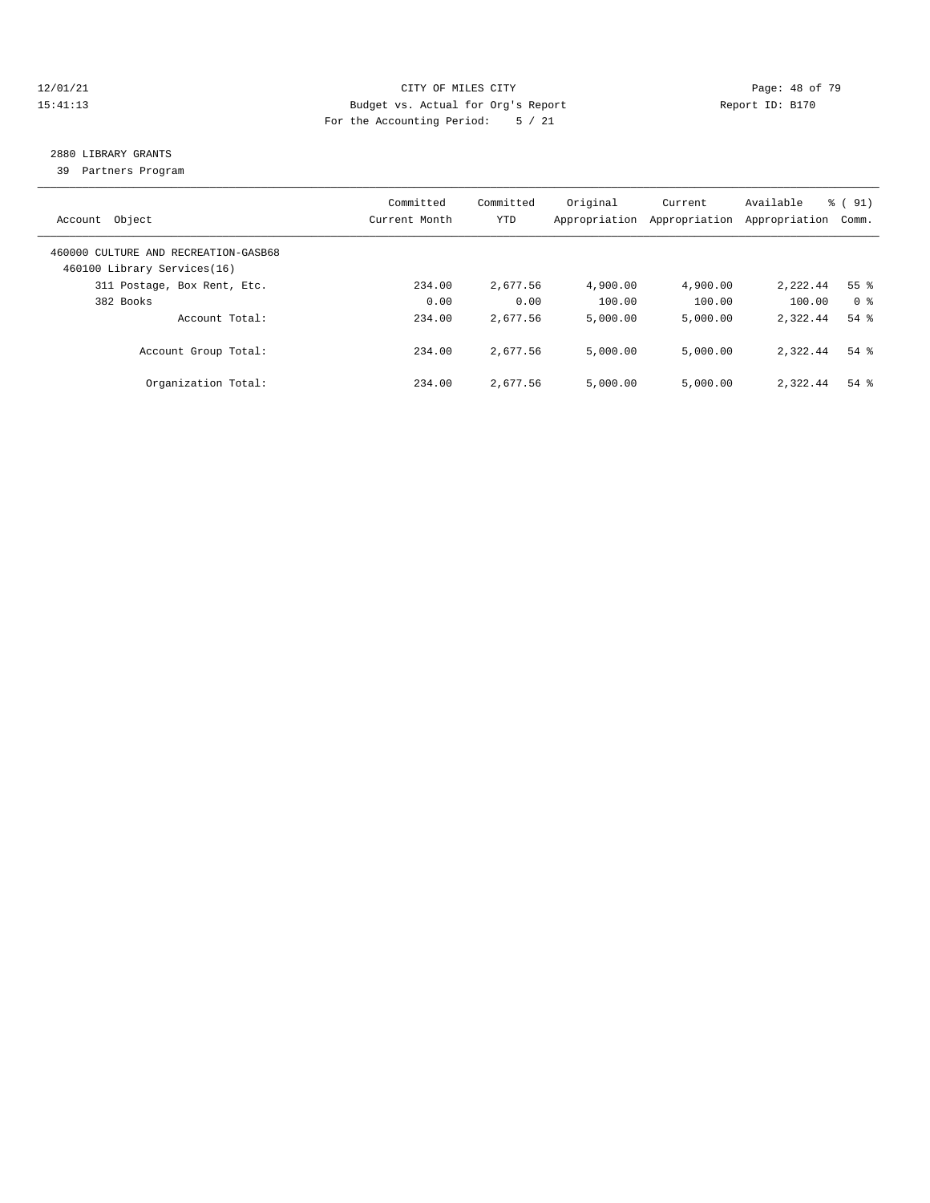#### 12/01/21 **Page: 48 of 79** CITY OF MILES CITY **CITY** CITY **Page: 48 of 79** 15:41:13 Budget vs. Actual for Org's Report Report ID: B170 For the Accounting Period: 5 / 21

# 2880 LIBRARY GRANTS

39 Partners Program

| Account Object                                                      | Committed<br>Current Month | Committed<br>YTD | Original<br>Appropriation | Current<br>Appropriation | Available<br>Appropriation | % (91)<br>Comm. |
|---------------------------------------------------------------------|----------------------------|------------------|---------------------------|--------------------------|----------------------------|-----------------|
| 460000 CULTURE AND RECREATION-GASB68<br>460100 Library Services(16) |                            |                  |                           |                          |                            |                 |
| 311 Postage, Box Rent, Etc.                                         | 234.00                     | 2,677.56         | 4,900.00                  | 4,900.00                 | 2,222.44                   | 55 <sup>8</sup> |
| 382 Books                                                           | 0.00                       | 0.00             | 100.00                    | 100.00                   | 100.00                     | 0 %             |
| Account Total:                                                      | 234.00                     | 2,677.56         | 5,000.00                  | 5.000.00                 | 2,322.44                   | $54$ $%$        |
| Account Group Total:                                                | 234.00                     | 2,677.56         | 5,000.00                  | 5,000.00                 | 2,322.44                   | $54$ $%$        |
| Organization Total:                                                 | 234.00                     | 2,677.56         | 5,000.00                  | 5.000.00                 | 2,322.44                   | $54$ $%$        |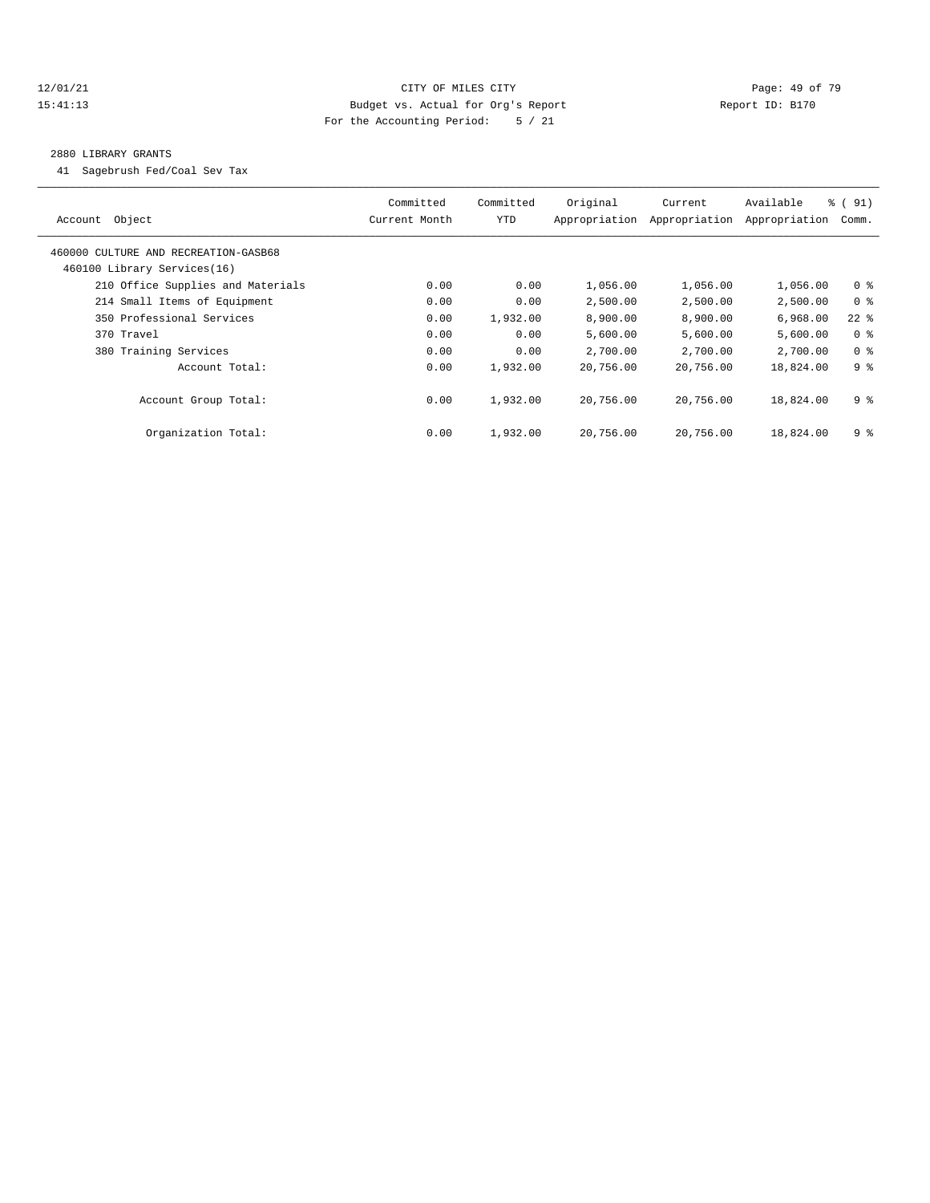#### 12/01/21 **Page: 49 of 79** CITY OF MILES CITY **CITY** Page: 49 of 79 15:41:13 Budget vs. Actual for Org's Report Report ID: B170 For the Accounting Period: 5 / 21

#### 2880 LIBRARY GRANTS

41 Sagebrush Fed/Coal Sev Tax

| Object<br>Account                                                   | Committed<br>Current Month | Committed<br>YTD | Original<br>Appropriation | Current<br>Appropriation | Available<br>Appropriation | % (91)<br>Comm. |
|---------------------------------------------------------------------|----------------------------|------------------|---------------------------|--------------------------|----------------------------|-----------------|
| 460000 CULTURE AND RECREATION-GASB68<br>460100 Library Services(16) |                            |                  |                           |                          |                            |                 |
| 210 Office Supplies and Materials                                   | 0.00                       | 0.00             | 1,056.00                  | 1,056.00                 | 1,056.00                   | 0 <sup>8</sup>  |
| 214 Small Items of Equipment                                        | 0.00                       | 0.00             | 2,500.00                  | 2,500.00                 | 2,500.00                   | 0 <sup>8</sup>  |
| 350 Professional Services                                           | 0.00                       | 1,932.00         | 8,900.00                  | 8,900.00                 | 6,968.00                   | $22$ %          |
| 370 Travel                                                          | 0.00                       | 0.00             | 5,600.00                  | 5,600.00                 | 5,600.00                   | 0 <sup>8</sup>  |
| 380 Training Services                                               | 0.00                       | 0.00             | 2,700.00                  | 2,700.00                 | 2,700.00                   | 0 <sup>8</sup>  |
| Account Total:                                                      | 0.00                       | 1,932.00         | 20,756.00                 | 20,756.00                | 18,824.00                  | 9 <sup>8</sup>  |
| Account Group Total:                                                | 0.00                       | 1,932.00         | 20,756.00                 | 20,756.00                | 18,824.00                  | 9 %             |
| Organization Total:                                                 | 0.00                       | 1,932.00         | 20,756.00                 | 20,756.00                | 18,824.00                  | 9 %             |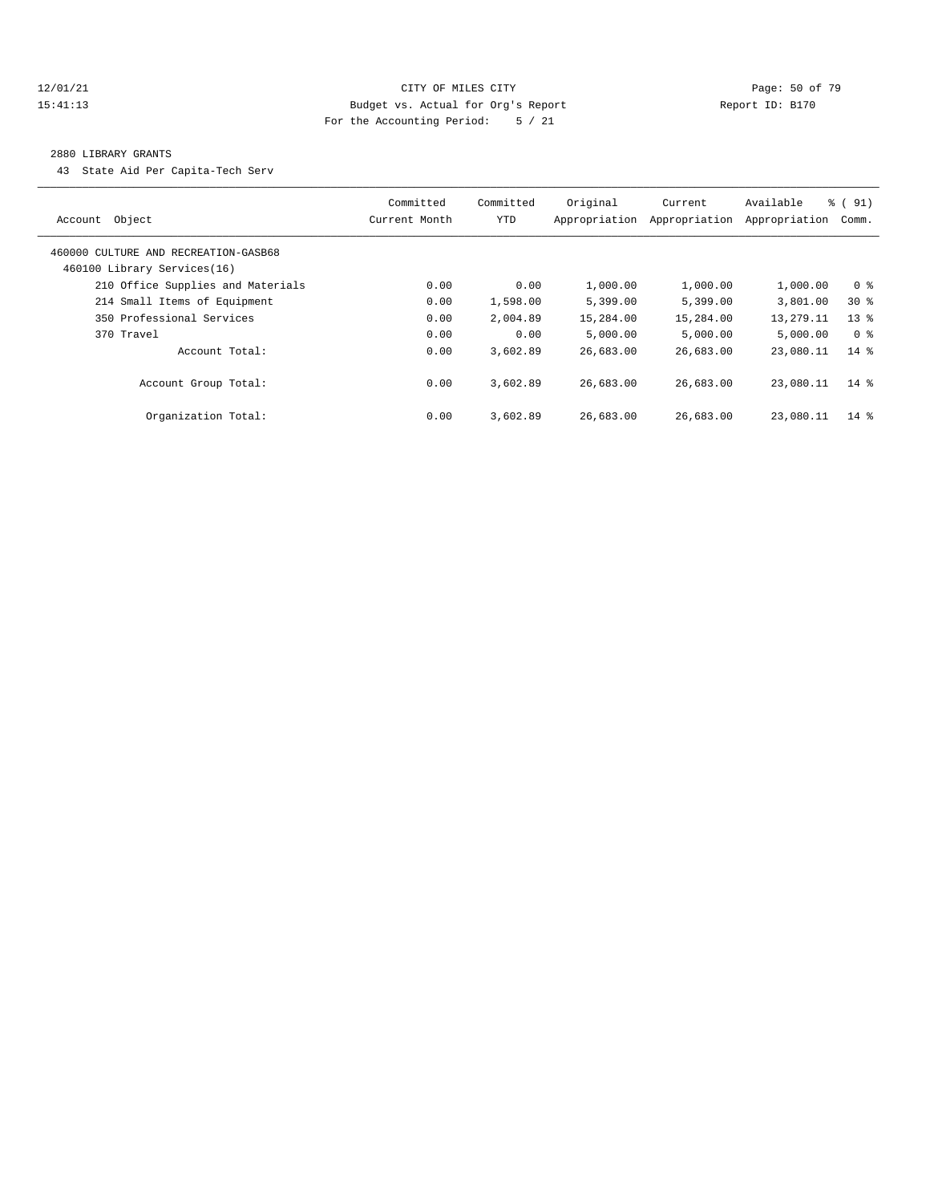#### 12/01/21 **Page: 50 of 79** CITY OF MILES CITY **CITY Page: 50 of 79** 15:41:13 Budget vs. Actual for Org's Report Report ID: B170 For the Accounting Period: 5 / 21

#### 2880 LIBRARY GRANTS

43 State Aid Per Capita-Tech Serv

| Object<br>Account                                                   | Committed<br>Current Month | Committed<br>YTD | Original<br>Appropriation | Current<br>Appropriation | Available<br>Appropriation | $\frac{1}{6}$ (91)<br>Comm. |
|---------------------------------------------------------------------|----------------------------|------------------|---------------------------|--------------------------|----------------------------|-----------------------------|
| 460000 CULTURE AND RECREATION-GASB68<br>460100 Library Services(16) |                            |                  |                           |                          |                            |                             |
| 210 Office Supplies and Materials                                   | 0.00                       | 0.00             | 1,000.00                  | 1,000.00                 | 1,000.00                   | 0 <sup>8</sup>              |
| 214 Small Items of Equipment                                        | 0.00                       | 1,598.00         | 5,399.00                  | 5,399.00                 | 3,801.00                   | $30*$                       |
| 350 Professional Services                                           | 0.00                       | 2,004.89         | 15,284.00                 | 15,284.00                | 13,279.11                  | $13*$                       |
| 370 Travel                                                          | 0.00                       | 0.00             | 5,000.00                  | 5,000.00                 | 5,000.00                   | 0 %                         |
| Account Total:                                                      | 0.00                       | 3,602.89         | 26,683.00                 | 26,683.00                | 23,080.11                  | $14*$                       |
| Account Group Total:                                                | 0.00                       | 3,602.89         | 26,683.00                 | 26,683.00                | 23,080.11                  | $14*$                       |
| Organization Total:                                                 | 0.00                       | 3,602.89         | 26,683.00                 | 26,683.00                | 23,080.11                  | $14*$                       |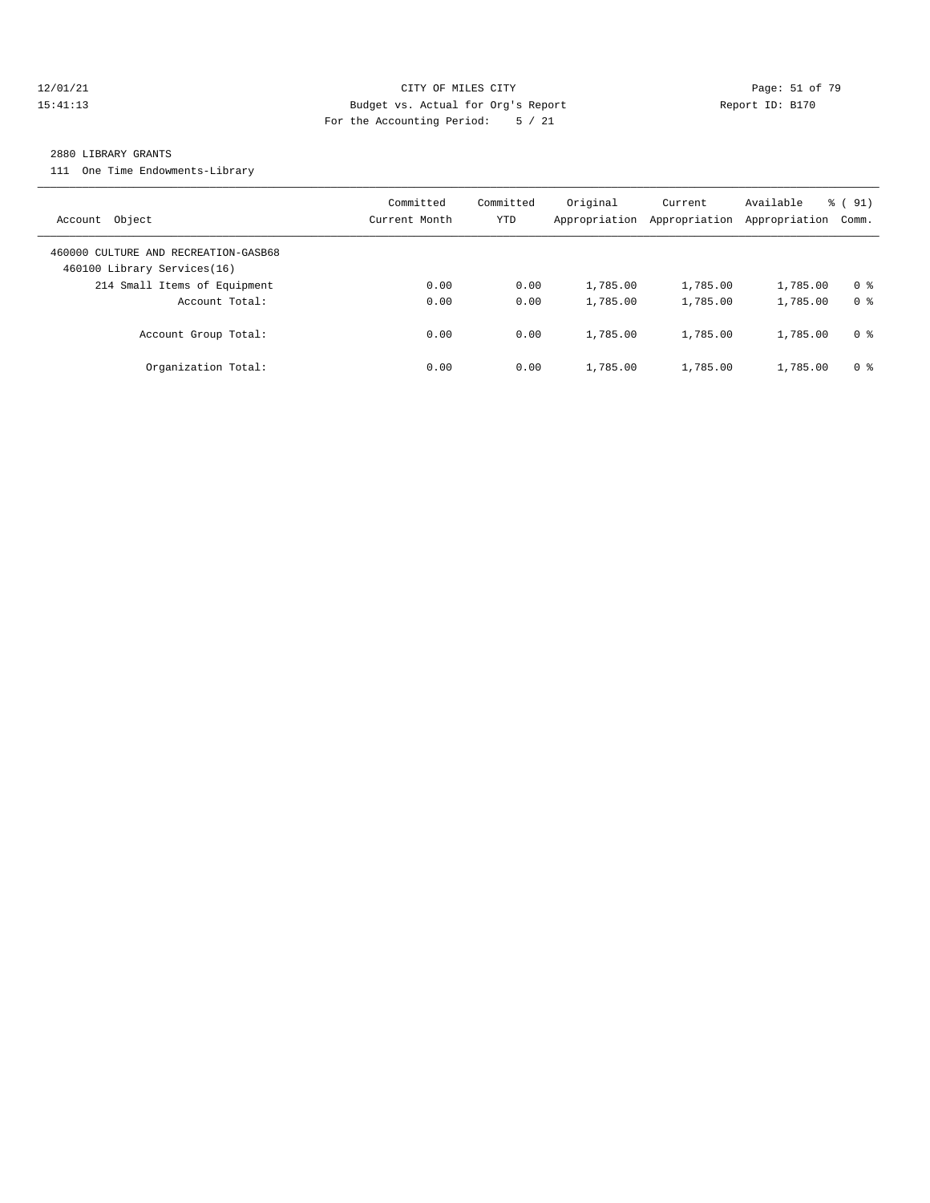#### 12/01/21 **Page: 51 of 79** CITY OF MILES CITY **CITY** CITY **Page: 51 of 79** 15:41:13 Budget vs. Actual for Org's Report Report ID: B170 For the Accounting Period: 5 / 21

#### 2880 LIBRARY GRANTS

111 One Time Endowments-Library

| Account Object                                                      | Committed<br>Current Month | Committed<br>YTD | Original<br>Appropriation | Current<br>Appropriation | Available<br>Appropriation | % (91)<br>Comm. |
|---------------------------------------------------------------------|----------------------------|------------------|---------------------------|--------------------------|----------------------------|-----------------|
| 460000 CULTURE AND RECREATION-GASB68<br>460100 Library Services(16) |                            |                  |                           |                          |                            |                 |
| 214 Small Items of Equipment                                        | 0.00                       | 0.00             | 1,785.00                  | 1,785.00                 | 1,785.00                   | 0 <sup>8</sup>  |
| Account Total:                                                      | 0.00                       | 0.00             | 1,785.00                  | 1,785.00                 | 1,785.00                   | 0 <sup>8</sup>  |
| Account Group Total:                                                | 0.00                       | 0.00             | 1,785.00                  | 1,785.00                 | 1,785.00                   | 0 %             |
| Organization Total:                                                 | 0.00                       | 0.00             | 1,785.00                  | 1,785.00                 | 1,785.00                   | 0 %             |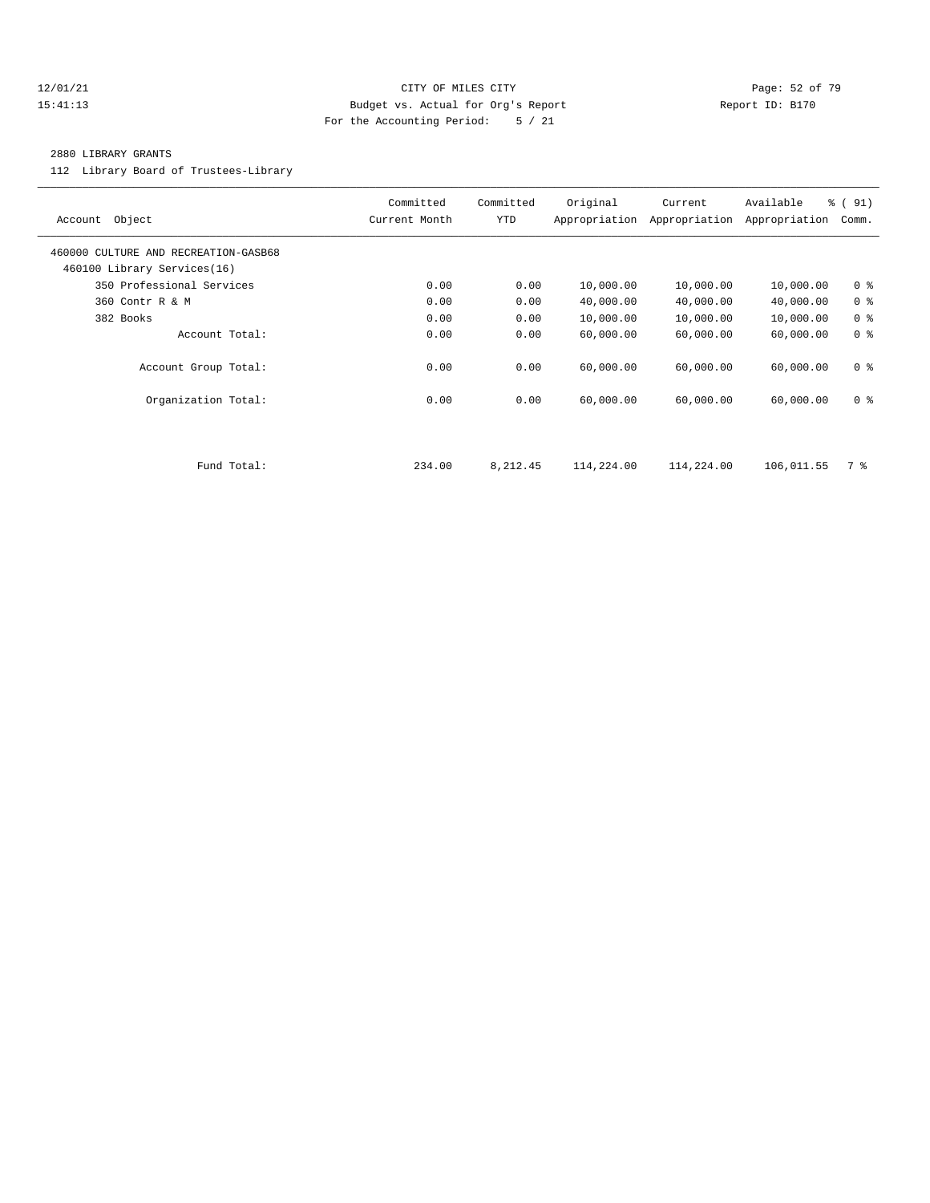#### 12/01/21 **Page: 52 of 79** CITY OF MILES CITY **CITY Page: 52 of 79** 15:41:13 Budget vs. Actual for Org's Report Report ID: B170 For the Accounting Period: 5 / 21

#### 2880 LIBRARY GRANTS

112 Library Board of Trustees-Library

| Object<br>Account                                                   | Committed<br>Current Month | Committed<br>YTD | Original<br>Appropriation | Current<br>Appropriation | Available<br>Appropriation | $\frac{1}{6}$ (91)<br>Comm. |
|---------------------------------------------------------------------|----------------------------|------------------|---------------------------|--------------------------|----------------------------|-----------------------------|
| 460000 CULTURE AND RECREATION-GASB68<br>460100 Library Services(16) |                            |                  |                           |                          |                            |                             |
| 350 Professional Services                                           | 0.00                       | 0.00             | 10,000.00                 | 10,000.00                | 10,000.00                  | 0 <sup>8</sup>              |
| 360 Contr R & M                                                     | 0.00                       | 0.00             | 40,000.00                 | 40,000.00                | 40,000.00                  | 0 <sup>8</sup>              |
| 382 Books                                                           | 0.00                       | 0.00             | 10,000.00                 | 10,000.00                | 10,000.00                  | 0 <sup>8</sup>              |
| Account Total:                                                      | 0.00                       | 0.00             | 60,000.00                 | 60,000.00                | 60,000.00                  | 0 <sup>8</sup>              |
| Account Group Total:                                                | 0.00                       | 0.00             | 60,000.00                 | 60,000.00                | 60,000.00                  | 0 <sup>8</sup>              |
| Organization Total:                                                 | 0.00                       | 0.00             | 60,000.00                 | 60,000.00                | 60,000.00                  | 0 <sup>8</sup>              |
|                                                                     |                            |                  |                           |                          |                            |                             |
| Fund Total:                                                         | 234.00                     | 8,212.45         | 114,224.00                | 114,224.00               | 106,011.55                 | 7 %                         |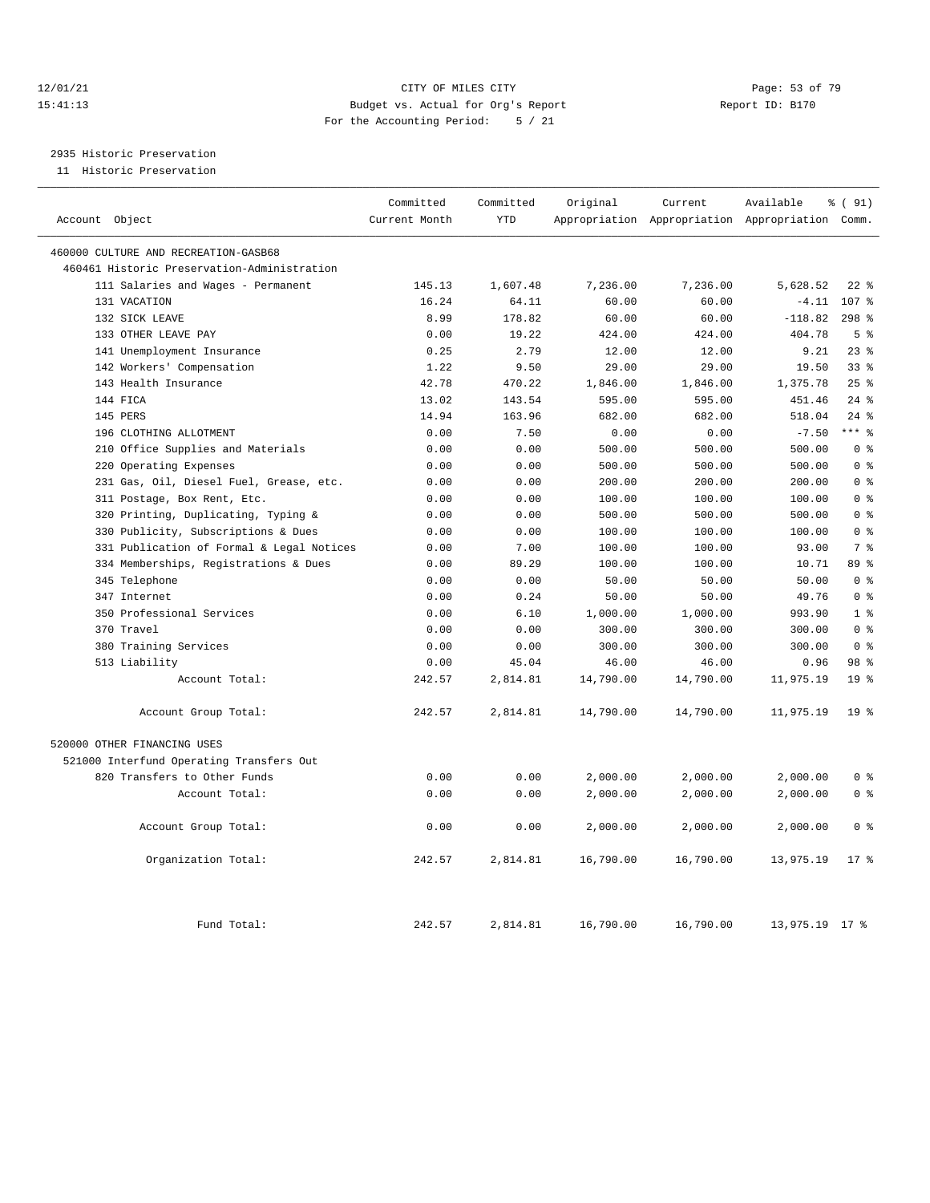#### 12/01/21 Page: 53 of 79<br>15:41:13 Budget vs. Actual for Org's Report Page: 53 of 79<br>15:41:13 Budget vs. Actual for Org's Report Page: 15:170 15:41:13 Budget vs. Actual for Org's Report For the Accounting Period: 5 / 21

# 2935 Historic Preservation

11 Historic Preservation

| Account Object                              | Committed<br>Current Month | Committed<br><b>YTD</b> | Original  | Current   | Available<br>Appropriation Appropriation Appropriation Comm. | % (91)          |
|---------------------------------------------|----------------------------|-------------------------|-----------|-----------|--------------------------------------------------------------|-----------------|
|                                             |                            |                         |           |           |                                                              |                 |
| 460000 CULTURE AND RECREATION-GASB68        |                            |                         |           |           |                                                              |                 |
| 460461 Historic Preservation-Administration |                            |                         |           |           |                                                              |                 |
| 111 Salaries and Wages - Permanent          | 145.13                     | 1,607.48                | 7,236.00  | 7,236.00  | 5,628.52                                                     | $22$ %          |
| 131 VACATION                                | 16.24                      | 64.11                   | 60.00     | 60.00     | $-4.11$                                                      | 107 %           |
| 132 SICK LEAVE                              | 8.99                       | 178.82                  | 60.00     | 60.00     | $-118.82$                                                    | $298$ %         |
| 133 OTHER LEAVE PAY                         | 0.00                       | 19.22                   | 424.00    | 424.00    | 404.78                                                       | 5 <sup>8</sup>  |
| 141 Unemployment Insurance                  | 0.25                       | 2.79                    | 12.00     | 12.00     | 9.21                                                         | $23$ $%$        |
| 142 Workers' Compensation                   | 1.22                       | 9.50                    | 29.00     | 29.00     | 19.50                                                        | 33 <sup>8</sup> |
| 143 Health Insurance                        | 42.78                      | 470.22                  | 1,846.00  | 1,846.00  | 1,375.78                                                     | 25%             |
| 144 FICA                                    | 13.02                      | 143.54                  | 595.00    | 595.00    | 451.46                                                       | $24$ %          |
| 145 PERS                                    | 14.94                      | 163.96                  | 682.00    | 682.00    | 518.04                                                       | $24$ %          |
| 196 CLOTHING ALLOTMENT                      | 0.00                       | 7.50                    | 0.00      | 0.00      | $-7.50$                                                      | $***$ $%$       |
| 210 Office Supplies and Materials           | 0.00                       | 0.00                    | 500.00    | 500.00    | 500.00                                                       | 0 <sup>8</sup>  |
| 220 Operating Expenses                      | 0.00                       | 0.00                    | 500.00    | 500.00    | 500.00                                                       | 0 <sup>8</sup>  |
| 231 Gas, Oil, Diesel Fuel, Grease, etc.     | 0.00                       | 0.00                    | 200.00    | 200.00    | 200.00                                                       | 0 <sup>8</sup>  |
| 311 Postage, Box Rent, Etc.                 | 0.00                       | 0.00                    | 100.00    | 100.00    | 100.00                                                       | 0 <sup>8</sup>  |
| 320 Printing, Duplicating, Typing &         | 0.00                       | 0.00                    | 500.00    | 500.00    | 500.00                                                       | 0 <sup>8</sup>  |
| 330 Publicity, Subscriptions & Dues         | 0.00                       | 0.00                    | 100.00    | 100.00    | 100.00                                                       | 0 <sup>8</sup>  |
| 331 Publication of Formal & Legal Notices   | 0.00                       | 7.00                    | 100.00    | 100.00    | 93.00                                                        | 7 <sup>8</sup>  |
| 334 Memberships, Registrations & Dues       | 0.00                       | 89.29                   | 100.00    | 100.00    | 10.71                                                        | 89 %            |
| 345 Telephone                               | 0.00                       | 0.00                    | 50.00     | 50.00     | 50.00                                                        | 0 <sup>8</sup>  |
| 347 Internet                                | 0.00                       | 0.24                    | 50.00     | 50.00     | 49.76                                                        | 0 <sup>8</sup>  |
| 350 Professional Services                   | 0.00                       | 6.10                    | 1,000.00  | 1,000.00  | 993.90                                                       | 1 <sup>8</sup>  |
| 370 Travel                                  | 0.00                       | 0.00                    | 300.00    | 300.00    | 300.00                                                       | 0 <sup>8</sup>  |
| 380 Training Services                       | 0.00                       | 0.00                    | 300.00    | 300.00    | 300.00                                                       | 0 <sup>8</sup>  |
| 513 Liability                               | 0.00                       | 45.04                   | 46.00     | 46.00     | 0.96                                                         | 98 <sup>8</sup> |
| Account Total:                              | 242.57                     | 2,814.81                | 14,790.00 | 14,790.00 | 11,975.19                                                    | 19 <sup>8</sup> |
| Account Group Total:                        | 242.57                     | 2,814.81                | 14,790.00 | 14,790.00 | 11,975.19                                                    | 19 <sup>°</sup> |
| 520000 OTHER FINANCING USES                 |                            |                         |           |           |                                                              |                 |
| 521000 Interfund Operating Transfers Out    |                            |                         |           |           |                                                              |                 |
| 820 Transfers to Other Funds                | 0.00                       | 0.00                    | 2,000.00  | 2,000.00  | 2,000.00                                                     | 0 <sup>8</sup>  |
| Account Total:                              | 0.00                       | 0.00                    | 2,000.00  | 2,000.00  | 2,000.00                                                     | 0 <sup>8</sup>  |
| Account Group Total:                        | 0.00                       | 0.00                    | 2,000.00  | 2,000.00  | 2,000.00                                                     | 0 <sup>8</sup>  |
| Organization Total:                         | 242.57                     | 2,814.81                | 16,790.00 | 16,790.00 | 13,975.19                                                    | $17*$           |
| Fund Total:                                 | 242.57                     | 2,814.81                | 16,790.00 | 16,790.00 | 13,975.19 17 %                                               |                 |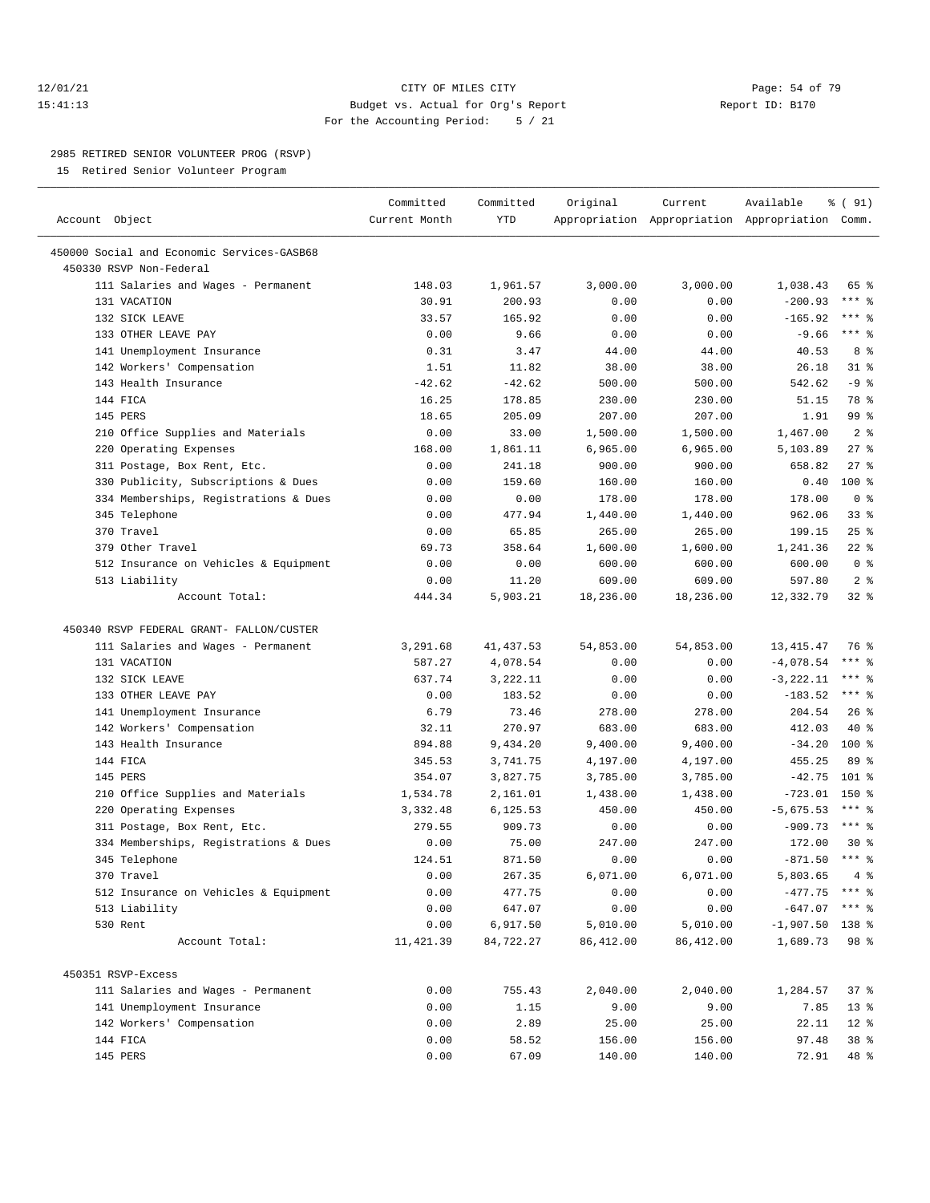#### 12/01/21 **Page: 54 of 79** CITY OF MILES CITY **CITY** CITY **Page: 54 of 79** 15:41:13 Budget vs. Actual for Org's Report Report ID: B170 For the Accounting Period: 5 / 21

————————————————————————————————————————————————————————————————————————————————————————————————————————————————————————————————————

#### 2985 RETIRED SENIOR VOLUNTEER PROG (RSVP)

15 Retired Senior Volunteer Program

|                                            | Committed     | Committed  | Original   | Current                                         | Available         | % ( 91)             |
|--------------------------------------------|---------------|------------|------------|-------------------------------------------------|-------------------|---------------------|
| Account Object                             | Current Month | <b>YTD</b> |            | Appropriation Appropriation Appropriation Comm. |                   |                     |
| 450000 Social and Economic Services-GASB68 |               |            |            |                                                 |                   |                     |
| 450330 RSVP Non-Federal                    |               |            |            |                                                 |                   |                     |
| 111 Salaries and Wages - Permanent         | 148.03        | 1,961.57   | 3,000.00   | 3,000.00                                        | 1,038.43          | 65 %                |
| 131 VACATION                               | 30.91         | 200.93     | 0.00       | 0.00                                            | $-200.93$         | $***$ $_{8}$        |
| 132 SICK LEAVE                             | 33.57         | 165.92     | 0.00       | 0.00                                            | $-165.92$         | $***$ $-$           |
| 133 OTHER LEAVE PAY                        | 0.00          | 9.66       | 0.00       | 0.00                                            | $-9.66$           | $***$ $-$           |
| 141 Unemployment Insurance                 | 0.31          | 3.47       | 44.00      | 44.00                                           | 40.53             | 8 %                 |
| 142 Workers' Compensation                  | 1.51          | 11.82      | 38.00      | 38.00                                           | 26.18             | $31$ %              |
| 143 Health Insurance                       | $-42.62$      | $-42.62$   | 500.00     | 500.00                                          | 542.62            | $-9$ %              |
| 144 FICA                                   | 16.25         | 178.85     | 230.00     | 230.00                                          | 51.15             | 78 %                |
| 145 PERS                                   | 18.65         | 205.09     | 207.00     | 207.00                                          | 1.91              | 99 %                |
| 210 Office Supplies and Materials          | 0.00          | 33.00      | 1,500.00   | 1,500.00                                        | 1,467.00          | 2 <sup>8</sup>      |
| 220 Operating Expenses                     | 168.00        | 1,861.11   | 6,965.00   | 6,965.00                                        | 5,103.89          | $27$ %              |
| 311 Postage, Box Rent, Etc.                | 0.00          | 241.18     | 900.00     | 900.00                                          | 658.82            | $27$ %              |
| 330 Publicity, Subscriptions & Dues        | 0.00          | 159.60     | 160.00     | 160.00                                          | 0.40              | $100$ %             |
| 334 Memberships, Registrations & Dues      | 0.00          | 0.00       | 178.00     | 178.00                                          | 178.00            | 0 <sup>8</sup>      |
| 345 Telephone                              | 0.00          | 477.94     | 1,440.00   | 1,440.00                                        | 962.06            | $33$ $%$            |
| 370 Travel                                 | 0.00          | 65.85      | 265.00     | 265.00                                          | 199.15            | 25%                 |
| 379 Other Travel                           | 69.73         | 358.64     | 1,600.00   | 1,600.00                                        | 1,241.36          | $22$ %              |
| 512 Insurance on Vehicles & Equipment      | 0.00          | 0.00       | 600.00     | 600.00                                          | 600.00            | 0 <sup>8</sup>      |
| 513 Liability                              | 0.00          | 11.20      | 609.00     | 609.00                                          | 597.80            | 2 <sup>8</sup>      |
| Account Total:                             | 444.34        | 5,903.21   | 18,236.00  | 18,236.00                                       | 12,332.79         | $32$ $%$            |
|                                            |               |            |            |                                                 |                   |                     |
| 450340 RSVP FEDERAL GRANT- FALLON/CUSTER   |               |            |            |                                                 |                   |                     |
| 111 Salaries and Wages - Permanent         | 3,291.68      | 41, 437.53 | 54,853.00  | 54,853.00                                       | 13, 415. 47       | 76 %                |
| 131 VACATION                               | 587.27        | 4,078.54   | 0.00       | 0.00                                            | $-4,078.54$       | $***$ $%$           |
| 132 SICK LEAVE                             | 637.74        | 3,222.11   | 0.00       | 0.00                                            | $-3, 222.11$      | *** 음               |
| 133 OTHER LEAVE PAY                        | 0.00          | 183.52     | 0.00       | 0.00                                            | $-183.52$         | *** 응               |
| 141 Unemployment Insurance                 | 6.79          | 73.46      | 278.00     | 278.00                                          | 204.54            | 26%                 |
| 142 Workers' Compensation                  | 32.11         | 270.97     | 683.00     | 683.00                                          | 412.03            | 40 %                |
| 143 Health Insurance                       | 894.88        | 9,434.20   | 9,400.00   | 9,400.00                                        | $-34.20$          | $100*$              |
| 144 FICA                                   | 345.53        | 3,741.75   | 4,197.00   | 4,197.00                                        | 455.25            | 89 %                |
| 145 PERS                                   | 354.07        | 3,827.75   | 3,785.00   | 3,785.00                                        | $-42.75$          | $101$ %             |
| 210 Office Supplies and Materials          | 1,534.78      | 2,161.01   | 1,438.00   | 1,438.00                                        | $-723.01$ 150 %   |                     |
| 220 Operating Expenses                     | 3,332.48      | 6,125.53   | 450.00     | 450.00                                          | $-5,675.53$       | *** 음               |
| 311 Postage, Box Rent, Etc.                | 279.55        | 909.73     | 0.00       | 0.00                                            | $-909.73$         | $***$ $-$           |
| 334 Memberships, Registrations & Dues      | 0.00          | 75.00      | 247.00     | 247.00                                          | 172.00            | $30*$               |
| 345 Telephone                              | 124.51        | 871.50     | 0.00       | 0.00                                            | $-871.50$         | $***$ $\frac{6}{6}$ |
| 370 Travel                                 | 0.00          | 267.35     | 6,071.00   | 6,071.00                                        | $5,803.65$ 4 %    |                     |
| 512 Insurance on Vehicles & Equipment      | 0.00          | 477.75     | 0.00       | 0.00                                            | $-477.75$ *** $%$ |                     |
| 513 Liability                              | 0.00          | 647.07     | 0.00       | 0.00                                            | $-647.07$         | *** 응               |
| 530 Rent                                   | 0.00          | 6,917.50   | 5,010.00   | 5,010.00                                        | $-1,907.50$ 138 % |                     |
| Account Total:                             | 11, 421.39    | 84,722.27  | 86, 412.00 | 86, 412.00                                      | 1,689.73          | 98 %                |
|                                            |               |            |            |                                                 |                   |                     |
| 450351 RSVP-Excess                         |               |            |            |                                                 |                   |                     |
| 111 Salaries and Wages - Permanent         | 0.00          | 755.43     | 2,040.00   | 2,040.00                                        | 1,284.57          | 37%                 |
| 141 Unemployment Insurance                 | 0.00          | 1.15       | 9.00       | 9.00                                            | 7.85              | $13*$               |
| 142 Workers' Compensation                  | 0.00          | 2.89       | 25.00      | 25.00                                           | 22.11             | $12$ %              |
| 144 FICA                                   | 0.00          | 58.52      | 156.00     | 156.00                                          | 97.48             | 38 %                |
| 145 PERS                                   | 0.00          | 67.09      | 140.00     | 140.00                                          | 72.91             | 48 %                |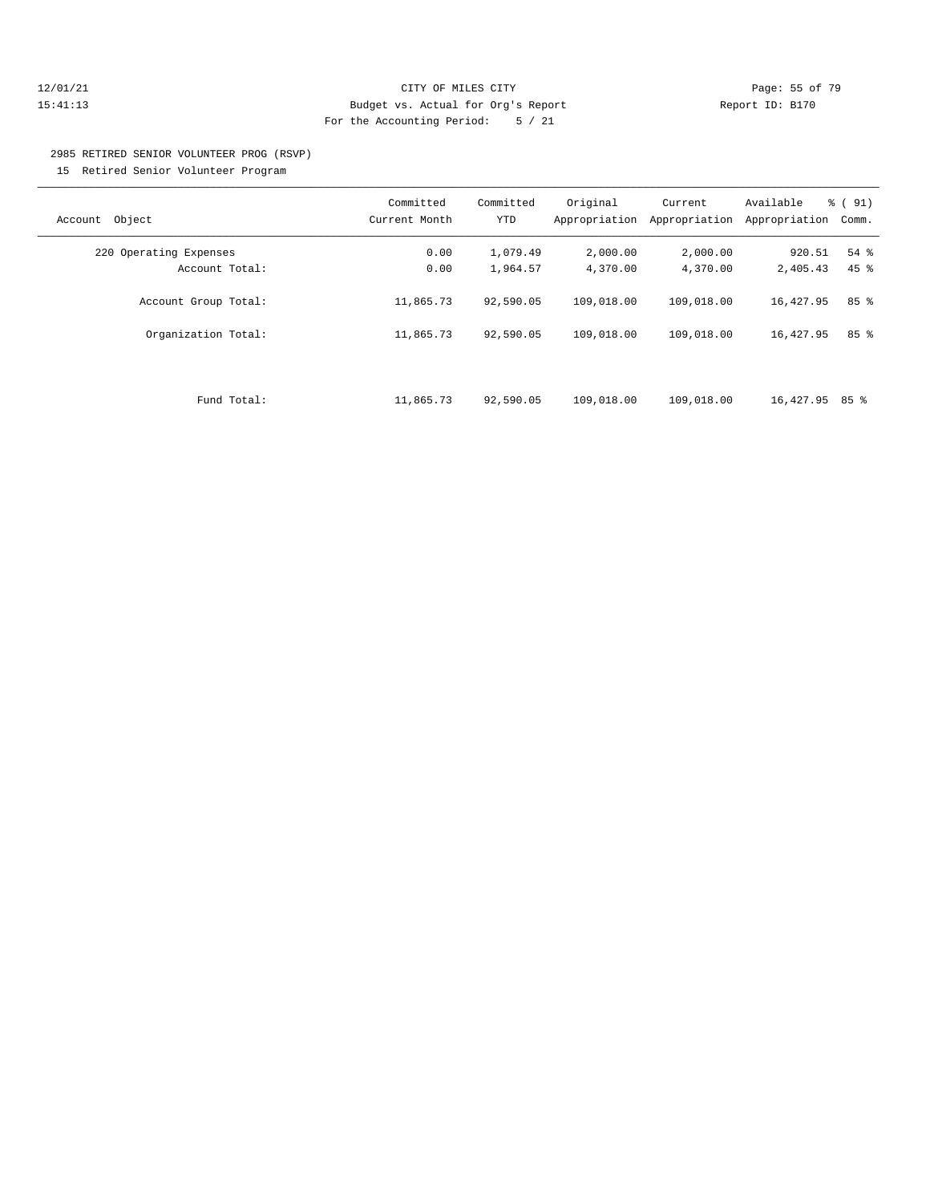#### 12/01/21 Page: 55 of 79 15:41:13 Budget vs. Actual for Org's Report Report ID: B170 For the Accounting Period: 5 / 21

# 2985 RETIRED SENIOR VOLUNTEER PROG (RSVP)

15 Retired Senior Volunteer Program

| Object<br>Account      | Committed<br>Current Month | Committed<br>YTD | Original<br>Appropriation | Current<br>Appropriation | Available<br>Appropriation | % (91)<br>Comm. |
|------------------------|----------------------------|------------------|---------------------------|--------------------------|----------------------------|-----------------|
| 220 Operating Expenses | 0.00                       | 1,079.49         | 2,000.00                  | 2,000.00                 | 920.51                     | 54 %            |
| Account Total:         | 0.00                       | 1,964.57         | 4,370.00                  | 4,370.00                 | 2,405.43                   | $45$ $%$        |
| Account Group Total:   | 11,865.73                  | 92,590.05        | 109,018.00                | 109,018.00               | 16,427.95                  | 85%             |
| Organization Total:    | 11,865.73                  | 92,590.05        | 109,018.00                | 109,018.00               | 16,427.95                  | 85%             |
|                        |                            |                  |                           |                          |                            |                 |
| Fund Total:            | 11,865.73                  | 92,590.05        | 109,018.00                | 109,018.00               | 16,427.95 85 %             |                 |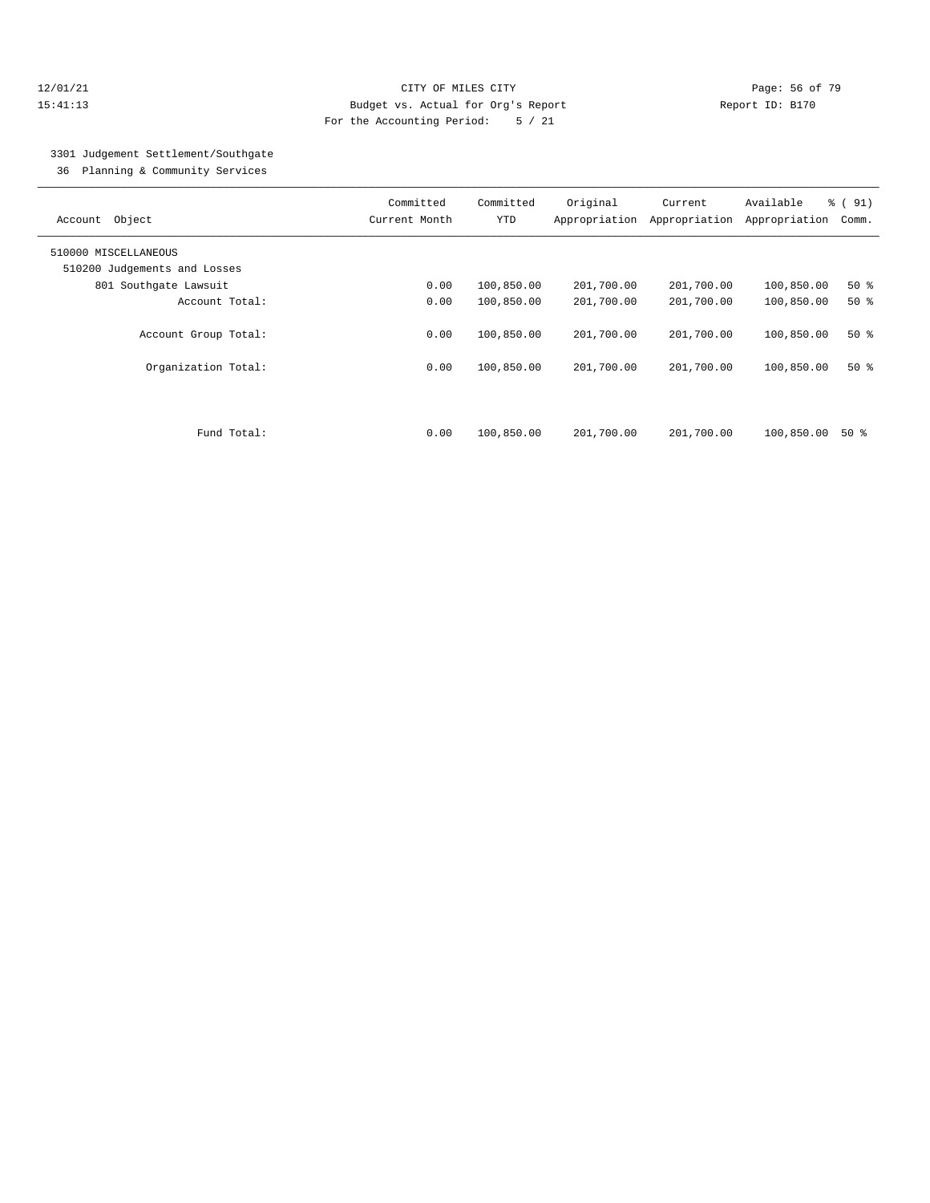#### 12/01/21 **Page: 56 of 79** CITY OF MILES CITY **CITY** Page: 56 of 79 15:41:13 Budget vs. Actual for Org's Report Report ID: B170 For the Accounting Period: 5 / 21

## 3301 Judgement Settlement/Southgate

36 Planning & Community Services

| Object<br>Account            | Committed<br>Current Month | Committed<br><b>YTD</b> | Original<br>Appropriation | Current<br>Appropriation | Available<br>Appropriation | % (91)<br>Comm. |
|------------------------------|----------------------------|-------------------------|---------------------------|--------------------------|----------------------------|-----------------|
| 510000 MISCELLANEOUS         |                            |                         |                           |                          |                            |                 |
| 510200 Judgements and Losses |                            |                         |                           |                          |                            |                 |
| 801 Southqate Lawsuit        | 0.00                       | 100,850.00              | 201,700.00                | 201,700.00               | 100,850.00                 | $50*$           |
| Account Total:               | 0.00                       | 100,850.00              | 201,700.00                | 201,700.00               | 100,850.00                 | 50%             |
| Account Group Total:         | 0.00                       | 100,850.00              | 201,700.00                | 201,700.00               | 100,850.00                 | $50*$           |
| Organization Total:          | 0.00                       | 100,850.00              | 201,700.00                | 201,700.00               | 100,850.00                 | $50*$           |
|                              |                            |                         |                           |                          |                            |                 |
| Fund Total:                  | 0.00                       | 100,850.00              | 201,700.00                | 201,700.00               | 100,850.00                 | 50 %            |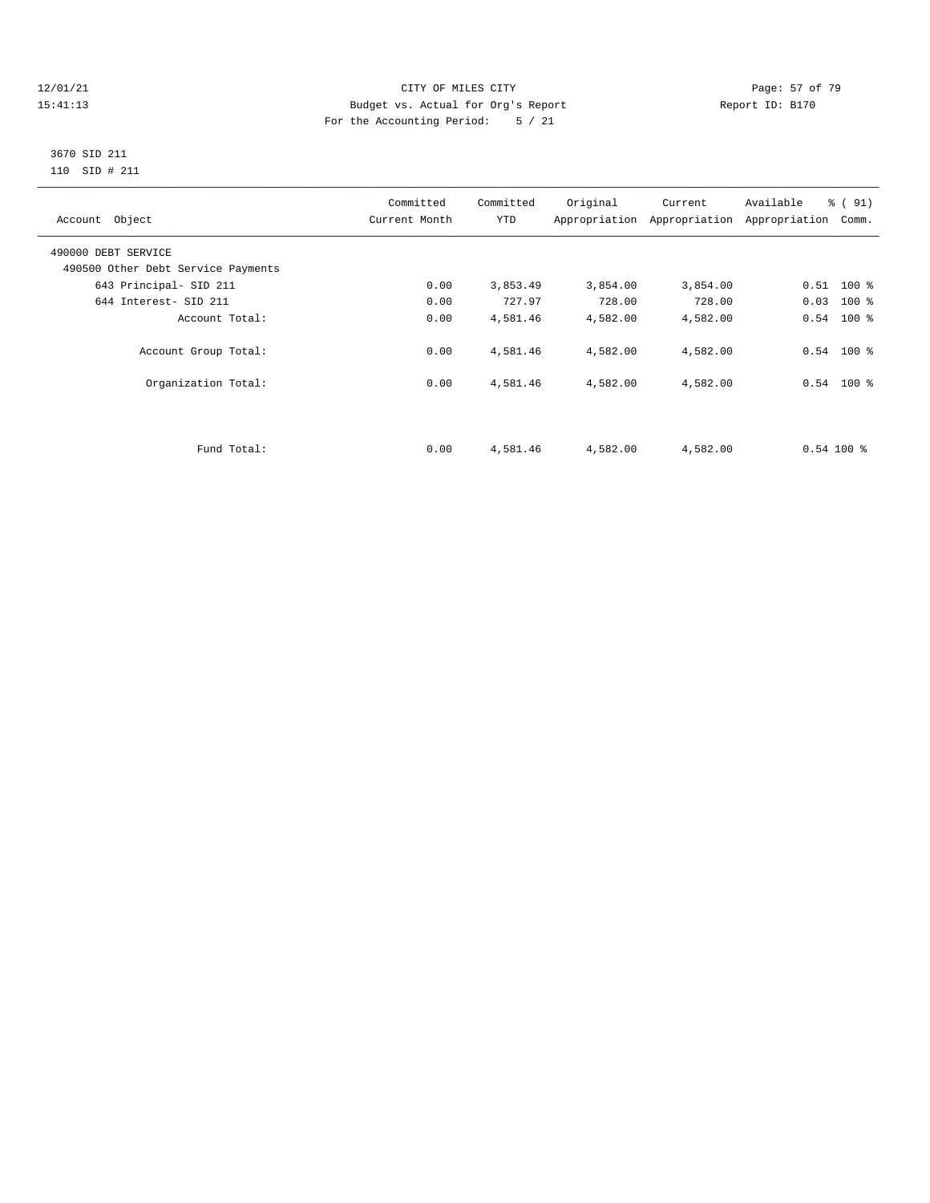#### 12/01/21 Page: 57 of 79<br>15:41:13 Pudget vs. Actual for Org's Report Report Report ID: B170 15:41:13 Budget vs. Actual for Org's Report For the Accounting Period: 5 / 21

#### 3670 SID 211 110 SID # 211

| Account Object                     | Committed<br>Current Month | Committed<br><b>YTD</b> | Original | Current<br>Appropriation Appropriation | Available<br>% (91)<br>Appropriation | Comm.  |
|------------------------------------|----------------------------|-------------------------|----------|----------------------------------------|--------------------------------------|--------|
| 490000 DEBT SERVICE                |                            |                         |          |                                        |                                      |        |
| 490500 Other Debt Service Payments |                            |                         |          |                                        |                                      |        |
| 643 Principal- SID 211             | 0.00                       | 3,853.49                | 3,854.00 | 3,854.00                               | $0.51$ 100 %                         |        |
| 644 Interest- SID 211              | 0.00                       | 727.97                  | 728.00   | 728.00                                 | 0.03                                 | $100*$ |
| Account Total:                     | 0.00                       | 4,581.46                | 4,582.00 | 4,582.00                               | $0.54$ 100 %                         |        |
| Account Group Total:               | 0.00                       | 4,581.46                | 4,582.00 | 4,582.00                               | $0.54$ 100 %                         |        |
| Organization Total:                | 0.00                       | 4,581.46                | 4,582.00 | 4,582.00                               | $0.54$ 100 %                         |        |
|                                    |                            |                         |          |                                        |                                      |        |
| Fund Total:                        | 0.00                       | 4,581.46                | 4,582.00 | 4,582.00                               | $0.54100$ %                          |        |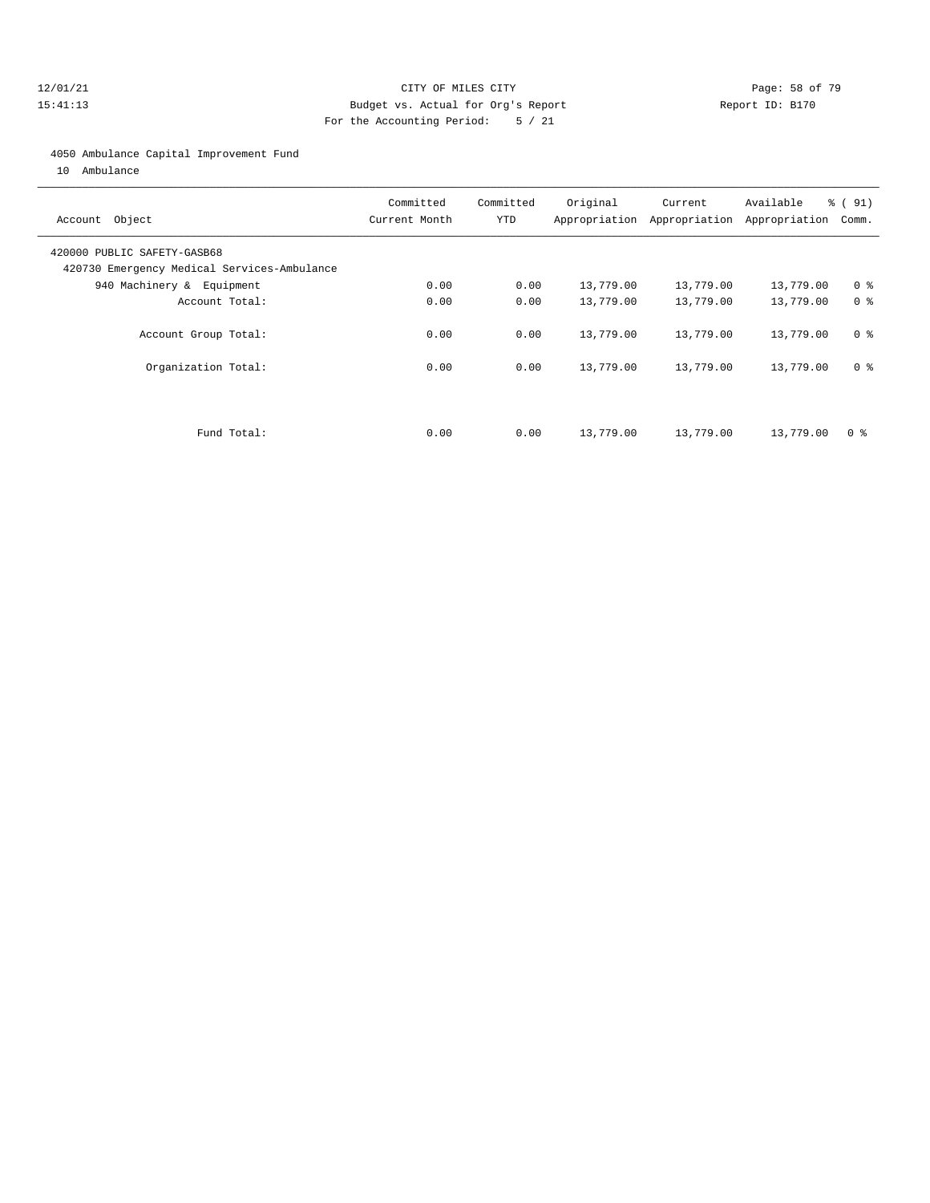#### 12/01/21 **Page: 58 of 79** CITY OF MILES CITY **CITY** Page: 58 of 79 15:41:13 Budget vs. Actual for Org's Report Report ID: B170 For the Accounting Period: 5 / 21

#### 4050 Ambulance Capital Improvement Fund

10 Ambulance

| Account Object                                                             | Committed<br>Current Month | Committed<br><b>YTD</b> | Original  | Current<br>Appropriation Appropriation | Available<br>Appropriation | % (91)<br>Comm. |
|----------------------------------------------------------------------------|----------------------------|-------------------------|-----------|----------------------------------------|----------------------------|-----------------|
| 420000 PUBLIC SAFETY-GASB68<br>420730 Emergency Medical Services-Ambulance |                            |                         |           |                                        |                            |                 |
| 940 Machinery & Equipment                                                  | 0.00                       | 0.00                    | 13,779.00 | 13,779.00                              | 13,779.00                  | 0 <sup>8</sup>  |
| Account Total:                                                             | 0.00                       | 0.00                    | 13,779.00 | 13,779.00                              | 13,779.00                  | 0 <sup>8</sup>  |
| Account Group Total:                                                       | 0.00                       | 0.00                    | 13,779.00 | 13,779.00                              | 13,779.00                  | 0 <sup>8</sup>  |
| Organization Total:                                                        | 0.00                       | 0.00                    | 13,779.00 | 13,779.00                              | 13,779.00                  | 0 <sup>8</sup>  |
|                                                                            |                            |                         |           |                                        |                            |                 |
| Fund Total:                                                                | 0.00                       | 0.00                    | 13,779.00 | 13,779.00                              | 13,779.00                  | 0 ક             |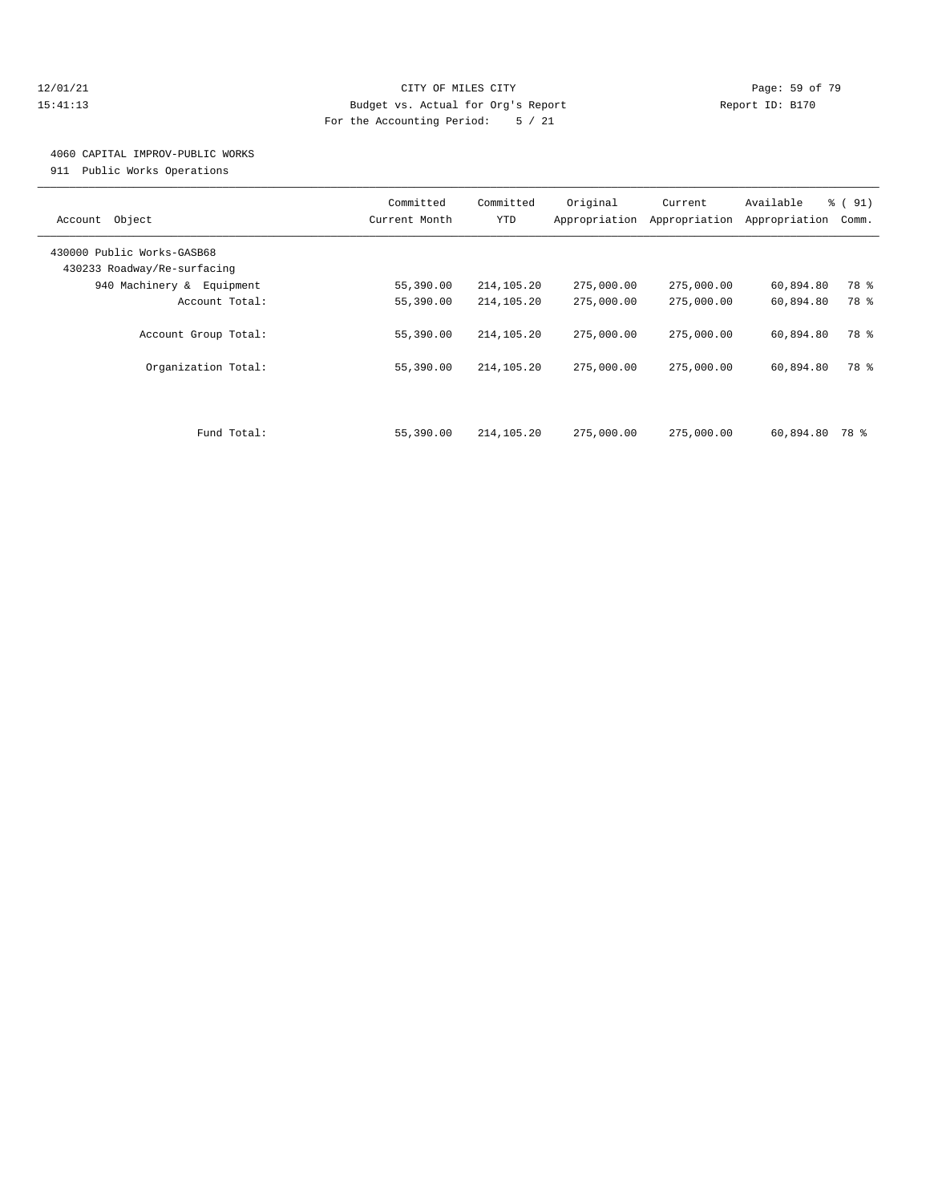#### 12/01/21 **Page: 59 of 79** CITY OF MILES CITY **CITY** CITY **Page: 59 of 79** 15:41:13 Budget vs. Actual for Org's Report Report ID: B170 For the Accounting Period: 5 / 21

## 4060 CAPITAL IMPROV-PUBLIC WORKS

911 Public Works Operations

| Object<br>Account                                         | Committed<br>Current Month | Committed<br><b>YTD</b>  | Original<br>Appropriation | Current<br>Appropriation | Available<br>Appropriation | % (91)<br>Comm. |
|-----------------------------------------------------------|----------------------------|--------------------------|---------------------------|--------------------------|----------------------------|-----------------|
| 430000 Public Works-GASB68<br>430233 Roadway/Re-surfacing |                            |                          |                           |                          |                            |                 |
| 940 Machinery & Equipment                                 | 55,390.00                  | 214,105.20               | 275,000.00                | 275,000.00               | 60,894.80                  | 78 %            |
| Account Total:                                            | 55,390.00                  | 214,105.20               | 275,000.00                | 275,000.00               | 60,894.80                  | 78 %            |
| Account Group Total:<br>Organization Total:               | 55,390.00<br>55,390.00     | 214,105.20<br>214,105.20 | 275,000.00<br>275,000.00  | 275,000.00<br>275,000.00 | 60,894.80<br>60,894.80     | 78 %<br>78 %    |
|                                                           |                            |                          |                           |                          |                            |                 |
| Fund Total:                                               | 55,390.00                  | 214,105.20               | 275,000.00                | 275,000.00               | 60,894.80                  | 78 %            |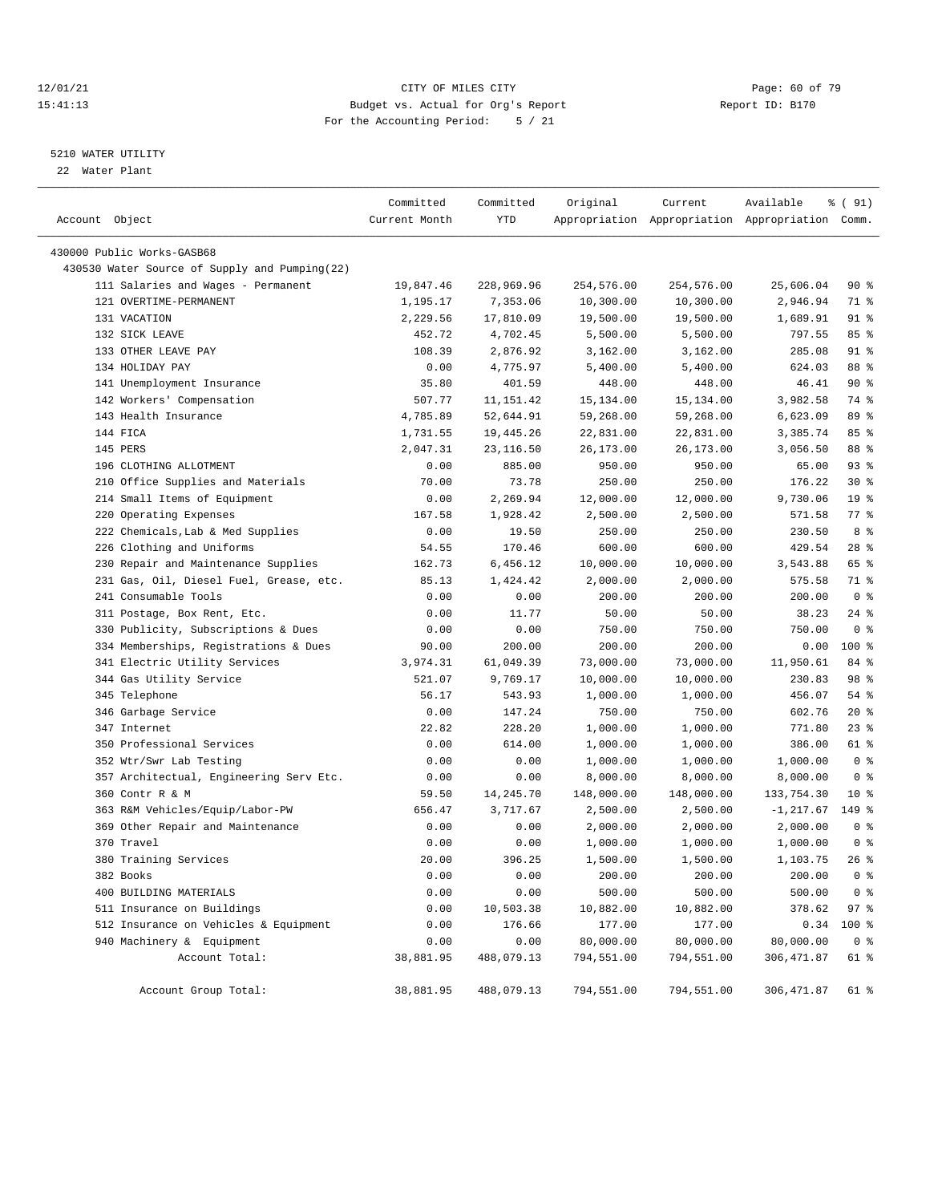#### 12/01/21 Page: 60 of 79<br>
12/01/21 Page: 60 of 79<br>
Budget vs. Actual for Org's Report Physics (Papert ID: B170 15:41:13 Budget vs. Actual for Org's Report For the Accounting Period: 5 / 21

#### 5210 WATER UTILITY

22 Water Plant

| Account Object                                | Committed<br>Current Month | Committed<br>YTD | Original   | Current    | Available<br>Appropriation Appropriation Appropriation Comm. | ៖ ( 91)            |
|-----------------------------------------------|----------------------------|------------------|------------|------------|--------------------------------------------------------------|--------------------|
| 430000 Public Works-GASB68                    |                            |                  |            |            |                                                              |                    |
| 430530 Water Source of Supply and Pumping(22) |                            |                  |            |            |                                                              |                    |
| 111 Salaries and Wages - Permanent            | 19,847.46                  | 228,969.96       | 254,576.00 | 254,576.00 | 25,606.04                                                    | 90 %               |
| 121 OVERTIME-PERMANENT                        | 1,195.17                   | 7,353.06         | 10,300.00  | 10,300.00  | 2,946.94                                                     | 71 %               |
| 131 VACATION                                  | 2,229.56                   | 17,810.09        | 19,500.00  | 19,500.00  | 1,689.91                                                     | $91$ %             |
| 132 SICK LEAVE                                | 452.72                     | 4,702.45         | 5,500.00   | 5,500.00   | 797.55                                                       | 85%                |
| 133 OTHER LEAVE PAY                           | 108.39                     | 2,876.92         | 3,162.00   | 3,162.00   | 285.08                                                       | $91$ %             |
| 134 HOLIDAY PAY                               | 0.00                       | 4,775.97         | 5,400.00   | 5,400.00   | 624.03                                                       | 88 %               |
| 141 Unemployment Insurance                    | 35.80                      | 401.59           | 448.00     | 448.00     | 46.41                                                        | 90%                |
| 142 Workers' Compensation                     | 507.77                     | 11, 151.42       | 15,134.00  | 15,134.00  | 3,982.58                                                     | 74 %               |
| 143 Health Insurance                          | 4,785.89                   | 52,644.91        | 59,268.00  | 59,268.00  | 6,623.09                                                     | 89 %               |
| 144 FICA                                      | 1,731.55                   | 19,445.26        | 22,831.00  | 22,831.00  | 3,385.74                                                     | 85%                |
| 145 PERS                                      | 2,047.31                   | 23,116.50        | 26,173.00  | 26,173.00  | 3,056.50                                                     | 88 %               |
| 196 CLOTHING ALLOTMENT                        | 0.00                       | 885.00           | 950.00     | 950.00     | 65.00                                                        | 93%                |
| 210 Office Supplies and Materials             | 70.00                      | 73.78            | 250.00     | 250.00     | 176.22                                                       | $30*$              |
| 214 Small Items of Equipment                  | 0.00                       | 2,269.94         | 12,000.00  | 12,000.00  | 9,730.06                                                     | 19 <sup>°</sup>    |
| 220 Operating Expenses                        | 167.58                     | 1,928.42         | 2,500.00   | 2,500.00   | 571.58                                                       | $77$ $\frac{6}{9}$ |
| 222 Chemicals, Lab & Med Supplies             | 0.00                       | 19.50            | 250.00     | 250.00     | 230.50                                                       | 8 %                |
| 226 Clothing and Uniforms                     | 54.55                      | 170.46           | 600.00     | 600.00     | 429.54                                                       | $28$ %             |
| 230 Repair and Maintenance Supplies           | 162.73                     | 6,456.12         | 10,000.00  | 10,000.00  | 3,543.88                                                     | 65 %               |
| 231 Gas, Oil, Diesel Fuel, Grease, etc.       | 85.13                      | 1,424.42         | 2,000.00   | 2,000.00   | 575.58                                                       | 71 %               |
| 241 Consumable Tools                          |                            |                  |            |            | 200.00                                                       | 0 <sup>8</sup>     |
|                                               | 0.00                       | 0.00             | 200.00     | 200.00     |                                                              | $24$ %             |
| 311 Postage, Box Rent, Etc.                   | 0.00                       | 11.77            | 50.00      | 50.00      | 38.23                                                        |                    |
| 330 Publicity, Subscriptions & Dues           | 0.00                       | 0.00             | 750.00     | 750.00     | 750.00                                                       | 0 <sup>8</sup>     |
| 334 Memberships, Registrations & Dues         | 90.00                      | 200.00           | 200.00     | 200.00     | 0.00                                                         | 100 %              |
| 341 Electric Utility Services                 | 3,974.31                   | 61,049.39        | 73,000.00  | 73,000.00  | 11,950.61                                                    | 84 %               |
| 344 Gas Utility Service                       | 521.07                     | 9,769.17         | 10,000.00  | 10,000.00  | 230.83                                                       | 98 %               |
| 345 Telephone                                 | 56.17                      | 543.93           | 1,000.00   | 1,000.00   | 456.07                                                       | 54 %               |
| 346 Garbage Service                           | 0.00                       | 147.24           | 750.00     | 750.00     | 602.76                                                       | $20*$              |
| 347 Internet                                  | 22.82                      | 228.20           | 1,000.00   | 1,000.00   | 771.80                                                       | $23$ $%$           |
| 350 Professional Services                     | 0.00                       | 614.00           | 1,000.00   | 1,000.00   | 386.00                                                       | 61 %               |
| 352 Wtr/Swr Lab Testing                       | 0.00                       | 0.00             | 1,000.00   | 1,000.00   | 1,000.00                                                     | 0 <sup>8</sup>     |
| 357 Architectual, Engineering Serv Etc.       | 0.00                       | 0.00             | 8,000.00   | 8,000.00   | 8,000.00                                                     | 0 <sup>8</sup>     |
| 360 Contr R & M                               | 59.50                      | 14,245.70        | 148,000.00 | 148,000.00 | 133,754.30                                                   | $10*$              |
| 363 R&M Vehicles/Equip/Labor-PW               | 656.47                     | 3,717.67         | 2,500.00   | 2,500.00   | $-1, 217.67$                                                 | 149 %              |
| 369 Other Repair and Maintenance              | 0.00                       | 0.00             | 2,000.00   | 2,000.00   | 2,000.00                                                     | 0 <sup>8</sup>     |
| 370 Travel                                    | 0.00                       | 0.00             | 1,000.00   | 1,000.00   | 1,000.00                                                     | 0 <sup>8</sup>     |
| 380 Training Services                         | 20.00                      | 396.25           | 1,500.00   | 1,500.00   | 1,103.75                                                     | 26%                |
| 382 Books                                     | 0.00                       | 0.00             | 200.00     | 200.00     | 200.00                                                       | 0 <sup>8</sup>     |
| 400 BUILDING MATERIALS                        | 0.00                       | 0.00             | 500.00     | 500.00     | 500.00                                                       | 0 <sup>8</sup>     |
| 511 Insurance on Buildings                    | 0.00                       | 10,503.38        | 10,882.00  | 10,882.00  | 378.62                                                       | 97%                |
| 512 Insurance on Vehicles & Equipment         | 0.00                       | 176.66           | 177.00     | 177.00     | 0.34                                                         | 100 %              |
| 940 Machinery & Equipment                     | 0.00                       | 0.00             | 80,000.00  | 80,000.00  | 80,000.00                                                    | 0 <sup>8</sup>     |
| Account Total:                                | 38,881.95                  | 488,079.13       | 794,551.00 | 794,551.00 | 306, 471.87                                                  | 61 %               |
| Account Group Total:                          | 38,881.95                  | 488,079.13       | 794,551.00 | 794,551.00 | 306,471.87                                                   | 61 %               |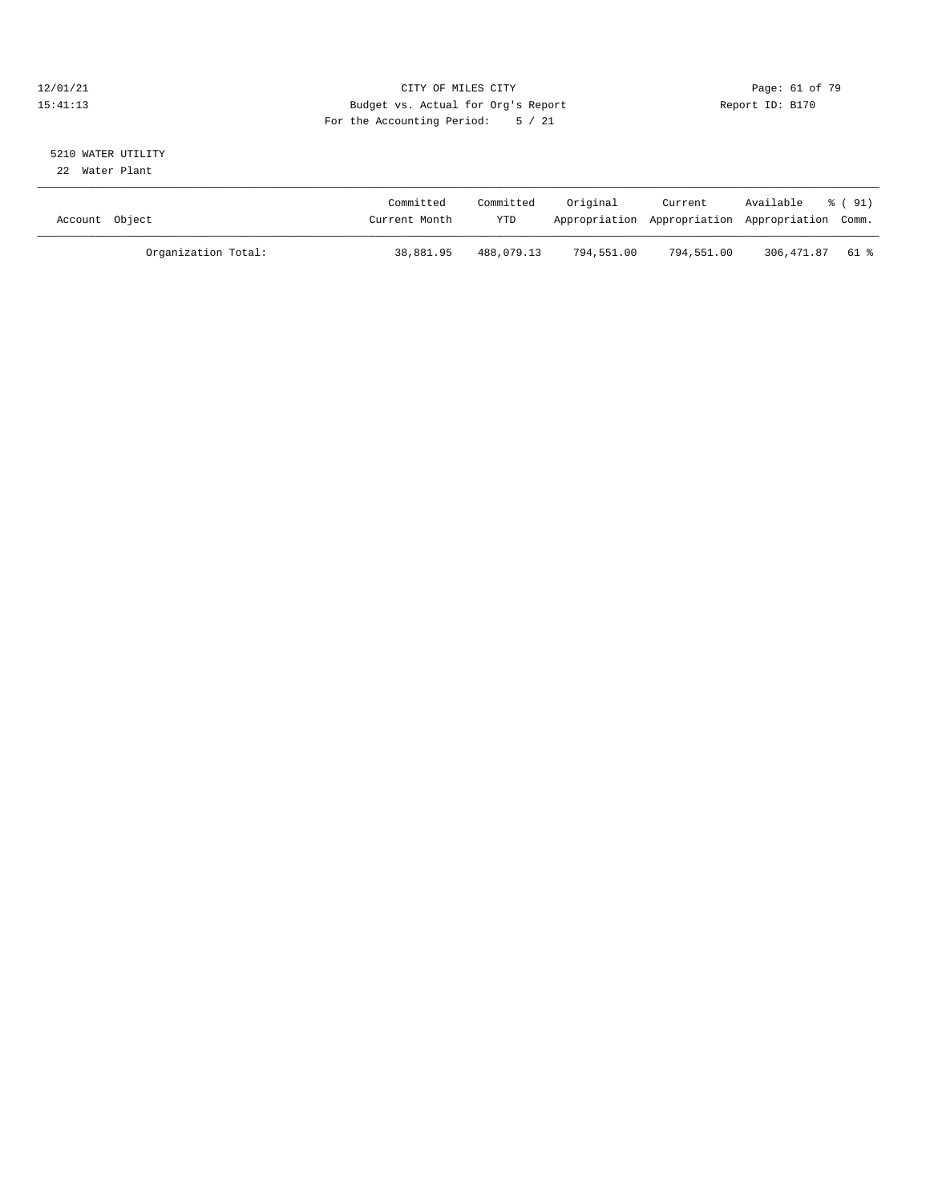#### 12/01/21 Page: 61 of 79<br>15:41:13 Budget vs. Actual for Org's Report Report Report ID: B170 15:41:13 Budget vs. Actual for Org's Report For the Accounting Period: 5 / 21

# 5210 WATER UTILITY

22 Water Plant

| Account Object |                     | Committed<br>Current Month | Committed<br>YTD | Original   | Current<br>Appropriation Appropriation Appropriation Comm. | Available  | $\frac{1}{6}$ (91) |
|----------------|---------------------|----------------------------|------------------|------------|------------------------------------------------------------|------------|--------------------|
|                | Organization Total: | 38,881.95                  | 488,079.13       | 794,551.00 | 794,551.00                                                 | 306,471.87 | 61 %               |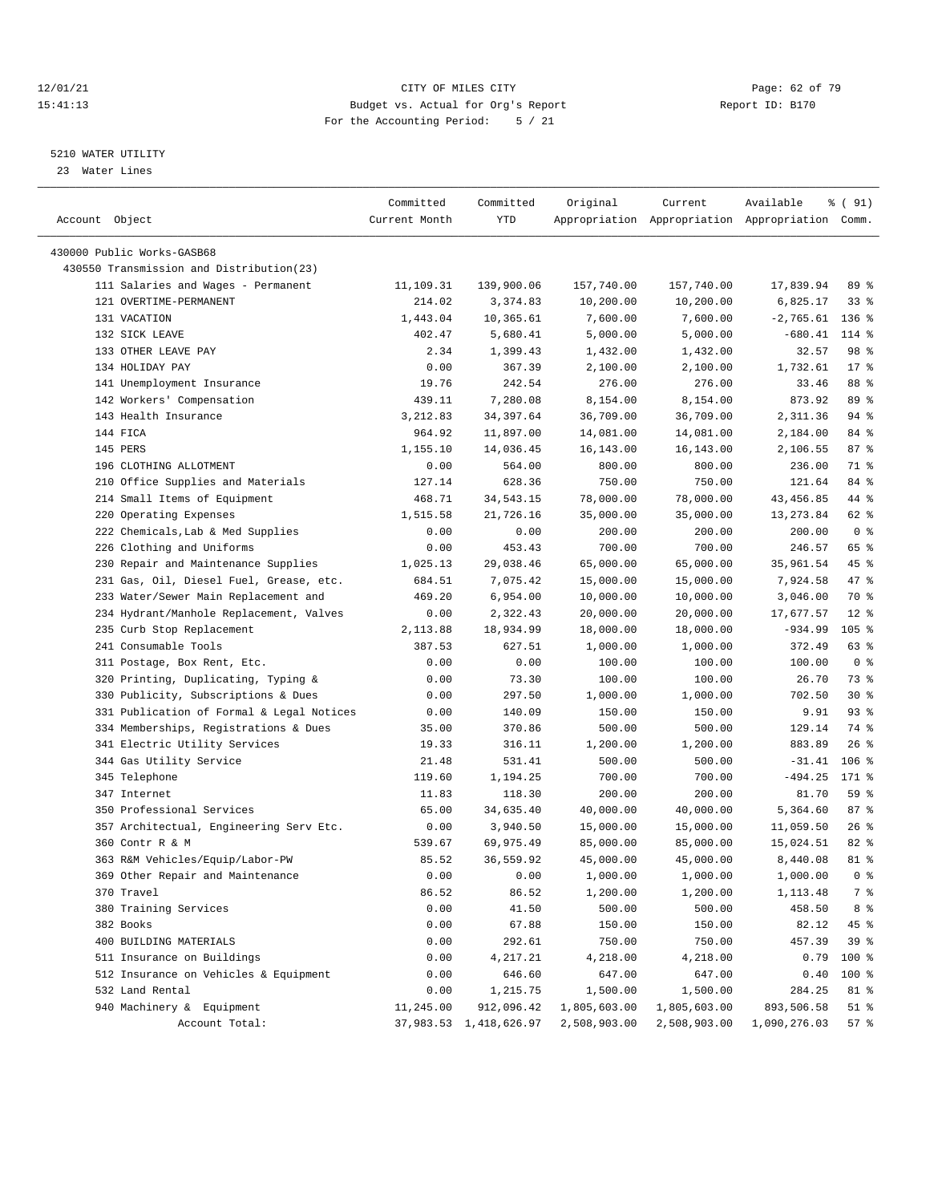#### 12/01/21 **Page: 62 of 79** CITY OF MILES CITY **CITY Page: 62 of 79** 15:41:13 Budget vs. Actual for Org's Report Report ID: B170 For the Accounting Period: 5 / 21

————————————————————————————————————————————————————————————————————————————————————————————————————————————————————————————————————

#### 5210 WATER UTILITY

23 Water Lines

|                                           | Committed     | Committed              | Original     | Current                                         | Available         | % (91)         |
|-------------------------------------------|---------------|------------------------|--------------|-------------------------------------------------|-------------------|----------------|
| Account Object                            | Current Month | YTD                    |              | Appropriation Appropriation Appropriation Comm. |                   |                |
|                                           |               |                        |              |                                                 |                   |                |
| 430000 Public Works-GASB68                |               |                        |              |                                                 |                   |                |
| 430550 Transmission and Distribution(23)  |               |                        |              |                                                 |                   |                |
| 111 Salaries and Wages - Permanent        | 11,109.31     | 139,900.06             | 157,740.00   | 157,740.00                                      | 17,839.94         | 89 %           |
| 121 OVERTIME-PERMANENT                    | 214.02        | 3,374.83               | 10,200.00    | 10,200.00                                       | 6,825.17          | 338            |
| 131 VACATION                              | 1,443.04      | 10,365.61              | 7,600.00     | 7,600.00                                        | $-2,765.61$ 136 % |                |
| 132 SICK LEAVE                            | 402.47        | 5,680.41               | 5,000.00     | 5,000.00                                        | $-680.41$         | 114 %          |
| 133 OTHER LEAVE PAY                       | 2.34          | 1,399.43               | 1,432.00     | 1,432.00                                        | 32.57             | 98 %           |
| 134 HOLIDAY PAY                           | 0.00          | 367.39                 | 2,100.00     | 2,100.00                                        | 1,732.61          | $17*$          |
| 141 Unemployment Insurance                | 19.76         | 242.54                 | 276.00       | 276.00                                          | 33.46             | 88 %           |
| 142 Workers' Compensation                 | 439.11        | 7,280.08               | 8,154.00     | 8,154.00                                        | 873.92            | 89 %           |
| 143 Health Insurance                      | 3,212.83      | 34, 397.64             | 36,709.00    | 36,709.00                                       | 2,311.36          | $94$ %         |
| 144 FICA                                  | 964.92        | 11,897.00              | 14,081.00    | 14,081.00                                       | 2,184.00          | 84 %           |
| 145 PERS                                  | 1,155.10      | 14,036.45              | 16,143.00    | 16,143.00                                       | 2,106.55          | 87%            |
| 196 CLOTHING ALLOTMENT                    | 0.00          | 564.00                 | 800.00       | 800.00                                          | 236.00            | 71 %           |
| 210 Office Supplies and Materials         | 127.14        | 628.36                 | 750.00       | 750.00                                          | 121.64            | 84 %           |
| 214 Small Items of Equipment              | 468.71        | 34,543.15              | 78,000.00    | 78,000.00                                       | 43, 456.85        | 44 %           |
| 220 Operating Expenses                    | 1,515.58      | 21,726.16              | 35,000.00    | 35,000.00                                       | 13, 273.84        | 62 %           |
| 222 Chemicals, Lab & Med Supplies         | 0.00          | 0.00                   | 200.00       | 200.00                                          | 200.00            | 0 <sup>8</sup> |
| 226 Clothing and Uniforms                 | 0.00          | 453.43                 | 700.00       | 700.00                                          | 246.57            | 65 %           |
| 230 Repair and Maintenance Supplies       | 1,025.13      | 29,038.46              | 65,000.00    | 65,000.00                                       | 35,961.54         | 45 %           |
| 231 Gas, Oil, Diesel Fuel, Grease, etc.   | 684.51        | 7,075.42               | 15,000.00    | 15,000.00                                       | 7,924.58          | 47 %           |
| 233 Water/Sewer Main Replacement and      | 469.20        | 6,954.00               | 10,000.00    | 10,000.00                                       | 3,046.00          | 70 %           |
| 234 Hydrant/Manhole Replacement, Valves   | 0.00          | 2,322.43               | 20,000.00    | 20,000.00                                       | 17,677.57         | $12$ %         |
| 235 Curb Stop Replacement                 | 2,113.88      | 18,934.99              | 18,000.00    | 18,000.00                                       | $-934.99$         | $105$ %        |
| 241 Consumable Tools                      | 387.53        | 627.51                 | 1,000.00     | 1,000.00                                        | 372.49            | 63%            |
| 311 Postage, Box Rent, Etc.               | 0.00          | 0.00                   | 100.00       | 100.00                                          | 100.00            | 0 <sup>8</sup> |
| 320 Printing, Duplicating, Typing &       | 0.00          | 73.30                  | 100.00       | 100.00                                          | 26.70             | 73 %           |
| 330 Publicity, Subscriptions & Dues       | 0.00          | 297.50                 | 1,000.00     | 1,000.00                                        | 702.50            | $30*$          |
| 331 Publication of Formal & Legal Notices | 0.00          | 140.09                 | 150.00       | 150.00                                          | 9.91              | $93$ $%$       |
| 334 Memberships, Registrations & Dues     | 35.00         | 370.86                 | 500.00       | 500.00                                          | 129.14            | 74 %           |
| 341 Electric Utility Services             | 19.33         | 316.11                 | 1,200.00     | 1,200.00                                        | 883.89            | $26$ %         |
| 344 Gas Utility Service                   | 21.48         | 531.41                 | 500.00       | 500.00                                          | $-31.41$          | $106$ %        |
| 345 Telephone                             | 119.60        | 1,194.25               | 700.00       | 700.00                                          | $-494.25$         | 171 %          |
| 347 Internet                              | 11.83         | 118.30                 | 200.00       | 200.00                                          | 81.70             | 59 %           |
| 350 Professional Services                 | 65.00         | 34,635.40              | 40,000.00    | 40,000.00                                       | 5,364.60          | 87%            |
| 357 Architectual, Engineering Serv Etc.   | 0.00          | 3,940.50               | 15,000.00    | 15,000.00                                       | 11,059.50         | 26%            |
| 360 Contr R & M                           | 539.67        | 69,975.49              | 85,000.00    | 85,000.00                                       | 15,024.51         | 82%            |
| 363 R&M Vehicles/Equip/Labor-PW           | 85.52         | 36,559.92              | 45,000.00    | 45,000.00                                       | 8,440.08          | 81 %           |
| 369 Other Repair and Maintenance          | 0.00          | 0.00                   | 1,000.00     | 1,000.00                                        | 1,000.00          | 0 <sup>8</sup> |
| 370 Travel                                | 86.52         | 86.52                  | 1,200.00     | 1,200.00                                        | 1,113.48          | 7 %            |
| 380 Training Services                     | 0.00          | 41.50                  | 500.00       | 500.00                                          | 458.50            | 8 %            |
| 382 Books                                 | 0.00          | 67.88                  | 150.00       | 150.00                                          | 82.12             | 45 %           |
| 400 BUILDING MATERIALS                    | 0.00          | 292.61                 | 750.00       | 750.00                                          | 457.39            | 39 %           |
| 511 Insurance on Buildings                | 0.00          | 4,217.21               | 4,218.00     | 4,218.00                                        | 0.79              | 100 %          |
| 512 Insurance on Vehicles & Equipment     | 0.00          | 646.60                 | 647.00       | 647.00                                          | 0.40              | 100 %          |
| 532 Land Rental                           | 0.00          | 1,215.75               | 1,500.00     | 1,500.00                                        | 284.25            | 81 %           |
| 940 Machinery & Equipment                 | 11,245.00     | 912,096.42             |              | 1,805,603.00                                    | 893,506.58        | $51$ %         |
|                                           |               |                        | 1,805,603.00 |                                                 |                   |                |
| Account Total:                            |               | 37,983.53 1,418,626.97 | 2,508,903.00 | 2,508,903.00                                    | 1,090,276.03      | 57%            |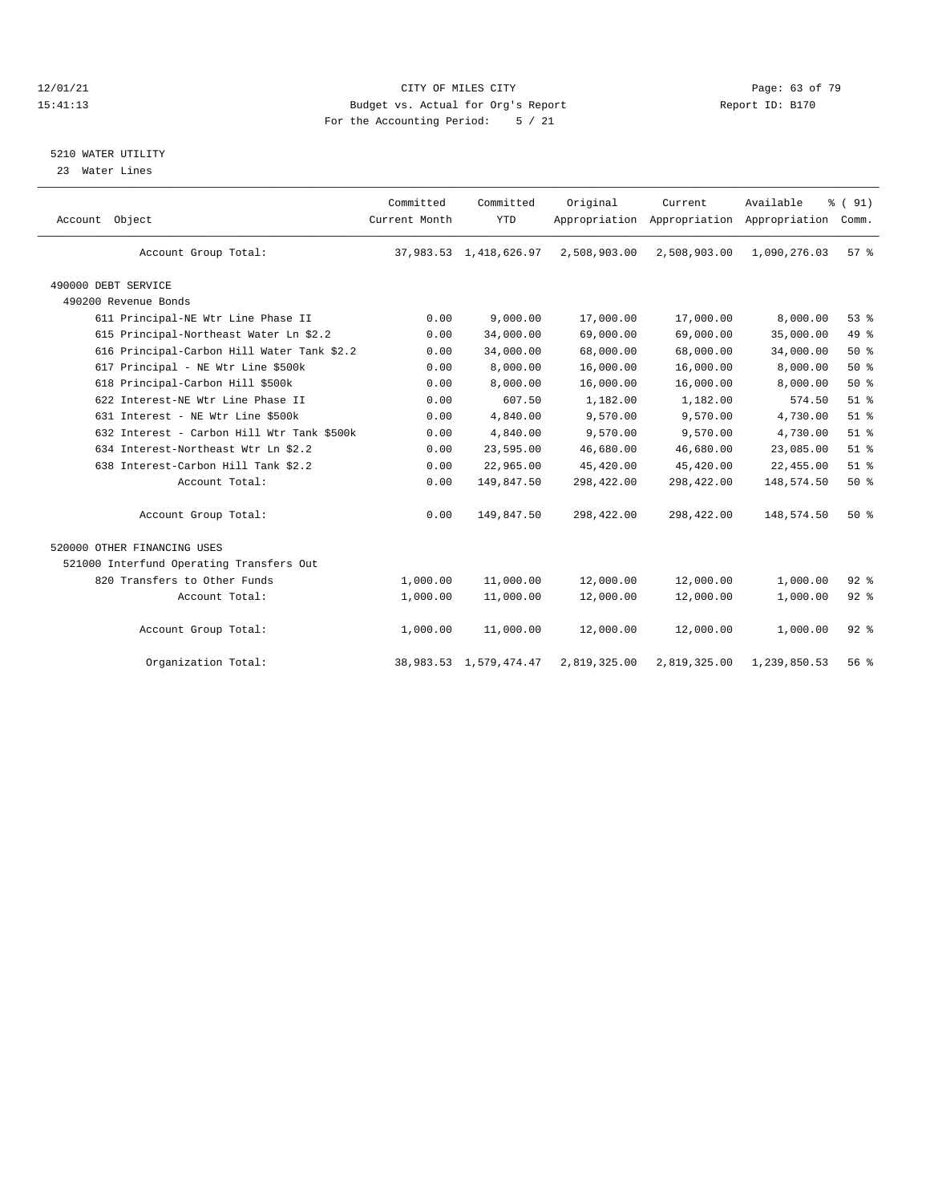#### 12/01/21 Page: 63 of 79<br>
12/01/21 Page: 63 of 79<br>
Budget vs. Actual for Org's Report Page: 10: Bl<sup>70</sup> Page: 63 of 79 15:41:13 Budget vs. Actual for Org's Report For the Accounting Period: 5 / 21

#### 5210 WATER UTILITY

23 Water Lines

| Account Object                             | Committed<br>Current Month | Committed<br><b>YTD</b>     | Original     | Current<br>Appropriation Appropriation Appropriation | Available    | % (91)<br>Comm. |  |
|--------------------------------------------|----------------------------|-----------------------------|--------------|------------------------------------------------------|--------------|-----------------|--|
| Account Group Total:                       |                            | 37,983.53 1,418,626.97      | 2,508,903.00 | 2,508,903.00                                         | 1,090,276.03 | 57 <sup>8</sup> |  |
| 490000 DEBT SERVICE                        |                            |                             |              |                                                      |              |                 |  |
| 490200 Revenue Bonds                       |                            |                             |              |                                                      |              |                 |  |
| 611 Principal-NE Wtr Line Phase II         | 0.00                       | 9,000.00                    | 17,000.00    | 17,000.00                                            | 8,000.00     | 53%             |  |
| 615 Principal-Northeast Water Ln \$2.2     | 0.00                       | 34,000.00                   | 69,000.00    | 69,000.00                                            | 35,000.00    | 49.8            |  |
| 616 Principal-Carbon Hill Water Tank \$2.2 | 0.00                       | 34,000.00                   | 68,000.00    | 68,000.00                                            | 34,000.00    | 50%             |  |
| 617 Principal - NE Wtr Line \$500k         | 0.00                       | 8,000.00                    | 16,000.00    | 16,000.00                                            | 8,000.00     | 50%             |  |
| 618 Principal-Carbon Hill \$500k           | 0.00                       | 8,000.00                    | 16,000.00    | 16,000.00                                            | 8,000.00     | 50%             |  |
| 622 Interest-NE Wtr Line Phase II          | 0.00                       | 607.50                      | 1,182.00     | 1,182.00                                             | 574.50       | $51$ $%$        |  |
| 631 Interest - NE Wtr Line \$500k          | 0.00                       | 4,840.00                    | 9,570.00     | 9,570.00                                             | 4,730.00     | $51$ $%$        |  |
| 632 Interest - Carbon Hill Wtr Tank \$500k | 0.00                       | 4,840.00                    | 9,570.00     | 9,570.00                                             | 4,730.00     | $51$ %          |  |
| 634 Interest-Northeast Wtr Ln \$2.2        | 0.00                       | 23,595.00                   | 46,680.00    | 46,680.00                                            | 23,085.00    | $51$ %          |  |
| 638 Interest-Carbon Hill Tank \$2.2        | 0.00                       | 22,965.00                   | 45,420.00    | 45,420.00                                            | 22,455.00    | $51$ %          |  |
| Account Total:                             | 0.00                       | 149,847.50                  | 298,422.00   | 298,422.00                                           | 148,574.50   | 50%             |  |
| Account Group Total:                       | 0.00                       | 149,847.50                  | 298,422.00   | 298,422.00                                           | 148,574.50   | 50%             |  |
| 520000 OTHER FINANCING USES                |                            |                             |              |                                                      |              |                 |  |
| 521000 Interfund Operating Transfers Out   |                            |                             |              |                                                      |              |                 |  |
| 820 Transfers to Other Funds               | 1,000.00                   | 11,000.00                   | 12,000.00    | 12,000.00                                            | 1,000.00     | 92%             |  |
| Account Total:                             | 1,000.00                   | 11,000.00                   | 12,000.00    | 12,000.00                                            | 1,000.00     | $92$ $%$        |  |
| Account Group Total:                       | 1,000.00                   | 11,000.00                   | 12,000.00    | 12,000.00                                            | 1,000.00     | 92%             |  |
| Organization Total:                        |                            | 38, 983. 53 1, 579, 474. 47 | 2,819,325.00 | 2,819,325.00                                         | 1,239,850.53 | 56%             |  |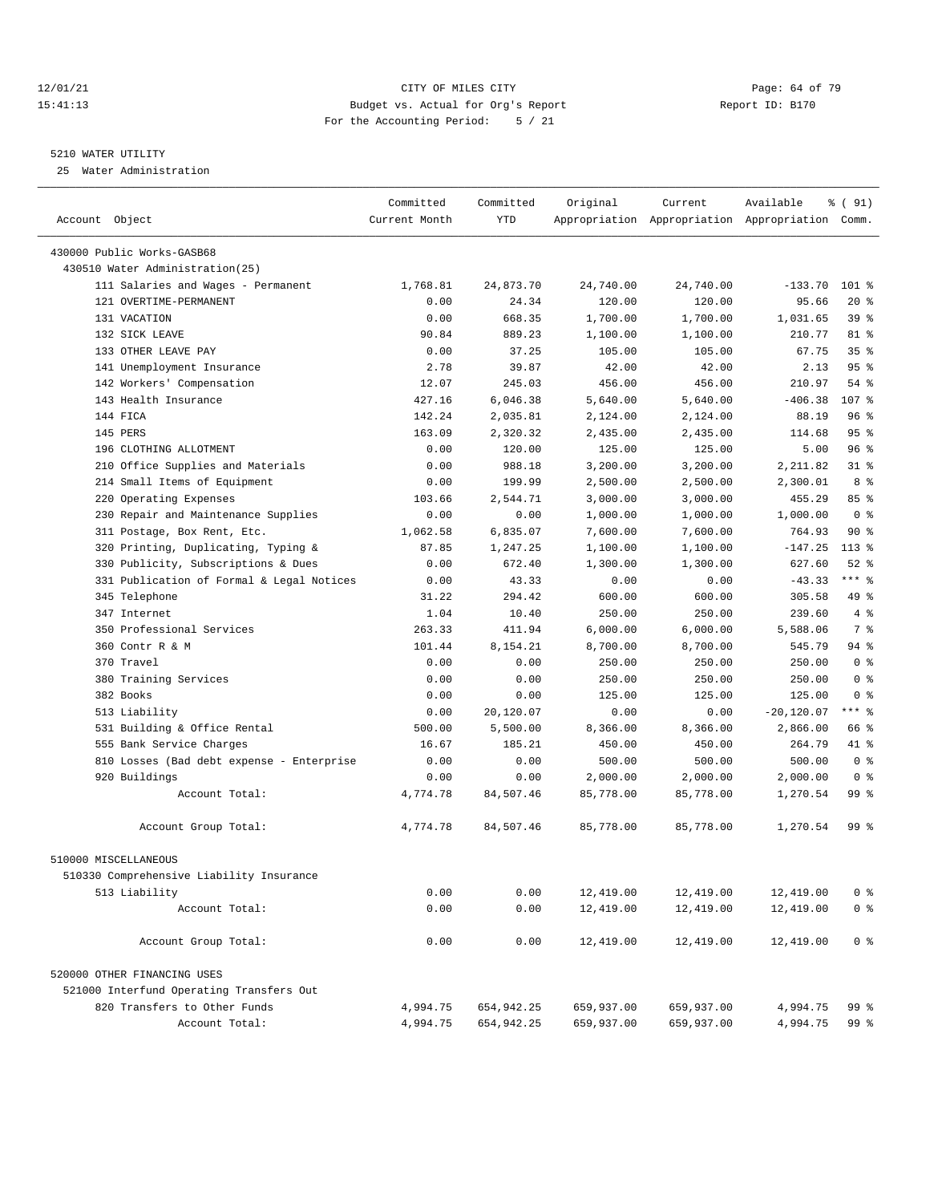#### 12/01/21 Page: 64 of 79<br>15:41:13 Budget vs. Actual for Org's Report Page: 64 of 79<br>15:41:13 Budget vs. Actual for Org's Report Page: 15:170 15:41:13 Budget vs. Actual for Org's Report For the Accounting Period: 5 / 21

————————————————————————————————————————————————————————————————————————————————————————————————————————————————————————————————————

#### 5210 WATER UTILITY

25 Water Administration

|                                           | Committed     | Committed  | Original   | Current    | Available                                       | ៖ ( 91)         |
|-------------------------------------------|---------------|------------|------------|------------|-------------------------------------------------|-----------------|
| Account Object                            | Current Month | <b>YTD</b> |            |            | Appropriation Appropriation Appropriation Comm. |                 |
| 430000 Public Works-GASB68                |               |            |            |            |                                                 |                 |
| 430510 Water Administration(25)           |               |            |            |            |                                                 |                 |
| 111 Salaries and Wages - Permanent        | 1,768.81      | 24,873.70  | 24,740.00  | 24,740.00  | $-133.70$                                       | $101$ %         |
| 121 OVERTIME-PERMANENT                    | 0.00          | 24.34      | 120.00     | 120.00     | 95.66                                           | $20*$           |
| 131 VACATION                              | 0.00          | 668.35     | 1,700.00   | 1,700.00   | 1,031.65                                        | 39%             |
| 132 SICK LEAVE                            | 90.84         | 889.23     | 1,100.00   | 1,100.00   | 210.77                                          | 81 %            |
| 133 OTHER LEAVE PAY                       | 0.00          | 37.25      | 105.00     | 105.00     | 67.75                                           | 35 <sup>8</sup> |
| 141 Unemployment Insurance                | 2.78          | 39.87      | 42.00      | 42.00      | 2.13                                            | 95%             |
| 142 Workers' Compensation                 | 12.07         | 245.03     | 456.00     | 456.00     | 210.97                                          | $54$ %          |
| 143 Health Insurance                      | 427.16        | 6,046.38   | 5,640.00   | 5,640.00   | $-406.38$                                       | 107 %           |
| 144 FICA                                  | 142.24        | 2,035.81   | 2,124.00   | 2,124.00   | 88.19                                           | 96%             |
| 145 PERS                                  | 163.09        | 2,320.32   | 2,435.00   | 2,435.00   | 114.68                                          | 95%             |
| 196 CLOTHING ALLOTMENT                    | 0.00          | 120.00     | 125.00     | 125.00     | 5.00                                            | 96%             |
| 210 Office Supplies and Materials         | 0.00          | 988.18     | 3,200.00   | 3,200.00   | 2,211.82                                        | $31$ %          |
| 214 Small Items of Equipment              | 0.00          | 199.99     | 2,500.00   | 2,500.00   | 2,300.01                                        | 8 %             |
| 220 Operating Expenses                    | 103.66        | 2,544.71   | 3,000.00   | 3,000.00   | 455.29                                          | 85%             |
| 230 Repair and Maintenance Supplies       | 0.00          | 0.00       | 1,000.00   | 1,000.00   | 1,000.00                                        | 0 <sup>8</sup>  |
| 311 Postage, Box Rent, Etc.               | 1,062.58      | 6,835.07   | 7,600.00   | 7,600.00   | 764.93                                          | 90%             |
| 320 Printing, Duplicating, Typing &       | 87.85         | 1,247.25   | 1,100.00   | 1,100.00   | $-147.25$                                       | $113*$          |
| 330 Publicity, Subscriptions & Dues       | 0.00          | 672.40     | 1,300.00   | 1,300.00   | 627.60                                          | $52$ $%$        |
| 331 Publication of Formal & Legal Notices | 0.00          | 43.33      | 0.00       | 0.00       | $-43.33$                                        | $***$ $-$       |
| 345 Telephone                             | 31.22         | 294.42     | 600.00     | 600.00     | 305.58                                          | 49 %            |
| 347 Internet                              | 1.04          | 10.40      | 250.00     | 250.00     | 239.60                                          | 4%              |
| 350 Professional Services                 | 263.33        | 411.94     | 6,000.00   | 6,000.00   | 5,588.06                                        | 7 %             |
| 360 Contr R & M                           | 101.44        | 8,154.21   | 8,700.00   | 8,700.00   | 545.79                                          | 94 %            |
| 370 Travel                                | 0.00          | 0.00       | 250.00     | 250.00     | 250.00                                          | 0 <sup>8</sup>  |
| 380 Training Services                     | 0.00          | 0.00       | 250.00     | 250.00     | 250.00                                          | 0 <sup>8</sup>  |
| 382 Books                                 | 0.00          | 0.00       | 125.00     | 125.00     | 125.00                                          | 0 <sup>8</sup>  |
| 513 Liability                             | 0.00          | 20,120.07  | 0.00       | 0.00       | $-20,120.07$                                    | $***$ $-$       |
| 531 Building & Office Rental              | 500.00        | 5,500.00   | 8,366.00   | 8,366.00   | 2,866.00                                        | 66 %            |
| 555 Bank Service Charges                  | 16.67         | 185.21     | 450.00     | 450.00     | 264.79                                          | 41 %            |
| 810 Losses (Bad debt expense - Enterprise | 0.00          | 0.00       | 500.00     | 500.00     | 500.00                                          | 0 <sup>8</sup>  |
| 920 Buildings                             | 0.00          | 0.00       | 2,000.00   | 2,000.00   | 2,000.00                                        | 0 <sup>8</sup>  |
| Account Total:                            | 4,774.78      | 84,507.46  | 85,778.00  | 85,778.00  | 1,270.54                                        | 99 <sub>8</sub> |
|                                           |               |            |            |            |                                                 |                 |
| Account Group Total:                      | 4,774.78      | 84,507.46  | 85,778.00  | 85,778.00  | 1,270.54                                        | 99 %            |
| 510000 MISCELLANEOUS                      |               |            |            |            |                                                 |                 |
| 510330 Comprehensive Liability Insurance  |               |            |            |            |                                                 |                 |
| 513 Liability                             | 0.00          | 0.00       | 12,419.00  | 12,419.00  | 12,419.00                                       | 0 <sup>8</sup>  |
| Account Total:                            | 0.00          | 0.00       | 12,419.00  | 12,419.00  | 12,419.00                                       | 0 <sup>8</sup>  |
| Account Group Total:                      | 0.00          | 0.00       | 12,419.00  | 12,419.00  | 12,419.00                                       | 0 <sup>8</sup>  |
| 520000 OTHER FINANCING USES               |               |            |            |            |                                                 |                 |
| 521000 Interfund Operating Transfers Out  |               |            |            |            |                                                 |                 |
| 820 Transfers to Other Funds              | 4,994.75      | 654,942.25 | 659,937.00 | 659,937.00 | 4,994.75                                        | 99 %            |
| Account Total:                            | 4,994.75      | 654,942.25 | 659,937.00 | 659,937.00 | 4,994.75                                        | 99 %            |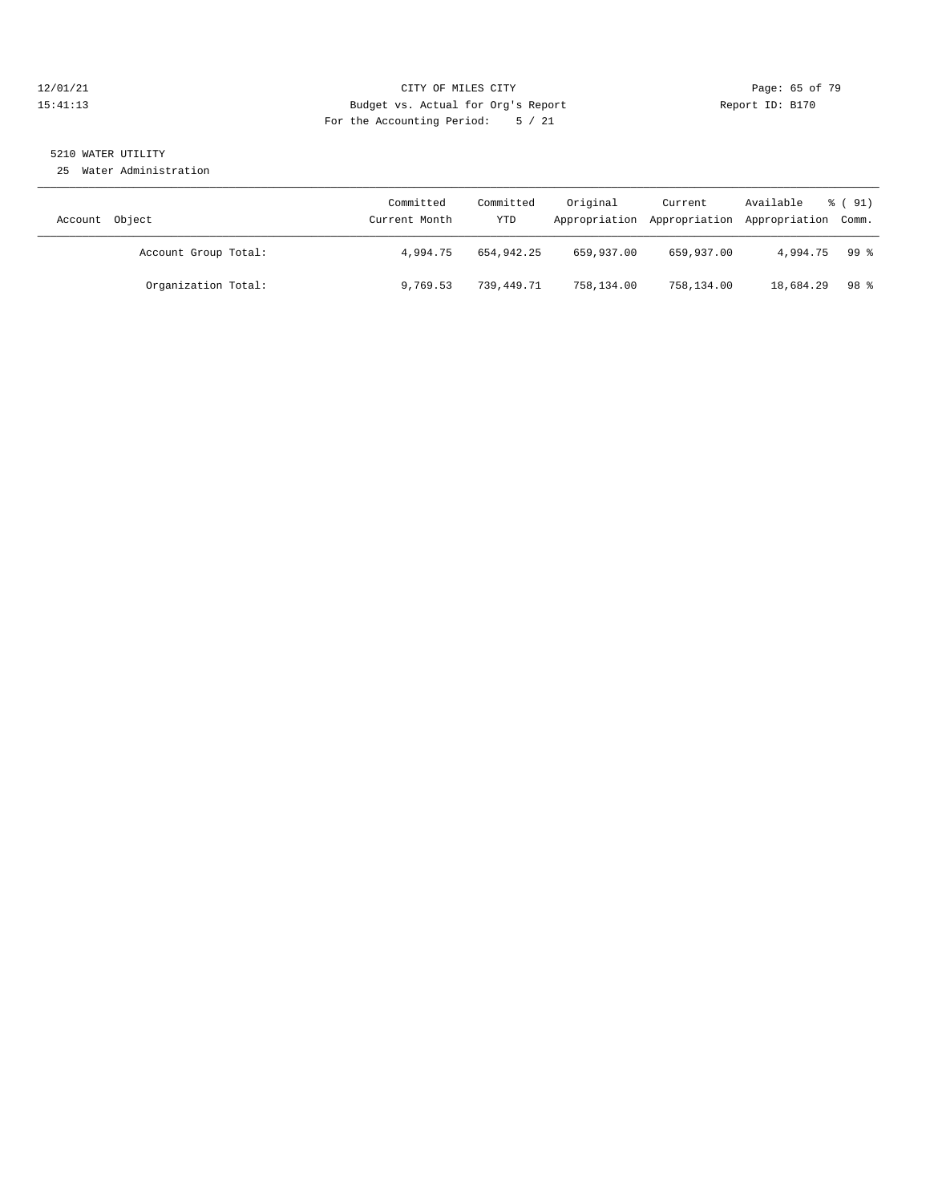#### 12/01/21 Page: 65 of 79<br>
12/01/21 Page: 65 of 79 Eudget vs. Actual for Org's Report Page: 65 of 79 Page: 65 of 79 Eudget vs. Actual for Org's Report Page: 10: B170 15:41:13 Budget vs. Actual for Org's Report For the Accounting Period: 5 / 21

## 5210 WATER UTILITY

25 Water Administration

| Account Object       | Committed<br>Current Month | Committed<br>YTD | Original   | Current    | Available<br>Appropriation Appropriation Appropriation Comm. | $\frac{1}{6}$ (91) |
|----------------------|----------------------------|------------------|------------|------------|--------------------------------------------------------------|--------------------|
| Account Group Total: | 4,994.75                   | 654,942.25       | 659,937.00 | 659,937.00 | 4,994.75                                                     | -99 %              |
| Organization Total:  | 9,769.53                   | 739,449.71       | 758,134.00 | 758,134.00 | 18,684.29                                                    | 98 <sup>8</sup>    |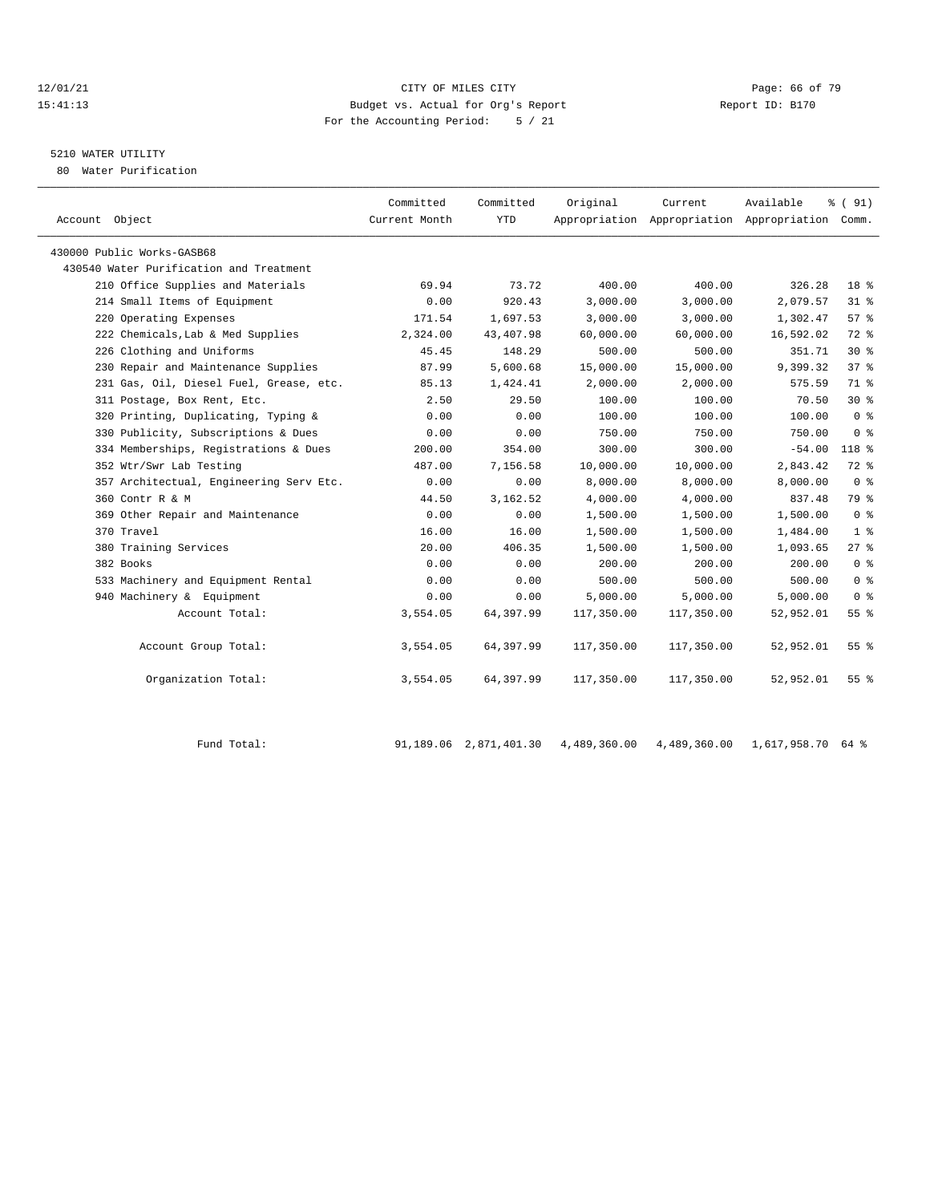#### $12/01/21$  Page: 66 of 79<br>15:41:13 Budget vs. Actual for Org's Report  $\blacksquare$  Page: 66 of 79 15:41:13 Budget vs. Actual for Org's Report For the Accounting Period: 5 / 21

## 5210 WATER UTILITY

80 Water Purification

| Account Object                          | Committed<br>Current Month | Committed<br><b>YTD</b> | Original   | Current<br>Appropriation Appropriation Appropriation Comm. | Available | 8 ( 91)         |
|-----------------------------------------|----------------------------|-------------------------|------------|------------------------------------------------------------|-----------|-----------------|
| 430000 Public Works-GASB68              |                            |                         |            |                                                            |           |                 |
| 430540 Water Purification and Treatment |                            |                         |            |                                                            |           |                 |
| 210 Office Supplies and Materials       | 69.94                      | 73.72                   | 400.00     | 400.00                                                     | 326.28    | 18 <sup>8</sup> |
| 214 Small Items of Equipment            | 0.00                       | 920.43                  | 3,000.00   | 3,000.00                                                   | 2,079.57  | $31$ %          |
| 220 Operating Expenses                  | 171.54                     | 1,697.53                | 3,000.00   | 3.000.00                                                   | 1,302.47  | 57%             |
| 222 Chemicals, Lab & Med Supplies       | 2,324.00                   | 43, 407.98              | 60,000.00  | 60,000.00                                                  | 16,592.02 | $72$ $%$        |
| 226 Clothing and Uniforms               | 45.45                      | 148.29                  | 500.00     | 500.00                                                     | 351.71    | $30*$           |
| 230 Repair and Maintenance Supplies     | 87.99                      | 5,600.68                | 15,000.00  | 15,000.00                                                  | 9,399.32  | 37%             |
| 231 Gas, Oil, Diesel Fuel, Grease, etc. | 85.13                      | 1,424.41                | 2,000.00   | 2,000.00                                                   | 575.59    | 71 %            |
| 311 Postage, Box Rent, Etc.             | 2.50                       | 29.50                   | 100.00     | 100.00                                                     | 70.50     | $30*$           |
| 320 Printing, Duplicating, Typing &     | 0.00                       | 0.00                    | 100.00     | 100.00                                                     | 100.00    | 0 <sup>8</sup>  |
| 330 Publicity, Subscriptions & Dues     | 0.00                       | 0.00                    | 750.00     | 750.00                                                     | 750.00    | 0 <sup>8</sup>  |
| 334 Memberships, Registrations & Dues   | 200.00                     | 354.00                  | 300.00     | 300.00                                                     | $-54.00$  | $118*$          |
| 352 Wtr/Swr Lab Testing                 | 487.00                     | 7,156.58                | 10,000.00  | 10,000.00                                                  | 2,843.42  | $72*$           |
| 357 Architectual, Engineering Serv Etc. | 0.00                       | 0.00                    | 8,000.00   | 8,000.00                                                   | 8,000.00  | 0 <sup>8</sup>  |
| 360 Contr R & M                         | 44.50                      | 3, 162.52               | 4,000.00   | 4,000.00                                                   | 837.48    | 79 %            |
| 369 Other Repair and Maintenance        | 0.00                       | 0.00                    | 1,500.00   | 1,500.00                                                   | 1,500.00  | 0 <sup>8</sup>  |
| 370 Travel                              | 16.00                      | 16.00                   | 1,500.00   | 1,500.00                                                   | 1,484.00  | 1 <sup>8</sup>  |
| 380 Training Services                   | 20.00                      | 406.35                  | 1,500.00   | 1,500.00                                                   | 1,093.65  | $27$ $%$        |
| 382 Books                               | 0.00                       | 0.00                    | 200.00     | 200.00                                                     | 200.00    | 0 <sup>8</sup>  |
| 533 Machinery and Equipment Rental      | 0.00                       | 0.00                    | 500.00     | 500.00                                                     | 500.00    | 0 <sup>8</sup>  |
| 940 Machinery & Equipment               | 0.00                       | 0.00                    | 5,000.00   | 5,000.00                                                   | 5,000.00  | 0 <sup>8</sup>  |
| Account Total:                          | 3,554.05                   | 64,397.99               | 117,350.00 | 117,350.00                                                 | 52,952.01 | 55%             |
| Account Group Total:                    | 3,554.05                   | 64,397.99               | 117,350.00 | 117,350.00                                                 | 52,952.01 | 55 <sup>8</sup> |
| Organization Total:                     | 3,554.05                   | 64,397.99               | 117,350.00 | 117,350.00                                                 | 52,952.01 | 55 %            |
|                                         |                            |                         |            |                                                            |           |                 |

Fund Total: 91,189.06 2,871,401.30 4,489,360.00 4,489,360.00 1,617,958.70 64 %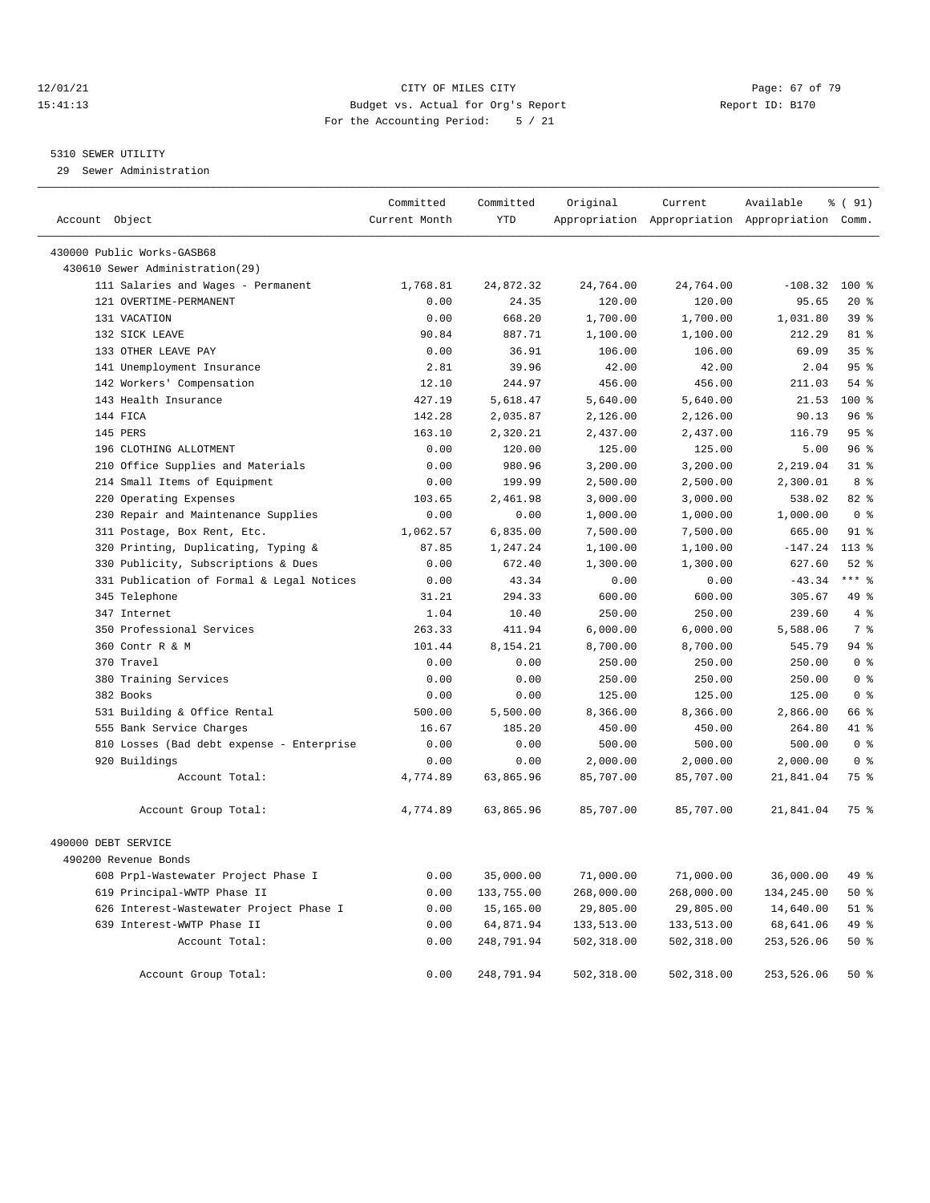#### 12/01/21 Page: 67 of 79<br>15:41:13 Budget vs. Actual for Org's Report Page: 67 of 79<br>15:41:13 Budget vs. Actual for Org's Report Page: 15:3170 15:41:13 Budget vs. Actual for Org's Report For the Accounting Period: 5 / 21

#### 5310 SEWER UTILITY

29 Sewer Administration

| Account Object                            | Committed<br>Current Month | Committed<br>YTD | Original   | Current    | Available<br>Appropriation Appropriation Appropriation Comm. | % ( 91)         |
|-------------------------------------------|----------------------------|------------------|------------|------------|--------------------------------------------------------------|-----------------|
| 430000 Public Works-GASB68                |                            |                  |            |            |                                                              |                 |
| 430610 Sewer Administration (29)          |                            |                  |            |            |                                                              |                 |
| 111 Salaries and Wages - Permanent        | 1,768.81                   | 24,872.32        | 24,764.00  | 24,764.00  | $-108.32$                                                    | $100*$          |
| 121 OVERTIME-PERMANENT                    | 0.00                       | 24.35            | 120.00     | 120.00     | 95.65                                                        | $20*$           |
| 131 VACATION                              | 0.00                       | 668.20           | 1,700.00   | 1,700.00   | 1,031.80                                                     | 39%             |
| 132 SICK LEAVE                            | 90.84                      | 887.71           | 1,100.00   | 1,100.00   | 212.29                                                       | 81 %            |
| 133 OTHER LEAVE PAY                       | 0.00                       | 36.91            | 106.00     | 106.00     | 69.09                                                        | 35 <sup>8</sup> |
| 141 Unemployment Insurance                | 2.81                       | 39.96            | 42.00      | 42.00      | 2.04                                                         | 95%             |
| 142 Workers' Compensation                 | 12.10                      | 244.97           | 456.00     | 456.00     | 211.03                                                       | 54%             |
| 143 Health Insurance                      | 427.19                     | 5,618.47         | 5,640.00   | 5,640.00   | 21.53                                                        | $100*$          |
| 144 FICA                                  | 142.28                     | 2,035.87         | 2,126.00   | 2,126.00   | 90.13                                                        | 96%             |
| 145 PERS                                  | 163.10                     | 2,320.21         | 2,437.00   | 2,437.00   | 116.79                                                       | 95%             |
| 196 CLOTHING ALLOTMENT                    | 0.00                       | 120.00           | 125.00     | 125.00     | 5.00                                                         | 96%             |
| 210 Office Supplies and Materials         | 0.00                       | 980.96           | 3,200.00   | 3,200.00   | 2,219.04                                                     | $31*$           |
| 214 Small Items of Equipment              | 0.00                       | 199.99           | 2,500.00   | 2,500.00   | 2,300.01                                                     | 8 %             |
| 220 Operating Expenses                    | 103.65                     | 2,461.98         | 3,000.00   | 3,000.00   | 538.02                                                       | 82 %            |
| 230 Repair and Maintenance Supplies       | 0.00                       | 0.00             | 1,000.00   | 1,000.00   | 1,000.00                                                     | 0 <sup>8</sup>  |
| 311 Postage, Box Rent, Etc.               | 1,062.57                   | 6,835.00         | 7,500.00   | 7,500.00   | 665.00                                                       | $91$ %          |
| 320 Printing, Duplicating, Typing &       | 87.85                      | 1,247.24         | 1,100.00   | 1,100.00   | $-147.24$                                                    | $113*$          |
| 330 Publicity, Subscriptions & Dues       | 0.00                       | 672.40           | 1,300.00   | 1,300.00   | 627.60                                                       | $52$ $%$        |
| 331 Publication of Formal & Legal Notices | 0.00                       | 43.34            | 0.00       | 0.00       | $-43.34$                                                     | $***$ $%$       |
| 345 Telephone                             | 31.21                      | 294.33           | 600.00     | 600.00     | 305.67                                                       | 49 %            |
| 347 Internet                              | 1.04                       | 10.40            | 250.00     | 250.00     | 239.60                                                       | 4%              |
| 350 Professional Services                 | 263.33                     | 411.94           | 6,000.00   | 6,000.00   | 5,588.06                                                     | 7 <sup>°</sup>  |
| 360 Contr R & M                           | 101.44                     | 8,154.21         | 8,700.00   | 8,700.00   | 545.79                                                       | $94$ %          |
| 370 Travel                                | 0.00                       | 0.00             | 250.00     | 250.00     | 250.00                                                       | 0 <sup>8</sup>  |
| 380 Training Services                     | 0.00                       | 0.00             | 250.00     | 250.00     | 250.00                                                       | 0 <sup>8</sup>  |
| 382 Books                                 | 0.00                       | 0.00             | 125.00     | 125.00     | 125.00                                                       | 0 <sup>8</sup>  |
| 531 Building & Office Rental              | 500.00                     | 5,500.00         | 8,366.00   | 8,366.00   | 2,866.00                                                     | 66 %            |
| 555 Bank Service Charges                  | 16.67                      | 185.20           | 450.00     | 450.00     | 264.80                                                       | 41 %            |
| 810 Losses (Bad debt expense - Enterprise | 0.00                       | 0.00             | 500.00     | 500.00     | 500.00                                                       | 0 <sup>8</sup>  |
| 920 Buildings                             | 0.00                       | 0.00             | 2,000.00   | 2,000.00   | 2,000.00                                                     | 0 <sup>8</sup>  |
| Account Total:                            | 4,774.89                   | 63,865.96        | 85,707.00  | 85,707.00  | 21,841.04                                                    | 75 %            |
| Account Group Total:                      | 4,774.89                   | 63,865.96        | 85,707.00  | 85,707.00  | 21,841.04                                                    | 75 %            |
| 490000 DEBT SERVICE                       |                            |                  |            |            |                                                              |                 |
| 490200 Revenue Bonds                      |                            |                  |            |            |                                                              |                 |
| 608 Prpl-Wastewater Project Phase I       | 0.00                       | 35,000.00        | 71,000.00  | 71,000.00  | 36,000.00                                                    | 49 %            |
| 619 Principal-WWTP Phase II               | 0.00                       | 133,755.00       | 268,000.00 | 268,000.00 | 134,245.00                                                   | 50 %            |
| 626 Interest-Wastewater Project Phase I   | 0.00                       | 15,165.00        | 29,805.00  | 29,805.00  | 14,640.00                                                    | 51 %            |
| 639 Interest-WWTP Phase II                | 0.00                       | 64,871.94        | 133,513.00 | 133,513.00 | 68,641.06                                                    | 49 %            |
| Account Total:                            | 0.00                       | 248,791.94       | 502,318.00 | 502,318.00 | 253,526.06                                                   | 50%             |
| Account Group Total:                      | 0.00                       | 248,791.94       | 502,318.00 | 502,318.00 | 253,526.06                                                   | 50%             |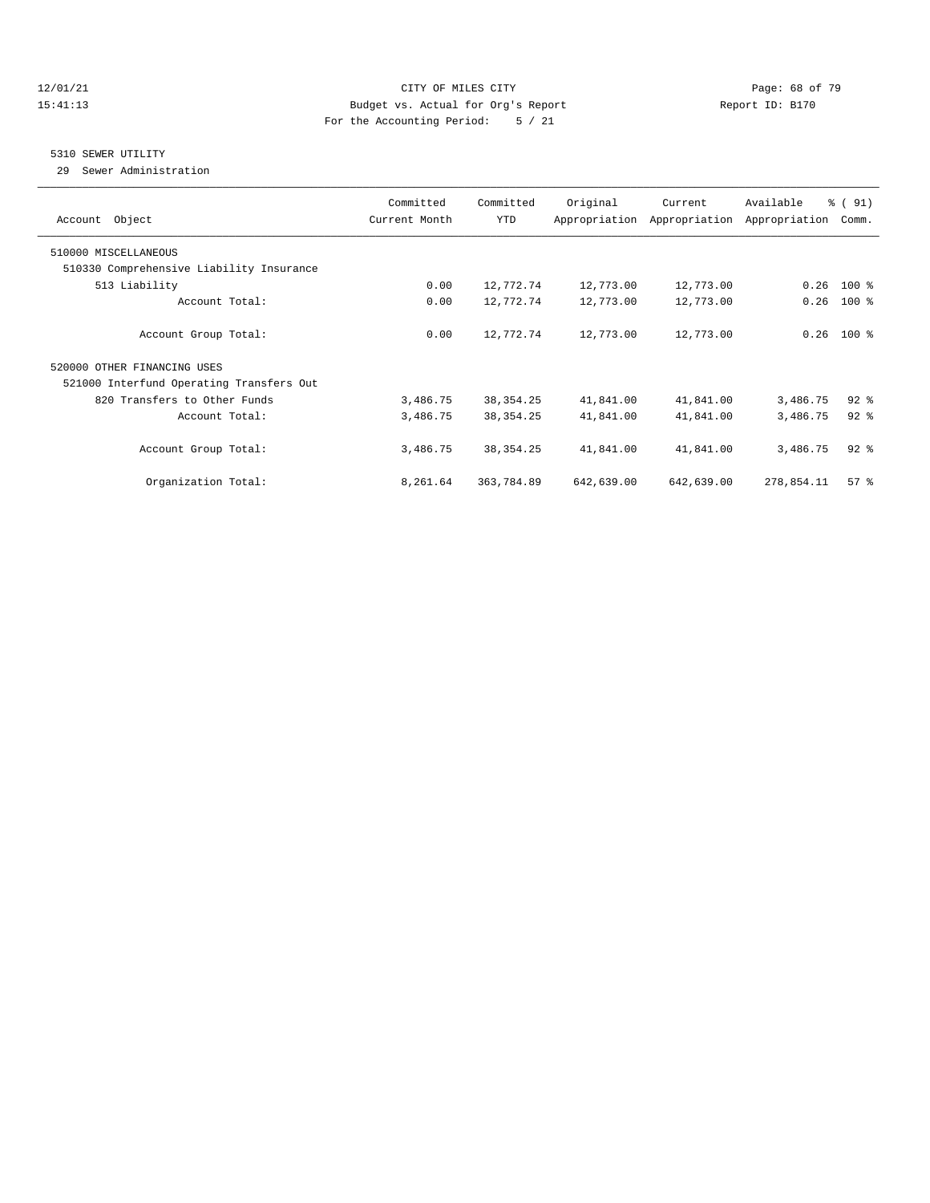#### 12/01/21 **Page: 68 of 79** CITY OF MILES CITY **CITY** CITY **Page: 68 of 79** 15:41:13 Budget vs. Actual for Org's Report Report ID: B170 For the Accounting Period: 5 / 21

## 5310 SEWER UTILITY

29 Sewer Administration

| Account Object                           | Committed<br>Current Month | Committed<br>YTD | Original   | Current<br>Appropriation Appropriation | Available<br>Appropriation | % (91)<br>Comm. |
|------------------------------------------|----------------------------|------------------|------------|----------------------------------------|----------------------------|-----------------|
| 510000 MISCELLANEOUS                     |                            |                  |            |                                        |                            |                 |
| 510330 Comprehensive Liability Insurance |                            |                  |            |                                        |                            |                 |
| 513 Liability                            | 0.00                       | 12,772.74        | 12,773.00  | 12,773.00                              | 0.26                       | 100 %           |
| Account Total:                           | 0.00                       | 12,772.74        | 12,773.00  | 12,773.00                              | 0.26                       | $100*$          |
| Account Group Total:                     | 0.00                       | 12,772.74        | 12,773.00  | 12,773.00                              |                            | $0.26$ 100 %    |
| 520000 OTHER FINANCING USES              |                            |                  |            |                                        |                            |                 |
| 521000 Interfund Operating Transfers Out |                            |                  |            |                                        |                            |                 |
| 820 Transfers to Other Funds             | 3,486.75                   | 38, 354. 25      | 41,841.00  | 41,841.00                              | 3,486.75                   | $92$ $%$        |
| Account Total:                           | 3,486.75                   | 38, 354. 25      | 41,841.00  | 41,841.00                              | 3,486.75                   | $92$ $%$        |
| Account Group Total:                     | 3,486.75                   | 38, 354. 25      | 41,841.00  | 41,841.00                              | 3,486.75                   | $92$ $%$        |
| Organization Total:                      | 8,261.64                   | 363,784.89       | 642,639.00 | 642,639.00                             | 278,854.11                 | 57%             |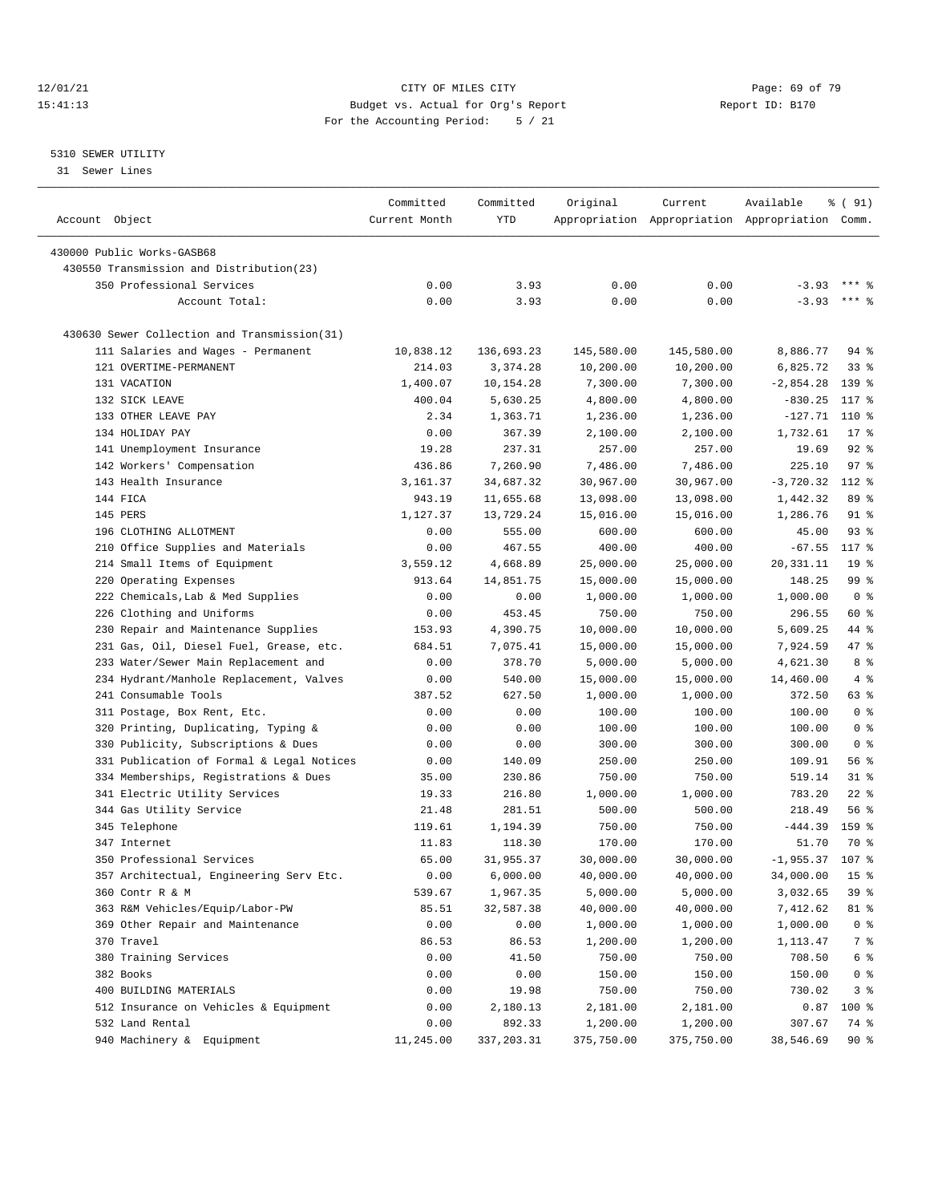#### 12/01/21 Page: 69 of 79<br>
12/01/21 Page: 69 of 79<br>
Budget vs. Actual for Org's Report Page: 69 of 79<br>
Report ID: B170 15:41:13 Budget vs. Actual for Org's Report For the Accounting Period: 5 / 21

————————————————————————————————————————————————————————————————————————————————————————————————————————————————————————————————————

#### 5310 SEWER UTILITY

31 Sewer Lines

|                                              | Committed     | Committed  | Original   | Current    | Available                                       | ៖ ( 91)          |
|----------------------------------------------|---------------|------------|------------|------------|-------------------------------------------------|------------------|
| Account Object                               | Current Month | <b>YTD</b> |            |            | Appropriation Appropriation Appropriation Comm. |                  |
| 430000 Public Works-GASB68                   |               |            |            |            |                                                 |                  |
| 430550 Transmission and Distribution(23)     |               |            |            |            |                                                 |                  |
| 350 Professional Services                    | 0.00          |            | 0.00       | 0.00       | $-3.93$                                         | $***$ 2          |
|                                              |               | 3.93       |            |            | $-3.93$                                         | $***$ $%$        |
| Account Total:                               | 0.00          | 3.93       | 0.00       | 0.00       |                                                 |                  |
| 430630 Sewer Collection and Transmission(31) |               |            |            |            |                                                 |                  |
| 111 Salaries and Wages - Permanent           | 10,838.12     | 136,693.23 | 145,580.00 | 145,580.00 | 8,886.77                                        | 94 %             |
| 121 OVERTIME-PERMANENT                       | 214.03        | 3,374.28   | 10,200.00  | 10,200.00  | 6,825.72                                        | 338              |
| 131 VACATION                                 | 1,400.07      | 10,154.28  | 7,300.00   | 7,300.00   | $-2,854.28$                                     | 139 %            |
| 132 SICK LEAVE                               | 400.04        | 5,630.25   | 4,800.00   | 4,800.00   | $-830.25$                                       | 117 %            |
| 133 OTHER LEAVE PAY                          | 2.34          | 1,363.71   | 1,236.00   | 1,236.00   | $-127.71$ 110 %                                 |                  |
| 134 HOLIDAY PAY                              | 0.00          | 367.39     | 2,100.00   | 2,100.00   | 1,732.61                                        | $17$ %           |
| 141 Unemployment Insurance                   | 19.28         | 237.31     | 257.00     | 257.00     | 19.69                                           | $92$ $%$         |
| 142 Workers' Compensation                    | 436.86        | 7,260.90   | 7,486.00   | 7,486.00   | 225.10                                          | 97%              |
| 143 Health Insurance                         | 3,161.37      | 34,687.32  | 30,967.00  | 30,967.00  | $-3,720.32$                                     | $112*$           |
| 144 FICA                                     | 943.19        | 11,655.68  | 13,098.00  | 13,098.00  | 1,442.32                                        | 89 %             |
| 145 PERS                                     | 1,127.37      | 13,729.24  | 15,016.00  | 15,016.00  | 1,286.76                                        | 91 %             |
| 196 CLOTHING ALLOTMENT                       | 0.00          | 555.00     | 600.00     | 600.00     | 45.00                                           | $93$ $%$         |
| 210 Office Supplies and Materials            | 0.00          | 467.55     | 400.00     | 400.00     | $-67.55$                                        | 117 %            |
| 214 Small Items of Equipment                 | 3,559.12      | 4,668.89   | 25,000.00  | 25,000.00  | 20, 331.11                                      | 19 <sup>°</sup>  |
| 220 Operating Expenses                       | 913.64        | 14,851.75  | 15,000.00  | 15,000.00  | 148.25                                          | 99 <sub>8</sub>  |
| 222 Chemicals, Lab & Med Supplies            | 0.00          | 0.00       | 1,000.00   | 1,000.00   | 1,000.00                                        | 0 <sup>8</sup>   |
| 226 Clothing and Uniforms                    | 0.00          | 453.45     | 750.00     | 750.00     | 296.55                                          | 60 %             |
| 230 Repair and Maintenance Supplies          | 153.93        | 4,390.75   | 10,000.00  | 10,000.00  | 5,609.25                                        | 44 %             |
| 231 Gas, Oil, Diesel Fuel, Grease, etc.      | 684.51        | 7,075.41   | 15,000.00  | 15,000.00  | 7,924.59                                        | 47 %             |
| 233 Water/Sewer Main Replacement and         | 0.00          | 378.70     | 5,000.00   | 5,000.00   | 4,621.30                                        | 8 %              |
| 234 Hydrant/Manhole Replacement, Valves      | 0.00          | 540.00     | 15,000.00  | 15,000.00  | 14,460.00                                       | 4%               |
| 241 Consumable Tools                         | 387.52        | 627.50     | 1,000.00   | 1,000.00   | 372.50                                          | 63%              |
| 311 Postage, Box Rent, Etc.                  | 0.00          | 0.00       | 100.00     | 100.00     | 100.00                                          | 0 <sup>8</sup>   |
| 320 Printing, Duplicating, Typing &          | 0.00          | 0.00       | 100.00     | 100.00     | 100.00                                          | 0 <sup>8</sup>   |
| 330 Publicity, Subscriptions & Dues          | 0.00          | 0.00       | 300.00     | 300.00     | 300.00                                          | 0 <sup>8</sup>   |
| 331 Publication of Formal & Legal Notices    | 0.00          | 140.09     | 250.00     | 250.00     | 109.91                                          | 56 %             |
| 334 Memberships, Registrations & Dues        | 35.00         | 230.86     | 750.00     | 750.00     | 519.14                                          | $31$ %           |
| 341 Electric Utility Services                | 19.33         | 216.80     | 1,000.00   | 1,000.00   | 783.20                                          | $22$ %           |
| 344 Gas Utility Service                      | 21.48         | 281.51     | 500.00     | 500.00     | 218.49                                          | 56%              |
| 345 Telephone                                | 119.61        | 1,194.39   | 750.00     | 750.00     | $-444.39$                                       | 159 <sub>8</sub> |
| 347 Internet                                 | 11.83         | 118.30     | 170.00     | 170.00     | 51.70                                           | 70 %             |
| 350 Professional Services                    | 65.00         | 31,955.37  | 30,000.00  | 30,000.00  | $-1,955.37$ 107 %                               |                  |
| 357 Architectual, Engineering Serv Etc.      | 0.00          | 6,000.00   | 40,000.00  | 40,000.00  | 34,000.00                                       | $15$ %           |
| 360 Contr R & M                              | 539.67        | 1,967.35   | 5,000.00   | 5,000.00   | 3,032.65                                        | 39 %             |
| 363 R&M Vehicles/Equip/Labor-PW              | 85.51         | 32,587.38  | 40,000.00  | 40,000.00  | 7,412.62                                        | 81 %             |
| 369 Other Repair and Maintenance             | 0.00          | 0.00       | 1,000.00   | 1,000.00   | 1,000.00                                        | 0 <sup>8</sup>   |
| 370 Travel                                   | 86.53         | 86.53      | 1,200.00   | 1,200.00   | 1,113.47                                        | 7 %              |
| 380 Training Services                        | 0.00          | 41.50      | 750.00     | 750.00     | 708.50                                          | 6 %              |
| 382 Books                                    | 0.00          | 0.00       | 150.00     | 150.00     | 150.00                                          | 0 <sup>8</sup>   |
| 400 BUILDING MATERIALS                       | 0.00          | 19.98      | 750.00     | 750.00     | 730.02                                          | 3%               |
| 512 Insurance on Vehicles & Equipment        | 0.00          | 2,180.13   | 2,181.00   | 2,181.00   | 0.87                                            | $100$ %          |
| 532 Land Rental                              | 0.00          | 892.33     | 1,200.00   | 1,200.00   | 307.67                                          | 74 %             |
| 940 Machinery & Equipment                    | 11,245.00     | 337,203.31 | 375,750.00 | 375,750.00 | 38,546.69                                       | $90*$            |
|                                              |               |            |            |            |                                                 |                  |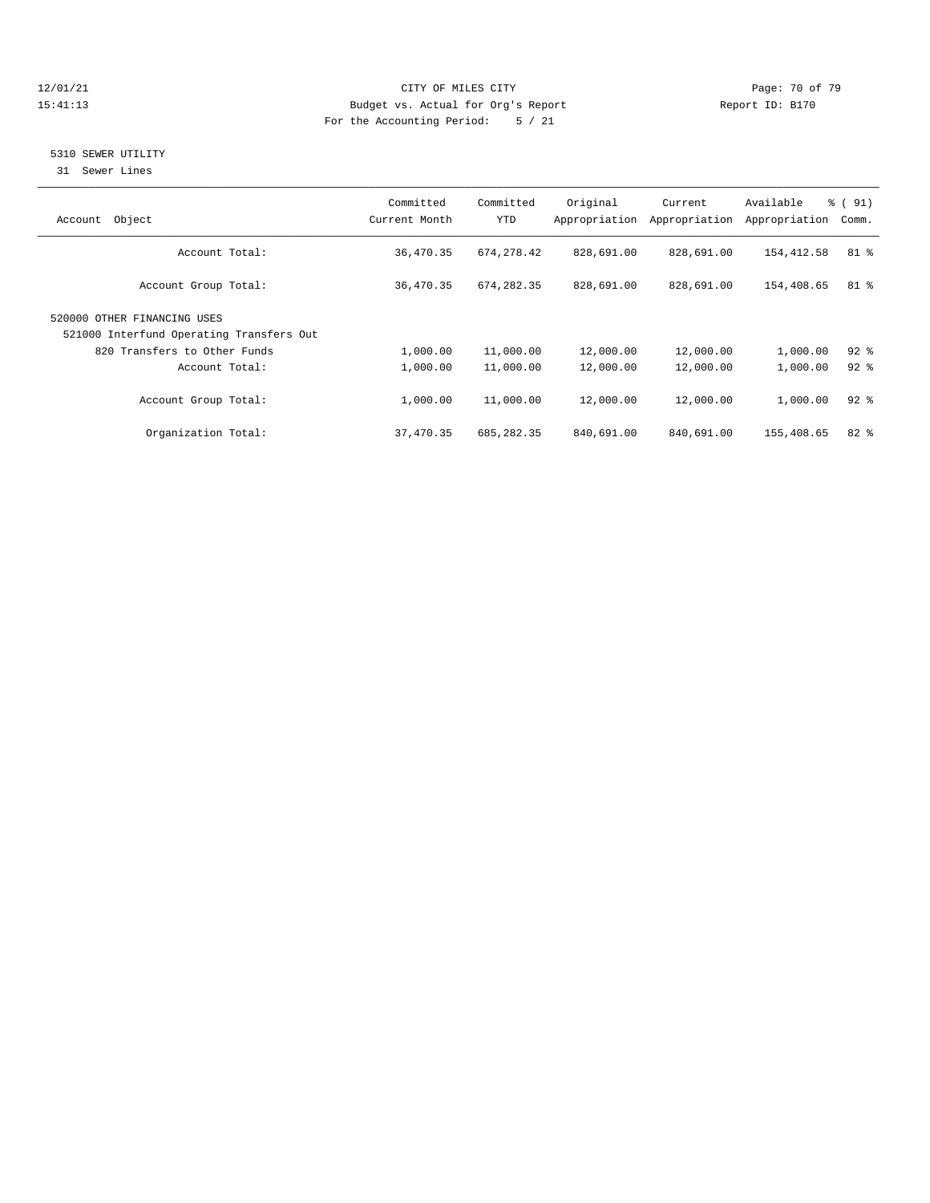#### 12/01/21 Page: 70 of 79 15:41:13 Budget vs. Actual for Org's Report Report ID: B170 For the Accounting Period: 5 / 21

## 5310 SEWER UTILITY

31 Sewer Lines

| Object<br>Account                                                       | Committed<br>Current Month | Committed<br>YTD | Original<br>Appropriation | Current<br>Appropriation | Available<br>Appropriation | % (91)<br>Comm. |
|-------------------------------------------------------------------------|----------------------------|------------------|---------------------------|--------------------------|----------------------------|-----------------|
| Account Total:                                                          | 36,470.35                  | 674, 278.42      | 828,691.00                | 828,691.00               | 154,412.58                 | 81 %            |
| Account Group Total:                                                    | 36,470.35                  | 674, 282.35      | 828,691.00                | 828,691.00               | 154,408.65                 | $81$ %          |
| 520000 OTHER FINANCING USES<br>521000 Interfund Operating Transfers Out |                            |                  |                           |                          |                            |                 |
| 820 Transfers to Other Funds                                            | 1,000.00                   | 11,000.00        | 12,000.00                 | 12,000.00                | 1,000.00                   | $92$ $%$        |
| Account Total:                                                          | 1,000.00                   | 11,000.00        | 12,000.00                 | 12,000.00                | 1,000.00                   | $92*$           |
| Account Group Total:                                                    | 1,000.00                   | 11,000.00        | 12,000.00                 | 12,000.00                | 1,000.00                   | $92$ $%$        |
| Organization Total:                                                     | 37,470.35                  | 685, 282, 35     | 840,691.00                | 840,691.00               | 155,408.65                 | $82*$           |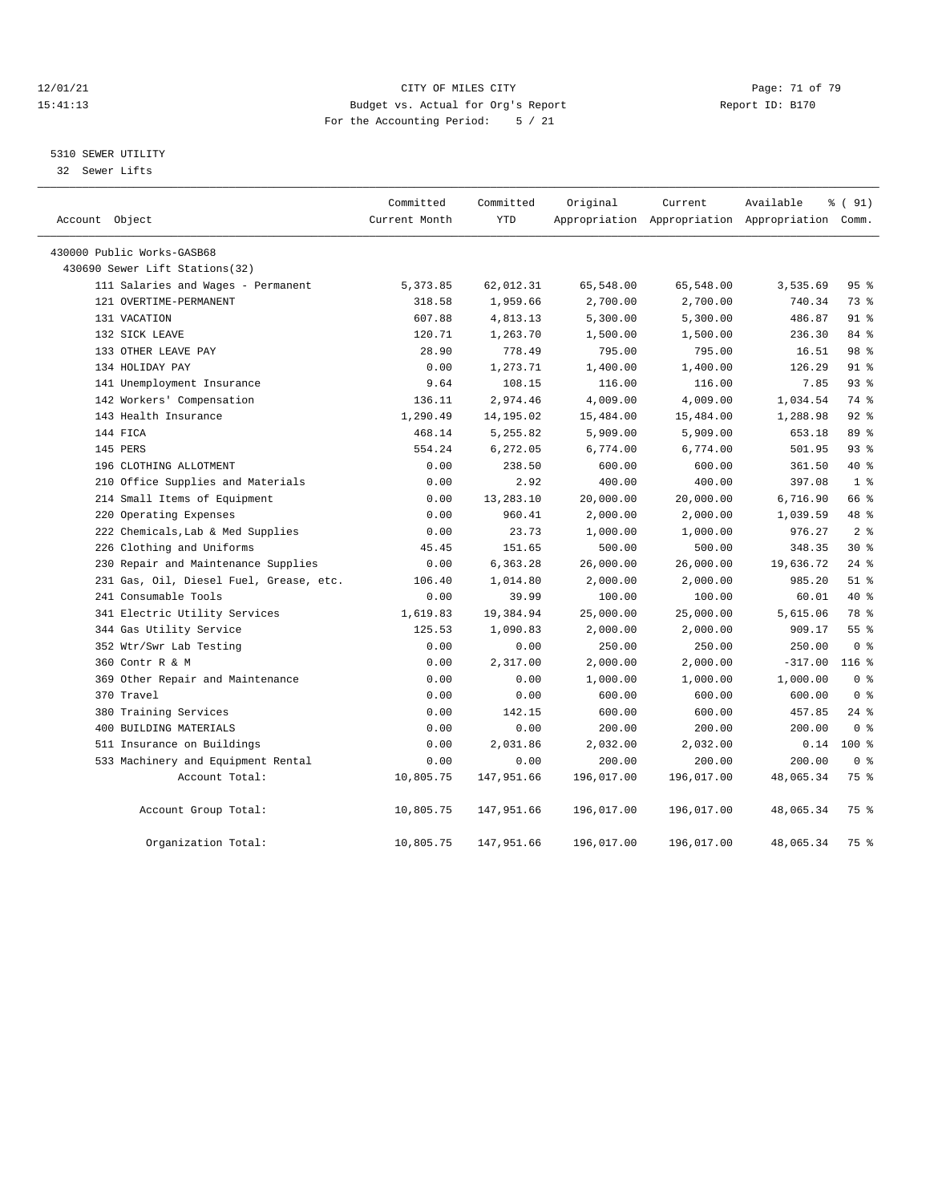#### 12/01/21 Page: 71 of 79<br>
12/01/21 Page: 71 of 79<br>
Budget vs. Actual for Org's Report Physics (Papert ID: B170 15:41:13 Budget vs. Actual for Org's Report For the Accounting Period: 5 / 21

### 5310 SEWER UTILITY

32 Sewer Lifts

| Account Object                          | Committed<br>Current Month | Committed<br><b>YTD</b> | Original   | Current<br>Appropriation Appropriation Appropriation Comm. | Available | % (91)         |
|-----------------------------------------|----------------------------|-------------------------|------------|------------------------------------------------------------|-----------|----------------|
| 430000 Public Works-GASB68              |                            |                         |            |                                                            |           |                |
| 430690 Sewer Lift Stations(32)          |                            |                         |            |                                                            |           |                |
| 111 Salaries and Wages - Permanent      | 5,373.85                   | 62,012.31               | 65,548.00  | 65,548.00                                                  | 3,535.69  | 95%            |
| 121 OVERTIME-PERMANENT                  | 318.58                     | 1,959.66                | 2,700.00   | 2,700.00                                                   | 740.34    | 73 %           |
| 131 VACATION                            | 607.88                     | 4,813.13                | 5,300.00   | 5,300.00                                                   | 486.87    | 91 %           |
| 132 SICK LEAVE                          | 120.71                     | 1,263.70                | 1,500.00   | 1,500.00                                                   | 236.30    | 84 %           |
| 133 OTHER LEAVE PAY                     | 28.90                      | 778.49                  | 795.00     | 795.00                                                     | 16.51     | 98 %           |
| 134 HOLIDAY PAY                         | 0.00                       | 1,273.71                | 1,400.00   | 1,400.00                                                   | 126.29    | 91 %           |
| 141 Unemployment Insurance              | 9.64                       | 108.15                  | 116.00     | 116.00                                                     | 7.85      | 93%            |
| 142 Workers' Compensation               | 136.11                     | 2,974.46                | 4,009.00   | 4,009.00                                                   | 1,034.54  | 74 %           |
| 143 Health Insurance                    | 1,290.49                   | 14,195.02               | 15,484.00  | 15,484.00                                                  | 1,288.98  | $92$ $%$       |
| 144 FICA                                | 468.14                     | 5,255.82                | 5,909.00   | 5,909.00                                                   | 653.18    | 89 %           |
| 145 PERS                                | 554.24                     | 6,272.05                | 6,774.00   | 6,774.00                                                   | 501.95    | 93%            |
| 196 CLOTHING ALLOTMENT                  | 0.00                       | 238.50                  | 600.00     | 600.00                                                     | 361.50    | $40*$          |
| 210 Office Supplies and Materials       | 0.00                       | 2.92                    | 400.00     | 400.00                                                     | 397.08    | 1 <sup>8</sup> |
| 214 Small Items of Equipment            | 0.00                       | 13,283.10               | 20,000.00  | 20,000.00                                                  | 6,716.90  | 66 %           |
| 220 Operating Expenses                  | 0.00                       | 960.41                  | 2,000.00   | 2,000.00                                                   | 1,039.59  | 48 %           |
| 222 Chemicals, Lab & Med Supplies       | 0.00                       | 23.73                   | 1,000.00   | 1,000.00                                                   | 976.27    | 2 <sup>8</sup> |
| 226 Clothing and Uniforms               | 45.45                      | 151.65                  | 500.00     | 500.00                                                     | 348.35    | $30*$          |
| 230 Repair and Maintenance Supplies     | 0.00                       | 6,363.28                | 26,000.00  | 26,000.00                                                  | 19,636.72 | $24$ %         |
| 231 Gas, Oil, Diesel Fuel, Grease, etc. | 106.40                     | 1,014.80                | 2,000.00   | 2,000.00                                                   | 985.20    | $51$ %         |
| 241 Consumable Tools                    | 0.00                       | 39.99                   | 100.00     | 100.00                                                     | 60.01     | 40 %           |
| 341 Electric Utility Services           | 1,619.83                   | 19,384.94               | 25,000.00  | 25,000.00                                                  | 5,615.06  | 78 %           |
| 344 Gas Utility Service                 | 125.53                     | 1,090.83                | 2,000.00   | 2,000.00                                                   | 909.17    | 55%            |
| 352 Wtr/Swr Lab Testing                 | 0.00                       | 0.00                    | 250.00     | 250.00                                                     | 250.00    | 0 <sup>8</sup> |
| 360 Contr R & M                         | 0.00                       | 2,317.00                | 2,000.00   | 2,000.00                                                   | $-317.00$ | $116$ %        |
| 369 Other Repair and Maintenance        | 0.00                       | 0.00                    | 1,000.00   | 1,000.00                                                   | 1,000.00  | 0 <sup>8</sup> |
| 370 Travel                              | 0.00                       | 0.00                    | 600.00     | 600.00                                                     | 600.00    | 0 <sup>8</sup> |
| 380 Training Services                   | 0.00                       | 142.15                  | 600.00     | 600.00                                                     | 457.85    | $24$ %         |
| 400 BUILDING MATERIALS                  | 0.00                       | 0.00                    | 200.00     | 200.00                                                     | 200.00    | 0 <sup>8</sup> |
| 511 Insurance on Buildings              | 0.00                       | 2,031.86                | 2,032.00   | 2,032.00                                                   | 0.14      | $100*$         |
| 533 Machinery and Equipment Rental      | 0.00                       | 0.00                    | 200.00     | 200.00                                                     | 200.00    | 0 <sup>8</sup> |
| Account Total:                          | 10,805.75                  | 147,951.66              | 196,017.00 | 196,017.00                                                 | 48,065.34 | 75 %           |
| Account Group Total:                    | 10,805.75                  | 147,951.66              | 196,017.00 | 196,017.00                                                 | 48,065.34 | 75 %           |
| Organization Total:                     | 10,805.75                  | 147,951.66              | 196,017.00 | 196,017.00                                                 | 48,065.34 | 75 %           |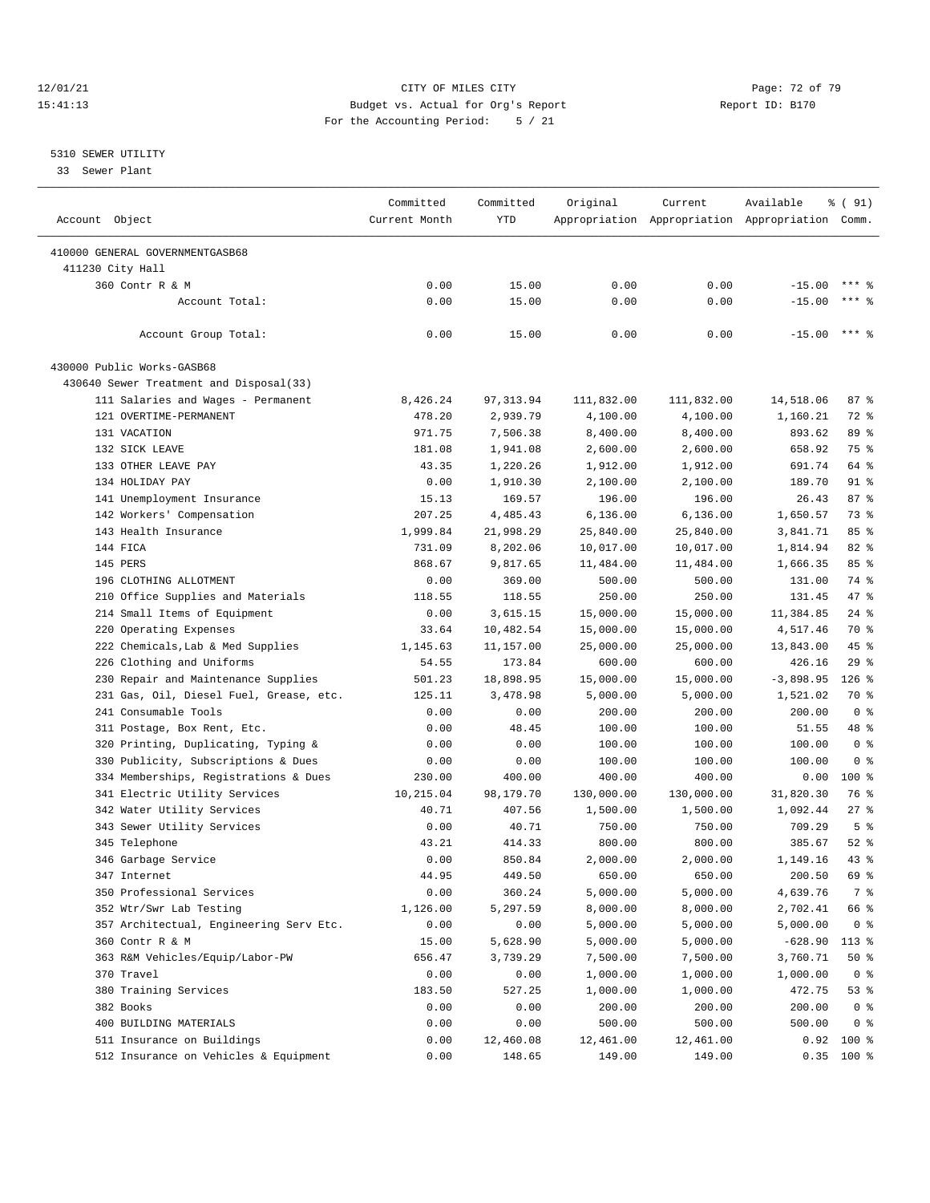#### 12/01/21 Page: 72 of 79<br>
12/01/21 Page: 72 of 79<br>
Budget vs. Actual for Org's Report Physics (Papert ID: B170 15:41:13 Budget vs. Actual for Org's Report For the Accounting Period: 5 / 21

————————————————————————————————————————————————————————————————————————————————————————————————————————————————————————————————————

#### 5310 SEWER UTILITY

33 Sewer Plant

|                                         | Committed     | Committed | Original   | Current    | Available                                       | ៖ ( 91)        |
|-----------------------------------------|---------------|-----------|------------|------------|-------------------------------------------------|----------------|
| Account Object                          | Current Month | YTD       |            |            | Appropriation Appropriation Appropriation Comm. |                |
|                                         |               |           |            |            |                                                 |                |
| 410000 GENERAL GOVERNMENTGASB68         |               |           |            |            |                                                 |                |
| 411230 City Hall                        | 0.00          |           | 0.00       | 0.00       |                                                 | $***$ %        |
| 360 Contr R & M                         |               | 15.00     |            |            | $-15.00$                                        | $***$ $%$      |
| Account Total:                          | 0.00          | 15.00     | 0.00       | 0.00       | $-15.00$                                        |                |
| Account Group Total:                    | 0.00          | 15.00     | 0.00       | 0.00       | $-15.00$                                        | $***$ 8        |
| 430000 Public Works-GASB68              |               |           |            |            |                                                 |                |
| 430640 Sewer Treatment and Disposal(33) |               |           |            |            |                                                 |                |
| 111 Salaries and Wages - Permanent      | 8,426.24      | 97,313.94 | 111,832.00 | 111,832.00 | 14,518.06                                       | 87%            |
| 121 OVERTIME-PERMANENT                  | 478.20        | 2,939.79  | 4,100.00   | 4,100.00   | 1,160.21                                        | 72 %           |
| 131 VACATION                            | 971.75        | 7,506.38  | 8,400.00   | 8,400.00   | 893.62                                          | 89 %           |
| 132 SICK LEAVE                          | 181.08        | 1,941.08  | 2,600.00   | 2,600.00   | 658.92                                          | 75 %           |
| 133 OTHER LEAVE PAY                     | 43.35         | 1,220.26  | 1,912.00   | 1,912.00   | 691.74                                          | 64 %           |
| 134 HOLIDAY PAY                         | 0.00          | 1,910.30  | 2,100.00   | 2,100.00   | 189.70                                          | 91 %           |
| 141 Unemployment Insurance              | 15.13         | 169.57    | 196.00     | 196.00     | 26.43                                           | 87%            |
| 142 Workers' Compensation               | 207.25        | 4,485.43  | 6,136.00   | 6,136.00   | 1,650.57                                        | 73 %           |
| 143 Health Insurance                    | 1,999.84      | 21,998.29 | 25,840.00  | 25,840.00  | 3,841.71                                        | 85%            |
| 144 FICA                                | 731.09        | 8,202.06  | 10,017.00  | 10,017.00  | 1,814.94                                        | 82%            |
| 145 PERS                                | 868.67        | 9,817.65  | 11,484.00  | 11,484.00  | 1,666.35                                        | 85%            |
| 196 CLOTHING ALLOTMENT                  | 0.00          | 369.00    | 500.00     | 500.00     | 131.00                                          | 74 %           |
| 210 Office Supplies and Materials       | 118.55        | 118.55    | 250.00     | 250.00     | 131.45                                          | 47 %           |
| 214 Small Items of Equipment            | 0.00          | 3,615.15  | 15,000.00  | 15,000.00  | 11,384.85                                       | $24$ %         |
| 220 Operating Expenses                  | 33.64         | 10,482.54 | 15,000.00  | 15,000.00  | 4,517.46                                        | 70 %           |
| 222 Chemicals, Lab & Med Supplies       | 1,145.63      | 11,157.00 | 25,000.00  | 25,000.00  | 13,843.00                                       | 45 %           |
| 226 Clothing and Uniforms               | 54.55         | 173.84    | 600.00     | 600.00     | 426.16                                          | 29%            |
| 230 Repair and Maintenance Supplies     | 501.23        | 18,898.95 | 15,000.00  | 15,000.00  | $-3,898.95$                                     | $126$ %        |
| 231 Gas, Oil, Diesel Fuel, Grease, etc. | 125.11        | 3,478.98  | 5,000.00   | 5,000.00   | 1,521.02                                        | 70 %           |
| 241 Consumable Tools                    |               |           |            | 200.00     | 200.00                                          | 0 <sup>8</sup> |
|                                         | 0.00          | 0.00      | 200.00     |            |                                                 |                |
| 311 Postage, Box Rent, Etc.             | 0.00          | 48.45     | 100.00     | 100.00     | 51.55                                           | 48 %           |
| 320 Printing, Duplicating, Typing &     | 0.00          | 0.00      | 100.00     | 100.00     | 100.00                                          | 0 <sup>8</sup> |
| 330 Publicity, Subscriptions & Dues     | 0.00          | 0.00      | 100.00     | 100.00     | 100.00                                          | 0 <sup>8</sup> |
| 334 Memberships, Registrations & Dues   | 230.00        | 400.00    | 400.00     | 400.00     | 0.00                                            | $100$ %        |
| 341 Electric Utility Services           | 10,215.04     | 98,179.70 | 130,000.00 | 130,000.00 | 31,820.30                                       | 76 %           |
| 342 Water Utility Services              | 40.71         | 407.56    | 1,500.00   | 1,500.00   | 1,092.44                                        | $27$ %         |
| 343 Sewer Utility Services              | 0.00          | 40.71     | 750.00     | 750.00     | 709.29                                          | 5 <sup>8</sup> |
| 345 Telephone                           | 43.21         | 414.33    | 800.00     | 800.00     | 385.67                                          | $52$ $%$       |
| 346 Garbage Service                     | 0.00          | 850.84    | 2,000.00   | 2,000.00   | 1,149.16                                        | $43$ %         |
| 347 Internet                            | 44.95         | 449.50    | 650.00     | 650.00     | 200.50                                          | 69 %           |
| 350 Professional Services               | 0.00          | 360.24    | 5,000.00   | 5,000.00   | 4,639.76                                        | 7 %            |
| 352 Wtr/Swr Lab Testing                 | 1,126.00      | 5,297.59  | 8,000.00   | 8,000.00   | 2,702.41                                        | 66 %           |
| 357 Architectual, Engineering Serv Etc. | 0.00          | 0.00      | 5,000.00   | 5,000.00   | 5,000.00                                        | 0 <sup>8</sup> |
| 360 Contr R & M                         | 15.00         | 5,628.90  | 5,000.00   | 5,000.00   | $-628.90$                                       | $113*$         |
| 363 R&M Vehicles/Equip/Labor-PW         | 656.47        | 3,739.29  | 7,500.00   | 7,500.00   | 3,760.71                                        | 50%            |
| 370 Travel                              | 0.00          | 0.00      | 1,000.00   | 1,000.00   | 1,000.00                                        | 0 <sup>8</sup> |
| 380 Training Services                   | 183.50        | 527.25    | 1,000.00   | 1,000.00   | 472.75                                          | 53%            |
| 382 Books                               | 0.00          | 0.00      | 200.00     | 200.00     | 200.00                                          | 0 <sup>8</sup> |
| 400 BUILDING MATERIALS                  | 0.00          | 0.00      | 500.00     | 500.00     | 500.00                                          | 0 <sup>8</sup> |
| 511 Insurance on Buildings              | 0.00          | 12,460.08 | 12,461.00  | 12,461.00  |                                                 | $0.92$ 100 %   |
| 512 Insurance on Vehicles & Equipment   | 0.00          | 148.65    | 149.00     | 149.00     |                                                 | $0.35$ 100 %   |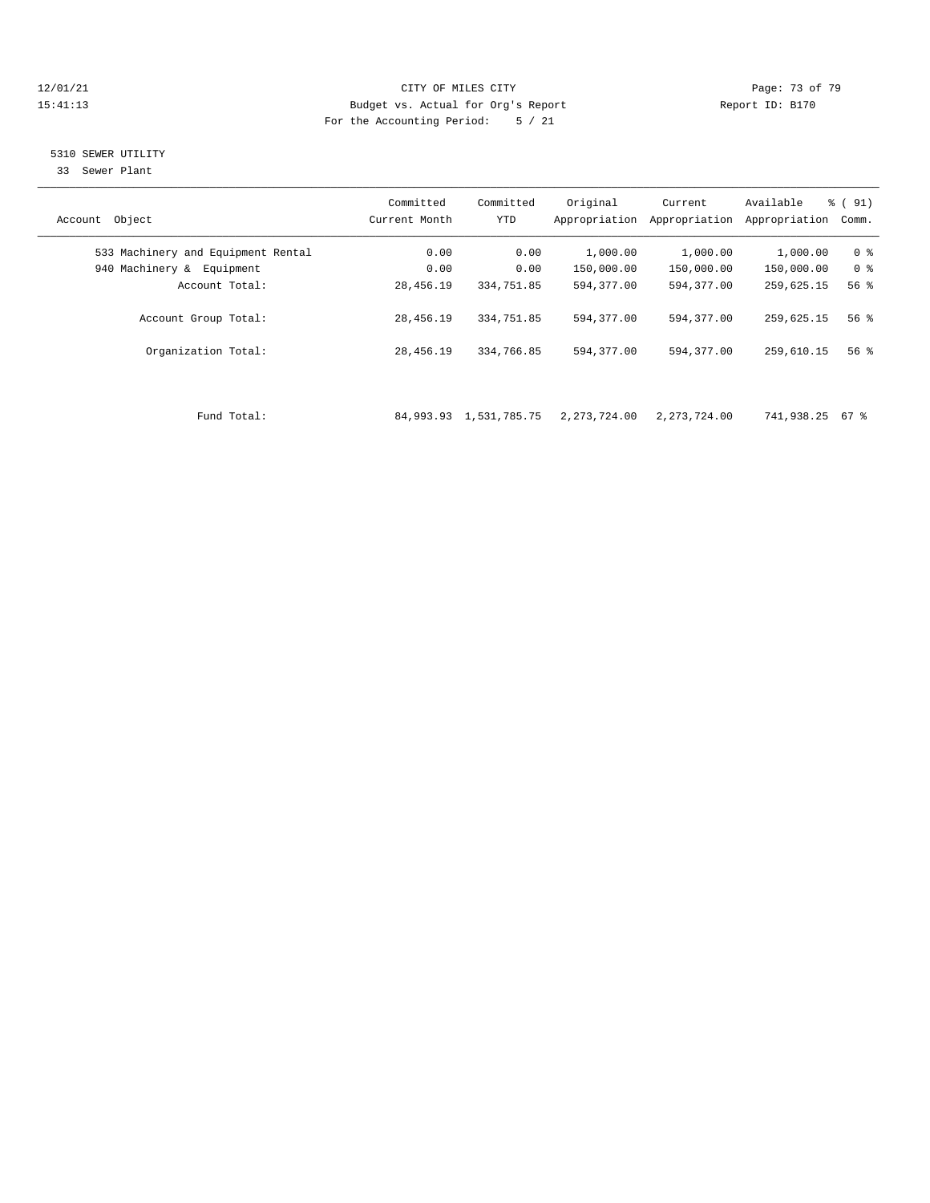### 12/01/21 Page: 73 of 79<br>
12/01/21 Page: 73 of 79 Eudget vs. Actual for Org's Report Page: 73 of 79 Page: 73 of 79 Eudget vs. Actual for Org's Report Page: 73 of 79 Page: 73 of 79 Eudget vs. Actual for Org's Report Page: 73 15:41:13 Budget vs. Actual for Org's Report For the Accounting Period: 5 / 21

## 5310 SEWER UTILITY

33 Sewer Plant

| Object<br>Account                  | Committed<br>Current Month | Committed<br><b>YTD</b> | Original<br>Appropriation | Current<br>Appropriation | Available<br>Appropriation | % (91)<br>Comm. |
|------------------------------------|----------------------------|-------------------------|---------------------------|--------------------------|----------------------------|-----------------|
| 533 Machinery and Equipment Rental | 0.00                       | 0.00                    | 1,000.00                  | 1,000.00                 | 1,000.00                   | 0 <sup>8</sup>  |
| 940 Machinery &<br>Equipment       | 0.00                       | 0.00                    | 150,000.00                | 150,000.00               | 150,000.00                 | 0 <sup>8</sup>  |
| Account Total:                     | 28,456.19                  | 334,751.85              | 594,377.00                | 594, 377, 00             | 259,625.15                 | 56%             |
| Account Group Total:               | 28,456.19                  | 334,751.85              | 594,377.00                | 594,377.00               | 259,625.15                 | 56%             |
| Organization Total:                | 28,456.19                  | 334,766.85              | 594,377.00                | 594, 377, 00             | 259,610.15                 | 56%             |
|                                    |                            |                         |                           |                          |                            |                 |
|                                    |                            |                         |                           |                          |                            |                 |

Fund Total: 84,993.93 1,531,785.75 2,273,724.00 2,273,724.00 741,938.25 67 %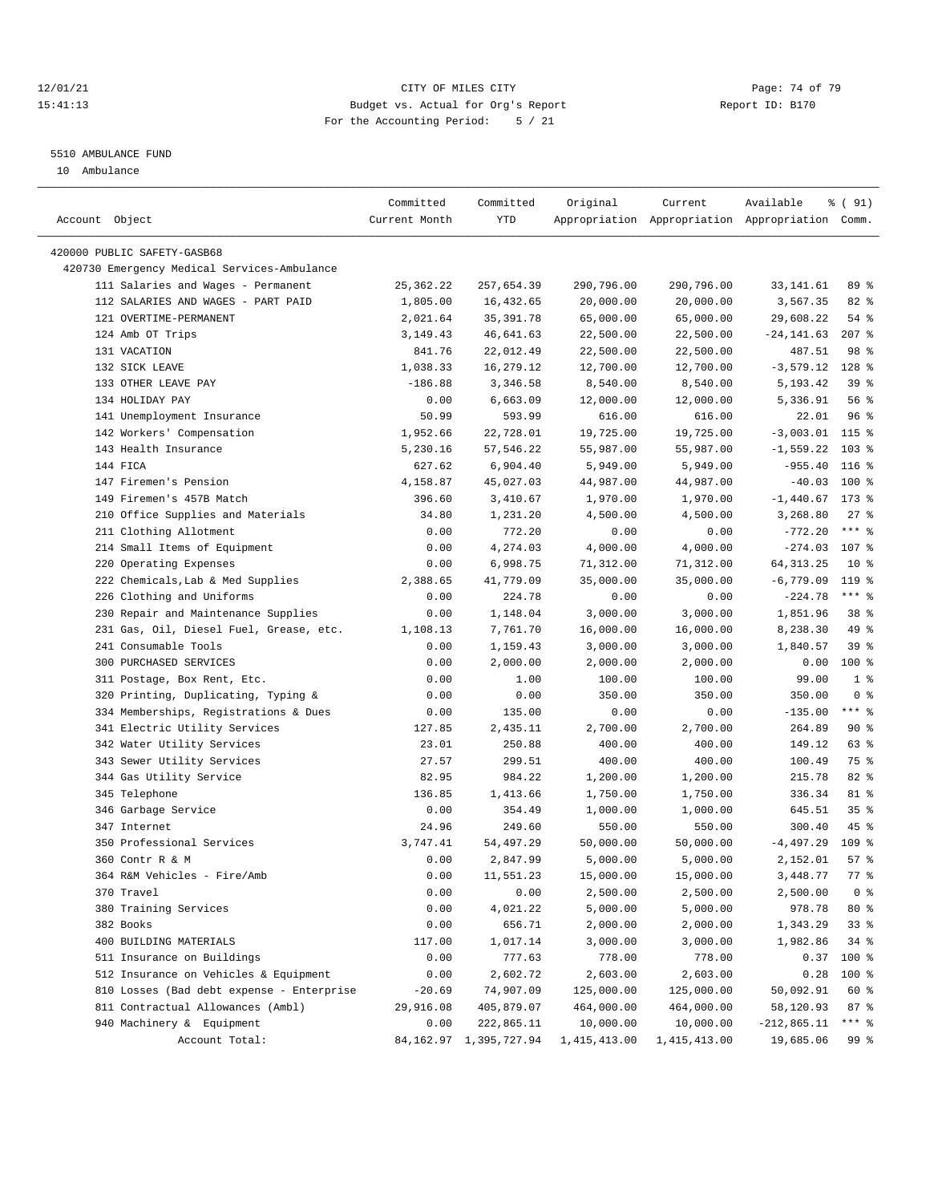### 12/01/21 **Page: 74 of 79** CITY OF MILES CITY **CITY** Page: 74 of 79 15:41:13 Budget vs. Actual for Org's Report Report ID: B170 For the Accounting Period: 5 / 21

————————————————————————————————————————————————————————————————————————————————————————————————————————————————————————————————————

#### 5510 AMBULANCE FUND

10 Ambulance

|                |                                             | Committed     | Committed                   | Original     | Current      | Available                                       | % ( 91)                   |
|----------------|---------------------------------------------|---------------|-----------------------------|--------------|--------------|-------------------------------------------------|---------------------------|
| Account Object |                                             | Current Month | YTD                         |              |              | Appropriation Appropriation Appropriation Comm. |                           |
|                | 420000 PUBLIC SAFETY-GASB68                 |               |                             |              |              |                                                 |                           |
|                | 420730 Emergency Medical Services-Ambulance |               |                             |              |              |                                                 |                           |
|                | 111 Salaries and Wages - Permanent          | 25, 362.22    | 257,654.39                  | 290,796.00   | 290,796.00   | 33,141.61                                       | 89 %                      |
|                | 112 SALARIES AND WAGES - PART PAID          | 1,805.00      | 16,432.65                   | 20,000.00    | 20,000.00    | 3,567.35                                        | 82%                       |
|                | 121 OVERTIME-PERMANENT                      | 2,021.64      | 35, 391.78                  | 65,000.00    | 65,000.00    | 29,608.22                                       | $54$ %                    |
|                | 124 Amb OT Trips                            | 3, 149. 43    | 46,641.63                   | 22,500.00    | 22,500.00    | $-24, 141.63$                                   | $207$ %                   |
|                | 131 VACATION                                | 841.76        | 22,012.49                   | 22,500.00    | 22,500.00    | 487.51                                          | 98 %                      |
|                | 132 SICK LEAVE                              | 1,038.33      | 16,279.12                   | 12,700.00    | 12,700.00    | $-3,579.12$ 128 %                               |                           |
|                | 133 OTHER LEAVE PAY                         | $-186.88$     | 3,346.58                    | 8,540.00     | 8,540.00     | 5,193.42                                        | 39%                       |
|                | 134 HOLIDAY PAY                             | 0.00          | 6,663.09                    | 12,000.00    | 12,000.00    | 5,336.91                                        | 56%                       |
|                | 141 Unemployment Insurance                  | 50.99         | 593.99                      | 616.00       | 616.00       | 22.01                                           | 96%                       |
|                | 142 Workers' Compensation                   | 1,952.66      | 22,728.01                   | 19,725.00    | 19,725.00    | $-3,003.01$                                     | $115$ %                   |
|                | 143 Health Insurance                        | 5,230.16      | 57,546.22                   | 55,987.00    | 55,987.00    | $-1,559.22$                                     | 103 %                     |
|                | 144 FICA                                    | 627.62        | 6,904.40                    | 5,949.00     | 5,949.00     | $-955.40$                                       | $116$ %                   |
|                | 147 Firemen's Pension                       | 4,158.87      | 45,027.03                   | 44,987.00    | 44,987.00    | $-40.03$                                        | 100 %                     |
|                | 149 Firemen's 457B Match                    | 396.60        | 3,410.67                    | 1,970.00     | 1,970.00     | $-1,440.67$ 173 %                               |                           |
|                | 210 Office Supplies and Materials           | 34.80         | 1,231.20                    | 4,500.00     | 4,500.00     | 3,268.80                                        | $27$ %                    |
|                | 211 Clothing Allotment                      | 0.00          | 772.20                      | 0.00         | 0.00         | $-772.20$                                       | $***$ 8                   |
|                | 214 Small Items of Equipment                | 0.00          | 4,274.03                    | 4,000.00     | 4,000.00     | $-274.03$                                       | 107 %                     |
|                | 220 Operating Expenses                      | 0.00          | 6,998.75                    | 71,312.00    | 71,312.00    | 64, 313. 25                                     | 10 <sup>8</sup>           |
|                | 222 Chemicals, Lab & Med Supplies           | 2,388.65      | 41,779.09                   | 35,000.00    | 35,000.00    | $-6,779.09$                                     | 119 %                     |
|                | 226 Clothing and Uniforms                   | 0.00          | 224.78                      | 0.00         | 0.00         | $-224.78$                                       | $***$ $_{8}$              |
|                | 230 Repair and Maintenance Supplies         | 0.00          | 1,148.04                    | 3,000.00     | 3,000.00     | 1,851.96                                        | 38 <sup>8</sup>           |
|                | 231 Gas, Oil, Diesel Fuel, Grease, etc.     | 1,108.13      | 7,761.70                    | 16,000.00    | 16,000.00    | 8,238.30                                        | 49 %                      |
|                | 241 Consumable Tools                        |               |                             | 3,000.00     | 3,000.00     | 1,840.57                                        | 39%                       |
|                |                                             | 0.00          | 1,159.43                    |              |              |                                                 |                           |
|                | 300 PURCHASED SERVICES                      | 0.00          | 2,000.00                    | 2,000.00     | 2,000.00     | 0.00                                            | $100$ %<br>1 <sup>8</sup> |
|                | 311 Postage, Box Rent, Etc.                 | 0.00          | 1.00                        | 100.00       | 100.00       | 99.00                                           | 0 <sup>8</sup>            |
|                | 320 Printing, Duplicating, Typing &         | 0.00          | 0.00                        | 350.00       | 350.00       | 350.00                                          |                           |
|                | 334 Memberships, Registrations & Dues       | 0.00          | 135.00                      | 0.00         | 0.00         | $-135.00$                                       | $***$ $-$                 |
|                | 341 Electric Utility Services               | 127.85        | 2,435.11                    | 2,700.00     | 2,700.00     | 264.89                                          | 90%                       |
|                | 342 Water Utility Services                  | 23.01         | 250.88                      | 400.00       | 400.00       | 149.12                                          | 63 %                      |
|                | 343 Sewer Utility Services                  | 27.57         | 299.51                      | 400.00       | 400.00       | 100.49                                          | 75 %                      |
|                | 344 Gas Utility Service                     | 82.95         | 984.22                      | 1,200.00     | 1,200.00     | 215.78                                          | 82%                       |
|                | 345 Telephone                               | 136.85        | 1,413.66                    | 1,750.00     | 1,750.00     | 336.34                                          | 81 %                      |
|                | 346 Garbage Service                         | 0.00          | 354.49                      | 1,000.00     | 1,000.00     | 645.51                                          | 35%                       |
|                | 347 Internet                                | 24.96         | 249.60                      | 550.00       | 550.00       | 300.40                                          | $45$ %                    |
|                | 350 Professional Services                   | 3,747.41      | 54,497.29                   | 50,000.00    | 50,000.00    | -4,497.29                                       | 109 %                     |
|                | 360 Contr R & M                             | 0.00          | 2,847.99                    | 5,000.00     | 5,000.00     | 2,152.01                                        | 57%                       |
|                | 364 R&M Vehicles - Fire/Amb                 | 0.00          | 11,551.23                   | 15,000.00    | 15,000.00    | $\bf 3$ , $\bf 448$ . $\bf 77$                  | $77$ $%$                  |
|                | 370 Travel                                  | 0.00          | 0.00                        | 2,500.00     | 2,500.00     | 2,500.00                                        | 0 <sup>8</sup>            |
|                | 380 Training Services                       | 0.00          | 4,021.22                    | 5,000.00     | 5,000.00     | 978.78                                          | $80*$                     |
|                | 382 Books                                   | 0.00          | 656.71                      | 2,000.00     | 2,000.00     | 1,343.29                                        | 33%                       |
|                | 400 BUILDING MATERIALS                      | 117.00        | 1,017.14                    | 3,000.00     | 3,000.00     | 1,982.86                                        | 34%                       |
|                | 511 Insurance on Buildings                  | 0.00          | 777.63                      | 778.00       | 778.00       | 0.37                                            | 100 %                     |
|                | 512 Insurance on Vehicles & Equipment       | 0.00          | 2,602.72                    | 2,603.00     | 2,603.00     | 0.28                                            | 100 %                     |
|                | 810 Losses (Bad debt expense - Enterprise   | $-20.69$      | 74,907.09                   | 125,000.00   | 125,000.00   | 50,092.91                                       | 60 %                      |
|                | 811 Contractual Allowances (Ambl)           | 29,916.08     | 405,879.07                  | 464,000.00   | 464,000.00   | 58,120.93                                       | 87%                       |
|                | 940 Machinery & Equipment                   | 0.00          | 222,865.11                  | 10,000.00    | 10,000.00    | $-212,865.11$                                   | $***$ $-$                 |
|                | Account Total:                              |               | 84, 162. 97 1, 395, 727. 94 | 1,415,413.00 | 1,415,413.00 | 19,685.06                                       | 99 %                      |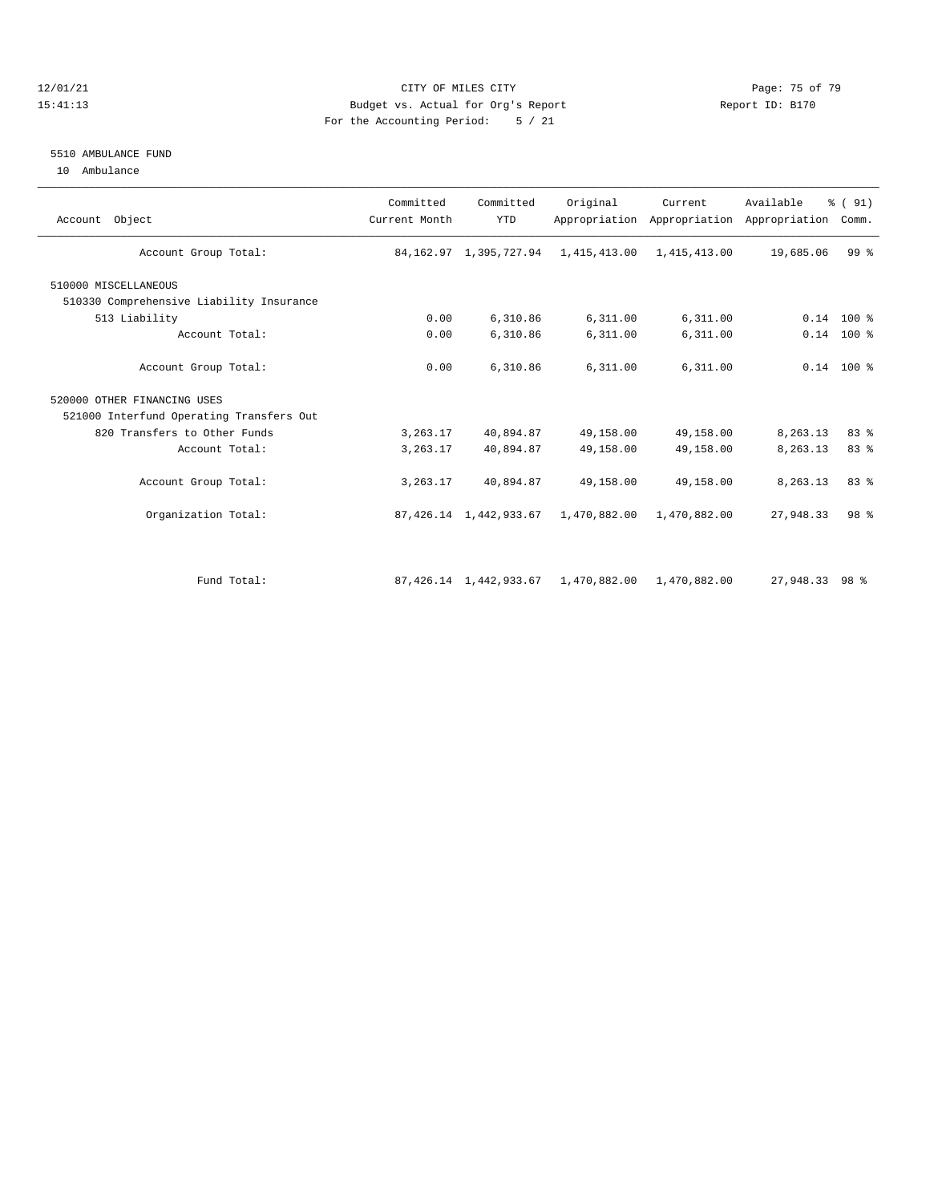### 12/01/21 Page: 75 of 79<br>15:41:13 Budget vs. Actual for Org's Report Page: 75 of 79<br>15:41:13 Budget vs. Actual for Org's Report Page: 75 of 79 15:41:13 Budget vs. Actual for Org's Report For the Accounting Period: 5 / 21

#### 5510 AMBULANCE FUND

10 Ambulance

| Account Object                           | Committed<br>Current Month | Committed<br><b>YTD</b>   | Original                                                | Current      | Available<br>Appropriation Appropriation Appropriation Comm. | % (91)       |
|------------------------------------------|----------------------------|---------------------------|---------------------------------------------------------|--------------|--------------------------------------------------------------|--------------|
| Account Group Total:                     |                            |                           | 84, 162.97 1, 395, 727.94 1, 415, 413.00 1, 415, 413.00 |              | 19,685.06                                                    | 99%          |
| 510000 MISCELLANEOUS                     |                            |                           |                                                         |              |                                                              |              |
| 510330 Comprehensive Liability Insurance |                            |                           |                                                         |              |                                                              |              |
| 513 Liability                            | 0.00                       | 6,310.86                  | 6,311.00                                                | 6,311.00     |                                                              | $0.14$ 100 % |
| Account Total:                           | 0.00                       | 6,310.86                  | 6,311.00                                                | 6,311.00     |                                                              | $0.14$ 100 % |
| Account Group Total:                     | 0.00                       | 6,310.86                  | 6,311.00                                                | 6,311.00     |                                                              | $0.14$ 100 % |
| 520000 OTHER FINANCING USES              |                            |                           |                                                         |              |                                                              |              |
| 521000 Interfund Operating Transfers Out |                            |                           |                                                         |              |                                                              |              |
| 820 Transfers to Other Funds             | 3, 263.17                  | 40,894.87                 | 49,158.00                                               | 49,158.00    | 8,263.13                                                     | 83 %         |
| Account Total:                           | 3,263.17                   | 40,894.87                 | 49,158.00                                               | 49,158.00    | 8,263.13                                                     | 83 %         |
| Account Group Total:                     | 3, 263.17                  | 40,894.87                 | 49,158.00                                               | 49,158.00    | 8,263.13                                                     | 83 %         |
| Organization Total:                      |                            |                           | 87, 426.14 1, 442, 933.67 1, 470, 882.00 1, 470, 882.00 |              | 27,948.33                                                    | 98 %         |
| Fund Total:                              |                            | 87, 426.14 1, 442, 933.67 | 1,470,882.00                                            | 1,470,882.00 | 27,948.33 98 %                                               |              |
|                                          |                            |                           |                                                         |              |                                                              |              |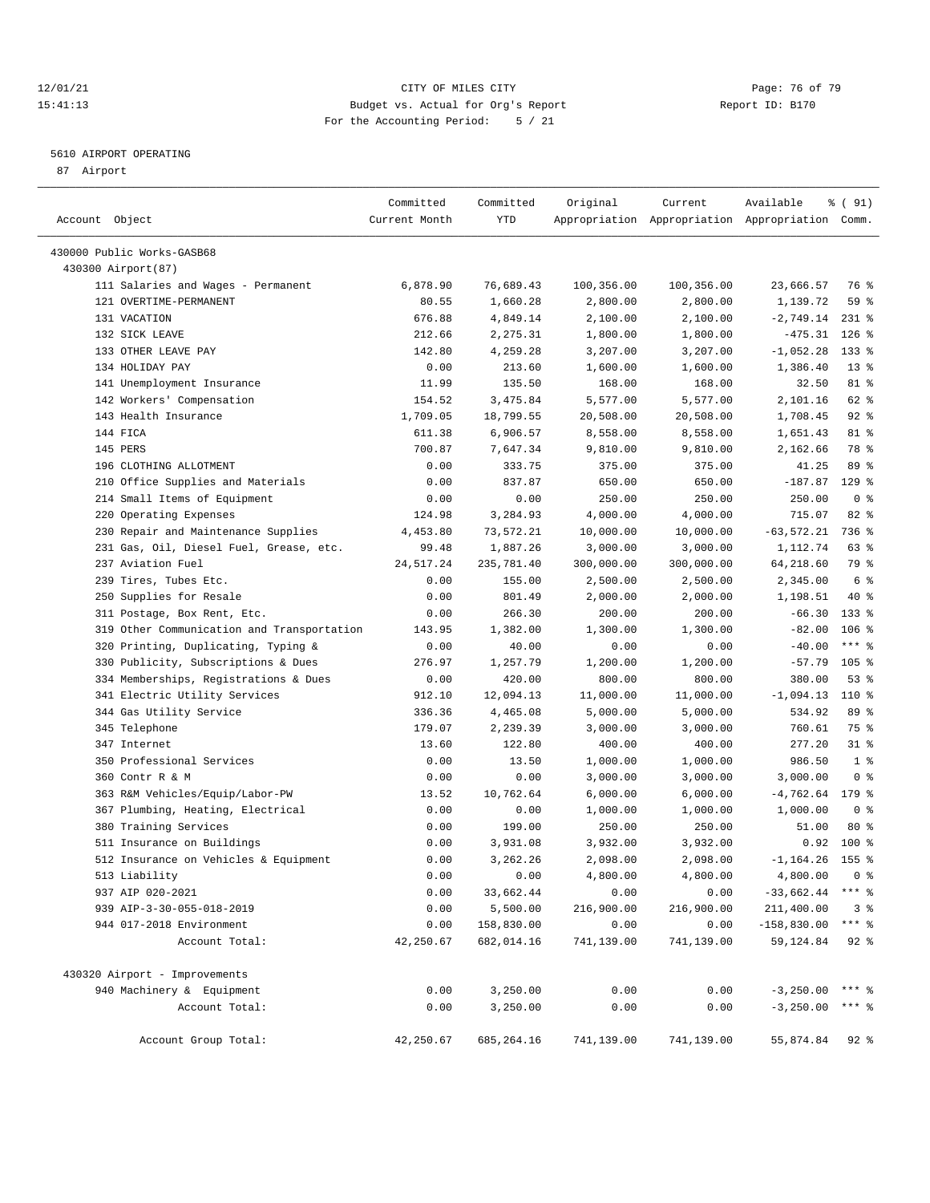### 12/01/21 Page: 76 of 79<br>15:41:13 Budget vs. Actual for Org's Report Page: 76 of 79<br>15:41:13 Budget vs. Actual for Org's Report Page: 76 OF 79 15:41:13 Budget vs. Actual for Org's Report For the Accounting Period: 5 / 21

————————————————————————————————————————————————————————————————————————————————————————————————————————————————————————————————————

## 5610 AIRPORT OPERATING

87 Airport

|                                                           | Committed         | Committed   | Original             | Current                                         | Available               | ៖ ( 91)        |
|-----------------------------------------------------------|-------------------|-------------|----------------------|-------------------------------------------------|-------------------------|----------------|
| Account Object                                            | Current Month     | <b>YTD</b>  |                      | Appropriation Appropriation Appropriation Comm. |                         |                |
|                                                           |                   |             |                      |                                                 |                         |                |
| 430000 Public Works-GASB68                                |                   |             |                      |                                                 |                         |                |
| 430300 Airport (87)<br>111 Salaries and Wages - Permanent |                   | 76,689.43   |                      |                                                 | 23,666.57               |                |
| 121 OVERTIME-PERMANENT                                    | 6,878.90<br>80.55 | 1,660.28    | 100,356.00           | 100,356.00                                      |                         | 76 %<br>59 %   |
| 131 VACATION                                              | 676.88            | 4,849.14    | 2,800.00             | 2,800.00<br>2,100.00                            | 1,139.72<br>$-2,749.14$ | $231$ %        |
| 132 SICK LEAVE                                            | 212.66            | 2,275.31    | 2,100.00             | 1,800.00                                        | $-475.31$               | $126$ %        |
| 133 OTHER LEAVE PAY                                       | 142.80            | 4,259.28    | 1,800.00<br>3,207.00 | 3,207.00                                        | $-1,052.28$             | $133$ %        |
| 134 HOLIDAY PAY                                           | 0.00              | 213.60      | 1,600.00             | 1,600.00                                        | 1,386.40                | $13*$          |
| 141 Unemployment Insurance                                | 11.99             | 135.50      | 168.00               | 168.00                                          | 32.50                   | 81 %           |
| 142 Workers' Compensation                                 | 154.52            | 3, 475.84   | 5,577.00             | 5,577.00                                        | 2,101.16                | 62 %           |
| 143 Health Insurance                                      | 1,709.05          |             |                      |                                                 |                         | $92$ %         |
| 144 FICA                                                  |                   | 18,799.55   | 20,508.00            | 20,508.00                                       | 1,708.45                | 81 %           |
| 145 PERS                                                  | 611.38            | 6,906.57    | 8,558.00             | 8,558.00                                        | 1,651.43                | 78 %           |
|                                                           | 700.87            | 7,647.34    | 9,810.00             | 9,810.00                                        | 2,162.66                |                |
| 196 CLOTHING ALLOTMENT                                    | 0.00              | 333.75      | 375.00               | 375.00                                          | 41.25                   | 89 %           |
| 210 Office Supplies and Materials                         | 0.00              | 837.87      | 650.00               | 650.00                                          | $-187.87$               | $129$ %        |
| 214 Small Items of Equipment                              | 0.00              | 0.00        | 250.00               | 250.00                                          | 250.00                  | 0 <sup>8</sup> |
| 220 Operating Expenses                                    | 124.98            | 3,284.93    | 4,000.00             | 4,000.00                                        | 715.07                  | 82 %           |
| 230 Repair and Maintenance Supplies                       | 4,453.80          | 73,572.21   | 10,000.00            | 10,000.00                                       | $-63,572.21$            | 736 %          |
| 231 Gas, Oil, Diesel Fuel, Grease, etc.                   | 99.48             | 1,887.26    | 3,000.00             | 3,000.00                                        | 1,112.74                | 63%            |
| 237 Aviation Fuel                                         | 24, 517.24        | 235,781.40  | 300,000.00           | 300,000.00                                      | 64,218.60               | 79 %           |
| 239 Tires, Tubes Etc.                                     | 0.00              | 155.00      | 2,500.00             | 2,500.00                                        | 2,345.00                | 6 %            |
| 250 Supplies for Resale                                   | 0.00              | 801.49      | 2,000.00             | 2,000.00                                        | 1,198.51                | 40 %           |
| 311 Postage, Box Rent, Etc.                               | 0.00              | 266.30      | 200.00               | 200.00                                          | $-66.30$                | $133$ %        |
| 319 Other Communication and Transportation                | 143.95            | 1,382.00    | 1,300.00             | 1,300.00                                        | $-82.00$                | $106$ %        |
| 320 Printing, Duplicating, Typing &                       | 0.00              | 40.00       | 0.00                 | 0.00                                            | $-40.00$                | $***$ $-$      |
| 330 Publicity, Subscriptions & Dues                       | 276.97            | 1,257.79    | 1,200.00             | 1,200.00                                        | $-57.79$                | $105$ %        |
| 334 Memberships, Registrations & Dues                     | 0.00              | 420.00      | 800.00               | 800.00                                          | 380.00                  | 53%            |
| 341 Electric Utility Services                             | 912.10            | 12,094.13   | 11,000.00            | 11,000.00                                       | $-1,094.13$             | 110 %          |
| 344 Gas Utility Service                                   | 336.36            | 4,465.08    | 5,000.00             | 5,000.00                                        | 534.92                  | 89 %           |
| 345 Telephone                                             | 179.07            | 2,239.39    | 3,000.00             | 3,000.00                                        | 760.61                  | 75 %           |
| 347 Internet                                              | 13.60             | 122.80      | 400.00               | 400.00                                          | 277.20                  | $31$ %         |
| 350 Professional Services                                 | 0.00              | 13.50       | 1,000.00             | 1,000.00                                        | 986.50                  | 1 <sup>8</sup> |
| 360 Contr R & M                                           | 0.00              | 0.00        | 3,000.00             | 3,000.00                                        | 3,000.00                | 0 <sup>8</sup> |
| 363 R&M Vehicles/Equip/Labor-PW                           | 13.52             | 10,762.64   | 6,000.00             | 6,000.00                                        | $-4,762.64$             | 179 %          |
| 367 Plumbing, Heating, Electrical                         | 0.00              | 0.00        | 1,000.00             | 1,000.00                                        | 1,000.00                | 0 <sup>8</sup> |
| 380 Training Services                                     | 0.00              | 199.00      | 250.00               | 250.00                                          | 51.00                   | $80*$          |
| 511 Insurance on Buildings                                | 0.00              | 3,931.08    | 3,932.00             | 3,932.00                                        | 0.92                    | 100 %          |
| 512 Insurance on Vehicles & Equipment                     | 0.00              | 3,262.26    | 2,098.00             | 2,098.00                                        | $-1, 164.26$            | 155 %          |
| 513 Liability                                             | 0.00              | 0.00        | 4,800.00             | 4,800.00                                        | 4,800.00                | 0 <sup>8</sup> |
| 937 AIP 020-2021                                          | 0.00              | 33,662.44   | 0.00                 | 0.00                                            | $-33,662.44$ *** %      |                |
| 939 AIP-3-30-055-018-2019                                 | 0.00              | 5,500.00    | 216,900.00           | 216,900.00                                      | 211,400.00              | 3 <sup>8</sup> |
| 944 017-2018 Environment                                  | 0.00              | 158,830.00  | 0.00                 | 0.00                                            | $-158,830.00$           | *** %          |
| Account Total:                                            | 42,250.67         | 682,014.16  | 741,139.00           | 741,139.00                                      | 59,124.84               | $92$ %         |
| 430320 Airport - Improvements                             |                   |             |                      |                                                 |                         |                |
| 940 Machinery & Equipment                                 | 0.00              | 3,250.00    | 0.00                 | 0.00                                            | $-3,250.00$ *** %       |                |
| Account Total:                                            | 0.00              | 3,250.00    | 0.00                 | 0.00                                            | $-3,250.00$ *** \$      |                |
|                                                           |                   |             |                      |                                                 |                         |                |
| Account Group Total:                                      | 42,250.67         | 685, 264.16 | 741,139.00           | 741,139.00                                      | 55,874.84               | $92$ %         |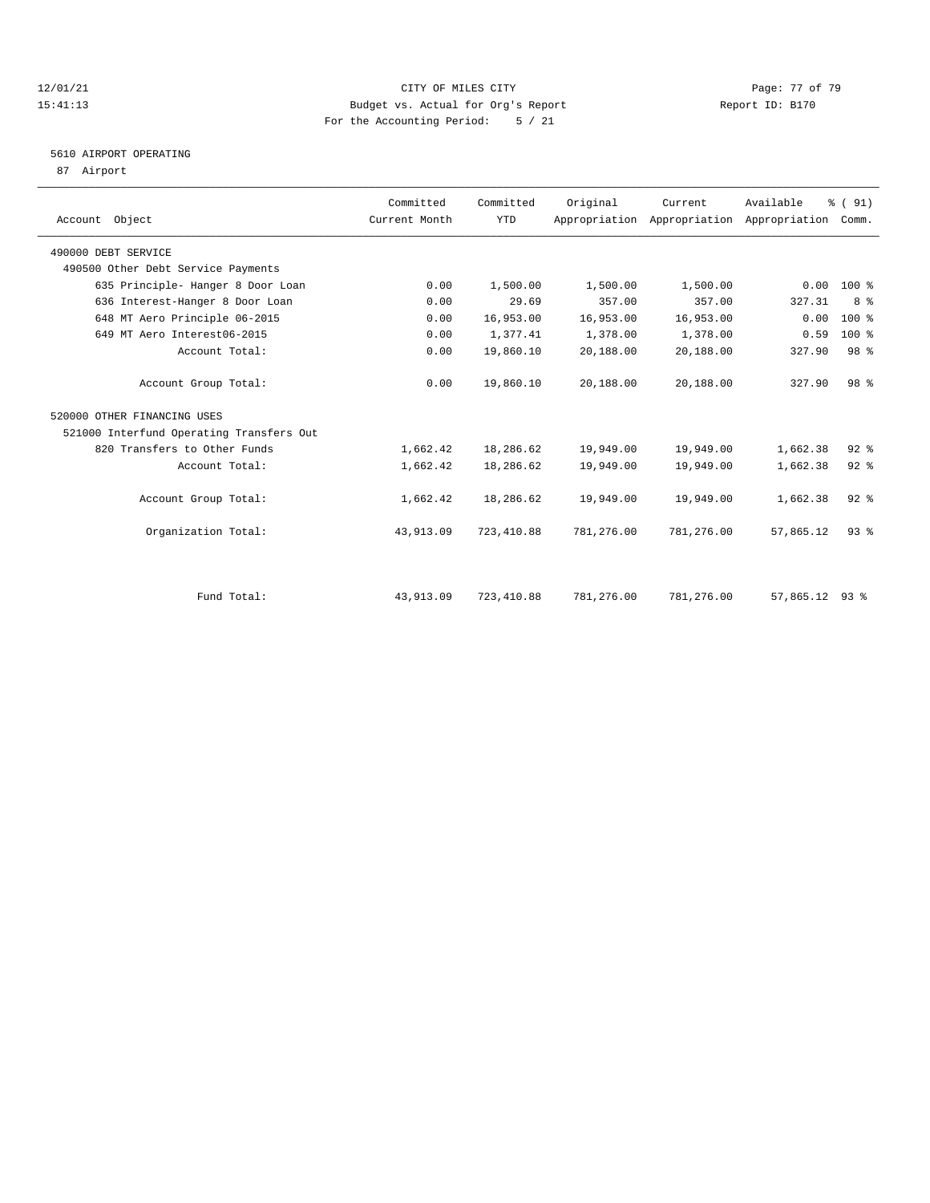### 12/01/21 **Page: 77 of 79** CITY OF MILES CITY **CITY Page: 77 of 79** 15:41:13 Budget vs. Actual for Org's Report Report ID: B170 For the Accounting Period: 5 / 21

# 5610 AIRPORT OPERATING

87 Airport

| Account Object                           | Committed<br>Current Month | Committed<br><b>YTD</b> | Original   | Current    | Available<br>Appropriation Appropriation Appropriation Comm. | % (91)          |  |
|------------------------------------------|----------------------------|-------------------------|------------|------------|--------------------------------------------------------------|-----------------|--|
| 490000 DEBT SERVICE                      |                            |                         |            |            |                                                              |                 |  |
| 490500 Other Debt Service Payments       |                            |                         |            |            |                                                              |                 |  |
| 635 Principle- Hanger 8 Door Loan        | 0.00                       | 1,500.00                | 1,500.00   | 1,500.00   | 0.00                                                         | 100 %           |  |
| 636 Interest-Hanger 8 Door Loan          | 0.00                       | 29.69                   | 357.00     | 357.00     | 327.31                                                       | 8 %             |  |
| 648 MT Aero Principle 06-2015            | 0.00                       | 16,953.00               | 16,953.00  | 16,953.00  | 0.00                                                         | 100 %           |  |
| 649 MT Aero Interest06-2015              | 0.00                       | 1,377.41                | 1,378.00   | 1,378.00   | 0.59                                                         | 100 %           |  |
| Account Total:                           | 0.00                       | 19,860.10               | 20,188.00  | 20,188.00  | 327.90                                                       | 98 <sup>8</sup> |  |
| Account Group Total:                     | 0.00                       | 19,860.10               | 20,188.00  | 20,188.00  | 327.90                                                       | 98 <sup>8</sup> |  |
| 520000 OTHER FINANCING USES              |                            |                         |            |            |                                                              |                 |  |
| 521000 Interfund Operating Transfers Out |                            |                         |            |            |                                                              |                 |  |
| 820 Transfers to Other Funds             | 1,662.42                   | 18,286.62               | 19,949.00  | 19,949.00  | 1,662.38                                                     | $92$ $%$        |  |
| Account Total:                           | 1,662.42                   | 18,286.62               | 19,949.00  | 19,949.00  | 1,662.38                                                     | 92%             |  |
| Account Group Total:                     | 1,662.42                   | 18,286.62               | 19,949.00  | 19,949.00  | 1,662.38                                                     | $92$ $%$        |  |
| Organization Total:                      | 43,913.09                  | 723, 410.88             | 781,276.00 | 781,276.00 | 57,865.12                                                    | $93$ $%$        |  |
|                                          |                            |                         |            |            |                                                              |                 |  |
| Fund Total:                              | 43,913.09                  | 723, 410.88             | 781,276.00 | 781,276.00 | 57,865.12                                                    | $93$ $%$        |  |